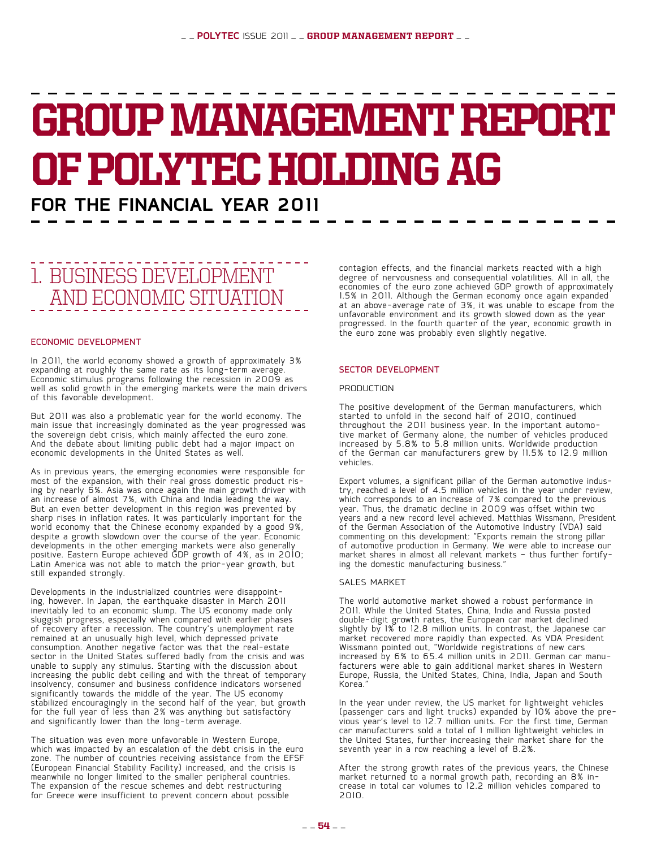## GROUP MANAGEMENT REPORT of POLYTEC Holding AG **for the FINANCIAL YEAR 2011**

## 1. Business development and economic situation

#### Economic development

In 2011, the world economy showed a growth of approximately 3% expanding at roughly the same rate as its long-term average. Economic stimulus programs following the recession in 2009 as well as solid growth in the emerging markets were the main drivers of this favorable development.

But 2011 was also a problematic year for the world economy. The main issue that increasingly dominated as the year progressed was the sovereign debt crisis, which mainly affected the euro zone. And the debate about limiting public debt had a major impact on economic developments in the United States as well.

As in previous years, the emerging economies were responsible for most of the expansion, with their real gross domestic product ris- ing by nearly 6%. Asia was once again the main growth driver with an increase of almost 7%, with China and India leading the way. But an even better development in this region was prevented by sharp rises in inflation rates. It was particularly important for the world economy that the Chinese economy expanded by a good 9%, despite a growth slowdown over the course of the year. Economic developments in the other emerging markets were also generally positive. Eastern Europe achieved GDP growth of 4%, as in 2010; Latin America was not able to match the prior-year growth, but still expanded strongly.

Developments in the industrialized countries were disappoint- ing, however. In Japan, the earthquake disaster in March 2011 inevitably led to an economic slump. The US economy made only sluggish progress, especially when compared with earlier phases of recovery after a recession. The country's unemployment rate remained at an unusually high level, which depressed private consumption. Another negative factor was that the real-estate sector in the United States suffered badly from the crisis and was unable to supply any stimulus. Starting with the discussion about increasing the public debt ceiling and with the threat of temporary insolvency, consumer and business confidence indicators worsened $^{'}$ significantly towards the middle of the year. The US economy stabilized encouragingly in the second half of the year, but growth for the full year of less than 2% was anything but satisfactory and significantly lower than the long-term average.

The situation was even more unfavorable in Western Europe, which was impacted by an escalation of the debt crisis in the euro zone. The number of countries receiving assistance from the EFSF (European Financial Stability Facility) increased, and the crisis is meanwhile no longer limited to the smaller peripheral countries. The expansion of the rescue schemes and debt restructuring for Greece were insufficient to prevent concern about possible

contagion effects, and the financial markets reacted with a high degree of nervousness and consequential volatilities. All in all, the economies of the euro zone achieved GDP growth of approximately 1.5% in 2011. Although the German economy once again expanded at an above-average rate of 3%, it was unable to escape from the unfavorable environment and its growth slowed down as the year progressed. In the fourth quarter of the year, economic growth in the euro zone was probably even slightly negative.

#### Sector development

#### PRODUCTION

The positive development of the German manufacturers, which started to unfold in the second half of 2010, continued throughout the 2011 business year. In the important automo- tive market of Germany alone, the number of vehicles produced increased by 5.8% to 5.8 million units. Worldwide production of the German car manufacturers grew by 11.5% to 12.9 million vehicles.

Export volumes, a significant pillar of the German automotive indus- try, reached a level of 4.5 million vehicles in the year under review, which corresponds to an increase of 7% compared to the previous year. Thus, the dramatic decline in 2009 was offset within two years and a new record level achieved. Matthias Wissmann, President of the German Association of the Automotive Industry (VDA) said commenting on this development: "Exports remain the strong pillar of automotive production in Germany. We were able to increase our market shares in almost all relevant markets - thus further fortify-<br>ing the domestic manufacturing business."

#### SALES MARKET

The world automotive market showed a robust performance in 2011. While the United States, China, India and Russia posted double-digit growth rates, the European car market declined slightly by 1% to 12.8 million units. In contrast, the Japanese car market recovered more rapidly than expected. As VDA President Wissmann pointed out, "Worldwide registrations of new cars increased by 6% to 65.4 million units in 2011. German car manu- facturers were able to gain additional market shares in Western Europe, Russia, the United States, China, India, Japan and South Korea."

In the year under review, the US market for lightweight vehicles (passenger cars and light trucks) expanded by 10% above the pre- vious year's level to 12.7 million units. For the first time, German car manufacturers sold a total of 1 million lightweight vehicles in the United States, further increasing their market share for the seventh year in a row reaching a level of 8.2%.

After the strong growth rates of the previous years, the Chinese<br>market returned to a normal growth path, recording an 8% increase in total car volumes to 12.2 million vehicles compared to 2010.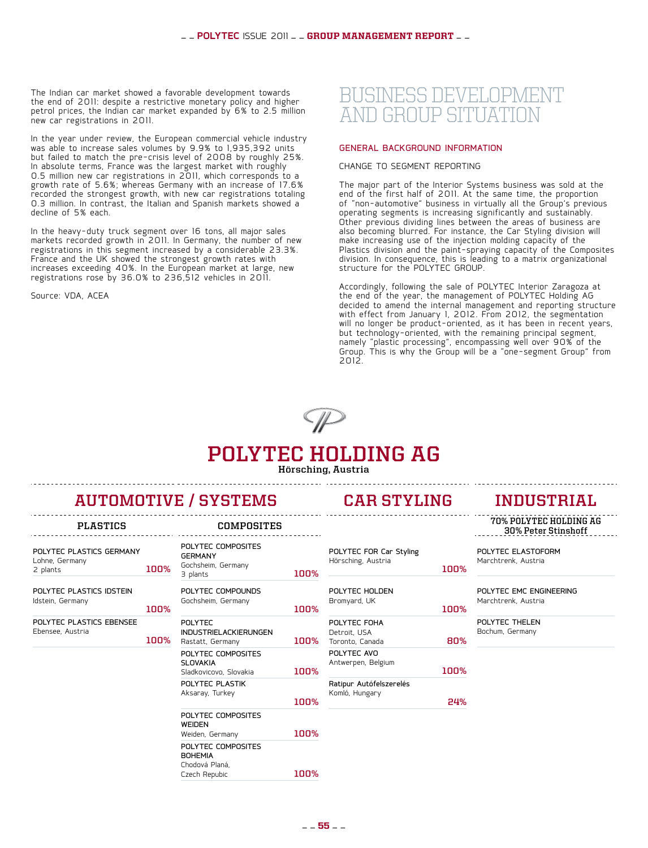The Indian car market showed a favorable development towards the end of 2011: despite a restrictive monetary policy and higher petrol prices, the Indian car market expanded by 6% to 2.5 million new car registrations in 2011.

In the year under review, the European commercial vehicle industry Was able to increase sales volumes by 9.9% to 1,935,392 units but failed to match the pre-crisis level of 2008 by roughly 25%. In absolute terms, France was the largest market with roughly 0.5 million new car registrations in 2011, which corresponds to a growth rate of 5.6%; whereas Germany with an increase of 17.6% recorded the strongest growth, with new car registrations totaling 0.3 million. In contrast, the Italian and Spanish markets showed a decline of 5% each.

In the heavy-duty truck segment over 16 tons, all major sales markets recorded growth in 2011. In Germany, the number of new registrations in this segment increased by a considerable 23.3%. France and the UK showed the strongest growth rates with increases exceeding 40%. In the European market at large, new registrations rose by 36.0% to 236,512 vehicles in 2011.

Source: VDA, ACEA

### BUSINESS DEVELOPMET and Group situation

#### General background information

Change to segment reporting

The major part of the Interior Systems business was sold at the end of the first half of 2011. At the same time, the proportion of "non-automotive" business in virtually all the Group's previous operating segments is increasing significantly and sustainably. Other previous dividing lines between the areas of business are also becoming blurred. For instance, the Car Styling division will make increasing use of the injection molding capacity of the Plastics division and the paint-spraying capacity of the Composites division. In consequence, this is leading to a matrix organizational structure for the POLYTEC GROUP.

Accordingly, following the sale of POLYTEC Interior Zaragoza at the end of the year, the management of POLYTEC Holding AG decided to amend the internal management and reporting structure with effect from January 1, 2012. From 2012, the segmentation will no longer be product-oriented, as it has been in recent years, but technology-oriented, with the remaining principal segment, namely "plastic processing", encompassing well over 90% of the Group. This is why the Group will be a "one-segment Group" from 2012.



## **polytec holding ag**

**Hörsching, Austria**

**100%**

**100%**

## **automotive / systems car styling industrial**

Polytec composites

Polytec compounds Gochsheim, Germany

industrielackierungen

Polytec Composites

Polytec Composites

Polytec composites

Polytec plastik Aksaray, Turkey

3 plants **100%**

Rastatt, Germany **100%**

Sladkovicovo, Slovakia **100%**

Weiden, Germany **100%**

Czech Repubic **100%**

**GERMANY** Gochsheim, Germany

Polytec

slovakia

weiden

**BOHEMIA** Chodová Planá,

| POLYTEC PLASTICS GERMANY |      |
|--------------------------|------|
| Lohne, Germany           |      |
| 2 plants                 | 100% |
|                          |      |

| POLYTEC PLASTICS IDSTEIN |      |
|--------------------------|------|
| Idstein, Germany         |      |
|                          | שחחו |

| POLYTEC PLASTICS EBENSEE |      |
|--------------------------|------|
| Ebensee, Austria         |      |
|                          | ገበበ% |

| <b>CAR STYLING</b> |  |
|--------------------|--|

POLYTEC FOR Car Styling Hörsching, Austria

| POLYTEC HOLDEN<br>Bromyard, UK    |      |
|-----------------------------------|------|
|                                   | 100% |
| POLYTEC FOHA                      |      |
| Detroit, USA<br>Toronto, Canada   | 80%  |
| POLYTEC AVO<br>Antwerpen, Belgium |      |
|                                   | 100% |
| Ratipur Autófelszerelés           |      |
| Komló, Hungary                    | 24   |

**plastics composites 70% Polytec Holding Ag 30% Peter Stinshoff**

> Polytec elastoform Marchtrenk, Austria

**100%**

Polytec EMC Engineering Marchtrenk, Austria

Polytec Thelen Bochum, Germany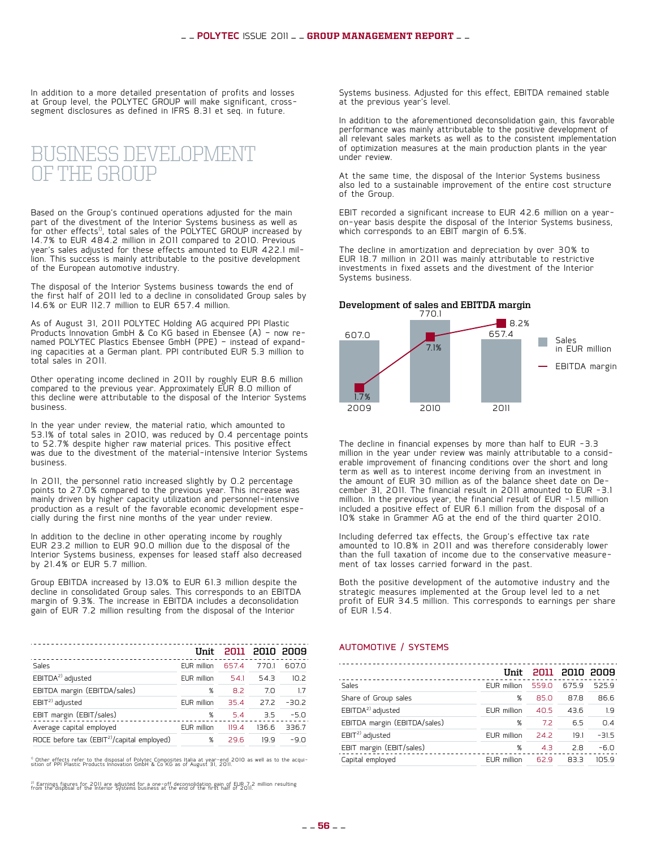In addition to a more detailed presentation of profits and losses at Group level, the POLYTEC GROUP will make significant, crosssegment disclosures as defined in IFRS 8.31 et seq. in future.

## Business development of the Group

Based on the Group's continued operations adjusted for the main part of the divestment of the Interior Systems business as well as  $\overline{\text{for other effects}}^{1)}$ , total sales of the PO $\overline{\text{L}Y\text{TEC}}$  GROUP increased by 14.7% to EUR 484.2 million in 2011 compared to 2010. Previous year's sales adjusted for these effects amounted to EUR 422.1 mil- lion. This success is mainly attributable to the positive development of the European automotive industry.

The disposal of the Interior Systems business towards the end of the first half of 2011 led to a decline in consolidated Group sales by 14.6% or EUR 112.7 million to EUR 657.4 million.

As of August 31, 2011 POLYTEC Holding AG acquired PPI Plastic<br>Products Innovation GmbH & Co KG based in Ebensee (A) - now renamed POLYTEC Plastics Ebensee GmbH (PPE) - instead of expand-<br>ing capacities at a German plant. PPI contributed EUR 5.3 million to total sales in 2011.

Other operating income declined in 2011 by roughly EUR 8.6 million compared to the previous year. Approximately EUR 8.0 million of this decline were attributable to the disposal of the Interior Systems business.

In the year under review, the material ratio, which amounted to 53.1% of total sales in 2010, was reduced by 0.4 percentage points to 52.7% despite higher raw material prices. This positive effect was due to the divestment of the material-intensive Interior Systems business.

In 2011, the personnel ratio increased slightly by 0.2 percentage points to 27.0% compared to the previous year. This increase was mainly driven by higher capacity utilization and personnel-intensive<br>production as a result of the favorable economic development especially during the first nine months of the year under review.

In addition to the decline in other operating income by roughly EUR 23.2 million to EUR 90.0 million due to the disposal of the Interior Systems business, expenses for leased staff also decreased by 21.4% or EUR 5.7 million.

Group EBITDA increased by 13.0% to EUR 61.3 million despite the decline in consolidated Group sales. This corresponds to an EBITDA margin of 9.3%. The increase in EBITDA includes a deconsolidation gain of EUR 7.2 million resulting from the disposal of the Interior

|                                                        | IInit              |       | 2011 2010 2009 |         |
|--------------------------------------------------------|--------------------|-------|----------------|---------|
| Sales                                                  | <b>EUR</b> million | 657.4 | 770.1          | 607.0   |
| EBITDA <sup>2)</sup> adjusted                          | EUR million        | 54.1  | 54.3           | 10.2    |
| EBITDA margin (EBITDA/sales)                           | %                  | 8.2   | 7.0            | 17      |
| EBIT <sup>2)</sup> adjusted                            | <b>EUR</b> million | 35.4  | 27.2           | $-30.2$ |
| EBIT margin (EBIT/sales)                               | %                  | 5.4   | 3.5            | $-5.0$  |
| Average capital employed                               | <b>EUR</b> million | 119.4 | 136.6          | 336.7   |
| ROCE before tax (EBIT <sup>2)</sup> /capital employed) | %                  | 29.6  | 19.9           | $-9.0$  |
|                                                        |                    |       |                |         |

<sup>1)</sup> Other effects refer to the disposal of Polytec Composites Italia at year-end 2010 as well as to the acqui-<br>sition of PPI Plastic Products Innovation GmbH & Co KG as of August 31, 2011.

<sup>2)</sup> Earnings figures for 2011 are adjusted for a one-off deconsolidation gain of EUR 7.2 million resulting<br>from the disposal of the Interior Systems business at the end of the first half of 2011.

Systems business. Adjusted for this effect, EBITDA remained stable at the previous year's level.

In addition to the aforementioned deconsolidation gain, this favorable performance was mainly attributable to the positive development of all relevant sales markets as well as to the consistent implementation of optimization measures at the main production plants in the year under review.

At the same time, the disposal of the Interior Systems business also led to a sustainable improvement of the entire cost structure of the Group.

EBIT recorded a significant increase to EUR 42.6 million on a yearon-year basis despite the disposal of the Interior Systems business, which corresponds to an EBIT margin of 6.5%.

The decline in amortization and depreciation by over 30% to EUR 18.7 million in 2011 was mainly attributable to restrictive investments in fixed assets and the divestment of the Interior Systems business.

#### **Development of sales and EBITDA margin**



The decline in financial expenses by more than half to EUR -3.3 million in the year under review was mainly attributable to a consid-<br>erable improvement of financing conditions over the short and long term as well as to interest income deriving from an investment in<br>the amount of EUR 30 million as of the balance sheet date on Dethe amount of EUR 32 million as of the balance sheet date on De- cember 31, 2011. The financial result in 2011 amounted to EUR -3.1 million. In the previous year, the financial result of EUR -1.5 million included a positive effect of EUR 6.1 million from the disposal of a 10% stake in Grammer AG at the end of the third quarter 2010.

Including deferred tax effects, the Group's effective tax rate amounted to 10.8% in 2011 and was therefore considerably lower than the full taxation of income due to the conservative measure- ment of tax losses carried forward in the past.

Both the positive development of the automotive industry and the strategic measures implemented at the Group level led to a net profit of EUR 34.5 million. This corresponds to earnings per share of EUR 1.54.

#### Automotive / Systems

|                               | Unit        |       | 2011 2010 2009 |         |
|-------------------------------|-------------|-------|----------------|---------|
| Sales                         | EUR million | 559.0 | 675.9          | 525.9   |
| Share of Group sales          | %           | 85.0  | 87.8           | 86.6    |
| EBITDA <sup>2)</sup> adjusted | EUR million | 40.5  | 43.6           | 1.9     |
| EBITDA margin (EBITDA/sales)  | %           | 7.2   | 6.5            | 0.4     |
| $EBIT2$ adjusted              | EUR million | 24.2  | 19.1           | $-31.5$ |
| EBIT margin (EBIT/sales)      | %           | 4.3   | 2.8            | $-6.0$  |
| Capital employed              | EUR million | 62.9  | 83.3           | 1059    |
|                               |             |       |                |         |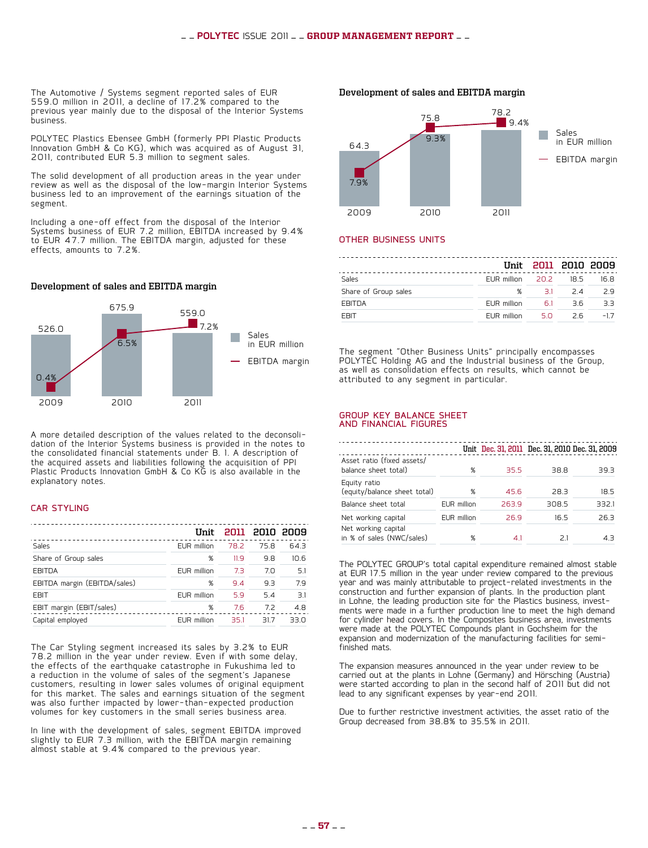The Automotive / Systems segment reported sales of EUR 559.0 million in 2011, a decline of 17.2% compared to the previous year mainly due to the disposal of the Interior Systems business.

POLYTEC Plastics Ebensee GmbH (formerly PPI Plastic Products Innovation GmbH & Co KG), which was acquired as of August 31, 2011, contributed EUR 5.3 million to segment sales.

The solid development of all production areas in the year under review as well as the disposal of the low-margin Interior Systems business led to an improvement of the earnings situation of the segment.

Including a one-off effect from the disposal of the Interior Systems business of EUR 7.2 million, EBITDA increased by 9.4% to EUR 47.7 million. The EBITDA margin, adjusted for these effects, amounts to 7.2%.

#### **Development of sales and EBITDA margin**



A more detailed description of the values related to the deconsoli- dation of the Interior Systems business is provided in the notes to the consolidated financial statements under B. 1. A description of the acquired assets and liabilities following the acquisition of PPI Plastic Products Innovation GmbH & Co KG is also available in the explanatory notes.

#### **CAR STYLING**

|                              | IInit              |      | 2011 2010 2009 |      |
|------------------------------|--------------------|------|----------------|------|
| Sales                        | <b>EUR</b> million | 78.2 | 75.8           | 64.3 |
| Share of Group sales         | %                  | 11.9 | 9.8            | 10.6 |
| <b>EBITDA</b>                | <b>EUR</b> million | 7.3  | 7.0            | 5.1  |
| EBITDA margin (EBITDA/sales) | %                  | 9.4  | 9.3            | 79   |
| <b>EBIT</b>                  | EUR million        | 5.9  | 5.4            | 3.1  |
| EBIT margin (EBIT/sales)     | %                  | 7.6  | 7.2            | 4.8  |
| Capital employed             | <b>EUR</b> million | 35.1 | 317            | 33 U |
|                              |                    |      |                |      |

The Car Styling segment increased its sales by 3.2% to EUR 78.2 million in the year under review. Even if with some delay, the effects of the earthquake catastrophe in Fukushima led to a reduction in the volume of sales of the segment's Japanese customers, resulting in lower sales volumes of original equipment for this market. The sales and earnings situation of the segment was also further impacted by lower-than-expected production volumes for key customers in the small series business area.

In line with the development of sales, segment EBITDA improved slightly to EUR 7.3 million, with the EBITDA margin remaining almost stable at 9.4% compared to the previous year.

2009 2010 2011 64.3 75.8 78.2  $9.4%$ 9.3% 7.9% Sales in EUR million EBITDA margin

#### Other Business Units

|                      |                         |         | Unit 2011 2010 2009 |       |
|----------------------|-------------------------|---------|---------------------|-------|
| Sales                | EUR million 20.2 18.5   |         |                     | 16.8  |
| Share of Group sales |                         | % 31 24 |                     | 29    |
| <b>EBITDA</b>        | EUR million 6.1         |         | 36.                 | 3.3   |
| <b>EBIT</b>          | EUR million $5.0$ $2.6$ |         |                     | $-17$ |

The segment "Other Business Units" principally encompasses POLYTEC Holding AG and the Industrial business of the Group, as well as consolidation effects on results, which cannot be attributed to any segment in particular.

#### Group key balance sheet and financial figures

|                                                    |             |       | Unit Dec. 31, 2011 Dec. 31, 2010 Dec. 31, 2009 |       |
|----------------------------------------------------|-------------|-------|------------------------------------------------|-------|
| Asset ratio (fixed assets/<br>balance sheet total) | %           | 35.5  | 38.8                                           | 39.3  |
| Equity ratio<br>(equity/balance sheet total)       | %           | 45.6  | 28.3                                           | 18.5  |
| Balance sheet total                                | EUR million | 263.9 | 308.5                                          | 332.1 |
| Net working capital                                | EUR million | 26.9  | 16.5                                           | 26.3  |
| Net working capital<br>in % of sales (NWC/sales)   | %           | 41    | 21                                             | 4 R   |

The POLYTEC GROUP's total capital expenditure remained almost stable at EUR 17.5 million in the year under review compared to the previous year and was mainly attributable to project-related investments in the construction and further expansion of plants. In the production plant ments were made in a further production line to meet the high demand for cylinder head covers. In the Composites business area, investments were made at the POLYTEC Compounds plant in Gochsheim for the expansion and modernization of the manufacturing facilities for semifinished mats.

The expansion measures announced in the year under review to be carried out at the plants in Lohne (Germany) and Hörsching (Austria) were started according to plan in the second half of 2011 but did not lead to any significant expenses by year-end 2011.

Due to further restrictive investment activities, the asset ratio of the Group decreased from 38.8% to 35.5% in 2011.

#### **Development of sales and EBITDA margin**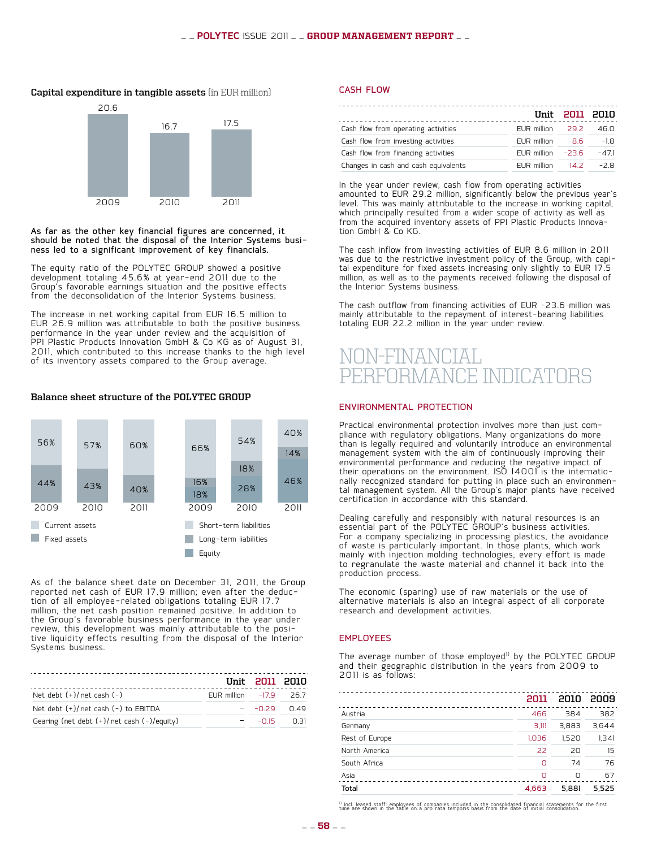#### **Capital expenditure in tangible assets** (in EUR million)



As far as the other key financial figures are concerned, it should be noted that the disposal of the Interior Systems busi- ness led to a significant improvement of key financials.

The equity ratio of the POLYTEC GROUP showed a positive development totaling 45.6% at year-end 2011 due to the Group's favorable earnings situation and the positive effects from the deconsolidation of the Interior Systems business.

The increase in net working capital from EUR 16.5 million to EUR 26.9 million was attributable to both the positive business performance in the year under review and the acquisition of PPI Plastic Products Innovation GmbH & Co KG as of August 31, 2011, which contributed to this increase thanks to the high level of its inventory assets compared to the Group average.

**Balance sheet structure of the POLYTEC GROUP**

#### $10%$ 54% 56% 57% 60% 66% 14% 18% 46% 44% 16% 43% 40% 28% 18% 2009 2010 2011 2009 2010 2011 Current assets Short-term liabilities **Long-term liabilities College** Equity

As of the balance sheet date on December 31, 2011, the Group reported net cash of EUR 17.9 million; even after the deduc- tion of all employee-related obligations totaling EUR 17.7 million, the net cash position remained positive. In addition to the Group's favorable business performance in the year under review, this development was mainly attributable to the posi- tive liquidity effects resulting from the disposal of the Interior Systems business.

|                                                  |                          | Unit 2011 2010  |      |
|--------------------------------------------------|--------------------------|-----------------|------|
| Net debt $(+)/$ net cash $(-)$                   | EUR million $-17.9$ 26.7 |                 |      |
| Net debt $(+)/$ net cash $(-)$ to EBITDA         |                          | $ -0.29$ $0.49$ |      |
| Gearing (net debt $(+)/$ net cash $(-)/$ equity) |                          | $-0.15$         | 0 31 |

#### cash flow

|                                      |                      | Unit 2011 2010 |         |
|--------------------------------------|----------------------|----------------|---------|
| Cash flow from operating activities  | EUR million 29.2     |                | 46.0    |
| Cash flow from investing activities  | EUR million          | 8.6            | $-1.8$  |
| Cash flow from financing activities  | EUR million $-23.6$  |                | $-47.1$ |
| Changes in cash and cash equivalents | $EUR$ million $14.2$ |                | $-2R$   |

In the year under review, cash flow from operating activities amounted to EUR 29.2 million, significantly below the previous year's level. This was mainly attributable to the increase in working capital, which principally resulted from a wider scope of activity as well as from the acquired inventory assets of PPI Plastic Products Innova- tion GmbH & Co KG.

The cash inflow from investing activities of EUR 8.6 million in 2011 was due to the restrictive investment policy of the Group, with capi- tal expenditure for fixed assets increasing only slightly to EUR 17.5 million, as well as to the payments received following the disposal of the Interior Systems business.

The cash outflow from financing activities of EUR –23.6 million was mainly attributable to the repayment of interest-bearing liabilities totaling EUR 22.2 million in the year under review.

## IN-FINANCIAL performance indicators

#### Environmental protection

Practical environmental protection involves more than just com- pliance with regulatory obligations. Many organizations do more than is legally required and voluntarily introduce an environmental management system with the aim of continuously improving their environmental performance and reducing the negative impact of their operations on the environment. ISO 14001 is the internationally recognized standard for putting in place such an environmen-tal management system. All the Group's major plants have received certification in accordance with this standard.

Dealing carefully and responsibly with natural resources is an essential part of the POLYTEC GROUP's business activities. For a company specializing in processing plastics, the avoidance of waste is particularly important. In those plants, which work mainly with injection molding technologies, every effort is made to regranulate the waste material and channel it back into the production process.

The economic (sparing) use of raw materials or the use of alternative materials is also an integral aspect of all corporate research and development activities.

#### **EMPLOYEES**

The average number of those employed<sup>1)</sup> by the POLYTEC GROUP and their geographic distribution in the years from 2009 to 2011 is as follows:

|                | 2011  |       | 2010 2009 |
|----------------|-------|-------|-----------|
| Austria        | 466   | 384   | 382       |
| Germany        | 3.111 | 3.883 | 3.644     |
| Rest of Europe | 1.036 | 1.520 | 1,341     |
| North America  | 22    | 20    | 15        |
| South Africa   | n     | 74    | 76        |
| Asia           | ∩     | Ο     | 67        |
| Total          | 4.663 | 5.881 | 5.525     |

<sup>1)</sup> Incl. leased staff: employees of companies included in the consolidated financial statements for the first<br>time are shown in the table on a pro rata temporis basis from the date of initial consolidation.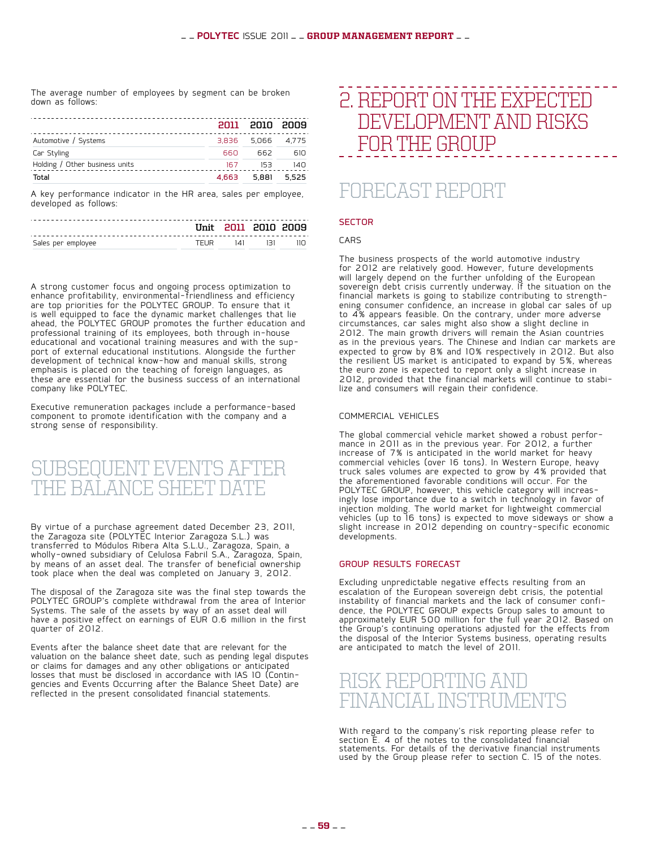The average number of employees by segment can be broken down as follows:

|                                |      | 2011 2010 2009    |     |
|--------------------------------|------|-------------------|-----|
| Automotive / Systems           |      | 3.836 5.066 4.775 |     |
| Car Styling                    | 660  | 662               | 610 |
| Holding / Other business units | 167. | 153               | 140 |
| Total                          |      | 4.663 5.881 5.525 |     |

A key performance indicator in the HR area, sales per employee, developed as follows:

|                    |        | <u>IInit 2011 2010 2009 </u> |     |
|--------------------|--------|------------------------------|-----|
| Sales per employee | TFI IR | ا∖1 ا⊿ا                      | חוו |

A strong customer focus and ongoing process optimization to enhance profitability, environmental-friendliness and efficiency are top priorities for the POLYTEC GROUP. To ensure that it  $\check{\phantom{\phi}}$ is well equipped to face the dynamic market challenges that lie ahead, the POLYTEC GROUP promotes the further education and professional training of its employees, both through in-house port of external educational institutions. Alongside the further development of technical know-how and manual skills, strong emphasis is placed on the teaching of foreign languages, as these are essential for the business success of an international company like POLYTEC.

Executive remuneration packages include a performance-based component to promote identification with the company and a strong sense of responsibility.

## SUBSEQUENT EVENTS AFTER THE BALANCE SHEET DAT

By virtue of a purchase agreement dated December 23, 2011, the Zaragoza site (POLYTEC Interior Zaragoza S.L.) was transferred to Módulos Ribera Alta S.L.U., Zaragoza, Spain, a wholly-owned subsidiary of Celulosa Fabril S.A., Zaragoza, Spain, by means of an asset deal. The transfer of beneficial ownership took place when the deal was completed on January 3, 2012.

The disposal of the Zaragoza site was the final step towards the POLYTEC GROUP's complete withdrawal from the area of Interior Systems. The sale of the assets by way of an asset deal will have a positive effect on earnings of EUR 0.6 million in the first quarter of 2012.

Events after the balance sheet date that are relevant for the valuation on the balance sheet date, such as pending legal disputes or claims for damages and any other obligations or anticipated<br>losses that must be disclosed in accordance with IAS 10 (Continlosses that must be disclosed in accordance with IAS 10 (Contin- gencies and Events Occurring after the Balance Sheet Date) are reflected in the present consolidated financial statements.

## 2. REPORT ON THE EXPECTED DEVELOPMENTAND RISKS FORTHE GROUP

## Forecast Report

#### **SECTOR**

#### **CARS**

The business prospects of the world automotive industry for 2012 are relatively good. However, future developments will largely depend on the further unfolding of the European sovereign debt crisis currently underway. If the situation on the financial markets is going to stabilize contributing to strength- ening consumer confidence, an increase in global car sales of up to 4% appears feasible. On the contrary, under more adverse circumstances, car sales might also show a slight decline in 2012. The main growth drivers will remain the Asian countries as in the previous years. The Chinese and Indian car markets are expected to grow by 8% and 10% respectively in 2012. But also the resilient US market is anticipated to expand by 5%, whereas the euro zone is expected to report only a slight increase in 2012, provided that the financial markets will continue to stabi- lize and consumers will regain their confidence.

#### Commercial vehicles

The global commercial vehicle market showed a robust perfor- mance in 2011 as in the previous year. For 2012, a further increase of 7% is anticipated in the world market for heavy commercial vehicles (over 16 tons). In Western Europe, heavy truck sales volumes are expected to grow by 4% provided that the aforementioned favorable conditions will occur. For the POLYTEC GROUP, however, this vehicle category will increas- ingly lose importance due to a switch in technology in favor of injection molding. The world market for lightweight commercial vehicles (up to 16 tons) is expected to move sideways or show a slight increase in 2012 depending on country-specific economic developments.

#### Group results forecast

Excluding unpredictable negative effects resulting from an escalation of the European sovereign debt crisis, the potential instability of financial markets and the lack of consumer confi- dence, the POLYTEC GROUP expects Group sales to amount to dence, the POLYTEC GROUP expects Group sales to amount to approximately EUR 500 million for the full year 2012. Based on the Group's continuing operations adjusted for the effects from the disposal of the Interior Systems business, operating results are anticipated to match the level of 2011.



With regard to the company's risk reporting please refer to section E. 4 of the notes to the consolidated financial statements. For details of the derivative financial instruments used by the Group please refer to section C. 15 of the notes.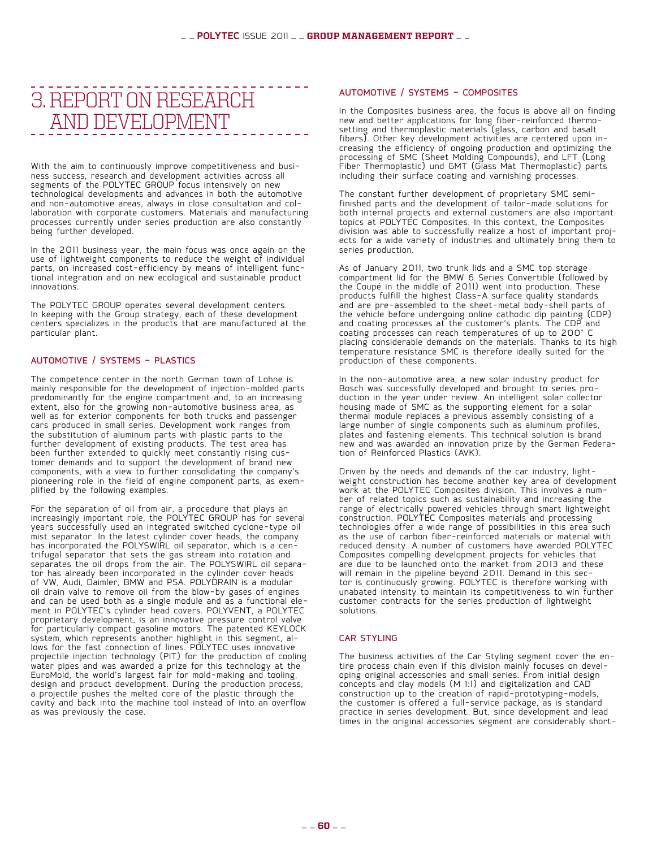## 3. REPORTON RESEARCH AND DEVELOPMENT

With the aim to continuously improve competitiveness and busi-<br>ness success, research and development activities across all segments of the POLYTEC GROUP focus intensively on new technological developments and advances in both the automotive laboration with corporate customers. Materials and manufacturing processes currently under series production are also constantly  $\overline{ }$ being further developed.

In the 2011 business year, the main focus was once again on the use of lightweight components to reduce the weight of individual parts, on increased cost-efficiency by means of intelligent func- tional integration and on new ecological and sustainable product innovations.

The POLYTEC GROUP operates several development centers. In keeping with the Group strategy, each of these development centers specializes in the products that are manufactured at the particular plant.

#### AUTOMOTIVE / SYSTEMS - PLASTICS

The competence center in the north German town of Lohne is mainly responsible for the development of injection-molded parts predominantly for the engine compartment and, to an increasing extent, also for the growing non-automotive business area, as well as for exterior components for both trucks and passenger cars produced in small series. Development work ranges from the substitution of aluminum parts with plastic parts to the further development of existing products. The test area has been further extended to quickly meet constantly rising cus-<br>tomer demands and to support the development of brand new tomer demands and to support the development of brand new<br>components, with a view to further consolidating the company's pioneering role in the field of engine component parts, as exem-<br>plified by the following examples.

For the separation of oil from air, a procedure that plays an increasingly important role, the POLYTEC GROUP has for several years successfully used an integrated switched cyclone-type oil mist separator. In the latest cylinder cover heads, the company<br>has incorporated the POLYSWIRL oil separator, which is a centrifugal separator that sets the gas stream into rotation and separates the oil drops from the air. The POLYSWIRL oil separaseparates the oil drops from the air. The POLYSWIRL oil separa-<br>tor has already been incorporated in the cylinder cover heads of VW, Audi, Daimler, BMW and PSA. POLYDRAIN is a modular oil drain valve to remove oil from the blow-by gases of engines and can be used both as a single module and as a functional element in POLYTEC's cylinder head covers. POLYVENT, a POLYTEC proprietary development, is an innovative pressure control valve for particularly compact gasoline motors. The patented KEYLOCK<br>system, which represents another highlight in this segment, alsystem, which represents another highlight in this segment, al-<br>lows for the fast connection of lines. POLYTEC uses innovative projectile injection technology (PIT) for the production of cooling water pipes and was awarded a prize for this technology at the  $\dot{}$ EuroMold, the world's largest fair for mold-making and tooling, design and product development. During the production process, a projectile pushes the melted core of the plastic through the cavity and back into the machine tool instead of into an overflow as was previously the case.

#### AUTOMOTIVE / SYSTEMS - COMPOSITES

In the Composites business area, the focus is above all on finding new and better applications for long fiber-reinforced thermo- setting and thermoplastic materials (glass, carbon and basalt fibers). Other key development activities are centered upon in- creasing the efficiency of ongoing production and optimizing the processing of SMC (Sheet Molding Compounds), and LFT (Long Fiber Thermoplastic) und GMT (Glass Mat Thermoplastic) parts including their surface coating and varnishing processes.

The constant further development of proprietary SMC semifinished parts and the development of tailor-made solutions for both internal projects and external customers are also important topics at POLYTEC Composites. In this context, the Composites<br>division was able to successfully realize a host of important projects for a wide variety of industries and ultimately bring them to series production.

As of January 2011, two trunk lids and a SMC top storage compartment lid for the BMW 6 Series Convertible (followed by the Coupé in the middle of 2011) went into production. These products fulfill the highest Class-A surface quality standards and are pre-assembled to the sheet-metal body-shell parts of the vehicle before undergoing online cathodic dip painting (CDP) and coating processes at the customer's plants. The CDP and coating processes can reach temperatures of up to 200° C placing considerable demands on the materials. Thanks to its high temperature resistance SMC is therefore ideally suited for the production of these components.

In the non-automotive area, a new solar industry product for Bosch was successfully developed and brought to series pro-<br>duction in the year under review. An intelligent solar collector duction in the year under review. An intelligent solar collector<br>housing made of SMC as the supporting element for a solar thermal module replaces a previous assembly consisting of a large number of single components such as aluminum profiles, plates and fastening elements. This technical solution is brand new and was awarded an innovation prize by the German Federa- tion of Reinforced Plastics (AVK).

Driven by the needs and demands of the car industry, light- weight construction has become another key area of development work at the POLYTEC Composites division. This involves a num-<br>ber of related topics such as sustainability and increasing the range of electrically powered vehicles through smart lightweight construction. POLYTEC Composites materials and processing technologies offer a wide range of possibilities in this area such as the use of carbon fiber-reinforced materials or material with reduced density. A number of customers have awarded POLYTEC Composites compelling development projects for vehicles that are due to be launched onto the market from 2013 and these<br>will remain in the pipeline beyond 2011. Demand in this secwill remain in the pipeline beyond 2011. Demand in this sec-<br>tor is continuously growing. POLYTEC is therefore working with unabated intensity to maintain its competitiveness to win further customer contracts for the series production of lightweight solutions.

#### CAR STYLING

The business activities of the Car Styling segment cover the en-<br>tire process chain even if this division mainly focuses on devel-<br>oping original accessories and small series. From initial design concepts and clay models (M 1:1) and digitalization and CAD construction up to the creation of rapid-prototyping-models, the customer is offered a full-service package, as is standard practice in series development. But, since development and lead times in the original accessories segment are considerably short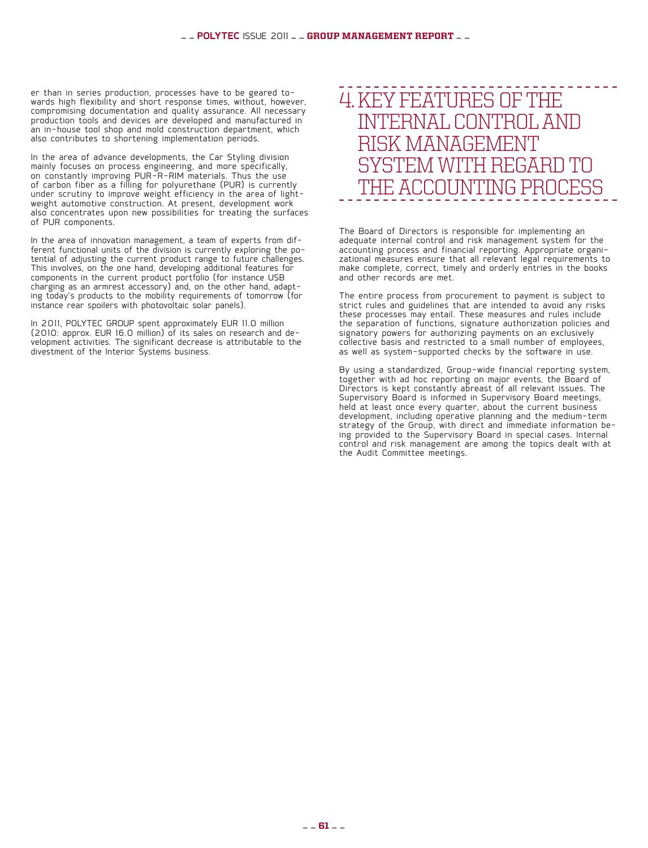er than in series production, processes have to be geared to- wards high flexibility and short response times, without, however, compromising documentation and quality assurance. All necessary production tools and devices are developed and manufactured in an in-house tool shop and mold construction department, which also contributes to shortening implementation periods.

In the area of advance developments, the Car Styling division mainly focuses on process engineering, and more specifically, on constantly improving PUR-R-RIM materials. Thus the use of carbon fiber as a filling for polyurethane (PUR) is currently under scrutiny to improve weight efficiency in the area of light- weight automotive construction. At present, development work also concentrates upon new possibilities for treating the surfaces of PUR components.

In the area of innovation management, a team of experts from dif- ferent functional units of the division is currently exploring the po- tential of adjusting the current product range to future challenges. This involves, on the one hand, developing additional features for components in the current product portfolio (for instance USB charging as an armrest accessory) and, on the other hand, adapt-<br>ing today's products to the mobility requirements of tomorrow (for ing today's products to the mobility requirements of tomorrow (for<br>instance rear spoilers with photovoltaic solar panels).

In 2011, POLYTEC GROUP spent approximately EUR 11.0 million (2010: approx. EUR 16.0 million) of its sales on research and de-<br>velopment activities. The significant decrease is attributable to the divestment of the Interior Systems business.

## 4. KEY FEATURES OF THE INTERNAL CONTROLAND ISK MANAGEN SYSTEM WITH REGARD TO THE ACCOUNTING PROCES

The Board of Directors is responsible for implementing an adequate internal control and risk management system for the accounting process and financial reporting. Appropriate organi- zational measures ensure that all relevant legal requirements to make complete, correct, timely and orderly entries in the books and other records are met.

The entire process from procurement to payment is subject to strict rules and guidelines that are intended to avoid any risks these processes may entail. These measures and rules include the separation of functions, signature authorization policies and signatory powers for authorizing payments on an exclusively collective basis and restricted to a small number of employees. as well as system-supported checks by the software in use.

By using a standardized, Group-wide financial reporting system, together with ad hoc reporting on major events, the Board of Directors is kept constantly abreast of all relevant issues. The Supervisory Board is informed in Supervisory Board meetings, held at least once every quarter, about the current business development, including operative planning and the medium-term<br>strategy of the Group, with direct and immediate information being provided to the Supervisory Board in special cases. Internal control and risk management are among the topics dealt with at the Audit Committee meetings.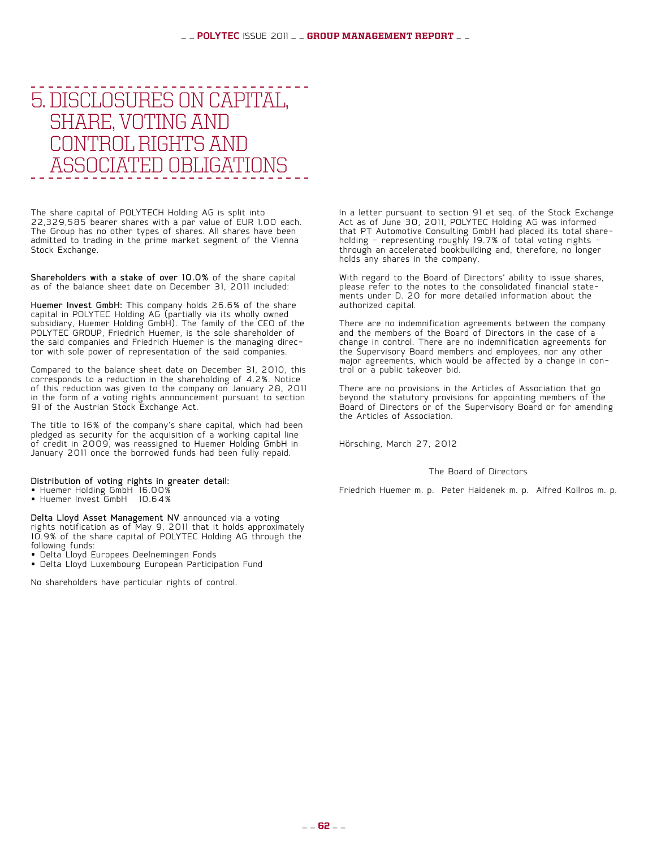## 5. DISCLOSURES ON CAPITAL, SHARE, VOTING AND CONTROL BIGHTS AND ASSOCIATED OBLIGATIONS

The share capital of POLYTECH Holding AG is split into 22,329,585 bearer shares with a par value of EUR 1.00 each. The Group has no other types of shares. All shares have been admitted to trading in the prime market segment of the Vienna Stock Exchange.

Shareholders with a stake of over 10.0% of the share capital as of the balance sheet date on December 31, 2011 included:

Huemer Invest GmbH: This company holds 26.6% of the share capital in POLYTEC Holding AG (partially via its wholly owned subsidiary, Huemer Holding GmbH). The family of the CEO of the POLYTEC GROUP, Friedrich Huemer, is the sole shareholder of the said companies and Friedrich Huemer is the managing direc- tor with sole power of representation of the said companies.

Compared to the balance sheet date on December 31, 2010, this corresponds to a reduction in the shareholding of 4.2%. Notice of this reduction was given to the company on January 28, 2011 in the form of a voting rights announcement pursuant to section 91 of the Austrian Stock Exchange Act.

The title to 16% of the company's share capital, which had been pledged as security for the acquisition of a working capital line of credit in 2009, was reassigned to Huemer Holding GmbH in January 2011 once the borrowed funds had been fully repaid.

#### Distribution of voting rights in greater detail:

- Huemer Holding GmbH 16.00%
- • Huemer Invest GmbH 10.64%

Delta Lloyd Asset Management NV announced via a voting rights notification as of May 9, 2011 that it holds approximately 10.9% of the share capital of POLYTEC Holding AG through the following funds:

- • Delta Lloyd Europees Deelnemingen Fonds
- Delta Lloyd Luxembourg European Participation Fund

No shareholders have particular rights of control.

In a letter pursuant to section 91 et seq. of the Stock Exchange Act as of June 30, 2011, POLYTEC Holding AG was informed that PT Automotive Consulting GmbH had placed its total share-<br>holding – representing roughly 19.7% of total voting rights – through an accelerated bookbuilding and, therefore, no longer holds any shares in the company.

With regard to the Board of Directors' ability to issue shares, please refer to the notes to the consolidated financial state- ments under D. 20 for more detailed information about the ments under D. 20 for more detailed information about the authorized capital.

There are no indemnification agreements between the company and the members of the Board of Directors in the case of a change in control. There are no indemnification agreements for the Supervisory Board members and employees, nor any other major agreements, which would be affected by a change in con- trol or a public takeover bid.

There are no provisions in the Articles of Association that go beyond the statutory provisions for appointing members of the Board of Directors or of the Supervisory Board or for amending the Articles of Association.

Hörsching, March 27, 2012

#### The Board of Directors

Friedrich Huemer m. p. Peter Haidenek m. p. Alfred Kollros m. p.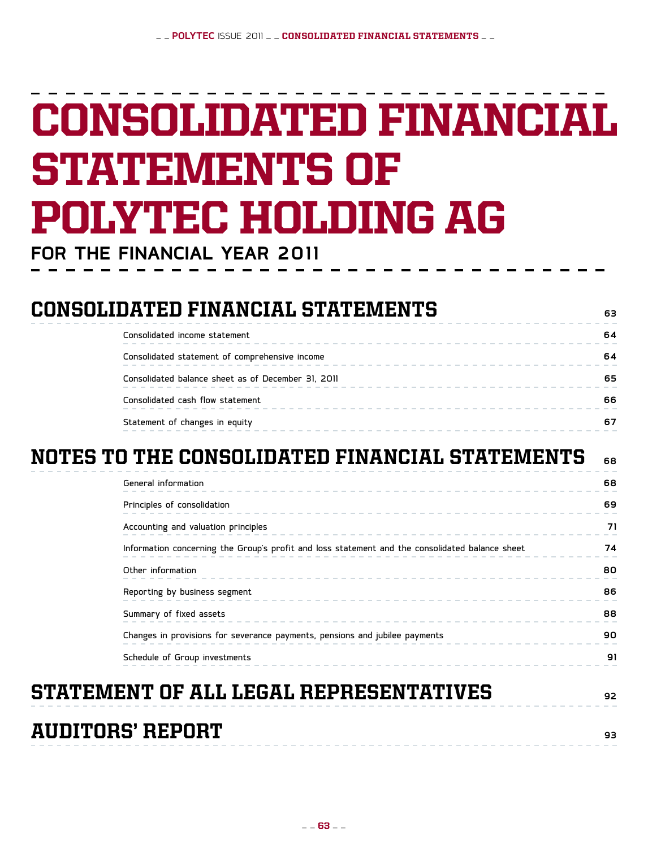# Consolidated financial **STATEMENTS OF** POLYTEC Holding AG

**for the FINANCIAL YEAR 2011**

| <b>CONSOLIDATED FINANCIAL STATEMENTS</b> |  |
|------------------------------------------|--|
|------------------------------------------|--|

| Consolidated income statement                      | 64 |
|----------------------------------------------------|----|
| Consolidated statement of comprehensive income     |    |
| Consolidated balance sheet as of December 31, 2011 | 65 |
| Consolidated cash flow statement                   | 66 |
| Statement of changes in equity                     |    |

## NOTES TO THE CONSOLIDATED FINANCIAL STATEMENTS **68**

| General information                                                                             | 68 |
|-------------------------------------------------------------------------------------------------|----|
| Principles of consolidation<br>_____________________________________                            | 69 |
| Accounting and valuation principles<br>--------------------------------                         | 71 |
| Information concerning the Group's profit and loss statement and the consolidated balance sheet | 74 |
| Other information                                                                               | 80 |
| Reporting by business segment<br>___________________________                                    | 86 |
| Summary of fixed assets                                                                         | 88 |
| Changes in provisions for severance payments, pensions and jubilee payments                     | 90 |
| Schedule of Group investments                                                                   | 91 |
| STATEMENT OF ALL LEGAL REPRESENTATIVES                                                          | 92 |
| AUDITORS' REPORT                                                                                | 93 |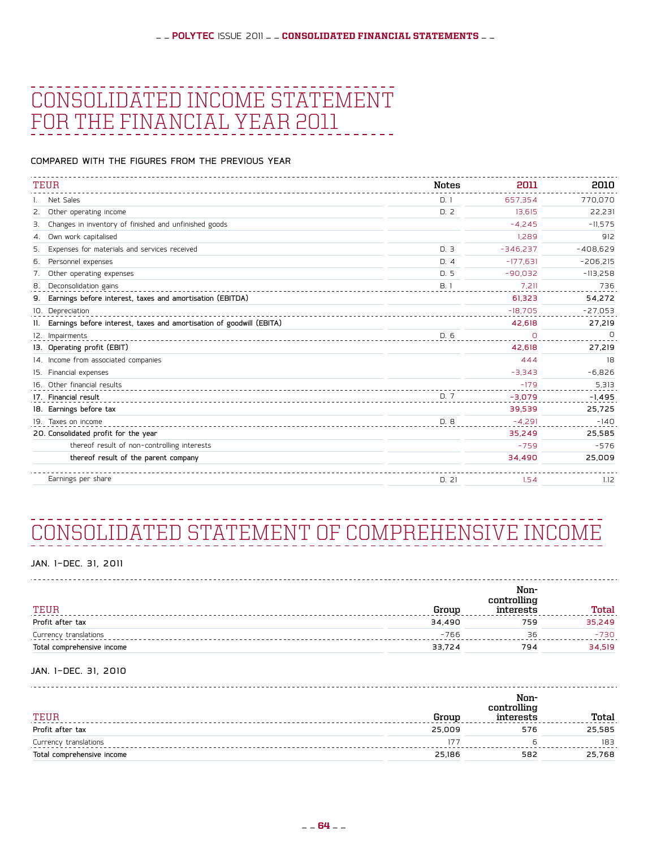## Consolidated Income Statement for the financial year 2011

compared with the figures from the previous year

| TEUR                                                                 | <b>Notes</b> | 2011       | 2010       |
|----------------------------------------------------------------------|--------------|------------|------------|
| Net Sales                                                            | D.1          | 657.354    | 770,070    |
| Other operating income<br>2.                                         | D.2          | 13.615     | 22,231     |
| Changes in inventory of finished and unfinished goods<br>З.          |              | $-4.245$   | $-11,575$  |
| Own work capitalised<br>4.                                           |              | 1.289      | 912        |
| Expenses for materials and services received<br>5.                   | D.3          | $-346,237$ | $-408,629$ |
| Personnel expenses<br>6.                                             | D.4          | $-177.631$ | $-206,215$ |
| Other operating expenses                                             | D.5          | $-90.032$  | $-113,258$ |
| Deconsolidation gains<br>8.                                          | B.1          | 7.211      | 736        |
| Earnings before interest, taxes and amortisation (EBITDA)<br>9.      |              | 61.323     | 54,272     |
| 10. Depreciation                                                     |              | $-18,705$  | $-27,053$  |
| Earnings before interest, taxes and amortisation of goodwill (EBITA) |              | 42,618     | 27,219     |
| 12. Impairments                                                      | D. 6         | O          | $\Omega$   |
| 13. Operating profit (EBIT)                                          |              | 42,618     | 27,219     |
| 14. Income from associated companies                                 |              | 444        | 18         |
| Financial expenses<br>15.                                            |              | $-3,343$   | $-6,826$   |
| 16. Other financial results                                          |              | $-179$     | 5,313      |
| 17. Financial result                                                 | D. 7         | $-3,079$   | $-1,495$   |
| 18. Earnings before tax                                              |              | 39,539     | 25,725     |
| 19. Taxes on income                                                  | D. 8         | $-4,291$   | $-140$     |
| 20. Consolidated profit for the year                                 |              | 35,249     | 25,585     |
| thereof result of non-controlling interests                          |              | $-759$     | $-576$     |
| thereof result of the parent company                                 |              | 34,490     | 25,009     |
| Earnings per share                                                   | D. 21        | 1.54       | 1.12       |

## Consolidated statement of comprehensive income

#### JAN. 1-DEC. 31, 2011

| TEUR                       | Group  | Non-<br>controlling<br>interests | <b>Total</b> |
|----------------------------|--------|----------------------------------|--------------|
| Profit after tax           | 34,490 | 759                              | 35,249       |
| Currency translations      | $-766$ | 36                               | $-730$       |
| Total comprehensive income | 33,724 | 794                              | 34,519       |

#### JAN. 1-DEC. 31, 2010

| TEUR                       | Group  | Non-<br>controlling<br>interests | Total  |
|----------------------------|--------|----------------------------------|--------|
| Profit after tax           | 25,009 | 576                              | 25,585 |
| Currency translations      | 177    |                                  | 183    |
| Total comprehensive income | 25,186 | 582                              | 25,768 |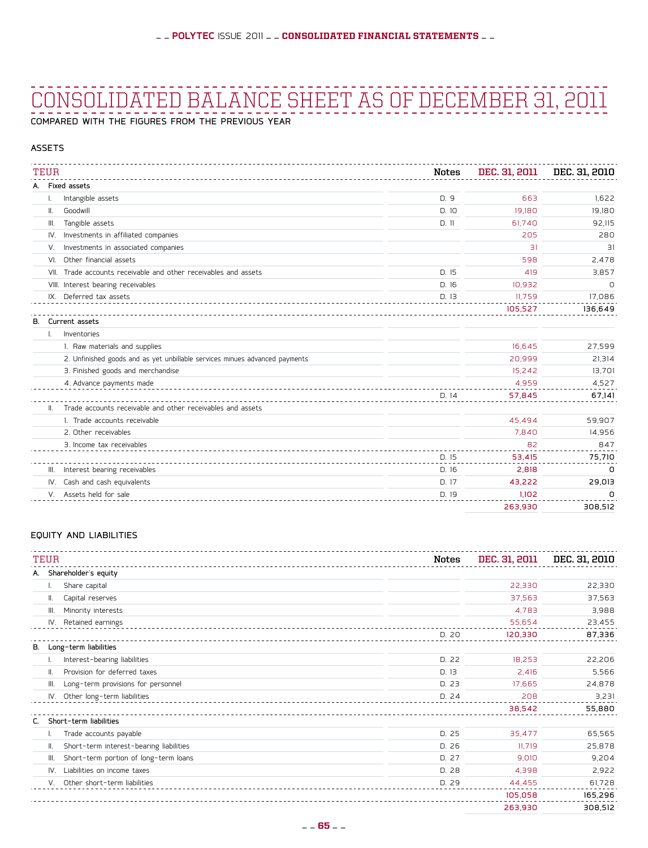## Consolidated Balance Sheet as of December 31, 2011

compared with the figures from the previous year

#### **ASSETS**

|    | <b>TEUR</b> |                                                                             | Notes | DEC. 31, 2011 | DEC. 31, 2010 |
|----|-------------|-----------------------------------------------------------------------------|-------|---------------|---------------|
|    |             | A. Fixed assets                                                             |       |               |               |
|    |             | Intangible assets                                                           | D.9   | 663           | 1.622         |
|    | Ⅱ.          | Goodwill                                                                    | D.10  | 19,180        | 19.180        |
|    | Ⅲ.          | Tangible assets                                                             | D.11  | 61.740        | 92,115        |
|    | IV.         | Investments in affiliated companies                                         |       | 205           | 280           |
|    | V.          | Investments in associated companies                                         |       | 31            | 31            |
|    | VI.         | Other financial assets                                                      |       | 598           | 2,478         |
|    | VII.        | Trade accounts receivable and other receivables and assets                  | D.15  | 419           | 3,857         |
|    |             | VIII. Interest bearing receivables                                          | D.16  | 10.932        | 0             |
|    |             | IX. Deferred tax assets                                                     | D. 13 | 11,759        | 17,086        |
|    |             |                                                                             |       | 105,527       | 136,649       |
| В. |             | Current assets                                                              |       |               |               |
|    |             | Inventories                                                                 |       |               |               |
|    |             | 1. Raw materials and supplies                                               |       | 16.645        | 27,599        |
|    |             | 2. Unfinished goods and as yet unbillable services minues advanced payments |       | 20,999        | 21,314        |
|    |             | 3. Finished goods and merchandise                                           |       | 15.242        | 13,701        |
|    |             | 4. Advance payments made                                                    |       | 4,959         | 4,527         |
|    |             |                                                                             | D.14  | 57,845        | 67,141        |
|    | Ш.          | Trade accounts receivable and other receivables and assets                  |       |               |               |
|    |             | 1. Trade accounts receivable                                                |       | 45.494        | 59.907        |
|    |             | 2. Other receivables                                                        |       | 7.840         | 14,956        |
|    |             | 3. Income tax receivables                                                   |       | 82            | 847           |
|    |             |                                                                             | D.15  | 53,415        | 75,710        |
|    | III.        | Interest bearing receivables                                                | D. 16 | 2,818         | 0             |
|    | IV.         | Cash and cash equivalents                                                   | D. 17 | 43.222        | 29.013        |
|    |             | V. Assets held for sale                                                     | D. 19 | 1.102         | n             |
|    |             |                                                                             |       | 263.930       | 308.512       |

#### equity and liabilities

|    | <b>TEUR</b>                                   | Notes | DEC. 31, 2011 | DEC. 31, 2010 |
|----|-----------------------------------------------|-------|---------------|---------------|
|    | Shareholder's equity<br>А.                    |       |               |               |
|    | Share capital                                 |       | 22,330        | 22,330        |
|    | Capital reserves<br>Ⅱ.                        |       | 37,563        | 37,563        |
|    | Minority interests<br>III.                    |       | 4,783         | 3,988         |
|    | IV. Retained earnings                         |       | 55,654        | 23,455        |
|    |                                               | D. 20 | 120,330       | 87,336        |
| В. | Long-term liabilities                         |       |               |               |
|    | Interest-bearing liabilities                  | D. 22 | 18,253        | 22,206        |
|    | Provision for deferred taxes<br>Ш.            | D.13  | 2,416         | 5,566         |
|    | Long-term provisions for personnel<br>III.    | D. 23 | 17,665        | 24,878        |
|    | Other long-term liabilities<br>IV.            | D. 24 | 208           | 3,231         |
|    |                                               |       | 38,542        | 55,880        |
| C. | Short-term liabilities                        |       |               |               |
|    | Trade accounts payable                        | D. 25 | 35,477        | 65,565        |
|    | Short-term interest-bearing liabilities<br>Ⅱ. | D. 26 | 11.719        | 25,878        |
|    | Short-term portion of long-term loans<br>III. | D. 27 | 9,010         | 9,204         |
|    | Liabilities on income taxes<br>IV.            | D.28  | 4,398         | 2,922         |
|    | Other short-term liabilities<br>V.            | D. 29 | 44,455        | 61,728        |
|    |                                               |       | 105,058       | 165,296       |
|    |                                               |       | 263,930       | 308,512       |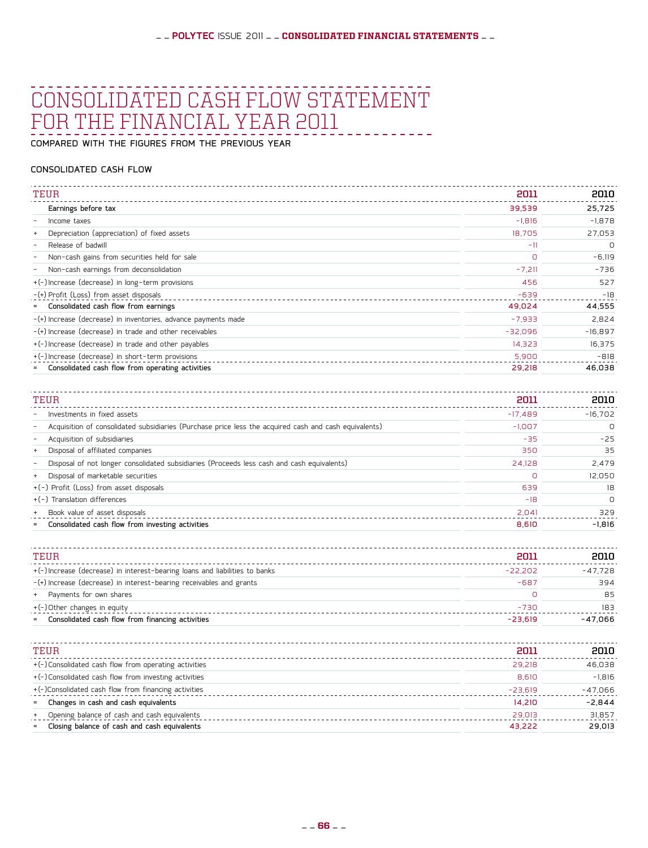### Consolidated Cash Flow Statement for the financial year 2011

compared with the figures from the previous year

#### CONSOLIDATED cash flow

| TEUR<br>2011<br>Earnings before tax<br>39,539<br>$-1,816$<br>Income taxes<br>$\overline{\phantom{a}}$<br>Depreciation (appreciation) of fixed assets<br>18,705<br>Release of badwill<br>$-11$<br>$\overline{\phantom{a}}$<br>Non-cash gains from securities held for sale<br>0<br>Non-cash earnings from deconsolidation<br>$-7,211$<br>$\overline{\phantom{a}}$<br>+(-)Increase (decrease) in long-term provisions<br>456<br>-(+) Profit (Loss) from asset disposals<br>$-639$<br>Consolidated cash flow from earnings<br>49,024<br>$\equiv$<br>-(+) Increase (decrease) in inventories, advance payments made<br>$-7,933$<br>-(+) Increase (decrease) in trade and other receivables<br>$-32,096$<br>+(-)Increase (decrease) in trade and other payables<br>14,323<br>+(-)Increase (decrease) in short-term provisions<br>5,900<br>Consolidated cash flow from operating activities<br>29,218 |  |           |
|-------------------------------------------------------------------------------------------------------------------------------------------------------------------------------------------------------------------------------------------------------------------------------------------------------------------------------------------------------------------------------------------------------------------------------------------------------------------------------------------------------------------------------------------------------------------------------------------------------------------------------------------------------------------------------------------------------------------------------------------------------------------------------------------------------------------------------------------------------------------------------------------------|--|-----------|
|                                                                                                                                                                                                                                                                                                                                                                                                                                                                                                                                                                                                                                                                                                                                                                                                                                                                                                 |  | 2010      |
|                                                                                                                                                                                                                                                                                                                                                                                                                                                                                                                                                                                                                                                                                                                                                                                                                                                                                                 |  | 25,725    |
|                                                                                                                                                                                                                                                                                                                                                                                                                                                                                                                                                                                                                                                                                                                                                                                                                                                                                                 |  | $-1,878$  |
|                                                                                                                                                                                                                                                                                                                                                                                                                                                                                                                                                                                                                                                                                                                                                                                                                                                                                                 |  | 27,053    |
|                                                                                                                                                                                                                                                                                                                                                                                                                                                                                                                                                                                                                                                                                                                                                                                                                                                                                                 |  | $\Omega$  |
|                                                                                                                                                                                                                                                                                                                                                                                                                                                                                                                                                                                                                                                                                                                                                                                                                                                                                                 |  | $-6,119$  |
|                                                                                                                                                                                                                                                                                                                                                                                                                                                                                                                                                                                                                                                                                                                                                                                                                                                                                                 |  | $-736$    |
|                                                                                                                                                                                                                                                                                                                                                                                                                                                                                                                                                                                                                                                                                                                                                                                                                                                                                                 |  | 527       |
|                                                                                                                                                                                                                                                                                                                                                                                                                                                                                                                                                                                                                                                                                                                                                                                                                                                                                                 |  | $-18$     |
|                                                                                                                                                                                                                                                                                                                                                                                                                                                                                                                                                                                                                                                                                                                                                                                                                                                                                                 |  | 44,555    |
|                                                                                                                                                                                                                                                                                                                                                                                                                                                                                                                                                                                                                                                                                                                                                                                                                                                                                                 |  | 2,824     |
|                                                                                                                                                                                                                                                                                                                                                                                                                                                                                                                                                                                                                                                                                                                                                                                                                                                                                                 |  | $-16,897$ |
|                                                                                                                                                                                                                                                                                                                                                                                                                                                                                                                                                                                                                                                                                                                                                                                                                                                                                                 |  | 16,375    |
|                                                                                                                                                                                                                                                                                                                                                                                                                                                                                                                                                                                                                                                                                                                                                                                                                                                                                                 |  | $-818$    |
|                                                                                                                                                                                                                                                                                                                                                                                                                                                                                                                                                                                                                                                                                                                                                                                                                                                                                                 |  | 46,038    |

| TEUR                                                                                                       | 2011      | 2010      |  |
|------------------------------------------------------------------------------------------------------------|-----------|-----------|--|
| Investments in fixed assets<br>$\overline{\phantom{a}}$                                                    | $-17.489$ | $-16.702$ |  |
| Acquisition of consolidated subsidiaries (Purchase price less the acquired cash and cash equivalents)<br>- | $-1.007$  | 0         |  |
| Acquisition of subsidiaries                                                                                | $-35$     | $-25$     |  |
| Disposal of affiliated companies<br>$\ddot{}$                                                              | 350       | 35        |  |
| Disposal of not longer consolidated subsidiaries (Proceeds less cash and cash equivalents)                 | 24,128    | 2.479     |  |
| Disposal of marketable securities<br>$\ddot{}$                                                             | $\Omega$  | 12,050    |  |
| +(-) Profit (Loss) from asset disposals                                                                    | 639       | 18        |  |
| +(-) Translation differences                                                                               | $-18$     | $\Omega$  |  |
| Book value of asset disposals<br>$\ddot{}$                                                                 | 2.041     | 329       |  |
| Consolidated cash flow from investing activities<br>$\equiv$                                               | 8.610     | $-1.816$  |  |

| TEUR                                                                       | 2011      | 2010      |
|----------------------------------------------------------------------------|-----------|-----------|
| +(-)Increase (decrease) in interest-bearing loans and liabilities to banks | $-22,202$ | $-47,728$ |
| $-(+)$ Increase (decrease) in interest-bearing receivables and grants      | $-687$    | 394       |
| Payments for own shares                                                    | O         | 85        |
| +(-)Other changes in equity                                                | $-730$    | 183       |
| Consolidated cash flow from financing activities<br>$=$                    | $-23.619$ | $-47.066$ |
|                                                                            |           |           |
| TEUR                                                                       | 2011      | 2010      |
| +(-)Consolidated cash flow from operating activities                       |           |           |
|                                                                            | 29.218    | 46,038    |
| +(-)Consolidated cash flow from investing activities                       | 8,610     | $-1,816$  |
| +(-)Consolidated cash flow from financing activities                       | $-23,619$ | $-47,066$ |
| Changes in cash and cash equivalents<br>$=$                                | 14,210    | $-2,844$  |
| Opening balance of cash and cash equivalents                               | 29,013    | 31,857    |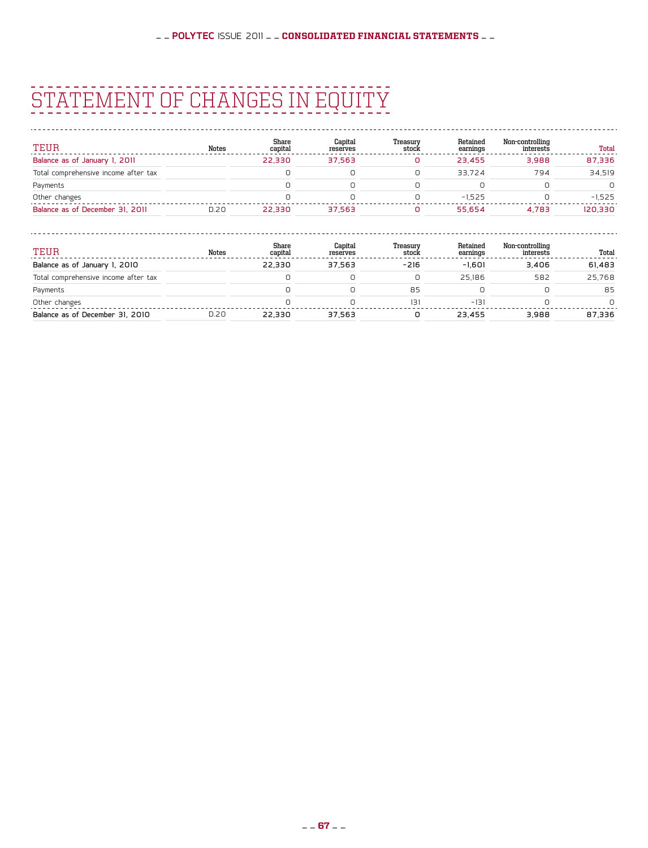## STATEMENT OF CHANGES IN EQUITY

| TEUR                                 | Notes | Share<br>capital | Capital<br>reserves | Treasurv<br>stock | Retained<br>earnings | Non-controlling<br>interests | Total    |
|--------------------------------------|-------|------------------|---------------------|-------------------|----------------------|------------------------------|----------|
| Balance as of January 1, 2011        |       | 22.330           | 37.563              |                   | 23.455               | 3.988                        | 87,336   |
| Total comprehensive income after tax |       |                  |                     |                   | 33.724               | 794                          | 34.519   |
| Payments                             |       |                  |                     |                   |                      |                              | n.       |
| Other changes                        |       |                  |                     |                   | $-1.525$             |                              | $-1.525$ |
| Balance as of December 31, 2011      | D.20  | 22,330           | 37.563              |                   | 55.654               | 4.783                        | 120.330  |

| TEUR                                 | Notes | Share<br>capital | Capital<br>reserves | Treasury<br>stock | Retained<br>earnings | Non-controlling<br>interests | Total    |
|--------------------------------------|-------|------------------|---------------------|-------------------|----------------------|------------------------------|----------|
| Balance as of January 1, 2010        |       | 22.330           | 37.563              | $-216$            | $-1.601$             | 3.406                        | 61,483   |
| Total comprehensive income after tax |       |                  |                     | 0                 | 25.186               | 582                          | 25.768   |
| Payments                             |       |                  |                     | 85                |                      |                              | 85       |
| Other changes                        |       |                  |                     | 131               | $-131$               |                              | $\Omega$ |
| Balance as of December 31, 2010      | D.20  | 22.330           | 37.563              |                   | 23.455               | 3.988                        | 87.336   |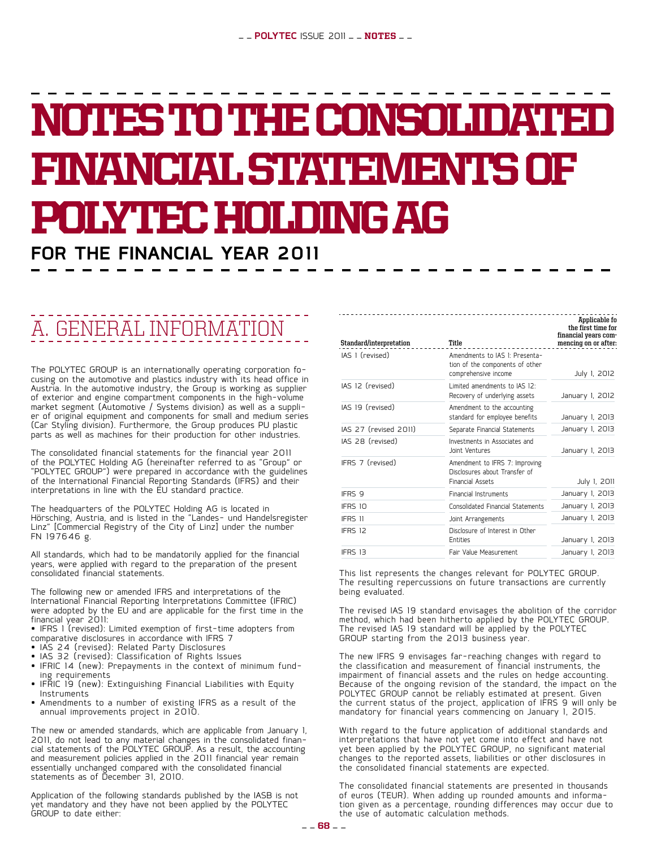# NOTES TO THE CONSOLIDATED financial statements of polytecholdingag

## **for the financial year 2011**

## A. General information

The POLYTEC GROUP is an internationally operating corporation fo-<br>cusing on the automotive and plastics industry with its head office in Austria. In the automotive industry, the Group is working as supplier of exterior and engine compartment components in the high-volume market segment (Automotive / Systems division) as well as a suppli-<br>er of original equipment and components for small and medium series (Car Styling division). Furthermore, the Group produces PU plastic parts as well as machines for their production for other industries.

The consolidated financial statements for the financial year 2011 of the POLYTEC Holding AG (hereinafter referred to as "Group" or "POLYTEC GROUP") were prepared in accordance with the guidelines of the International Financial Reporting Standards (IFRS) and their interpretations in line with the EU standard practice.

The headquarters of the POLYTEC Holding AG is located in Hörsching, Austria, and is listed in the "Landes- und Handelsregister Linz" [Commercial Registry of the City of Linz] under the number FN 197646 g.

All standards, which had to be mandatorily applied for the financial years, were applied with regard to the preparation of the present consolidated financial statements.

The following new or amended IFRS and interpretations of the International Financial Reporting Interpretations Committee (IFRIC) were adopted by the EU and are applicable for the first time in the financial year 2011:

• IFRS 1 (revised): Limited exemption of first-time adopters from comparative disclosures in accordance with IFRS 7

- IAS 24 (revised): Related Party Disclosures
- IAS 32 (revised): Classification of Rights Issues
- • IFRIC <sup>14</sup> (new): Prepayments in the context of minimum fund- ing requirements
- ing requirements<br>IFRIC 19 (new): Extinguishing Financial Liabilities with Equity Instruments
- • Amendments to a number of existing IFRS as a result of the annual improvements project in 2010.

The new or amended standards, which are applicable from January 1, 2011, do not lead to any material changes in the consolidated financial statements of the POLYTEC GROUP. As a result, the accounting and measurement policies applied in the 2011 financial year remain essentially unchanged compared with the consolidated financial statements as of December 31, 2010.

Application of the following standards published by the IASB is not yet mandatory and they have not been applied by the POLYTEC GROUP to date either:

| Standard/interpretation | Title                                                                                      | the first time for<br>financial years com-<br>mencing on or after: |
|-------------------------|--------------------------------------------------------------------------------------------|--------------------------------------------------------------------|
| IAS 1 (revised)         | Amendments to IAS I: Presenta-<br>tion of the components of other<br>comprehensive income  | July 1, 2012                                                       |
| IAS 12 (revised)        | Limited amendments to IAS 12:<br>Recovery of underlying assets                             | January 1, 2012                                                    |
| IAS 19 (revised)        | Amendment to the accounting<br>standard for employee benefits                              | January 1, 2013                                                    |
| IAS 27 (revised 2011)   | Separate Financial Statements                                                              | January 1, 2013                                                    |
| IAS 28 (revised)        | Investments in Associates and<br>Joint Ventures                                            | January I, 2013                                                    |
| IFRS 7 (revised)        | Amendment to IFRS 7: Improving<br>Disclosures about Transfer of<br><b>Financial Assets</b> | July 1, 2011                                                       |
| IFRS 9                  | Financial Instruments                                                                      | January 1, 2013                                                    |
| IFRS 10                 | Consolidated Financial Statements                                                          | January I, 2013                                                    |
| IFRS 11                 | Joint Arrangements                                                                         | January I, 2013                                                    |
| IFRS 12                 | Disclosure of Interest in Other<br><b>Entities</b>                                         | January 1, 2013                                                    |
| IFRS 13                 | Fair Value Measurement                                                                     | January I, 2013                                                    |
|                         |                                                                                            |                                                                    |

**Applicable fo**

This list represents the changes relevant for POLYTEC GROUP. The resulting repercussions on future transactions are currently being evaluated.

The revised IAS 19 standard envisages the abolition of the corridor method, which had been hitherto applied by the POLYTEC GROUP. The revised IAS 19 standard will be applied by the POLYTEC GROUP starting from the 2013 business year.

The new IFRS 9 envisages far-reaching changes with regard to the classification and measurement of financial instruments, the impairment of financial assets and the rules on hedge accounting. Because of the ongoing revision of the standard, the impact on the POLYTEC GROUP cannot be reliably estimated at present. Given the current status of the project, application of IFRS 9 will only be mandatory for financial years commencing on January 1, 2015.

With regard to the future application of additional standards and interpretations that have not yet come into effect and have not yet been applied by the POLYTEC GROUP, no significant material changes to the reported assets, liabilities or other disclosures in the consolidated financial statements are expected.

The consolidated financial statements are presented in thousands of euros (TEUR). When adding up rounded amounts and information given as a percentage, rounding differences may occur due to the use of automatic calculation methods.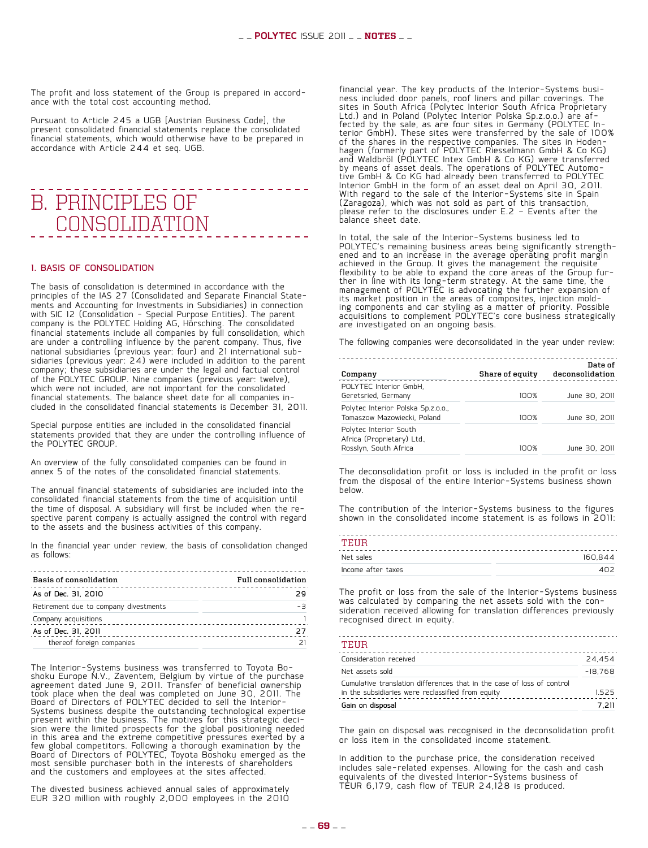The profit and loss statement of the Group is prepared in accord- ance with the total cost accounting method.

Pursuant to Article 245 a UGB [Austrian Business Code], the present consolidated financial statements replace the consolidated financial statements, which would otherwise have to be prepared in accordance with Article 244 et seq. UGB.

### - - - - - - - - - - - - - -B. Principles of consolidation

#### 1. Basis of consolidation

The basis of consolidation is determined in accordance with the principles of the IAS 27 (Consolidated and Separate Financial Stateprinciples of the IAS 27 (Consolidated and Separate Financial State- ments and Accounting for Investments in Subsidiaries) in connection with SIC 12 (Consolidation - Special Purpose Entities). The parent company is the POLYTEC Holding AG, Hörsching. The consolidated financial statements include all companies by full consolidation, which are under a controlling influence by the parent company. Thus, five national subsidiaries (previous year: four) and 21 international sub- sidiaries (previous year: 24) were included in addition to the parent company; these subsidiaries are under the legal and factual control of the POLYTEC GROUP. Nine companies (previous year: twelve), which were not included, are not important for the consolidated<br>financial statements. The balance sheet date for all companies included in the consolidated financial statements is December 31, 2011.

Special purpose entities are included in the consolidated financial statements provided that they are under the controlling influence of the POLYTEC GROUP.

An overview of the fully consolidated companies can be found in annex 5 of the notes of the consolidated financial statements.

The annual financial statements of subsidiaries are included into the consolidated financial statements from the time of acquisition until<br>the time of disposal. A subsidiary will first be included when the rethe time of disposal. A subsidiary will first be included with regard to the assets and the business activities of this company.

In the financial year under review, the basis of consolidation changed as follows:

| Basis of consolidation                | <b>Full consolidation</b> |
|---------------------------------------|---------------------------|
| As of Dec. 31, 2010                   | つロ                        |
| Retirement due to company divestments | $-7$                      |
| Company acquisitions                  |                           |
| As of Dec. 31, 2011                   | 27                        |
| thereof foreign companies             |                           |

The Interior-Systems business was transferred to Toyota Bo-<br>shoku Europe N.V., Zaventem, Belgium by virtue of the purchase agreement dated June 9, 2011. Transfer of beneficial ownership took place when the deal was completed on June 30, 2011. The Board of Directors of POLYTEC decided to sell the Interior-Systems business despite the outstanding technological expertise present within the business. The motives for this strategic deci- sion were the limited prospects for the global positioning needed in this area and the extreme competitive pressures exerted by a few global competitors. Following a thorough examination by the Board of Directors of POLYTEC, Toyota Boshoku emerged as the most sensible purchaser both in the interests of shareholders and the customers and employees at the sites affected.

The divested business achieved annual sales of approximately EUR 320 million with roughly 2,000 employees in the 2010 financial year. The key products of the Interior-Systems busi- ness included door panels, roof liners and pillar coverings. The sites in South Africa (Polytec Interior South Africa Proprietary Ltd.) and in Poland (Polytec Interior Polska Sp.z.o.o.) are af- '<br>fected by the sale, as are four sites in Germany (POLYTEC In-<br>terior GmbH). These sites were transferred by the sale of 100% of the shares in the respective companies. The sites in Hoden- hagen (formerly part of POLYTEC Riesselmann GmbH & Co KG) and Waldbröl (POLYTEC Intex GmbH & Co KG) were transferred by means of asset deals. The operations of POLYTEC Automo- tive GmbH & Co KG had already been transferred to POLYTEC Interior GmbH in the form of an asset deal on April 30, 2011. With regard to the sale of the Interior-Systems site in Spain (Zaragoza), which was not sold as part of this transaction, please refer to the disclosures under  $E.2$  - Events after the balance sheet date.

In total, the sale of the Interior-Systems business led to POLYTEC's remaining business areas being significantly strength-<br>ened and to an increase in the average operating profit margin achieved in the Group. It gives the management the requisite flexibility to be able to expand the core areas of the Group fur-<br>ther in line with its long-term strategy. At the same time, the<br>management of POLYTEC is advocating the further expansion of its market position in the areas of composites, injection mold- ing components and car styling as a matter of priority. Possible acquisitions to complement POLYTEC's core business strategically are investigated on an ongoing basis.

The following companies were deconsolidated in the year under review:

| Company                                                                       | Share of equity | Date of<br>deconsolidation |
|-------------------------------------------------------------------------------|-----------------|----------------------------|
| POLYTEC Interior GmbH,<br>Geretsried, Germany                                 | 100%            | June 30, 2011              |
| Polytec Interior Polska Sp.z.o.o.,<br>Tomaszow Mazowiecki, Poland             | 100%            | June 30, 2011              |
| Polytec Interior South<br>Africa (Proprietary) Ltd.,<br>Rosslyn, South Africa | 100%            | June 30, 2011              |

The deconsolidation profit or loss is included in the profit or loss from the disposal of the entire Interior-Systems business shown below.

The contribution of the Interior-Systems business to the figures shown in the consolidated income statement is as follows in 2011:

| TEHR               |         |
|--------------------|---------|
| Net sales          | 160.844 |
| Income after taxes |         |

The profit or loss from the sale of the Interior-Systems business<br>was calculated by comparing the net assets sold with the consideration received allowing for translation differences previously recognised direct in equity.

| TEUR                                                                                                                        |           |
|-----------------------------------------------------------------------------------------------------------------------------|-----------|
| Consideration received                                                                                                      | 24.454    |
| Net assets sold                                                                                                             | $-18.768$ |
| Cumulative translation differences that in the case of loss of control<br>in the subsidiaries were reclassified from equity | 1.525     |
| Gain on disposal                                                                                                            | 7.211     |

The gain on disposal was recognised in the deconsolidation profit or loss item in the consolidated income statement.

In addition to the purchase price, the consideration received includes sale-related expenses. Allowing for the cash and cash equivalents of the divested Interior-Systems business of TEUR 6,179, cash flow of TEUR  $24,128$  is produced.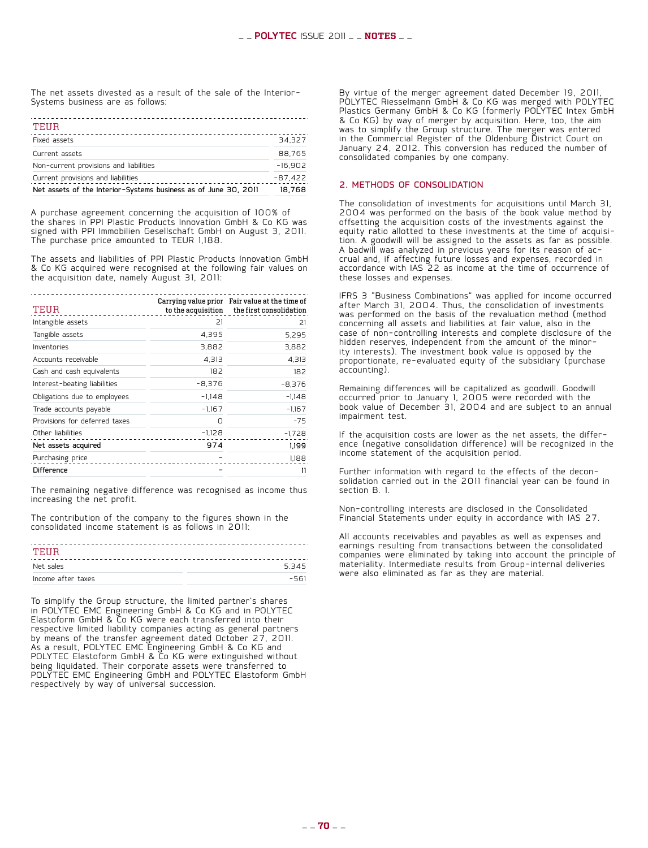The net assets divested as a result of the sale of the Interior-Systems business are as follows:

| Net assets of the Interior-Systems business as of June 30, 2011 | 18.768    |
|-----------------------------------------------------------------|-----------|
| Current provisions and liabilities                              | $-87.422$ |
| Non-current provisions and liabilities                          | $-16.902$ |
| Current assets                                                  | 88.765    |
| Fixed assets                                                    | 34.327    |
| TEUR                                                            |           |

A purchase agreement concerning the acquisition of 100% of the shares in PPI Plastic Products Innovation GmbH & Co KG was signed with PPI Immobilien Gesellschaft GmbH on August 3, 2011. The purchase price amounted to TEUR 1,188.

The assets and liabilities of PPI Plastic Products Innovation GmbH & Co KG acquired were recognised at the following fair values on the acquisition date, namely August 31, 2011:

| TEUR                          |          | Carrying value prior Fair value at the time of<br>to the acquisition the first consolidation |
|-------------------------------|----------|----------------------------------------------------------------------------------------------|
| Intangible assets             | 21       | 21                                                                                           |
| Tangible assets               | 4,395    | 5,295                                                                                        |
| Inventories                   | 3,882    | 3,882                                                                                        |
| Accounts receivable           | 4,313    | 4,313                                                                                        |
| Cash and cash equivalents     | 182      | 182                                                                                          |
| Interest-beating liabilities  | $-8,376$ | $-8,376$                                                                                     |
| Obligations due to employees  | $-1.148$ | $-1,148$                                                                                     |
| Trade accounts payable        | $-1.167$ | $-1,167$                                                                                     |
| Provisions for deferred taxes | n        | $-75$                                                                                        |
| Other liabilities             | $-1,128$ | $-1,728$                                                                                     |
| Net assets acquired           | 974      | 1.199                                                                                        |
| Purchasing price              |          | 1,188                                                                                        |
| <b>Difference</b>             |          | П                                                                                            |

The remaining negative difference was recognised as income thus increasing the net profit.

The contribution of the company to the figures shown in the consolidated income statement is as follows in 2011:

| TEUR               |        |
|--------------------|--------|
| Net sales          | 5345   |
| Income after taxes | $-561$ |

To simplify the Group structure, the limited partner's shares in POLYTEC EMC Engineering GmbH & Co KG and in POLYTEC Elastoform GmbH & Co KG were each transferred into their respective limited liability companies acting as general partners by means of the transfer agreement dated October 27, 2011. As a result, POLYTEC EMC Engineering GmbH & Co KG and POLYTEC Elastoform GmbH & Co KG were extinguished without being liquidated. Their corporate assets were transferred to POLYTEC EMC Engineering GmbH and POLYTEC Elastoform GmbH respectively by way of universal succession.

By virtue of the merger agreement dated December 19, 2011, POLYTEC Riesselmann GmbH & Co KG was merged with POLYTEC Plastics Germany GmbH & Co KG (formerly POLYTEC Intex GmbH & Co KG) by way of merger by acquisition. Here, too, the aim was to simplify the Group structure. The merger was entered in the Commercial Register of the Oldenburg District Court on January 24, 2012. This conversion has reduced the number of consolidated companies by one company.

#### 2. Methods of consolidation

The consolidation of investments for acquisitions until March 31, 2004 was performed on the basis of the book value method by offsetting the acquisition costs of the investments against the equity ratio allotted to these investments at the time of acquisiequity ratio allotted to these investments at the time of acquisi-<br>tion. A goodwill will be assigned to the assets as far as possible. A badwill was analyzed in previous years for its reason of ac- crual and, if affecting future losses and expenses, recorded in crual and, if affecting future losses and expenses, recorded in<br>accordance with IAS 22 as income at the time of occurrence of these losses and expenses.

IFRS 3 "Business Combinations" was applied for income occurred after March 31, 2004. Thus, the consolidation of investments was performed on the basis of the revaluation method (method concerning all assets and liabilities at fair value, also in the case of non-controlling interests and complete disclosure of the<br>hidden reserves, independent from the amount of the minority interests). The investment book value is opposed by the proportionate, re-evaluated equity of the subsidiary (purchase accounting).

Remaining differences will be capitalized as goodwill. Goodwill occurred prior to January 1, 2005 were recorded with the book value of December 31, 2004 and are subject to an annual impairment test.

If the acquisition costs are lower as the net assets, the differ- ence (negative consolidation difference) will be recognized in the income statement of the acquisition period.

Further information with regard to the effects of the decon- solidation carried out in the 2011 financial year can be found in section B. 1.

Non-controlling interests are disclosed in the Consolidated Financial Statements under equity in accordance with IAS 27.

All accounts receivables and payables as well as expenses and earnings resulting from transactions between the consolidated companies were eliminated by taking into account the principle of materiality. Intermediate results from Group-internal deliveries were also eliminated as far as they are material.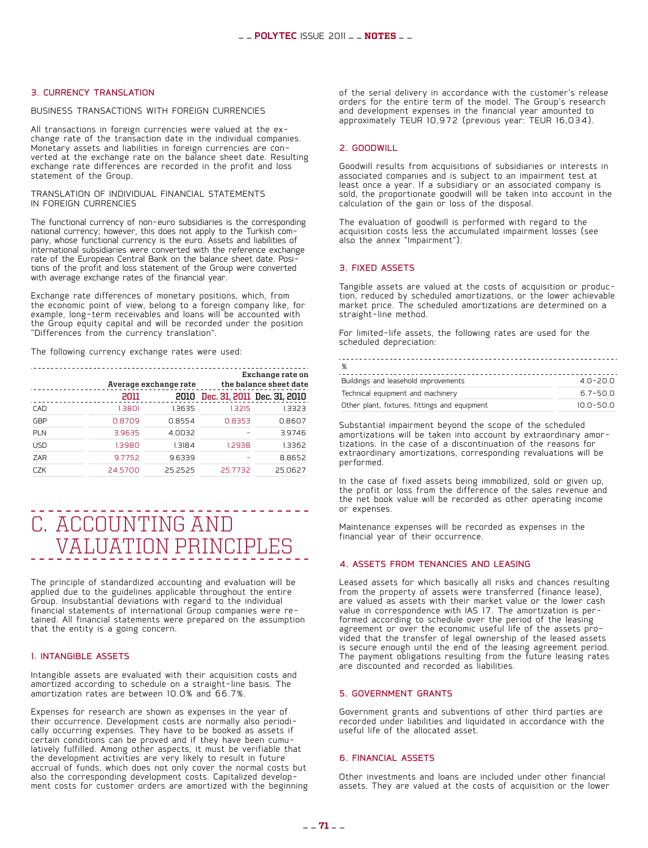#### 3. Currency translation

#### Business transactions with foreign currencies

All transactions in foreign currencies were valued at the ex-<br>change rate of the transaction date in the individual companies.<br>Monetary assets and liabilities in foreign currencies are converted at the exchange rate on the balance sheet date. Resulting exchange rate differences are recorded in the profit and loss statement of the Group.

#### Translation of individual financial statements in foreign currencies

The functional currency of non-euro subsidiaries is the corresponding national currency; however, this does not apply to the Turkish company, whose functional currency is the euro. Assets and liabilities of international subsidiaries were converted with the reference exchange rate of the European Central Bank on the balance sheet date. Posi- tions of the profit and loss statement of the Group were converted with average exchange rates of the financial year.

Exchange rate differences of monetary positions, which, from the economic point of view, belong to a foreign company like, for example, long-term receivables and loans will be accounted with the Group equity capital and will be recorded under the position "Differences from the currency translation".

The following currency exchange rates were used:

|            |         | Average exchange rate | Exchange rate on<br>the balance sheet date |         |  |  |
|------------|---------|-----------------------|--------------------------------------------|---------|--|--|
|            | 2011    |                       | 2010 Dec. 31, 2011 Dec. 31, 2010           |         |  |  |
| CAD        | 1.3801  | 1.3635                | 1.3215                                     | 1.3323  |  |  |
| GBP        | 0.8709  | 0.8554                | 0.8353                                     | 0.8607  |  |  |
| PLN        | 3.9635  | 4.0032                |                                            | 3.9746  |  |  |
| <b>USD</b> | 1.3980  | 1.3184                | 1.2938                                     | 1.3362  |  |  |
| ZAR        | 9.7752  | 9.6339                |                                            | 8.8652  |  |  |
| r7K        | 24.5700 | 252525                | 25.7732                                    | 25.0627 |  |  |

### . . . . . . . . . C. Accounting and valuation principles

The principle of standardized accounting and evaluation will be applied due to the guidelines applicable throughout the entire Group. Insubstantial deviations with regard to the individual tained. All financial statements were prepared on the assumption that the entity is a going concern.

#### 1. Intangible assets

Intangible assets are evaluated with their acquisition costs and amortized according to schedule on a straight-line basis. The amortization rates are between 10.0% and 66.7%.

Expenses for research are shown as expenses in the year of<br>their occurrence. Development costs are normally also periodically occurring expenses. They have to be booked as assets if<br>certain conditions can be proved and if they have been cumulatively fulfilled. Among other aspects, it must be verifiable that the development activities are very likely to result in future accrual of funds, which does not only cover the normal costs but also the corresponding development costs. Capitalized develop- ment costs for customer orders are amortized with the beginning of the serial delivery in accordance with the customer's release orders for the entire term of the model. The Group's research and development expenses in the financial year amounted to approximately TEUR 10,972 (previous year: TEUR 16,034).

#### 2. Goodwill

Goodwill results from acquisitions of subsidiaries or interests in associated companies and is subject to an impairment test at least once a year. If a subsidiary or an associated company is sold, the proportionate goodwill will be taken into account in the calculation of the gain or loss of the disposal.

The evaluation of goodwill is performed with regard to the acquisition costs less the accumulated impairment losses (see also the annex "Impairment").

#### 3. Fixed assets

Tangible assets are valued at the costs of acquisition or produc- tion, reduced by scheduled amortizations, or the lower achievable market price. The scheduled amortizations are determined on a straight-line method.

For limited-life assets, the following rates are used for the scheduled depreciation:

| %                                             |               |
|-----------------------------------------------|---------------|
| Buildings and leasehold improvements          | $4.0 - 20.0$  |
| Technical equipment and machinery             | $6.7 - 50.0$  |
| Other plant, fixtures, fittings and equipment | $10.0 - 50.0$ |

Substantial impairment beyond the scope of the scheduled amortizations will be taken into account by extraordinary amor- tizations. In the case of a discontinuation of the reasons for extraordinary amortizations, corresponding revaluations will be performed.

In the case of fixed assets being immobilized, sold or given up, the profit or loss from the difference of the sales revenue and the net book value will be recorded as other operating income or expenses.

Maintenance expenses will be recorded as expenses in the financial year of their occurrence.

#### 4. Assets from tenancies and leasing

Leased assets for which basically all risks and chances resulting from the property of assets were transferred (finance lease), are valued as assets with their market value or the lower cash<br>value in correspondence with IAS 17. The amortization is performed according to schedule over the period of the leasing agreement or over the economic useful life of the assets pro- vided that the transfer of legal ownership of the leased assets is secure enough until the end of the leasing agreement period. The payment obligations resulting from the future leasing rates are discounted and recorded as liabilities.

#### 5. Government grants

Government grants and subventions of other third parties are recorded under liabilities and liquidated in accordance with the useful life of the allocated asset.

#### 6. Financial assets

Other investments and loans are included under other financial assets. They are valued at the costs of acquisition or the lower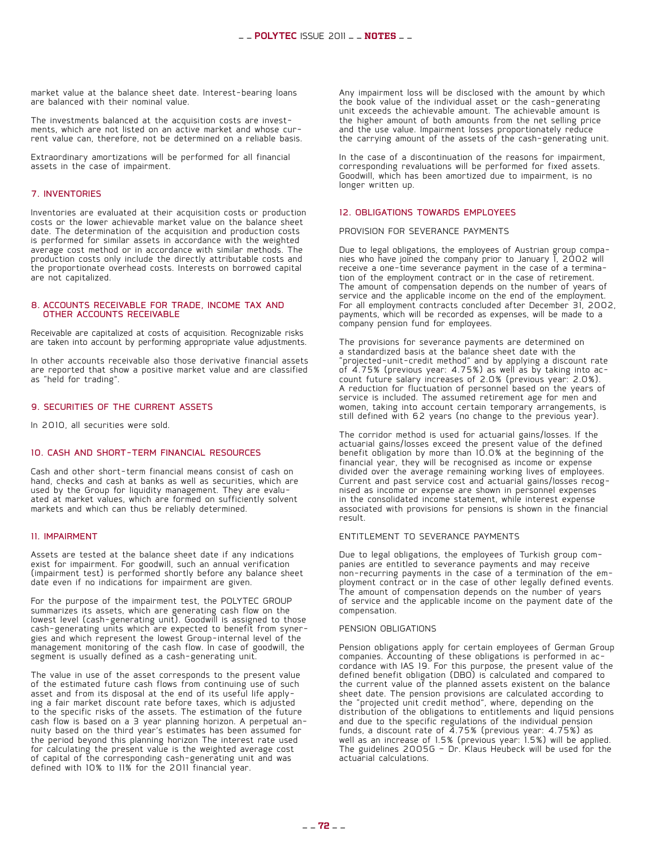market value at the balance sheet date. Interest-bearing loans are balanced with their nominal value.

The investments balanced at the acquisition costs are invest- ments, which are not listed on an active market and whose cur- rent value can, therefore, not be determined on a reliable basis.

Extraordinary amortizations will be performed for all financial assets in the case of impairment.

#### 7. Inventories

Inventories are evaluated at their acquisition costs or production costs or the lower achievable market value on the balance sheet date. The determination of the acquisition and production costs is performed for similar assets in accordance with the weighted average cost method or in accordance with similar methods. The production costs only include the directly attributable costs and the proportionate overhead costs. Interests on borrowed capital are not capitalized.

#### 8. Accounts receivable for trade, income tax and other accounts receivable

Receivable are capitalized at costs of acquisition. Recognizable risks are taken into account by performing appropriate value adjustments.

In other accounts receivable also those derivative financial assets are reported that show a positive market value and are classified as "held for trading".

#### 9. Securities of the current assets

In 2010, all securities were sold.

#### 10. Cash and short-term financial resources

Cash and other short-term financial means consist of cash on hand, checks and cash at banks as well as securities, which are used by the Group for liquidity management. They are evalu- ated at market values, which are formed on sufficiently solvent markets and which can thus be reliably determined.

#### 11. Impairment

Assets are tested at the balance sheet date if any indications exist for impairment. For goodwill, such an annual verification (impairment test) is performed shortly before any balance sheet date even if no indications for impairment are given.

For the purpose of the impairment test, the POLYTEC GROUP summarizes its assets, which are generating cash flow on the lowest level (cash-generating unit). Goodwill is assigned to those cash-generating units which are expected to benefit from syner- gies and which represent the lowest Group-internal level of the management monitoring of the cash flow. In case of goodwill, the segment is usually defined as a cash-generating unit.

The value in use of the asset corresponds to the present value of the estimated future cash flows from continuing use of such asset and from its disposal at the end of its useful life apply- ing a fair market discount rate before taxes, which is adjusted ing a fair market discount rate before taxes, which is adjusted<br>to the specific risks of the assets. The estimation of the future<br>cash flow is based on a 3 year planning horizon. A perpetual annuity based on the third year's estimates has been assumed for the period beyond this planning horizon The interest rate used for calculating the present value is the weighted average cost of capital of the corresponding cash-generating unit and was defined with 10% to 11% for the 2011 financial year.

Any impairment loss will be disclosed with the amount by which the book value of the individual asset or the cash-generating unit exceeds the achievable amount. The achievable amount is the higher amount of both amounts from the net selling price and the use value. Impairment losses proportionately reduce the carrying amount of the assets of the cash-generating unit.

In the case of a discontinuation of the reasons for impairment, corresponding revaluations will be performed for fixed assets. Goodwill, which has been amortized due to impairment, is no longer written up.

#### 12. Obligations towards employees

Provision for severance payments

Due to legal obligations, the employees of Austrian group compa- nies who have joined the company prior to January 1, 2002 will receive a one-time severance payment in the case of a termina- tion of the employment contract or in the case of retirement. The amount of compensation depends on the number of years of service and the applicable income on the end of the employment. For all employment contracts concluded after December 31, 2002, payments, which will be recorded as expenses, will be made to a company pension fund for employees.

The provisions for severance payments are determined on a standardized basis at the balance sheet date with the "projected-unit-credit method" and by applying a discount rate count future salary increases of 2.0% (previous year: 2.0%). A reduction for fluctuation of personnel based on the years of service is included. The assumed retirement age for men and women, taking into account certain temporary arrangements, is still defined with 62 years (no change to the previous year).

The corridor method is used for actuarial gains/losses. If the actuarial gains/losses exceed the present value of the defined benefit obligation by more than 10.0% at the beginning of the financial year, they will be recognised as income or expense divided over the average remaining working lives of employees. Current and past service cost and actuarial gains/losses recog- nised as income or expense are shown in personnel expenses in the consolidated income statement, while interest expense associated with provisions for pensions is shown in the financial result.

#### Entitlement to severance payments

Due to legal obligations, the employees of Turkish group com-<br>panies are entitled to severance payments and may receive<br>non-recurring payments in the case of a termination of the employment contract or in the case of other legally defined events. The amount of compensation depends on the number of years of service and the applicable income on the payment date of the compensation.

#### Pension obligations

Pension obligations apply for certain employees of German Group companies. Accounting of these obligations is performed in ac-  $\dot{\phantom{a}}$ <br>cordance with IAS 19. For this purpose, the present value of the defined benefit obligation (DBO) is calculated and compared to the current value of the planned assets existent on the balance sheet date. The pension provisions are calculated according to the "projected unit credit method", where, depending on the distribution of the obligations to entitlements and liquid pensions and due to the specific regulations of the individual pension funds, a discount rate of  $4.75%$  (previous year:  $4.75%$ ) as well as an increase of 1.5% (previous year: 1.5%) will be applied. The guidelines 2005G — Dr. Klaus Heubeck will be used for the actuarial calculations.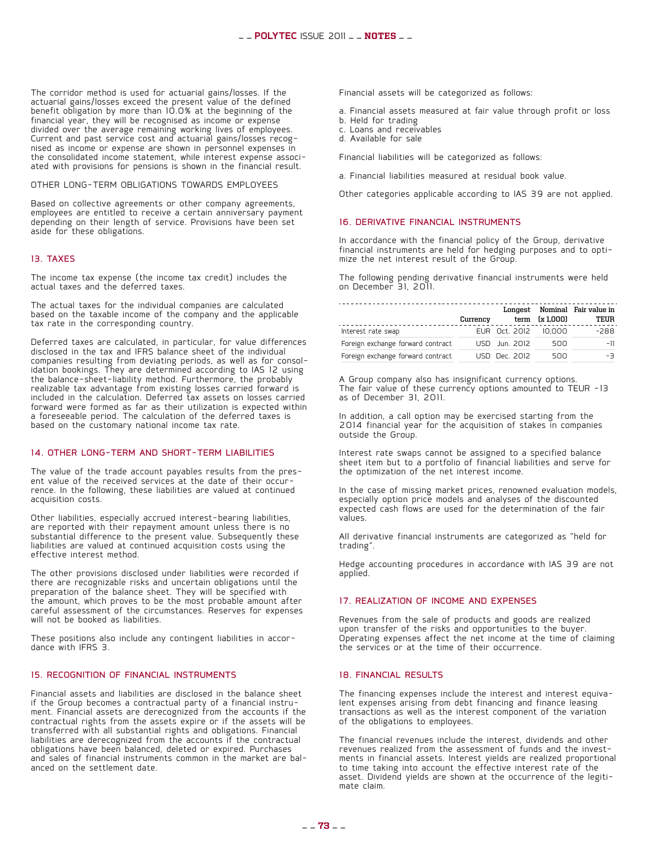The corridor method is used for actuarial gains/losses. If the actuarial gains/losses exceed the present value of the defined benefit obligation by more than 10.0% at the beginning of the financial year, they will be recognised as income or expense divided over the average remaining working lives of employees.<br>Current and past service cost and actuarial gains/losses recog-Current and past service cost and actuarial gains/losses recog- nised as income or expense are shown in personnel expenses in the consolidated income statement, while interest expense associ- ated with provisions for pensions is shown in the financial result.

#### Other long-term obligations towards employees

Based on collective agreements or other company agreements, employees are entitled to receive a certain anniversary payment depending on their length of service. Provisions have been set aside for these obligations.

#### 13. Taxes

The income tax expense (the income tax credit) includes the actual taxes and the deferred taxes.

The actual taxes for the individual companies are calculated based on the taxable income of the company and the applicable tax rate in the corresponding country.

Deferred taxes are calculated, in particular, for value differences disclosed in the tax and IFRS balance sheet of the individual companies resulting from deviating periods, as well as for consol- idation bookings. They are determined according to IAS 12 using the balance-sheet-liability method. Furthermore, the probably realizable tax advantage from existing losses carried forward is included in the calculation. Deferred tax assets on losses carried forward were formed as far as their utilization is expected within a foreseeable period. The calculation of the deferred taxes is based on the customary national income tax rate.

#### 14. Other long-term and short-term liabilities

The value of the trade account payables results from the pres-<br>ent value of the received services at the date of their occur-<br>rence. In the following, these liabilities are valued at continued acquisition costs.

Other liabilities, especially accrued interest-bearing liabilities, are reported with their repayment amount unless there is no substantial difference to the present value. Subsequently these liabilities are valued at continued acquisition costs using the effective interest method.

The other provisions disclosed under liabilities were recorded if there are recognizable risks and uncertain obligations until the preparation of the balance sheet. They will be specified with the amount, which proves to be the most probable amount after careful assessment of the circumstances. Reserves for expenses will not be booked as liabilities.

These positions also include any contingent liabilities in accor- dance with IFRS 3.

#### 15. Recognition of financial instruments

Financial assets and liabilities are disclosed in the balance sheet<br>if the Group becomes a contractual party of a financial instrument. Financial assets are derecognized from the accounts if the contractual rights from the assets expire or if the assets will be transferred with all substantial rights and obligations. Financial liabilities are derecognized from the accounts if the contractual obligations have been balanced, deleted or expired. Purchases and sales of financial instruments common in the market are bal- anced on the settlement date. Financial assets will be categorized as follows:

- a. Financial assets measured at fair value through profit or loss
- b. Held for trading
- c. Loans and receivables
- d. Available for sale

Financial liabilities will be categorized as follows:

a. Financial liabilities measured at residual book value.

Other categories applicable according to IAS 39 are not applied.

#### 16. Derivative financial instruments

In accordance with the financial policy of the Group, derivative financial instruments are held for hedging purposes and to opti- mize the net interest result of the Group.

The following pending derivative financial instruments were held on December 31, 2011.

|                                   | Currency |                      | term (x 1,000) | Longest Nominal Fair value in<br>TEUR |
|-----------------------------------|----------|----------------------|----------------|---------------------------------------|
| Interest rate swap                |          | EUR Oct. 2012 10,000 |                | $-288$                                |
| Foreign exchange forward contract |          | USD Jun. 2012        | 500            | $-11$                                 |
| Foreign exchange forward contract |          | USD Dec. 2012        | 500            | -3                                    |

A Group company also has insignificant currency options. The fair value of these currency options amounted to TEUR -13 as of December 31, 2011.

In addition, a call option may be exercised starting from the 2014 financial year for the acquisition of stakes in companies outside the Group.

Interest rate swaps cannot be assigned to a specified balance sheet item but to a portfolio of financial liabilities and serve for the optimization of the net interest income.

In the case of missing market prices, renowned evaluation models, especially option price models and analyses of the discounted expected cash flows are used for the determination of the fair values.

All derivative financial instruments are categorized as "held for trading".

Hedge accounting procedures in accordance with IAS 39 are not applied.

#### 17. Realization of income and expenses

Revenues from the sale of products and goods are realized upon transfer of the risks and opportunities to the buyer. Operating expenses affect the net income at the time of claiming the services or at the time of their occurrence.

#### 18. Financial results

The financing expenses include the interest and interest equiva- lent expenses arising from debt financing and finance leasing transactions as well as the interest component of the variation of the obligations to employees.

The financial revenues include the interest, dividends and other revenues realized from the assessment of funds and the investments in financial assets. Interest yields are realized proportional to time taking into account the effective interest rate of the asset. Dividend yields are shown at the occurrence of the legiti- mate claim.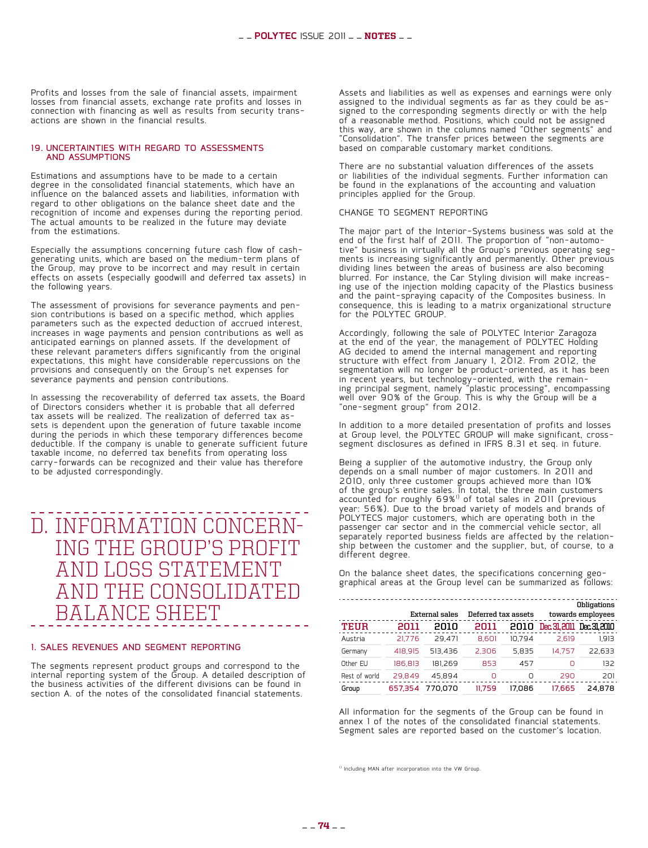Profits and losses from the sale of financial assets, impairment losses from financial assets, exchange rate profits and losses in connection with financing as well as results from security trans- actions are shown in the financial results.

#### 19. Uncertainties with regard to assessments and assumptions

Estimations and assumptions have to be made to a certain degree in the consolidated financial statements, which have an influence on the balanced assets and liabilities, information with regard to other obligations on the balance sheet date and the recognition of income and expenses during the reporting period. The actual amounts to be realized in the future may deviate from the estimations.

Especially the assumptions concerning future cash flow of cashgenerating units, which are based on the medium-term plans of the Group, may prove to be incorrect and may result in certain effects on assets (especially goodwill and deferred tax assets) in the following years.

The assessment of provisions for severance payments and pen- sion contributions is based on a specific method, which applies parameters such as the expected deduction of accrued interest, increases in wage payments and pension contributions as well as anticipated earnings on planned assets. If the development of these relevant parameters differs significantly from the original expectations, this might have considerable repercussions on the provisions and consequently on the Group's net expenses for severance payments and pension contributions.

In assessing the recoverability of deferred tax assets, the Board of Directors considers whether it is probable that all deferred<br>tax assets will be realized. The realization of deferred tax assets is dependent upon the generation of future taxable income during the periods in which these temporary differences become deductible. If the company is unable to generate sufficient future taxable income, no deferred tax benefits from operating loss carry-forwards can be recognized and their value has therefore to be adjusted correspondingly.

## D. Information concern- ing the group's profit and loss statement and the consolidated balance sheet

#### 1. Sales revenues and segment reporting

The segments represent product groups and correspond to the internal reporting system of the Group. A detailed description of the business activities of the different divisions can be found in section A. of the notes of the consolidated financial statements.

Assets and liabilities as well as expenses and earnings were only assigned to the individual segments as far as they could be asassigned to the individual segments as far as they could be as-<br>signed to the corresponding segments directly or with the help of a reasonable method. Positions, which could not be assigned this way, are shown in the columns named "Other segments" and "Consolidation". The transfer prices between the segments are based on comparable customary market conditions.

There are no substantial valuation differences of the assets or liabilities of the individual segments. Further information can be found in the explanations of the accounting and valuation principles applied for the Group.

#### Change to segment reporting

The major part of the Interior-Systems business was sold at the end of the first half of 2011. The proportion of "non-automotive" business in virtually all the Group's previous operating seg- ments is increasing significantly and permanently. Other previous dividing lines between the areas of business are also becoming blurred. For instance, the Car Styling division will make increas- ing use of the injection molding capacity of the Plastics business and the paint-spraying capacity of the Composites business. In consequence, this is leading to a matrix organizational structure for the POLYTEC GROUP.

Accordingly, following the sale of POLYTEC Interior Zaragoza at the end of the year, the management of POLYTEC Holding AG decided to amend the internal management and reporting structure with effect from January 1, 2012. From 2012, the segmentation will no longer be product-oriented, as it has been in recent years, but technology-oriented, with the remain-<br>ing principal segment, namely "plastic processing", encompassing well over 90% of the Group. This is why the Group will be a "one-segment group" from 2012.

In addition to a more detailed presentation of profits and losses at Group level, the POLYTEC GROUP will make significant, crosssegment disclosures as defined in IFRS 8.31 et seq. in future.

Being a supplier of the automotive industry, the Group only depends on a small number of major customers. In 2011 and 2010, only three customer groups achieved more than 10% of the group's entire sales. In total, the three main customers accounted for roughly 69%<sup>1)</sup> of total sales in 2011 (previous year: 56%). Due to the broad variety of models and brands of POLYTECS major customers, which are operating both in the passenger car sector and in the commercial vehicle sector, all separately reported business fields are affected by the relationship between the customer and the supplier, but, of course, to a different degree.

On the balance sheet dates, the specifications concerning geo- graphical areas at the Group level can be summarized as follows:

|               |         |                |        |                     |              | Obligations       |
|---------------|---------|----------------|--------|---------------------|--------------|-------------------|
|               |         | External sales |        | Deferred tax assets |              | towards employees |
| <b>TEUR</b>   | 2011    | 2010           | 2011   | 2010                | Dec. 31.2011 | Dec.31.2010       |
| Austria       | 21.776  | 29.471         | 8.601  | 10.794              | 2.619        | 1.913             |
| Germany       | 418.915 | 513.436        | 2.306  | 5.835               | 14.757       | 22.633            |
| Other EU      | 186.813 | 181.269        | 853    | 457                 | Ω            | 132               |
| Rest of world | 29.849  | 45.894         | n      | n                   | 290          | 201               |
| Group         | 657.354 | 770.070        | 11.759 | 17.086              | 17.665       | 24.878            |

All information for the segments of the Group can be found in annex 1 of the notes of the consolidated financial statements. Segment sales are reported based on the customer's location.

<sup>1)</sup> Including MAN after incorporation into the VW Group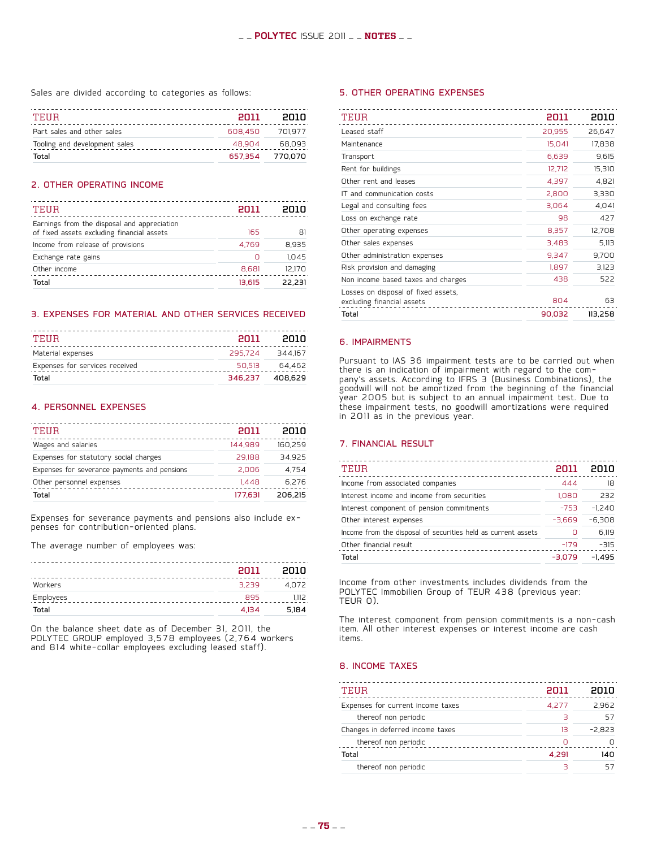Sales are divided according to categories as follows:

| TEIIR                         | <b>PN11</b> | enin            |
|-------------------------------|-------------|-----------------|
| Part sales and other sales    | 608.450     | 701.977         |
| Tooling and development sales | 48.904      | 68.093          |
| Total                         |             | 657.354 770.070 |

#### 2. Other operating income

| 2011   | enin   |
|--------|--------|
| 165    | 81     |
| 4.769  | 8.935  |
| Ω      | 1.045  |
| 8,681  | 12.170 |
| 13.615 | 22.231 |
|        |        |

#### 3. Expenses for material and other services received

| TEHR                           | <b>PO11</b> | enin            |
|--------------------------------|-------------|-----------------|
| Material expenses              |             | 295.724 344.167 |
| Expenses for services received | 50.513      | 64.462          |
| Total                          | 346.237     | 408,629         |

#### 4. Personnel expenses

| TEUR                                         | 2011    | 2010    |
|----------------------------------------------|---------|---------|
| Wages and salaries                           | 144.989 | 160,259 |
| Expenses for statutory social charges        | 29.188  | 34.925  |
| Expenses for severance payments and pensions | 2.006   | 4.754   |
| Other personnel expenses                     | 1.448   | 6.276   |
| Total                                        | 177.631 | 206.215 |
|                                              |         |         |

Expenses for severance payments and pensions also include ex- penses for contribution-oriented plans.

The average number of employees was:

|           | 2011  | 2010  |
|-----------|-------|-------|
| Workers   | 3.239 | 4.072 |
| Employees | 895   | 1.112 |
| Total     | 4.134 | 5.184 |

On the balance sheet date as of December 31, 2011, the POLYTEC Group employed 3,578 employees (2,764 workers and 814 white-collar employees excluding leased staff).

#### 5. Other operating expenses

| TEUR                                                              | 2011   | 2010    |
|-------------------------------------------------------------------|--------|---------|
| Leased staff                                                      | 20,955 | 26,647  |
| Maintenance                                                       | 15,041 | 17,838  |
| Transport                                                         | 6,639  | 9,615   |
| Rent for buildings                                                | 12,712 | 15,310  |
| Other rent and leases                                             | 4,397  | 4,821   |
| IT and communication costs                                        | 2,800  | 3,330   |
| Legal and consulting fees                                         | 3,064  | 4,041   |
| Loss on exchange rate                                             | 98     | 427     |
| Other operating expenses                                          | 8,357  | 12,708  |
| Other sales expenses                                              | 3,483  | 5,113   |
| Other administration expenses                                     | 9,347  | 9,700   |
| Risk provision and damaging                                       | 1,897  | 3,123   |
| Non income based taxes and charges                                | 438    | 522     |
| Losses on disposal of fixed assets,<br>excluding financial assets | 804    | 63      |
| Total                                                             | 90,032 | 113,258 |

#### 6. Impairments

Pursuant to IAS 36 impairment tests are to be carried out when there is an indication of impairment with regard to the comthere is an indication of impairment with regard to the com- pany's assets. According to IFRS 3 (Business Combinations), the goodwill will not be amortized from the beginning of the financial year 2005 but is subject to an annual impairment test. Due to these impairment tests, no goodwill amortizations were required in 2011 as in the previous year.

#### 7. Financial result

| TEUR                                                          | ווח?     | 2010     |
|---------------------------------------------------------------|----------|----------|
| Income from associated companies                              | 444      | 18       |
| Interest income and income from securities                    | 1,080    | 232      |
| Interest component of pension commitments                     | $-753$   | $-1.240$ |
| Other interest expenses                                       | $-3.669$ | $-6.308$ |
| Income from the disposal of securities held as current assets |          | 6.119    |
| Other financial result                                        | $-179$   | $-315$   |
| Total                                                         | $-3.079$ | $-1.495$ |
|                                                               |          |          |

Income from other investments includes dividends from the POLYTEC Immobilien Group of TEUR 438 (previous year: TEUR 0).

The interest component from pension commitments is a non-cash item. All other interest expenses or interest income are cash items.

#### 8. Income taxes

| TEUR                              | 2011  | anın     |
|-----------------------------------|-------|----------|
| Expenses for current income taxes | 4.277 | 2.962    |
| thereof non periodic              | э     | 57       |
| Changes in deferred income taxes  | 13    | $-2.823$ |
| thereof non periodic              | n     |          |
| Total                             | 4.291 | 140      |
| thereof non periodic              |       |          |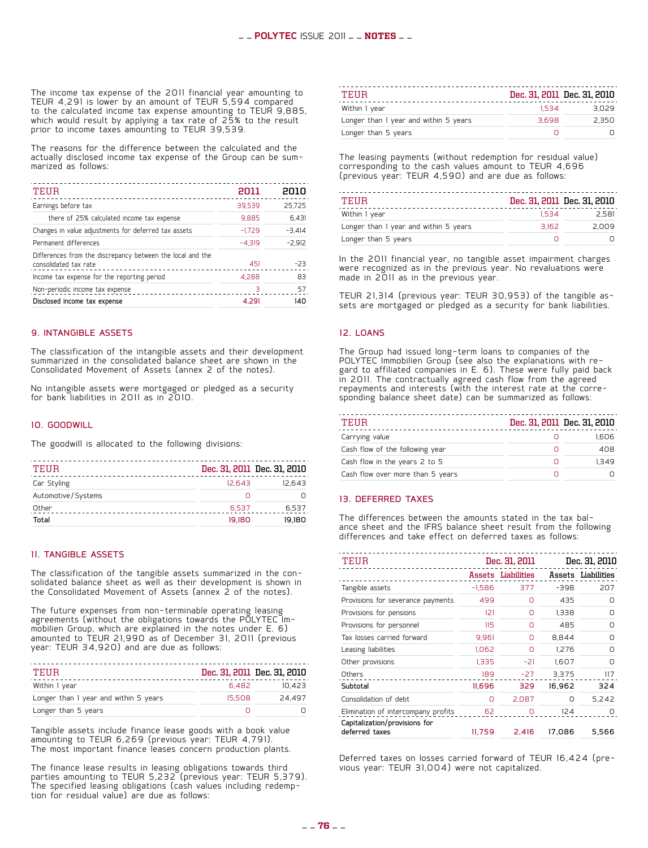The income tax expense of the 2011 financial year amounting to TEUR 4,291 is lower by an amount of TEUR 5,594 compared to the calculated income tax expense amounting to TEUR 9,885, which would result by applying  $\overline{\textbf{a}}$  tax rate of 25% to the result prior to income taxes amounting to TEUR 39,539.

The reasons for the difference between the calculated and the actually disclosed income tax expense of the Group can be sum- marized as follows:

| TEUR                                                                                | 2011     | 2010     |
|-------------------------------------------------------------------------------------|----------|----------|
| Earnings before tax                                                                 | 39.539   | 25.725   |
| there of 25% calculated income tax expense                                          | 9.885    | 6.431    |
| Changes in value adjustments for deferred tax assets                                | $-1.729$ | $-3.414$ |
| Permanent differences                                                               | $-4.319$ | $-2.912$ |
| Differences from the discrepancy between the local and the<br>consolidated tax rate | 451      | $-23$    |
| Income tax expense for the reporting period                                         | 4,288    | 83       |
| Non-periodic income tax expense                                                     | 3        | 57       |
| Disclosed income tax expense                                                        | 4.291    | 140      |
|                                                                                     |          |          |

#### 9. Intangible assets

The classification of the intangible assets and their development summarized in the consolidated balance sheet are shown in the Consolidated Movement of Assets (annex 2 of the notes).

No intangible assets were mortgaged or pledged as a security for bank liabilities in 2011 as in 2010.

#### 10. Goodwill

The goodwill is allocated to the following divisions:

|        | Dec. 31, 2011 Dec. 31, 2010 |
|--------|-----------------------------|
| 12.643 | 12.643                      |
| Ω      |                             |
| 6.537  | 6,537                       |
| 19.180 | 19.180                      |
|        |                             |

#### 11. Tangible assets

The classification of the tangible assets summarized in the con- solidated balance sheet as well as their development is shown in the Consolidated Movement of Assets (annex 2 of the notes).

The future expenses from non-terminable operating leasing agreements (without the obligations towards the POLYTEC Im- mobilien Group, which are explained in the notes under E. 6) amounted to TEUR 21,990 as of December 31, 2011 (previous year: TEUR 34,920) and are due as follows:

| TEIIR                                 |        | Dec. 31, 2011 Dec. 31, 2010 |
|---------------------------------------|--------|-----------------------------|
| Within I year                         | 6.482  | 10.423                      |
| Longer than I year and within 5 years | 15.508 | 24.497                      |
| Longer than 5 years                   |        |                             |

Tangible assets include finance lease goods with a book value amounting to TEUR 6,269 (previous year: TEUR 4,791). The most important finance leases concern production plants.

The finance lease results in leasing obligations towards third parties amounting to TEUR 5,232 (previous year: TEUR 5,379). The specified leasing obligations (cash values including redemp- tion for residual value) are due as follows:

| TEHR                                  |       | Dec. 31, 2011 Dec. 31, 2010 |
|---------------------------------------|-------|-----------------------------|
| Within I year                         | 1.534 | 3.029                       |
| Longer than I year and within 5 years | 3.698 | 2.350                       |
| Longer than 5 years                   |       |                             |

The leasing payments (without redemption for residual value) corresponding to the cash values amount to TEUR 4,696 (previous year: TEUR 4,590) and are due as follows:

| TEIIR                                 |       | Dec. 31, 2011 Dec. 31, 2010 |
|---------------------------------------|-------|-----------------------------|
| Within 1 year                         | 1.534 | 2.581                       |
| Longer than I year and within 5 years | 3.162 | 2.009                       |
| Longer than 5 years                   |       |                             |

In the 2011 financial year, no tangible asset impairment charges were recognized as in the previous year. No revaluations were made in 2011 as in the previous year.

TEUR 21,314 (previous year: TEUR 30,953) of the tangible as- sets are mortgaged or pledged as a security for bank liabilities.

#### 12. Loans

The Group had issued long-term loans to companies of the POLYTEC Immobilien Group (see also the explanations with re-<br>gard to affiliated companies in E. 6). These were fully paid back in 2011. The contractually agreed cash flow from the agreed repayments and interests (with the interest rate at the corre- sponding balance sheet date) can be summarized as follows:

| TEUR                             |   | Dec. 31, 2011 Dec. 31, 2010 |
|----------------------------------|---|-----------------------------|
| Carrying value                   |   | 1.606                       |
| Cash flow of the following year  |   | 408                         |
| Cash flow in the years 2 to 5    | Π | 1349                        |
| Cash flow over more than 5 years |   |                             |

#### 13. Deferred taxes

The differences between the amounts stated in the tax bal- ance sheet and the IFRS balance sheet result from the following differences and take effect on deferred taxes as follows:

| TEUR                                                                 | Dec. 31, 2011 |                    |        |                    |  | Dec. 31, 2010 |
|----------------------------------------------------------------------|---------------|--------------------|--------|--------------------|--|---------------|
|                                                                      |               | Assets Liabilities |        | Assets Liabilities |  |               |
| Tangible assets                                                      | $-1.586$      | 377                | $-398$ | 207                |  |               |
| Provisions for severance payments                                    | 499           | Ω                  | 435    | ∩                  |  |               |
| Provisions for pensions                                              | 2             | Ο                  | 1.338  | Ω                  |  |               |
| Provisions for personnel                                             | 115           | Ω                  | 485    | Ω                  |  |               |
| Tax losses carried forward                                           | 9,961         | Ο                  | 8,844  | Ο                  |  |               |
| Leasing liabilities                                                  | 1,062         | Ο                  | 1,276  | Ο                  |  |               |
| Other provisions                                                     | 1,335         | -21                | 1,607  | Ω                  |  |               |
| Others                                                               | 189           | $-27$              | 3.375  | 117                |  |               |
| Subtotal                                                             | 11.696        | 329                | 16.962 | 324                |  |               |
| Consolidation of debt.                                               | O             | 2.087              | O      | 5.242              |  |               |
| Elimination of intercompany profits<br>Capitalization/provisions for | 62            | ∩                  | 124    |                    |  |               |
| deferred taxes                                                       | 11,759        | 2,416              | 17,086 | 5,566              |  |               |

Deferred taxes on losses carried forward of TEUR 16,424 (pre- vious year: TEUR 31,004) were not capitalized.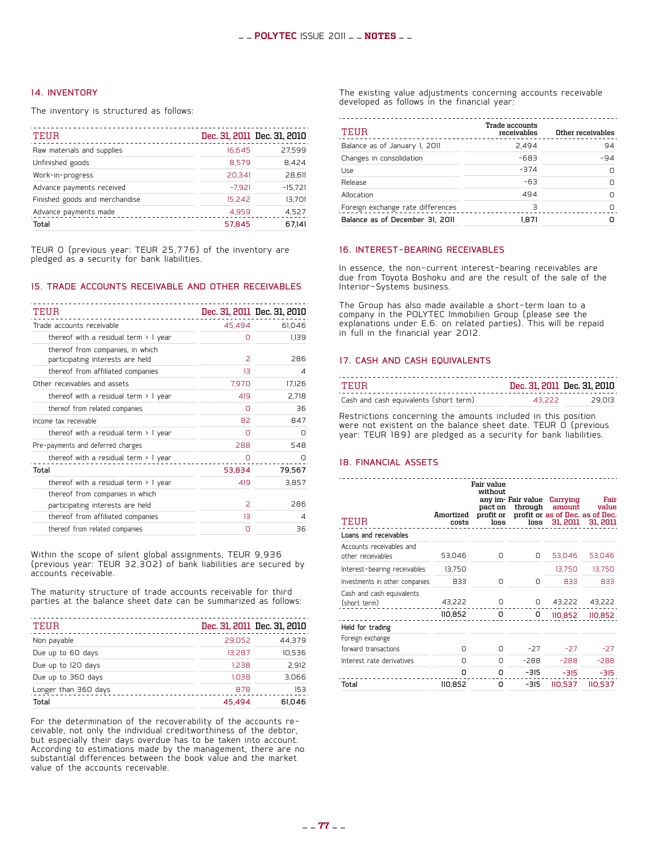#### 14. Inventory

The inventory is structured as follows:

| TEUR                           |          | Dec. 31, 2011 Dec. 31, 2010 |
|--------------------------------|----------|-----------------------------|
| Raw materials and supplies     | 16.645   | 27,599                      |
| Unfinished goods               | 8.579    | 8,424                       |
| Work-in-progress               | 20.341   | 28.611                      |
| Advance payments received      | $-7.921$ | $-15,721$                   |
| Finished goods and merchandise | 15.242   | 13,701                      |
| Advance payments made          | 4,959    | 4,527                       |
| Total                          | 57.845   | 67.141                      |

TEUR 0 (previous year: TEUR 25,776) of the inventory are pledged as a security for bank liabilities.

#### 15. Trade accounts receivable and other receivables

| TEUR                                                                 |                | Dec. 31, 2011 Dec. 31, 2010 |
|----------------------------------------------------------------------|----------------|-----------------------------|
| Trade accounts receivable                                            | 45.494         | 61,046                      |
| thereof with a residual term $> 1$ year                              | Ο              | 1.139                       |
| thereof from companies, in which<br>participating interests are held | $\overline{a}$ | 286                         |
| thereof from affiliated companies                                    | 13             | 4                           |
| Other receivables and assets                                         | 7,970          | 17,126                      |
| thereof with a residual term $>1$ year                               | 419            | 2,718                       |
| thereof from related companies                                       | n              | 36                          |
| Income tax receivable                                                | 82             | 847                         |
| thereof with a residual term $>1$ year                               | n              | n                           |
| Pre-payments and deferred charges                                    | 288            | 548                         |
| thereof with a residual term $>1$ year                               | Ω              | n                           |
| Total                                                                | 53.834         | 79,567                      |
| thereof with a residual term $> 1$ year                              | 419            | 3,857                       |
| thereof from companies in which                                      |                |                             |
| participating interests are held                                     | 2              | 286                         |
| thereof from affiliated companies                                    | 13             | 4                           |
| thereof from related companies                                       | Ο              | 36                          |

Within the scope of silent global assignments, TEUR 9,936 (previous year: TEUR 32,302) of bank liabilities are secured by accounts receivable.

The maturity structure of trade accounts receivable for third parties at the balance sheet date can be summarized as follows:

| <b>TEUR</b>          |        | Dec. 31, 2011 Dec. 31, 2010 |
|----------------------|--------|-----------------------------|
| Non payable          | 29.052 | 44.379                      |
| Due up to 60 days    | 13.287 | 10.536                      |
| Due up to 120 days   | 1.238  | 2.912                       |
| Due up to 360 days   | 1.038  | 3.066                       |
| Longer than 360 days | 878    | 153                         |
| Total                | 45.494 | 61.046                      |

For the determination of the recoverability of the accounts re- ceivable, not only the individual creditworthiness of the debtor, but especially their days overdue has to be taken into account. According to estimations made by the management, there are no substantial differences between the book value and the market value of the accounts receivable.

The existing value adjustments concerning accounts receivable developed as follows in the financial year:

| TEUR                              | Trade accounts<br>receivables | Other receivables |
|-----------------------------------|-------------------------------|-------------------|
| Balance as of January I, 2011     | 2.494                         | 94                |
| Changes in consolidation          | -683                          | $-94$             |
| Use                               | $-374$                        |                   |
| Release                           | $-63$                         |                   |
| Allocation                        | 494                           |                   |
| Foreign exchange rate differences | $\overline{\mathcal{L}}$      |                   |
| Balance as of December 31, 2011   | 1.871                         |                   |

#### 16. Interest-bearing receivables

In essence, the non-current interest-bearing receivables are due from Toyota Boshoku and are the result of the sale of the Interior-Systems business.

The Group has also made available a short-term loan to a company in the POLYTEC Immobilien Group (please see the explanations under E.6. on related parties). This will be repaid in full in the financial year 2012.

#### 17. Cash and cash equivalents

| TEHR                                   |        | Dec. 31, 2011 Dec. 31, 2010 |
|----------------------------------------|--------|-----------------------------|
| Cash and cash equivalents (short term) | 43 222 | 29.013                      |

Restrictions concerning the amounts included in this position were not existent on the balance sheet date. TEUR O (previous year: TEUR 189) are pledged as a security for bank liabilities.

#### 18. Financial assets

|                                               |                    | Fair value<br>without |       | any im-Fair value Carrying | Fair                                                                         |
|-----------------------------------------------|--------------------|-----------------------|-------|----------------------------|------------------------------------------------------------------------------|
| TEUR                                          | Amortized<br>costs | pact on<br>loss       |       | through amount             | value<br>profit or profit or as of Dec. as of Dec.<br>loss 31, 2011 31, 2011 |
| Loans and receivables                         |                    |                       |       |                            |                                                                              |
| Accounts receivables and<br>other receivables | 53,046             | 0                     | 0     | 53,046                     | 53,046                                                                       |
| Interest-bearing receivables                  | 13,750             |                       |       | 13,750                     | 13,750                                                                       |
| Investments in other companies                | 833                | O                     | O     | 833                        | 833                                                                          |
| Cash and cash equivalents<br>(short term)     | 43,222             | 0                     | 0     |                            | 43,222 43,222                                                                |
|                                               | 110,852            | 0                     | 0     | 110,852                    | 110,852                                                                      |
| Held for trading                              |                    |                       |       |                            |                                                                              |
| Foreign exchange                              |                    |                       |       |                            |                                                                              |
| forward transactions                          | Ο                  | 0                     | $-27$ | $-27$                      | $-27$                                                                        |
| Interest rate derivatives                     | O                  | 0                     | -288  | -288                       | $-288$                                                                       |
|                                               | n                  | 0                     | -315  | $-315$                     | $-315$                                                                       |
| Total                                         | 110,852            | n                     | -315  | 110,537                    | 110,537                                                                      |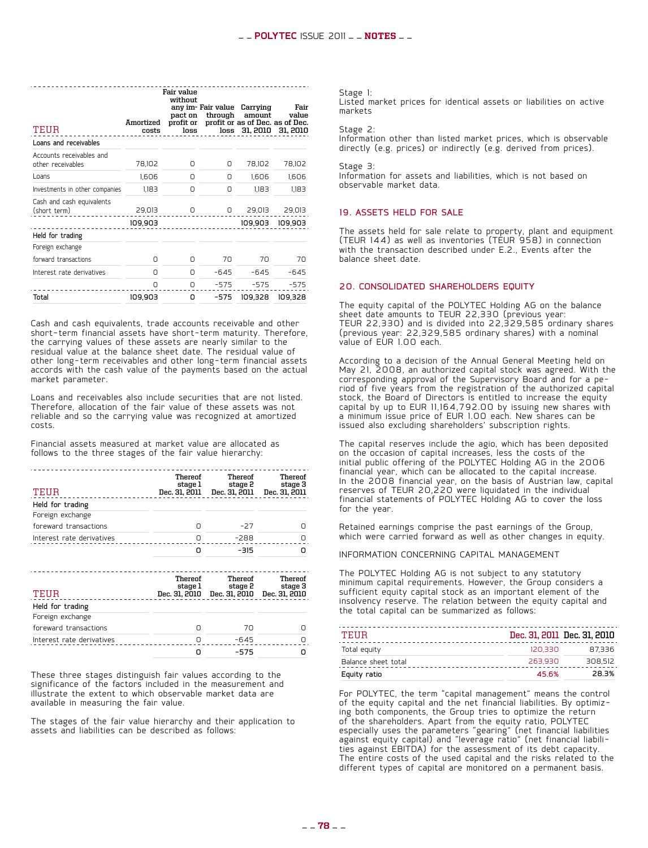|                                               | Amortized | Fair value<br>without<br>pact on | any im- Fair value<br>through | Carrying<br>amount<br>profit or profit or as of Dec. as of Dec. | Fair<br>value   |
|-----------------------------------------------|-----------|----------------------------------|-------------------------------|-----------------------------------------------------------------|-----------------|
| TEUR                                          | costs     | loss                             |                               | loss 31, 2010 31, 2010                                          |                 |
| Loans and receivables                         |           |                                  |                               |                                                                 |                 |
| Accounts receivables and<br>other receivables | 78,102    | Ο                                | Ο                             | 78,102                                                          | 78,102          |
| Loans                                         | 1.606     | n                                | Ο                             | 1.606                                                           | 1,606           |
| Investments in other companies                | 1,183     | U                                | Ο                             | 1.183                                                           | 1,183           |
| Cash and cash equivalents<br>(short term)     | 29,013    | 0                                | 0                             | 29,013                                                          | 29,013          |
|                                               | 109,903   |                                  |                               |                                                                 | 109,903 109,903 |
| Held for trading                              |           |                                  |                               |                                                                 |                 |
| Foreign exchange                              |           |                                  |                               |                                                                 |                 |
| forward transactions                          | Ο         | Ω                                | 70                            | 70                                                              | 70              |
| Interest rate derivatives                     | O         | 0                                | $-645$                        | $-645$                                                          | $-645$          |
|                                               | $\cap$    | $\cap$                           | $-575$                        | $-575$                                                          | $-575$          |
| Total                                         | 109.903   | o                                | -575                          | 109.328                                                         | 109.328         |

Cash and cash equivalents, trade accounts receivable and other short-term financial assets have short-term maturity. Therefore, the carrying values of these assets are nearly similar to the residual value at the balance sheet date. The residual value of other long-term receivables and other long-term financial assets accords with the cash value of the payments based on the actual market parameter.

Loans and receivables also include securities that are not listed. Therefore, allocation of the fair value of these assets was not reliable and so the carrying value was recognized at amortized costs.

Financial assets measured at market value are allocated as follows to the three stages of the fair value hierarchy:

| TEUR                      | Thereof<br>stage 1<br>Dec. 31, 2011 | Thereof<br>stage 2<br>Dec. 31, 2011 | Thereof<br>stage 3<br>Dec. 31, 2011 |
|---------------------------|-------------------------------------|-------------------------------------|-------------------------------------|
| Held for trading          |                                     |                                     |                                     |
| Foreign exchange          |                                     |                                     |                                     |
| foreward transactions     | Π                                   | $-27$                               |                                     |
| Interest rate derivatives | n                                   | $-288$                              | ∩                                   |
|                           | n                                   | $-315$                              |                                     |
|                           | Thereof                             | Thereof                             | <b>Thereof</b>                      |

| TEHR                      | stage 1 | stage 2<br>Dec. 31, 2010 Dec. 31, 2010 Dec. 31, 2010 | stage 3 |
|---------------------------|---------|------------------------------------------------------|---------|
| Held for trading          |         |                                                      |         |
| Foreign exchange          |         |                                                      |         |
| foreward transactions     |         | 70                                                   |         |
| Interest rate derivatives |         | $-645$                                               |         |
|                           |         | -575                                                 |         |

These three stages distinguish fair values according to the significance of the factors included in the measurement and illustrate the extent to which observable market data are available in measuring the fair value.

The stages of the fair value hierarchy and their application to assets and liabilities can be described as follows:

Stage 1:

Listed market prices for identical assets or liabilities on active markets

Stage 2:

Information other than listed market prices, which is observable directly (e.g. prices) or indirectly (e.g. derived from prices).

Stage 3:

Information for assets and liabilities, which is not based on observable market data.

#### 19. Assets held for sale

The assets held for sale relate to property, plant and equipment (TEUR 144) as well as inventories (TEUR 958) in connection with the transaction described under E.2., Events after the balance sheet date.

#### 20. Consolidated shareholders equity

The equity capital of the POLYTEC Holding AG on the balance sheet date amounts to TEUR 22,330 (previous year: TEUR 22,330) and is divided into 22,329,585 ordinary shares (previous year: 22,329,585 ordinary shares) with a nominal value of EUR 1.00 each.

According to a decision of the Annual General Meeting held on May 21, 2008, an authorized capital stock was agreed. With the corresponding approval of the Supervisory Board and for a pe- riod of five years from the registration of the authorized capital stock, the Board of Directors is entitled to increase the equity capital by up to EUR 11,164,792.00 by issuing new shares with a minimum issue price of EUR 1.00 each. New shares can be issued also excluding shareholders' subscription rights.

The capital reserves include the agio, which has been deposited on the occasion of capital increases, less the costs of the initial public offering of the POLYTEC Holding AG in the 2006 financial year, which can be allocated to the capital increase. In the 2008 financial year, on the basis of Austrian law, capital reserves of TEUR 20,220 were liquidated in the individual financial statements of POLYTEC Holding AG to cover the loss for the year.

Retained earnings comprise the past earnings of the Group, which were carried forward as well as other changes in equity.

#### Information concerning capital management

The POLYTEC Holding AG is not subject to any statutory minimum capital requirements. However, the Group considers a sufficient equity capital stock as an important element of the insolvency reserve. The relation between the equity capital and the total capital can be summarized as follows:

| TEHR                |         | Dec. 31, 2011 Dec. 31, 2010 |
|---------------------|---------|-----------------------------|
| Total equity        | 120.330 | 87.336                      |
| Balance sheet total | 263.930 | 308.512                     |
| Equity ratio        | 45.6%   | 28.3%                       |

For POLYTEC, the term "capital management" means the control of the equity capital and the net financial liabilities. By optimiz- ing both components, the Group tries to optimize the return of the shareholders. Apart from the equity ratio, POLYTEC especially uses the parameters "gearing" (net financial liabilities against equity capital) and "leverage ratio" (net financial liabili- ties against EBITDA) for the assessment of its debt capacity. The entire costs of the used capital and the risks related to the different types of capital are monitored on a permanent basis.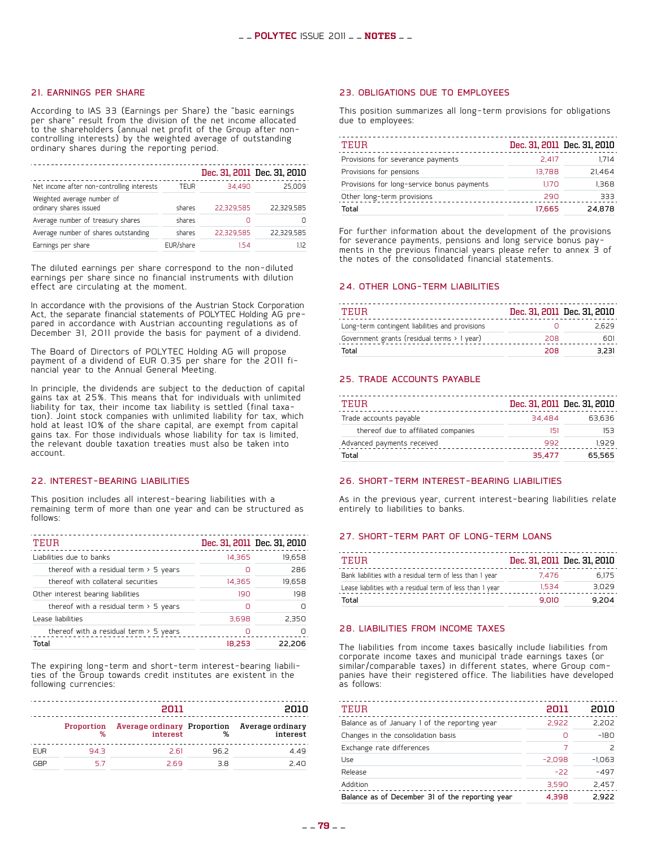#### 21. Earnings per share

According to IAS 33 (Earnings per Share) the "basic earnings per share" result from the division of the net income allocated to the shareholders (annual net profit of the Group after noncontrolling interests) by the weighted average of outstanding ordinary shares during the reporting period.

|                                                      |           |            | Dec. 31, 2011 Dec. 31, 2010 |
|------------------------------------------------------|-----------|------------|-----------------------------|
| Net income after non-controlling interests           | TEUR      | 34.490     | 25.009                      |
| Weighted average number of<br>ordinary shares issued | shares    | 22.329.585 | 22.329.585                  |
| Average number of treasury shares                    | shares    |            |                             |
| Average number of shares outstanding                 | shares    | 22.329.585 | 22.329.585                  |
| Earnings per share                                   | EUR/share | 154        | 1.12                        |

The diluted earnings per share correspond to the non-diluted earnings per share since no financial instruments with dilution effect are circulating at the moment.

In accordance with the provisions of the Austrian Stock Corporation<br>Act, the separate financial statements of POLYTEC Holding AG pre-Act, the separate financial statements of POLYTEC Holding AG pre-<br>pared in accordance with Austrian accounting regulations as of December 31, 2011 provide the basis for payment of a dividend.

The Board of Directors of POLYTEC Holding AG will propose payment of a dividend of EUR 0.35 per share for the 2011 fi-<br>nancial year to the Annual General Meeting.

In principle, the dividends are subject to the deduction of capital gains tax at 25%. This means that for individuals with unlimited liability for tax, their income tax liability is settled (final taxation). Joint stock companies with unlimited liability for tax, which hold at least 10% of the share capital, are exempt from capital gains tax. For those individuals whose liability for tax is limited, the relevant double taxation treaties must also be taken into account.

#### 22. Interest-bearing liabilities

This position includes all interest-bearing liabilities with a remaining term of more than one year and can be structured as follows:

| TEUR                                     |        | Dec. 31, 2011 Dec. 31, 2010 |
|------------------------------------------|--------|-----------------------------|
| Liabilities due to banks                 | 14,365 | 19,658                      |
| thereof with a residual term $>$ 5 years | Ω      | 286                         |
| thereof with collateral securities       | 14,365 | 19,658                      |
| Other interest bearing liabilities       | 190    | 198                         |
| thereof with a residual term $>$ 5 years | ∩      |                             |
| Lease liabilities                        | 3.698  | 2.350                       |
| thereof with a residual term $>$ 5 years | Ο      |                             |
| Total                                    | 18.253 | 22.206                      |

The expiring long-term and short-term interest-bearing liabili- ties of the Group towards credit institutes are existent in the following currencies:

| 2011       |      |      | 2010            |                                                                                             |
|------------|------|------|-----------------|---------------------------------------------------------------------------------------------|
|            |      |      |                 | Proportion Average ordinary Proportion Average ordinary<br>% interest % interest % interest |
| <b>EUR</b> | 94.3 | 2.61 | 96 <sub>2</sub> | 4.49                                                                                        |
| GBP        | 57   | 2.69 | R R             | 2.40                                                                                        |

#### 23. Obligations due to employees

This position summarizes all long-term provisions for obligations due to employees:

| TEUR                                       |        | Dec. 31, 2011 Dec. 31, 2010 |
|--------------------------------------------|--------|-----------------------------|
| Provisions for severance payments          | 2.417  | 1.714                       |
| Provisions for pensions                    | 13.788 | 21.464                      |
| Provisions for long-service bonus payments | 1.170  | 1.368                       |
| Other long-term provisions                 | 290    | 333                         |
| Total                                      | 17.665 | 24.878                      |

For further information about the development of the provisions<br>for severance payments, pensions and long service bonus payfor severance payments, pensions and long service bonus pay- ments in the previous financial years please refer to annex 3 of the notes of the consolidated financial statements.

#### 24. Other long-term liabilities

| TEIIR                                           |     | Dec. 31, 2011 Dec. 31, 2010 |
|-------------------------------------------------|-----|-----------------------------|
| Long-term contingent liabilities and provisions |     | 2.629                       |
| Government grants (residual terms > 1 year)     | 208 | 601                         |
| Total                                           | 208 | 3.231                       |

#### 25. Trade accounts payable

| TEIIR                               |        | Dec. 31, 2011 Dec. 31, 2010 |
|-------------------------------------|--------|-----------------------------|
| Trade accounts payable              | 34.484 | 63.636                      |
| thereof due to affiliated companies | 151    | 153                         |
| Advanced payments received          | 992    | 1929                        |
| Total                               | 35.477 | 65.565                      |

#### 26. Short-term interest-bearing liabilities

As in the previous year, current interest-bearing liabilities relate entirely to liabilities to banks.

#### 27. Short-term part of long-term loans

| TEIIR                                                      |       | Dec. 31, 2011 Dec. 31, 2010 |
|------------------------------------------------------------|-------|-----------------------------|
| Bank liabilities with a residual term of less than I year  | 7.476 | 6.175                       |
| Lease liabilities with a residual term of less than I year | 1.534 | 3.029                       |
| Total                                                      | 9.010 | 9.204                       |

#### 28. Liabilities from income taxes

The liabilities from income taxes basically include liabilities from corporate income taxes and municipal trade earnings taxes (or similar/comparable taxes) in different states, where Group com-<br>panies have their registered office. The liabilities have developed panies have their registered office. The liabilities have developed as follows:

| TEUR                                            | 2011     | 2010     |
|-------------------------------------------------|----------|----------|
| Balance as of January 1 of the reporting year   | 2.922    | 2,202    |
| Changes in the consolidation basis              | Ο        | $-180$   |
| Exchange rate differences                       | 7        |          |
| Use                                             | $-2,098$ | $-1,063$ |
| Release                                         | $-22$    | $-497$   |
| Addition                                        | 3,590    | 2,457    |
| Balance as of December 31 of the reporting year | 4.398    | 2.922    |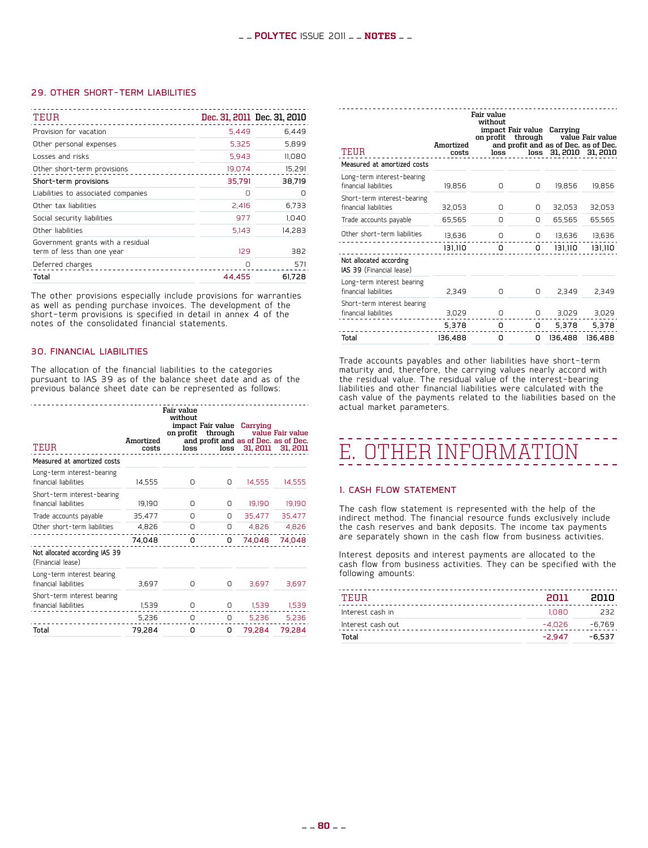#### 29. Other short-term liabilities

| TEUR                                                            |        | Dec. 31, 2011 Dec. 31, 2010 |
|-----------------------------------------------------------------|--------|-----------------------------|
| Provision for vacation                                          | 5.449  | 6,449                       |
| Other personal expenses                                         | 5.325  | 5.899                       |
| Losses and risks                                                | 5.943  | 11,080                      |
| Other short-term provisions                                     | 19,074 | 15,291                      |
| Short-term provisions                                           | 35,791 | 38,719                      |
| Liabilities to associated companies                             | ∩      | n                           |
| Other tax liabilities                                           | 2.416  | 6,733                       |
| Social security liabilities                                     | 977    | 1.040                       |
| Other liabilities                                               | 5,143  | 14.283                      |
| Government grants with a residual<br>term of less than one year | 129    | 382                         |
| Deferred charges                                                | n      | 571                         |
| Total                                                           | 44.455 | 61,728                      |

The other provisions especially include provisions for warranties as well as pending purchase invoices. The development of the short-term provisions is specified in detail in annex 4 of the notes of the consolidated financial statements.

#### 30. Financial liabilities

The allocation of the financial liabilities to the categories pursuant to IAS 39 as of the balance sheet date and as of the previous balance sheet date can be represented as follows:

| TEUR                                                 | Amortized<br>costs | Fair value<br>without<br>loss | impact Fair value Carrying<br>on profit through<br>and profit and as of Dec. as of Dec. |                 | value Fair value<br>loss 31, 2011 31, 2011 |
|------------------------------------------------------|--------------------|-------------------------------|-----------------------------------------------------------------------------------------|-----------------|--------------------------------------------|
| Measured at amortized costs                          |                    |                               |                                                                                         |                 |                                            |
| Long-term interest-bearing<br>financial liabilities  | 14,555             | Ο                             | 0                                                                                       | 14,555          | 14,555                                     |
| Short-term interest-bearing<br>financial liabilities | 19,190             | Ο                             | 0                                                                                       | 19,190          | 19,190                                     |
| Trade accounts payable                               | 35,477             | 0                             | 0                                                                                       | 35,477          | 35,477                                     |
| Other short-term liabilities                         | 4,826              | 0                             | 0                                                                                       | 4,826           | 4,826                                      |
|                                                      | 74,048             | 0                             | 0                                                                                       | 74,048          | 74,048                                     |
| Not allocated according IAS 39<br>(Financial lease)  |                    |                               |                                                                                         |                 |                                            |
| Long-term interest bearing<br>financial liabilities  | 3,697              | Ο                             | 0                                                                                       | 3,697           | 3,697                                      |
| Short-term interest bearing<br>financial liabilities | 1,539              | 0                             |                                                                                         | $0$ 1,539 1,539 |                                            |
|                                                      | 5,236              | 0                             |                                                                                         | $0$ 5,236 5,236 |                                            |
| Total                                                | 79,284             | 0                             | 0                                                                                       | 79,284          | 79,284                                     |

| TEUR                                                 | Amortized<br>costs | Fair value<br>without<br>loss | impact Fair value Carrying<br>on profit through<br>and profit and as of Dec. as of Dec. |         | value Fair value<br>loss 31, 2010 31, 2010 |
|------------------------------------------------------|--------------------|-------------------------------|-----------------------------------------------------------------------------------------|---------|--------------------------------------------|
| Measured at amortized costs                          |                    |                               |                                                                                         |         |                                            |
| Long-term interest-bearing<br>financial liabilities  | 19,856             | 0                             | O                                                                                       | 19,856  | 19.856                                     |
| Short-term interest-bearing<br>financial liabilities | 32,053             | O                             | O                                                                                       | 32,053  | 32,053                                     |
| Trade accounts payable                               | 65,565             | 0                             | O                                                                                       | 65,565  | 65,565                                     |
| Other short-term liabilities                         | 13,636             | 0                             | 0                                                                                       | 13,636  | 13,636                                     |
|                                                      | 131,110            | 0                             | 0                                                                                       | 131,110 | 131,110                                    |
| Not allocated according<br>IAS 39 (Financial lease)  |                    |                               |                                                                                         |         |                                            |
| Long-term interest bearing<br>financial liabilities  | 2,349              | 0                             | O                                                                                       | 2.349   | 2,349                                      |
| Short-term interest bearing<br>financial liabilities | 3,029              | 0                             | 0                                                                                       | 3,029   | 3,029                                      |
|                                                      | 5,378              | о                             | 0                                                                                       | 5,378   | 5,378                                      |
| Total                                                | 136,488            | o                             | о                                                                                       | 136,488 | 136,488                                    |

Trade accounts payables and other liabilities have short-term maturity and, therefore, the carrying values nearly accord with the residual value. The residual value of the interest-bearing liabilities and other financial liabilities were calculated with the cash value of the payments related to the liabilities based on the actual market parameters.

## E. Other information

#### 1. Cash flow statement

The cash flow statement is represented with the help of the indirect method. The financial resource funds exclusively include the cash reserves and bank deposits. The income tax payments are separately shown in the cash flow from business activities.

Interest deposits and interest payments are allocated to the cash flow from business activities. They can be specified with the following amounts:

| TEHR              | 2011   | enin   |
|-------------------|--------|--------|
| Interest cash in  | 1.080  | 232    |
| Interest cash out | -4.026 | -6.769 |
| Total             | -2.947 | -6.537 |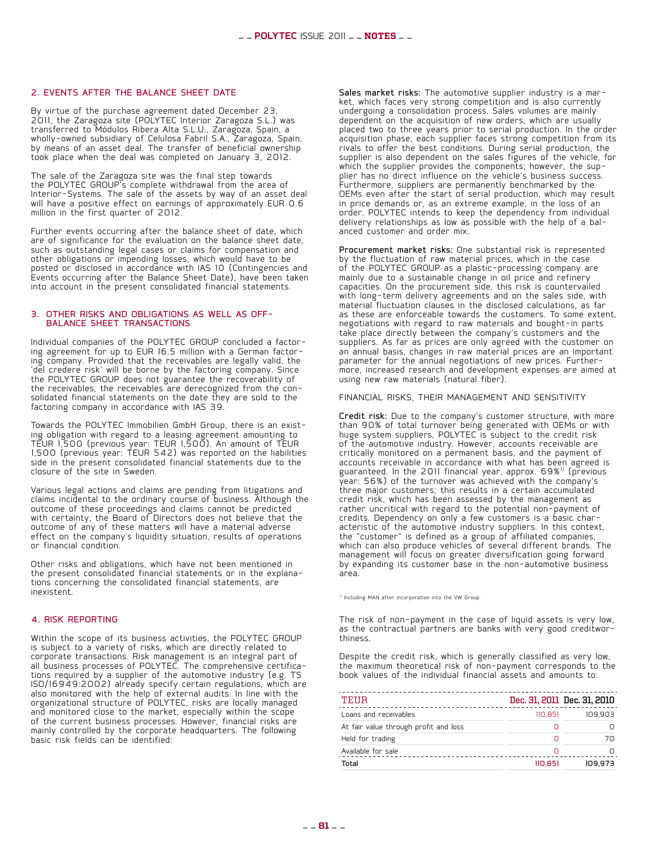#### 2. Events after the balance sheet date

By virtue of the purchase agreement dated December 23, 2011, the Zaragoza site (POLYTEC Interior Zaragoza S.L.) was transferred to Módulos Ribera Alta S.L.U., Zaragoza, Spain, a wholly-owned subsidiary of Celulosa Fabril S.A., Zaragoza, Spain, by means of an asset deal. The transfer of beneficial ownership took place when the deal was completed on January 3, 2012.

The sale of the Zaragoza site was the final step towards the POLYTEC GROUP's complete withdrawal from the area of Interior-Systems. The sale of the assets by way of an asset deal will have a positive effect on earnings of approximately EUR 0.6 million in the first quarter of 2012.

Further events occurring after the balance sheet of date, which are of significance for the evaluation on the balance sheet date, such as outstanding legal cases or claims for compensation and other obligations or impending losses, which would have to be posted or disclosed in accordance with IAS 10 (Contingencies and Events occurring after the Balance Sheet Date), have been taken into account in the present consolidated financial statements.

#### 3. Other risks and obligations as well as offbalance sheet transactions

Individual companies of the POLYTEC GROUP concluded a factor- ing agreement for up to EUR 16.5 million with a German factor- ing company. Provided that the receivables are legally valid, the 'del credere risk' will be borne by the factoring company. Since the POLYTEC GROUP does not guarantee the recoverability of the receivables, the receivables are derecognized from the conthe receivables are received in receivables and the solidated financial statements on the date they are sold to the factoring company in accordance with IAS 39.

Towards the POLYTEC Immobilien GmbH Group, there is an exist-<br>ing obligation with regard to a leasing agreement amounting to TEUR 1,500 (previous year: TEUR 1,500). An amount of TEUR 1,500 (previous year: TEUR 542) was reported on the liabilities side in the present consolidated financial statements due to the closure of the site in Sweden.

Various legal actions and claims are pending from litigations and claims incidental to the ordinary course of business. Although the outcome of these proceedings and claims cannot be predicted with certainty, the Board of Directors does not believe that the outcome of any of these matters will have a material adverse effect on the company's liquidity situation, results of operations or financial condition.

Other risks and obligations, which have not been mentioned in<br>the present consolidated financial statements or in the explanations concerning the consolidated financial statements, are inexistent.

#### 4. Risk reporting

Within the scope of its business activities, the POLYTEC GROUP is subject to a variety of risks, which are directly related to corporate transactions. Risk management is an integral part of all business processes of POLYTEC. The comprehensive certificaall business processes of POLYTEC. The comprehensive certifica-<br>tions required by a supplier of the automotive industry (e.g. TS ISO/16949:2002) already specify certain regulations, which are also monitored with the help of external audits. In line with the organizational structure of POLYTEC, risks are locally managed and monitored close to the market, especially within the scope of the current business processes. However, financial risks are mainly controlled by the corporate headquarters. The following basic risk fields can be identified:

Sales market risks: The automotive supplier industry is a mar- ket, which faces very strong competition and is also currently undergoing a consolidation process. Sales volumes are mainly dependent on the acquisition of new orders, which are usually placed two to three years prior to serial production. In the order acquisition phase, each supplier faces strong competition from its rivals to offer the best conditions. During serial production, the supplier is also dependent on the sales figures of the vehicle, for which the supplier provides the components; however, the sup-<br>plier has no direct influence on the vehicle's business success. Furthermore, suppliers are permanently benchmarked by the OEMs even after the start of serial production, which may result in price demands or, as an extreme example, in the loss of an order. POLYTEC intends to keep the dependency from individual delivery relationships as low as possible with the help of a bal-<br>anced customer and order mix.

Procurement market risks: One substantial risk is represented by the fluctuation of raw material prices, which in the case of the POLYTEC GROUP as a plastic-processing company are mainly due to a sustainable change in oil price and refinery capacities. On the procurement side, this risk is countervailed with long-term delivery agreements and on the sales side, with material fluctuation clauses in the disclosed calculations, as far as these are enforceable towards the customers. To some extent, negotiations with regard to raw materials and bought-in parts take place directly between the company's customers and the suppliers. As far as prices are only agreed with the customer on suppressions are expressed an annual basis, changes in raw material prices are an important<br>parameter for the annual negotiations of new prices. Furthermore, increased research and development expenses are aimed at using new raw materials (natural fiber).

Financial risks, their management and sensitivity

Credit risk: Due to the company's customer structure, with more than 90% of total turnover being generated with OEMs or with huge system suppliers, POLYTEC is subject to the credit risk of the automotive industry. However, accounts receivable are critically monitored on a permanent basis, and the payment of accounts receivable in accordance with what has been agreed is guaranteed. In the 2011 financial year, approx. 69%<sup>1)</sup> (previous year: 56%) of the turnover was achieved with the company's three major customers; this results in a certain accumulated credit risk, which has been assessed by the management as rather uncritical with regard to the potential non-payment of credits. Dependency on only a few customers is a basic char- acteristic of the automotive industry suppliers. In this context, the "customer" is defined as a group of affiliated companies, which can also produce vehicles of several different brands. The management will focus on greater diversification going forward by expanding its customer base in the non-automotive business area.

1) Including MAN after incorporation into the VW Group.

The risk of non-payment in the case of liquid assets is very low, as the contractual partners are banks with very good creditwor- thiness.

Despite the credit risk, which is generally classified as very low, the maximum theoretical risk of non-payment corresponds to the book values of the individual financial assets and amounts to:

| TEUR                                  |         | Dec. 31, 2011 Dec. 31, 2010 |
|---------------------------------------|---------|-----------------------------|
| Loans and receivables                 | 110.851 | 109.903                     |
| At fair value through profit and loss |         |                             |
| Held for trading                      |         | 70                          |
| Available for sale                    | n       |                             |
| Total                                 | 110.851 | 109.973                     |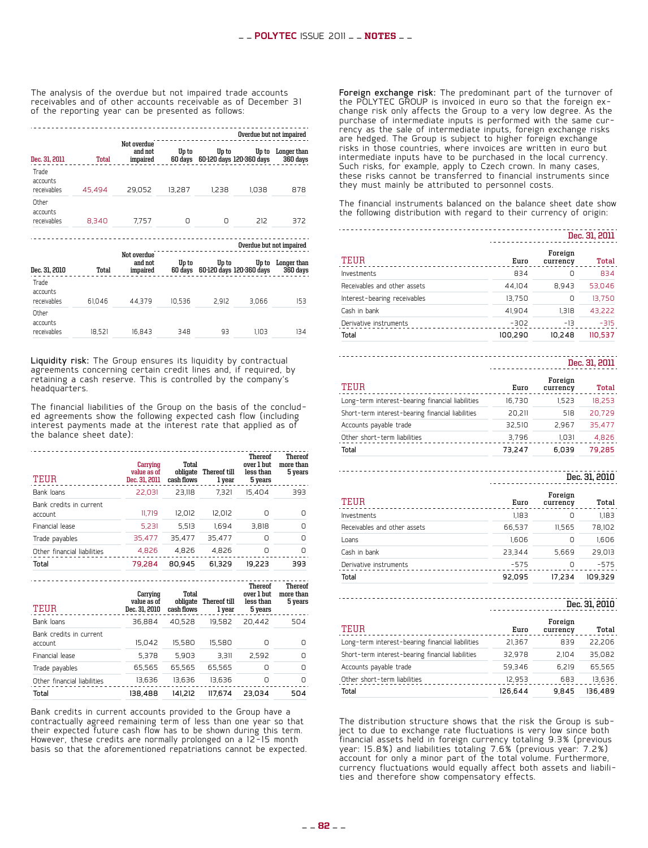The analysis of the overdue but not impaired trade accounts receivables and of other accounts receivable as of December 31 of the reporting year can be presented as follows:

|                                  |        |                                    |                  |       | Overdue but not impaired          |                         |
|----------------------------------|--------|------------------------------------|------------------|-------|-----------------------------------|-------------------------|
| Dec. 31, 2011                    | Total  | Not overdue<br>and not<br>impaired | Up to<br>60 days | Up to | Up to<br>60-120 days 120-360 days | Longer than<br>360 days |
| Trade<br>accounts<br>receivables | 45.494 | 29.052                             | 13.287           | 1.238 | 1,038                             | 878                     |
| Other<br>accounts<br>receivables | 8.340  | 7.757                              | Π                | Ο     | 212                               | 372                     |

**Overdue but not impaired**

| Dec. 31, 2010                    | Total  | Not overdue<br>and not<br>impaired | Up to<br>60 days | Up to | Up to<br>60-120 days 120-360 days | Longer than<br>360 days |
|----------------------------------|--------|------------------------------------|------------------|-------|-----------------------------------|-------------------------|
| Trade<br>accounts<br>receivables | 61.046 | 44.379                             | 10.536           | 2.912 | 3.066                             | 153                     |
| Other<br>accounts<br>receivables | 18.521 | 16.843                             | 348              | 93    | 1.103                             | 134                     |

Liquidity risk: The Group ensures its liquidity by contractual agreements concerning certain credit lines and, if required, by retaining a cash reserve. This is controlled by the company's headquarters.

The financial liabilities of the Group on the basis of the conclud- ed agreements show the following expected cash flow (including interest payments made at the interest rate that applied as of the balance sheet date):

| TEUR                               | Carrying<br>value as of<br>Dec. 31, 2011 | Total<br>obligate<br>cash flows | Thereof till<br>1 year | <b>Thereof</b><br>over 1 but<br>less than<br>5 years | <b>Thereof</b><br>more than<br>5 years |
|------------------------------------|------------------------------------------|---------------------------------|------------------------|------------------------------------------------------|----------------------------------------|
| Bank loans                         | 22.031                                   | 23.118                          | 7.321                  | 15.404                                               | 393                                    |
| Bank credits in current<br>account | 11.719                                   | 12.012                          | 12.012                 | Ω                                                    | n                                      |
| Financial lease                    | 5,231                                    | 5.513                           | 1.694                  | 3.818                                                | n                                      |
| Trade payables                     | 35,477                                   | 35.477                          | 35.477                 | n                                                    | n                                      |
| Other financial liabilities        | 4,826                                    | 4,826                           | 4,826                  | n                                                    | Ο                                      |
| Total                              | 79.284                                   | 80.945                          | 61.329                 | 19.223                                               | 393                                    |

| TEUR                               | Carrying<br>value as of<br>Dec. 31, 2010 | Total<br>obligate<br>cash flows | Thereof till<br>1 vear | <b>Thereof</b><br>over 1 but<br>less than<br>5 years | <b>Thereof</b><br>more than<br>5 years |
|------------------------------------|------------------------------------------|---------------------------------|------------------------|------------------------------------------------------|----------------------------------------|
| Bank loans                         | 36.884                                   | 40.528                          | 19.582                 | 20.442                                               | 504                                    |
| Bank credits in current<br>account | 15.042                                   | 15.580                          | 15.580                 |                                                      | Ω                                      |
| Financial lease                    | 5.378                                    | 5.903                           | 3.311                  | 2.592                                                | n                                      |
| Trade payables                     | 65,565                                   | 65.565                          | 65.565                 | Π                                                    | n                                      |
| Other financial liabilities        | 13.636                                   | 13.636                          | 13.636                 | n                                                    | n                                      |
| Total                              | 138.488                                  | 141.212                         | 117.674                | 23.034                                               | 504                                    |

Bank credits in current accounts provided to the Group have a contractually agreed remaining term of less than one year so that their expected future cash flow has to be shown during this term. However, these credits are normally prolonged on a 12-15 month basis so that the aforementioned repatriations cannot be expected. Foreign exchange risk: The predominant part of the turnover of the POLYTEC GROUP is invoiced in euro so that the foreign exthe POLYTEC ENTERNAL GROUP to a very low degree. As the change risk only affects the Group to a very low degree. As the purchase of intermediate inputs is performed with the same cur- rency as the sale of intermediate inputs, foreign exchange risks are hedged. The Group is subject to higher foreign exchange risks in those countries, where invoices are written in euro but intermediate inputs have to be purchased in the local currency. Such risks, for example, apply to Czech crown. In many cases, these risks cannot be transferred to financial instruments since they must mainly be attributed to personnel costs.

The financial instruments balanced on the balance sheet date show the following distribution with regard to their currency of origin:

|                              | Dec. 31, 2011 |                     |         |
|------------------------------|---------------|---------------------|---------|
| TEUR                         | Euro          | Foreign<br>currency | Total   |
| Investments                  | 834           | 0                   | 834     |
| Receivables and other assets | 44.104        | 8.943               | 53.046  |
| Interest-bearing receivables | 13.750        | 0                   | 13.750  |
| Cash in bank                 | 41.904        | 1.318               | 43.222  |
| Derivative instruments       | $-302$        | $-13$               | $-315$  |
| Total                        | 100.290       | 10.248              | 110.537 |

### **Dec. 31, 2011**

| TEUR                                              | Euro   | Foreign<br>currency | Total  |
|---------------------------------------------------|--------|---------------------|--------|
| Long-term interest-bearing financial liabilities  | 16.730 | 1.523               | 18.253 |
| Short-term interest-bearing financial liabilities | 20.211 | 518                 | 20.729 |
| Accounts payable trade                            | 32.510 | 2.967               | 35.477 |
| Other short-term liabilities                      | 3.796  | 1.031               | 4.826  |
| Total                                             | 73.247 | 6.039               | 79.285 |

#### **Dec. 31, 2010**

| TEUR                         | Euro   | Foreign<br>currency | Total   |
|------------------------------|--------|---------------------|---------|
| Investments                  | 1.183  | 0                   | 1.183   |
| Receivables and other assets | 66.537 | 11.565              | 78.102  |
| Loans                        | 1.606  | 0                   | 1.606   |
| Cash in bank                 | 23.344 | 5.669               | 29.013  |
| Derivative instruments       | $-575$ | U                   | $-575$  |
| Total                        | 92.095 | 17.234              | 109.329 |

## **Dec. 31, 2010**

| TEUR                                              | Euro    | Foreign<br>currency | Total   |
|---------------------------------------------------|---------|---------------------|---------|
| Long-term interest-bearing financial liabilities  | 21.367  | 839                 | 22.206  |
| Short-term interest-bearing financial liabilities | 32.978  | 2.104               | 35.082  |
| Accounts payable trade                            | 59.346  | 6.219               | 65.565  |
| Other short-term liabilities                      | 12.953  | 683                 | 13,636  |
| Total                                             | 126.644 | 9.845               | 136,489 |

The distribution structure shows that the risk the Group is sub- ject to due to exchange rate fluctuations is very low since both  $\widetilde{f}$ inancial assets held in foreign currency totaling 9.3% (previous year: 15.8%) and liabilities totaling 7.6% (previous year: 7.2%) account for only a minor part of the total volume. Furthermore, currency fluctuations would equally affect both assets and liabili- ties and therefore show compensatory effects.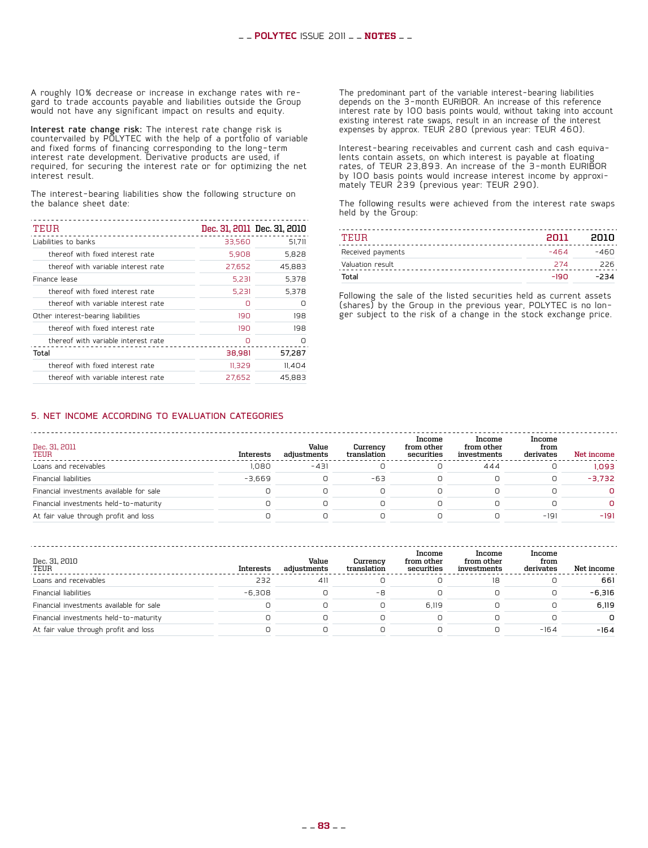A roughly 10% decrease or increase in exchange rates with re-<br>gard to trade accounts payable and liabilities outside the Group would not have any significant impact on results and equity.

Interest rate change risk: The interest rate change risk is countervailed by POLYTEC with the help of a portfolio of variable and fixed forms of financing corresponding to the long-term interest rate development. Derivative products are used, if required, for securing the interest rate or for optimizing the net interest result.

The interest-bearing liabilities show the following structure on the balance sheet date:

| TEUR                                |        | Dec. 31, 2011 Dec. 31, 2010 |
|-------------------------------------|--------|-----------------------------|
| Liabilities to banks                | 33.560 | 51.711                      |
| thereof with fixed interest rate    | 5.908  | 5.828                       |
| thereof with variable interest rate | 27,652 | 45.883                      |
| Finance lease                       | 5.231  | 5.378                       |
| thereof with fixed interest rate    | 5,231  | 5.378                       |
| thereof with variable interest rate | Ο      | n                           |
| Other interest-bearing liabilities  | 190    | 198                         |
| thereof with fixed interest rate    | 190    | 198                         |
| thereof with variable interest rate |        |                             |
| Total                               | 38,981 | 57.287                      |
| thereof with fixed interest rate    | 11,329 | 11,404                      |
| thereof with variable interest rate | 27.652 | 45.883                      |

The predominant part of the variable interest-bearing liabilities depends on the 3-month EURIBOR. An increase of this reference interest rate by 100 basis points would, without taking into account existing interest rate swaps, result in an increase of the interest expenses by approx. TEUR 280 (previous year: TEUR 460).

Interest-bearing receivables and current cash and cash equiva- lents contain assets, on which interest is payable at floating rates, of TEUR 23,893. An increase of the 3-month EURIBOR by 100 basis points would increase interest income by approxi- mately TEUR 239 (previous year: TEUR 290).

The following results were achieved from the interest rate swaps held by the Group:

| TEHR              | 2011   | enin   |
|-------------------|--------|--------|
| Received payments | $-464$ | $-460$ |
| Valuation result  | 274    | 226    |
| Total             | $-190$ | $-234$ |

Following the sale of the listed securities held as current assets (shares) by the Group in the previous year, POLYTEC is no lon- ger subject to the risk of a change in the stock exchange price.

#### 5. Net income according to evaluation categories

| Dec. 31, 2011<br>TEUR                    | Interests | Value<br>adiustments | Currency<br>translation | Income<br>from other<br>securities | Income<br>from other<br>investments | Income<br>from<br>derivates | Net income |
|------------------------------------------|-----------|----------------------|-------------------------|------------------------------------|-------------------------------------|-----------------------------|------------|
| Loans and receivables                    | 1.080     | $-431$               |                         | 0                                  | 444                                 |                             | 1.093      |
| Financial liabilities                    | $-3.669$  |                      | $-63$                   |                                    |                                     |                             | $-3.732$   |
| Financial investments available for sale |           |                      |                         |                                    |                                     |                             | n.         |
| Financial investments held-to-maturity   |           |                      |                         | Ο                                  |                                     |                             | n.         |
| At fair value through profit and loss    |           |                      |                         |                                    |                                     | $-191$                      | $-191$     |

| Dec. 31, 2010<br>TEUR                    | Interests | Value<br>adiustments | Currency<br>translation | Income<br>from other<br>securities | Income<br>from other<br>investments | Income<br>from<br>derivates | Net income |
|------------------------------------------|-----------|----------------------|-------------------------|------------------------------------|-------------------------------------|-----------------------------|------------|
| Loans and receivables                    | 232       | 41                   |                         |                                    | 18                                  |                             | 661        |
| Financial liabilities                    | $-6.308$  |                      | -8                      |                                    |                                     |                             | $-6.316$   |
| Financial investments available for sale |           |                      |                         | 6.119                              |                                     |                             | 6.119      |
| Financial investments held-to-maturity   |           |                      |                         |                                    |                                     |                             | n.         |
| At fair value through profit and loss    |           |                      |                         |                                    |                                     | $-164$                      | $-164$     |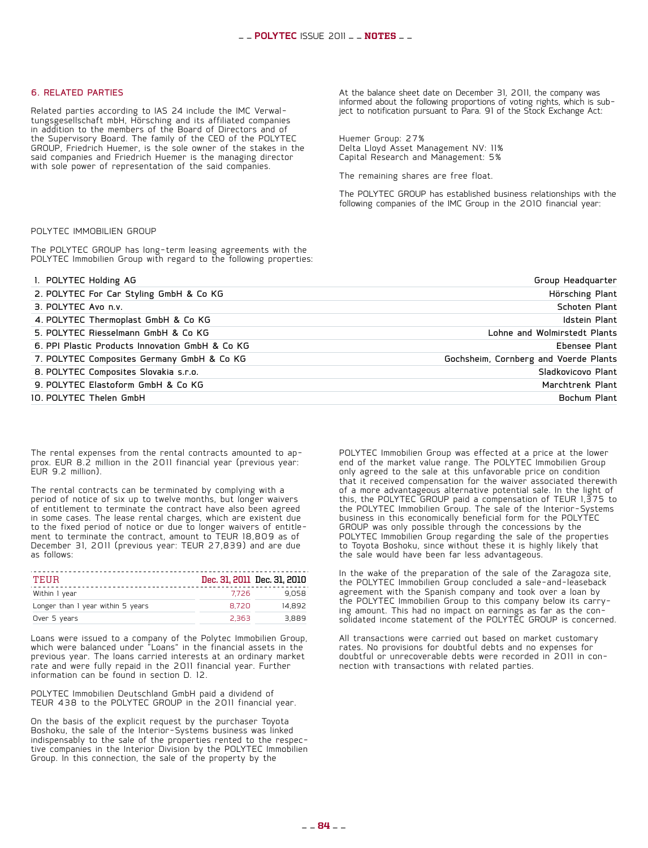#### 6. Related parties

Related parties according to IAS 24 include the IMC Verwal- tungsgesellschaft mbH, Hörsching and its affiliated companies in addition to the members of the Board of Directors and of the Supervisory Board. The family of the CEO of the POLYTEC GROUP, Friedrich Huemer, is the sole owner of the stakes in the said companies and Friedrich Huemer is the managing director with sole power of representation of the said companies.

At the balance sheet date on December 31, 2011, the company was ject to notification pursuant to Para. 91 of the Stock Exchange Act:

Huemer Group: 27% Delta Lloyd Asset Management NV: 11% Capital Research and Management: 5%

The remaining shares are free float.

The POLYTEC GROUP has established business relationships with the following companies of the IMC Group in the 2010 financial year:

#### Polytec Immobilien Group

The POLYTEC GROUP has long-term leasing agreements with the POLYTEC Immobilien Group with regard to the following properties:

| Group Headquarter                     | 1. POLYTEC Holding AG                           |
|---------------------------------------|-------------------------------------------------|
| Hörsching Plant                       | 2. POLYTEC For Car Styling GmbH & Co KG         |
| Schoten Plant                         | 3. POLYTEC Avo n.v.                             |
| Idstein Plant                         | 4. POLYTEC Thermoplast GmbH & Co KG             |
| Lohne and Wolmirstedt Plants          | 5. POLYTEC Riesselmann GmbH & Co KG             |
| Ebensee Plant                         | 6. PPI Plastic Products Innovation GmbH & Co KG |
| Gochsheim, Cornberg and Voerde Plants | 7. POLYTEC Composites Germany GmbH & Co KG      |
| Sladkovicovo Plant                    | 8. POLYTEC Composites Slovakia s.r.o.           |
| Marchtrenk Plant                      | 9. POLYTEC Elastoform GmbH & Co KG              |
| Bochum Plant                          | 10. POLYTEC Thelen GmbH                         |

The rental expenses from the rental contracts amounted to ap- prox. EUR 8.2 million in the 2011 financial year (previous year: EUR 9.2 million).

The rental contracts can be terminated by complying with a period of notice of six up to twelve months, but longer waivers of entitlement to terminate the contract have also been agreed in some cases. The lease rental charges, which are existent due to the fixed period of notice or due to longer waivers of entitle-<br>ment to terminate the contract, amount to TEUR 18,809 as of December 31, 2011 (previous year: TEUR 27,839) and are due as follows:

| TEHR                              |       | Dec. 31, 2011 Dec. 31, 2010 |
|-----------------------------------|-------|-----------------------------|
| Within I year                     | 7726  | 9.058                       |
| Longer than I year within 5 years | 8.720 | 14.892                      |
| Over 5 years                      | 2.363 | 3.889                       |

Loans were issued to a company of the Polytec Immobilien Group, which were balanced under "Loans" in the financial assets in the previous year. The loans carried interests at an ordinary market rate and were fully repaid in the 2011 financial year. Further information can be found in section D. 12.

POLYTEC Immobilien Deutschland GmbH paid a dividend of TEUR 438 to the POLYTEC GROUP in the 2011 financial year.

On the basis of the explicit request by the purchaser Toyota Boshoku, the sale of the Interior-Systems business was linked<br>indispensably to the sale of the properties rented to the respective companies in the Interior Division by the POLYTEC Immobilien Group. In this connection, the sale of the property by the

POLYTEC Immobilien Group was effected at a price at the lower end of the market value range. The POLYTEC Immobilien Group only agreed to the sale at this unfavorable price on condition that it received compensation for the waiver associated therewith of a more advantageous alternative potential sale. In the light of this, the POLYTEC GROUP paid a compensation of TEUR 1,375 to the POLYTEC Immobilien Group. The sale of the Interior-Systems business in this economically beneficial form for the POLYTEC GROUP was only possible through the concessions by the POLYTEC Immobilien Group regarding the sale of the properties to Toyota Boshoku, since without these it is highly likely that the sale would have been far less advantageous.

In the wake of the preparation of the sale of the Zaragoza site, the POLYTEC Immobilien Group concluded a sale-and-leaseback agreement with the Spanish company and took over a loan by<br>the POLYTEC Immobilien Group to this company below its carrying amount. This had no impact on earnings as far as the con- solidated income statement of the POLYTEC GROUP is concerned.

All transactions were carried out based on market customary rates. No provisions for doubtful debts and no expenses for doubtful or unrecoverable debts were recorded in 2011 in con-<br>nection with transactions with related parties.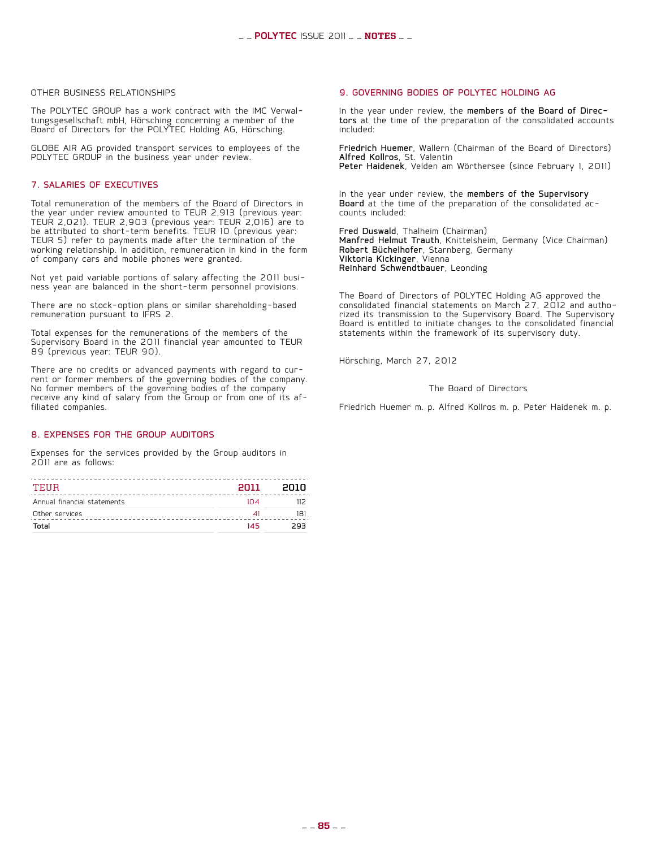#### Other business relationships

The POLYTEC GROUP has a work contract with the IMC Verwal- tungsgesellschaft mbH, Hörsching concerning a member of the Board of Directors for the POLYTEC Holding AG, Hörsching.

GLOBE AIR AG provided transport services to employees of the POLYTEC GROUP in the business year under review.

#### 7. Salaries of executives

Total remuneration of the members of the Board of Directors in the year under review amounted to TEUR 2,913 (previous year: TEUR 2,021). TEUR 2,903 (previous year: TEUR 2,016) are to be attributed to short-term benefits. TEUR 10 (previous year: TEUR 5) refer to payments made after the termination of the working relationship. In addition, remuneration in kind in the form of company cars and mobile phones were granted.

Not yet paid variable portions of salary affecting the 2011 busi- ness year are balanced in the short-term personnel provisions.

There are no stock-option plans or similar shareholding-based remuneration pursuant to IFRS 2.

Total expenses for the remunerations of the members of the Supervisory Board in the 2011 financial year amounted to TEUR 89 (previous year: TEUR 90).

There are no credits or advanced payments with regard to cur- rent or former members of the governing bodies of the company. No former members of the governing bodies of the company receive any kind of salary from the Group or from one of its af- filiated companies.

#### 8. Expenses for the Group auditors

Expenses for the services provided by the Group auditors in 2011 are as follows:

| TEHR                        | 2011       | enin |
|-----------------------------|------------|------|
| Annual financial statements | $1 \cap 4$ |      |
| Other services              | ⊿∣         | 181  |
| Total                       | 145        | つロコ  |

#### 9. Governing bodies of POLYTEC Holding AG

In the year under review, the members of the Board of Direc- tors at the time of the preparation of the consolidated accounts included:

Friedrich Huemer, Wallern (Chairman of the Board of Directors) Alfred Kollros, St. Valentin Peter Haidenek, Velden am Wörthersee (since February 1, 2011)

In the year under review, the members of the Supervisory Board at the time of the preparation of the consolidated ac-<br>counts included:

Fred Duswald, Thalheim (Chairman) Manfred Helmut Trauth, Knittelsheim, Germany (Vice Chairman) Robert Büchelhofer, Starnberg, Germany Viktoria Kickinger, Vienna Reinhard Schwendtbauer, Leonding

The Board of Directors of POLYTEC Holding AG approved the consolidated financial statements on March 27, 2012 and autho- rized its transmission to the Supervisory Board. The Supervisory Board is entitled to initiate changes to the consolidated financial statements within the framework of its supervisory duty.

Hörsching, March 27, 2012

The Board of Directors

Friedrich Huemer m. p. Alfred Kollros m. p. Peter Haidenek m. p.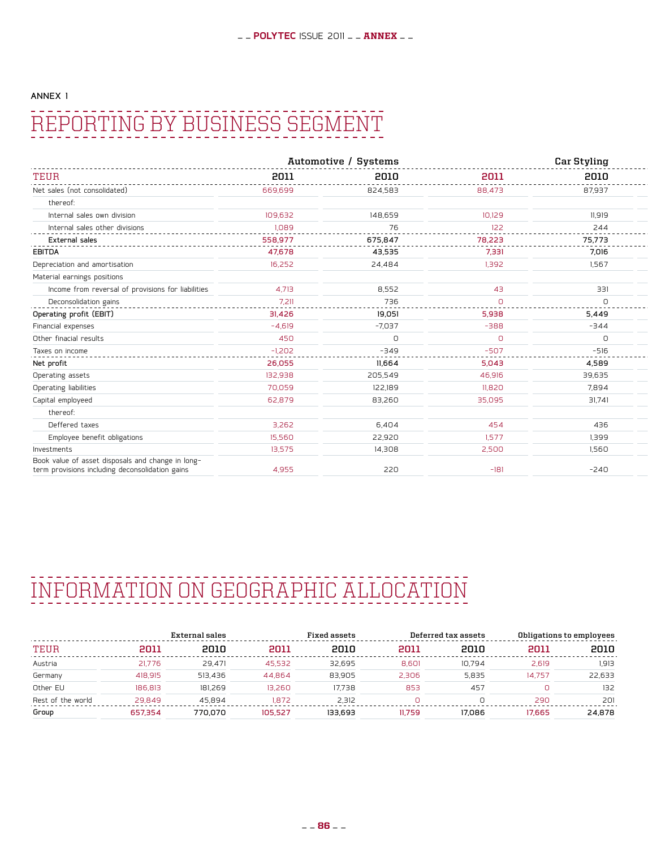#### Annex 1

## Reporting by business segment

|                                                                                                      |                                                 | Automotive / Systems |                                             | <b>Car Styling</b>                        |
|------------------------------------------------------------------------------------------------------|-------------------------------------------------|----------------------|---------------------------------------------|-------------------------------------------|
| TEUF                                                                                                 | 2011                                            | 2010                 | -----------------------------------<br>2011 | -----------------<br>2010                 |
| Net sales (not consolidated)                                                                         | ------------------------------------<br>669,699 | 824,583              | 88,473                                      | .<br>87,937                               |
| thereof:                                                                                             |                                                 |                      |                                             |                                           |
| Internal sales own division                                                                          | 109,632                                         | 148,659              | 10,129                                      | 11,919                                    |
| Internal sales other divisions                                                                       | 1.089<br>---------                              | ---------            | 122<br>.                                    | 244<br>--------------                     |
| External sales                                                                                       | 558,977                                         | 675,847              | 78,223                                      | 75,773<br>------------------------------- |
| <b>EBITDA</b>                                                                                        | 47.678                                          | 43,535               | 7,331                                       | 7,016                                     |
| Depreciation and amortisation                                                                        | 16,252                                          | 24,484               | 1,392                                       | 1,567                                     |
| Material earnings positions                                                                          |                                                 |                      |                                             |                                           |
| Income from reversal of provisions for liabilities                                                   | 4.713                                           | 8,552                | 43                                          | 331                                       |
| Deconsolidation gains                                                                                | 7,211                                           | 736                  | $\cap$                                      |                                           |
| Operating profit (EBIT)                                                                              | 31,426                                          | 19,051               | 5,938                                       | 5,449                                     |
| Financial expenses                                                                                   | $-4,619$                                        | $-7,037$             | $-388$                                      | $-344$                                    |
| Other finacial results                                                                               | 450                                             | n                    | $\Omega$                                    |                                           |
| Taxes on income                                                                                      | $-1.202$                                        | $-349$               | $-507$                                      | $-516$                                    |
| Net profit                                                                                           | 26,055                                          | 11,664               | 5,043                                       | 4,589                                     |
| Operating assets                                                                                     | 132,938                                         | 205,549              | 46,916                                      | 39,635                                    |
| Operating liabilities                                                                                | 70,059                                          | 122,189              | 11,820                                      | 7,894                                     |
| Capital employeed                                                                                    | 62,879                                          | 83,260               | 35,095                                      | 31,741                                    |
| thereof:                                                                                             |                                                 |                      |                                             |                                           |
| Deffered taxes                                                                                       | 3,262                                           | 6,404                | 454                                         | 436                                       |
| Employee benefit obligations                                                                         | 15,560                                          | 22,920               | 1,577                                       | 1,399                                     |
| Investments                                                                                          | 13,575                                          | 14,308               | 2,500                                       | 1,560                                     |
| Book value of asset disposals and change in long-<br>term provisions including deconsolidation gains | 4,955                                           | 220                  | $-181$                                      | $-240$                                    |

## Information on geographic allocation

|                   |         | External sales |         | Fixed assets |        | Deferred tax assets |        | Obligations to employees |
|-------------------|---------|----------------|---------|--------------|--------|---------------------|--------|--------------------------|
| TEUR              | 2011    | 2010           | 2011    | 2010         | 2011   | 2010                | 2011   | 2010                     |
| Austria           | 21.776  | 29.471         | 45.532  | 32.695       | 8.601  | 10.794              | 2.619  | 1.913                    |
| Germany           | 418.915 | 513.436        | 44.864  | 83.905       | 2.306  | 5.835               | 14.757 | 22.633                   |
| Other EU          | 186.813 | 181.269        | 13.260  | 17.738       | 853    | 457                 |        | 132                      |
| Rest of the world | 29.849  | 45.894         | 1.872   | 2.312        |        |                     | 290    | 201                      |
| Group             | 657.354 | 770.070        | 105.527 | 133.693      | 11.759 | 17.086              | 17.665 | 24.878                   |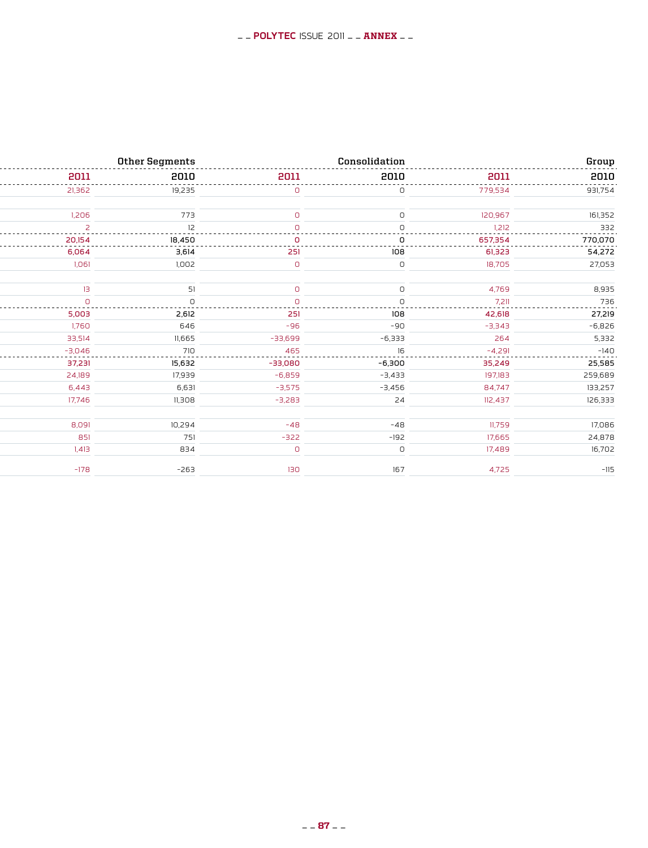| Group    |          | Consolidation |           | Other Segments |          |
|----------|----------|---------------|-----------|----------------|----------|
| 2010     | 2011     | 2010          | 2011      | 2010           | 2011     |
| 931,754  | 779,534  |               |           | 19,235         | 21,362   |
| 161,352  | 120,967  |               |           | 773            | 1.206    |
| 332      | 1.212    |               |           |                |          |
| 770,070  | 657,354  |               |           | 18.450         | 20,154   |
| 54,272   | 61,323   | 108           | 251       | 3,614          | 6,064    |
| 27,053   | 18,705   |               |           | 1,002          | 1,061    |
|          |          |               |           |                |          |
| 8,935    | 4.769    |               |           |                |          |
| 736      | 7211     |               |           |                |          |
| 27,219   | 42,618   | 108           |           | 2,612          | 5,003    |
| $-6,826$ | $-3.343$ | $-90$         | -96       | 646            | 1,760    |
| 5,332    | 264      | $-6,333$      | $-33,699$ | 11,665         | 33.514   |
| $-140$   | $-4291$  |               |           |                | $-3.046$ |
| 25,585   | 35,249   | $-6,300$      | $-33,080$ | 15,632         | 37,231   |
| 259,689  | 197,183  | $-3,433$      | $-6,859$  | 17,939         | 24,189   |
| 133,257  | 84,747   | $-3,456$      | $-3,575$  | 6,631          | 6.443    |
| 126,333  | 112,437  | 24            | $-3,283$  | II,308         | 17.746   |
|          | 11.759   |               |           | 10,294         |          |
| 17,086   |          | $-48$         | -48       |                | 8,091    |
| 24,878   | 17,665   | $-192$        | $-322$    | 751            | 851      |
| 16,702   | 17,489   | $\cap$        | n.        | 834            | 1.413    |
|          | 4.725    |               |           | -263           |          |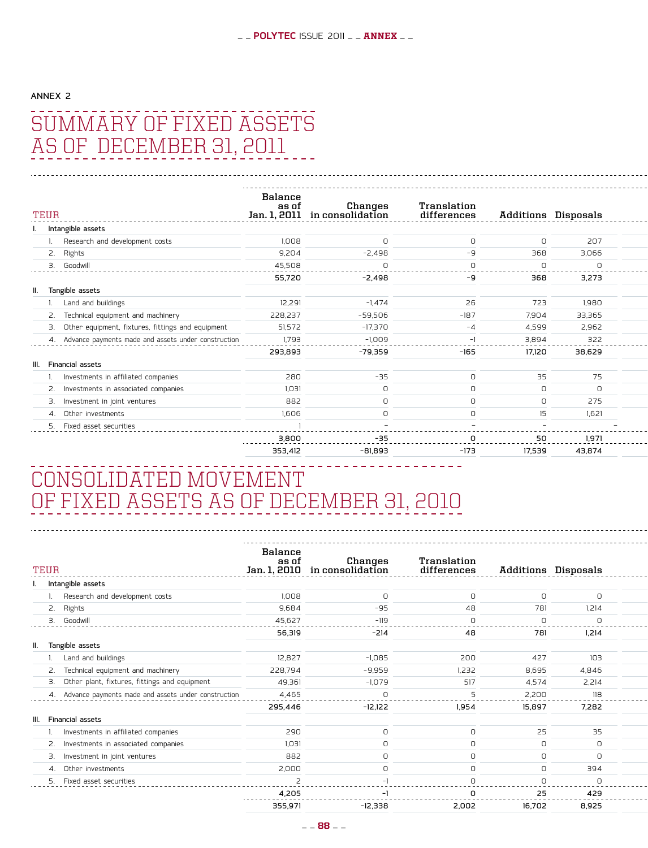## AnNEX 2 summary of Fixed Assets as of December 31, 2011

| TEUR<br>------------------------                    | Balance<br>as o<br>l. 2011<br>Jan. 1 | Changes<br>in consolidation | Translation<br>differences             |            | <b>Additions Disposals</b> |
|-----------------------------------------------------|--------------------------------------|-----------------------------|----------------------------------------|------------|----------------------------|
| Intangible assets                                   |                                      |                             |                                        |            |                            |
| Research and development costs                      | 1,008                                |                             | $\Omega$                               |            | 207                        |
| 2. Rights                                           | 9,204                                | $-2,498$                    | -9                                     | 368        | 3,066                      |
| Goodwi<br>------------------------------------      | 45,508<br>.                          |                             |                                        |            |                            |
|                                                     | 55,720                               | -2,498                      | $-9$                                   | 368        | 3,273                      |
| II. Tangible assets                                 |                                      |                             |                                        |            |                            |
| Land and buildings                                  | 12,291                               | $-1,474$                    | 26                                     | 723        | 1,980                      |
| 2. Technical equipment and machinery                | 228,237                              | -59,506                     | $-187$                                 | 7,904      | 33,365                     |
| Other equipment, fixtures, fittings and equipment   | 51,572                               | $-17,370$                   | $-4$                                   | 4,599      | 2,962                      |
| Advance payments made and assets under construction | 1,793<br>---------                   | $-1,009$<br>- - - - - - - - |                                        | 3,894<br>. | 322<br>$- - - - - -$       |
|                                                     | 293,893                              | -79,359                     | $-165$                                 | 17,120     | 38,629                     |
| III. Financial assets                               |                                      |                             |                                        |            |                            |
| Investments in affiliated companies                 | 280                                  | $-35$                       |                                        | 35         | 75                         |
| Investments in associated companies                 | 1,031                                | $\cap$                      | <sup>n</sup>                           | $\cap$     | $\Omega$                   |
| Investment in joint ventures                        | 882                                  |                             |                                        | $\Omega$   | 275                        |
| 4. Other investments                                | 1,606                                |                             |                                        |            | 1,621                      |
|                                                     |                                      |                             |                                        |            |                            |
|                                                     | 3,800                                | -35                         | -------------------------------------- | 50         | 1,971<br>.                 |
|                                                     | 353,412                              | -81,893                     | -173                                   | 17,539     | 43,874                     |

## Consolidated Movement of Fixed Assets as of December 31, 2010

| TEUR<br>.                                           | Balance<br>as of | Changes<br>Jan. 1, 2010 in consolidation | Translation<br>differences |                   | <b>Additions Disposals</b> | ---------     |
|-----------------------------------------------------|------------------|------------------------------------------|----------------------------|-------------------|----------------------------|---------------|
| Intangible assets                                   |                  |                                          |                            |                   |                            |               |
| Research and development costs                      | 1,008            | $\circ$                                  |                            | $\Box$            | $\circ$                    |               |
| 2. Rights                                           | 9,684            | $-95$                                    | 48                         | 781               | 1,214                      |               |
| Goodwi                                              | 45,627           | $-119$                                   |                            | $\cap$            |                            |               |
|                                                     | 56,319           | $-214$                                   | 48                         | 781               | 1,214                      |               |
| II. Tangible assets                                 |                  |                                          |                            |                   |                            |               |
| Land and buildings                                  | 12,827           | $-1,085$                                 | 200                        | 427               | 103                        |               |
| 2. Technical equipment and machinery                | 228,794          | -9,959                                   | 1,232                      | 8,695             | 4,846                      |               |
| 3. Other plant, fixtures, fittings and equipment    | 49,361           | $-1,079$                                 | 517                        | 4,574             | 2,214                      |               |
| Advance payments made and assets under construction | 4.465<br>.       | ----                                     |                            | 2,200<br>-------- | 118<br>-----               | - - - - - - - |
|                                                     | 295,446          | $-12,122$                                | 1,954                      | 15,897            | 7,282                      |               |
| III. Financial assets                               |                  |                                          |                            |                   |                            |               |
| Investments in affiliated companies                 | 290              | $\Omega$                                 |                            | 25                | 35                         |               |
| 2. Investments in associated companies              | 1,031            | $\cap$                                   |                            | $\cap$            | $\Box$                     |               |
| 3. Investment in joint ventures                     | 882              | $\cap$                                   |                            | n.                | $\circ$                    |               |
| 4. Other investments                                | 2,000            |                                          |                            |                   | 394                        |               |
|                                                     |                  |                                          |                            |                   |                            |               |
|                                                     | 4.205<br>.       |                                          |                            | 25                | 429<br>.                   |               |
|                                                     | 355,971          | -12,338                                  | 2,002                      | 16,702            | 8,925                      |               |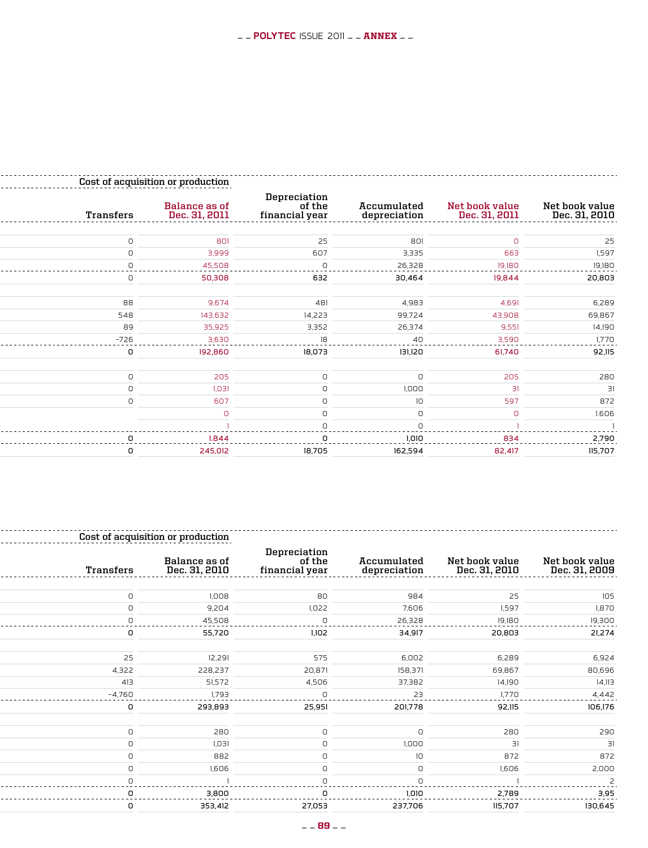|                                      |                                 |                                                                       |                                          | Cost of acquisition or production |                                                 |
|--------------------------------------|---------------------------------|-----------------------------------------------------------------------|------------------------------------------|-----------------------------------|-------------------------------------------------|
| Net book value<br>Dec. 31, 2010      | Net book value<br>Dec. 31, 2011 | Accumulated<br>depreciation<br>. <sup>-</sup> - - - - - - - - - - - - | Depreciation<br>of the<br>financial year | Balance as of<br>Dec. 31, 2011    | Transfers<br>---------------------------------- |
|                                      |                                 | 801                                                                   | 25                                       | 801                               |                                                 |
| 1.59                                 | 663                             | 3,335                                                                 | 607                                      | 3,999                             |                                                 |
| 19,180                               | 19180                           | 26,328                                                                |                                          | 45.508                            |                                                 |
| . <b>.</b> .<br>20,803               | 19,844                          | 30,464                                                                | 632                                      | 50,308                            |                                                 |
| 6,289                                | 4,691                           | 4,983                                                                 | 481                                      | 9.674                             | 88                                              |
| 69,867                               | 43,908                          | 99,724                                                                | 14,223                                   | 143,632                           | 548                                             |
| 14,190                               | 9,551                           | 26,374                                                                | 3,352                                    | 35,925                            | 89                                              |
| 1.770                                | 3,590                           | 40                                                                    |                                          | 3.630                             | $-726$                                          |
| -------<br>92,115                    | .<br>61,740                     | ----<br>131,120                                                       | 18,073                                   | ------<br>192,860                 |                                                 |
|                                      | 205                             |                                                                       |                                          | 205                               |                                                 |
|                                      |                                 | 1,000                                                                 |                                          | 1,031                             |                                                 |
| 872                                  | 597                             | $1 \cap$                                                              |                                          | 607                               |                                                 |
| 1.606                                | $\cap$                          |                                                                       |                                          |                                   |                                                 |
|                                      |                                 |                                                                       |                                          |                                   |                                                 |
| 2.790<br>--------<br>--------------- | 834                             | חוח ו                                                                 |                                          | 1844                              |                                                 |
| 115,707                              | 82,417                          | 162,594                                                               | 18,705                                   | 245,012                           |                                                 |

|                                 |                                 |                                         |                                          | sition or production                |           |
|---------------------------------|---------------------------------|-----------------------------------------|------------------------------------------|-------------------------------------|-----------|
| Net book value<br>Dec. 31, 2009 | Net book value<br>Dec. 31, 2010 | Accumulated<br>depreciation<br><u>.</u> | Depreciation<br>of the<br>financial year | Balance as of<br>Dec. 31, 2010<br>. | Transfers |
|                                 | 25                              | 984                                     | 80                                       | 1,008                               |           |
| <b>1.87C</b>                    | 1,597                           | 7,606                                   | 1,022                                    | 9,204                               |           |
| 19,300                          | 19.180                          | 26,328                                  |                                          | 45,508                              |           |
| 21,274                          | 20,803                          | 34,917                                  | 1,102                                    | 55,720                              |           |
| 6,924                           | 6,289                           | 6,002                                   | 575                                      | 12,291                              | 25        |
| 80,696                          | 69,867                          | 158,371                                 | 20,871                                   | 228,237                             | 4,322     |
| 14,113                          | 14,190                          | 37,382                                  | 4,506                                    | 51,572                              | 413       |
|                                 |                                 |                                         |                                          | 1.793                               | $-4.760$  |
| 106,176                         | 92,115                          | 201,778                                 | 25,951                                   | 293,893                             |           |
| 290                             | 280                             |                                         |                                          | 280                                 |           |
|                                 |                                 | 1,000                                   |                                          | 1,031                               |           |
| 872                             | 872                             | 10                                      |                                          | 882                                 |           |
| 2,000                           | 1,606                           |                                         |                                          | 1,606                               |           |
|                                 |                                 |                                         |                                          |                                     |           |
| 3,95                            | 2,789                           | 1.010                                   |                                          | 3,800                               |           |
| 130,645                         | 115,707                         | 237,706                                 | 27,053                                   | 353,412                             |           |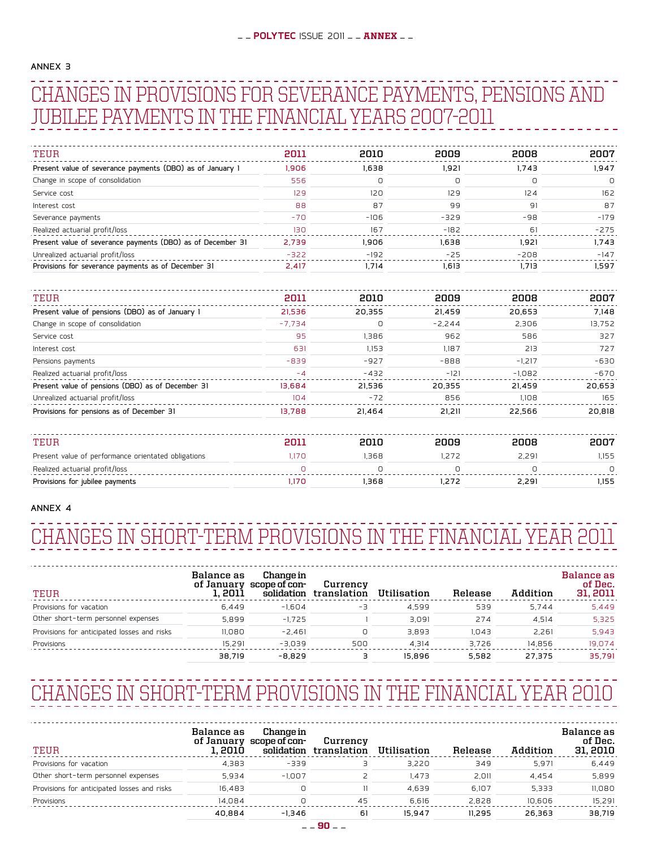#### ANNex 3

## Changes in provisions for severance payments, pensions and jubilee payments in the financial years 2007-2011

| TEUR                                                        | 2011   | 2010   | 2009   | 2008   | 2007   |
|-------------------------------------------------------------|--------|--------|--------|--------|--------|
| Present value of severance payments (DBO) as of January 1   | 1.906  | 1.638  | 1.921  | 1.743  | 1.947  |
| Change in scope of consolidation                            | 556    |        | O      |        | 0      |
| Service cost                                                | 129    | 120    | 129    | 124    | 162    |
| Interest cost                                               | 88     | 87     | 99     | 91     | 87     |
| Severance payments                                          | $-70$  | $-106$ | $-329$ | $-98$  | $-179$ |
| Realized actuarial profit/loss                              | 130    | 167    | $-182$ | 61     | $-275$ |
| Present value of severance payments (DBO) as of December 31 | 2,739  | .906   | 1.638  | 1,921  | 1.743  |
| Unrealized actuarial profit/loss                            | $-322$ | $-192$ | $-25$  | $-208$ | $-147$ |
| Provisions for severance payments as of December 31         | 2.417  | 1.714  | 1.613  | 1.713  | 1.597  |

| TEUR                                              | 2011     | 2010     | 2009     | 2008     | 2007   |
|---------------------------------------------------|----------|----------|----------|----------|--------|
| Present value of pensions (DBO) as of January 1   | 21.536   | 20.355   | 21.459   | 20.653   | 7.148  |
| Change in scope of consolidation                  | $-7.734$ | $\Omega$ | $-2.244$ | 2.306    | 13,752 |
| Service cost                                      | 95       | 1.386    | 962      | 586      | 327    |
| Interest cost                                     | 631      | 1,153    | 1,187    | 213      | 727    |
| Pensions payments                                 | $-839$   | $-927$   | $-888$   | $-1.217$ | $-630$ |
| Realized actuarial profit/loss                    | $-4$     | $-432$   | $-121$   | $-1,082$ | $-670$ |
| Present value of pensions (DBO) as of December 31 | 13.684   | 21.536   | 20.355   | 21.459   | 20,653 |
| Unrealized actuarial profit/loss                  | 104      | $-72$    | 856      | 1.108    | 165    |
| Provisions for pensions as of December 31         | 13.788   | 21.464   | 21.211   | 22.566   | 20.818 |

| <b>TEIL</b>                                         | 2011  |      | auua | SUUS  | דממי |
|-----------------------------------------------------|-------|------|------|-------|------|
| Present value of performance orientated obligations | .17 C | .368 |      | 2.291 | .155 |
| Realized actuarial profit/loss                      |       |      |      |       |      |
| Provisions for jubilee payments                     | .17 C | .368 |      | 2.291 | .155 |

#### Annex 4

## Changes in short-term provisions in the financial year 2011

| TEUR                                        | Balance as<br>1. 2011 | Change in<br>of January scope of con-<br>solidation | Currency<br>translation | Utilisation | Release | Addition | Balance as<br>of Dec.<br>31, 2011 |
|---------------------------------------------|-----------------------|-----------------------------------------------------|-------------------------|-------------|---------|----------|-----------------------------------|
| Provisions for vacation                     | 6.449                 | $-1.604$                                            | -3                      | 4.599       | 539     | 5.744    | 5.449                             |
| Other short-term personnel expenses         | 5.899                 | $-1.725$                                            |                         | 3.091       | 274     | 4.514    | 5.325                             |
| Provisions for anticipated losses and risks | 11.080                | $-2.461$                                            |                         | 3.893       | 1.043   | 2.261    | 5.943                             |
| Provisions                                  | 15.291                | $-3.039$                                            | 500                     | 4.314       | 3.726   | 14.856   | 19.074                            |
|                                             | 38.719                | $-8.829$                                            | ∍                       | 15.896      | 5.582   | 27.375   | 35.791                            |

## Changes in short-term provisions in the financial year 2010

| TEUR                                        | Balance as<br>1. 2010 | Change in<br>of January scope of con-<br>solidation | Currency<br>translation | Utilisation | Release | Addition | Balance as<br>of Dec.<br>31, 2010 |
|---------------------------------------------|-----------------------|-----------------------------------------------------|-------------------------|-------------|---------|----------|-----------------------------------|
| Provisions for vacation                     | 4.383                 | $-339$                                              |                         | 3.220       | 349     | 5.971    | 6.449                             |
| Other short-term personnel expenses         | 5.934                 | $-1.007$                                            |                         | .473        | 2.011   | 4.454    | 5.899                             |
| Provisions for anticipated losses and risks | 16.483                |                                                     |                         | 4.639       | 6.107   | 5.333    | 11.080                            |
| Provisions                                  | 14,084                |                                                     | 45                      | 6.616       | 2.828   | 10.606   | 15,291                            |
|                                             | 40.884                | $-1.346$                                            | 61                      | 15.947      | 11.295  | 26.363   | 38.719                            |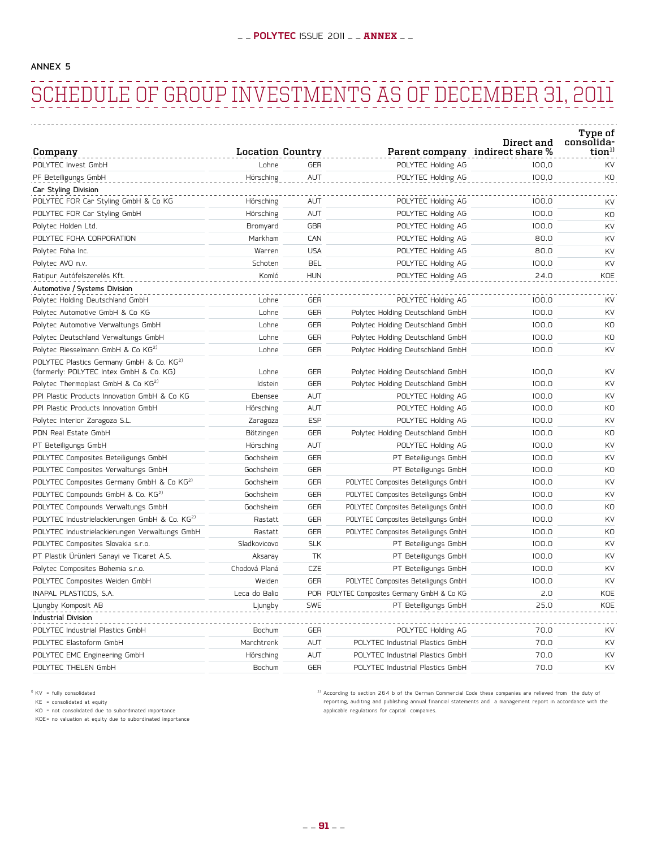#### AnNex 5

## Schedule of Group Investments as of December 31, 2011

|                                                                                                 |                         |            |                                         | Direct and | Type of<br>consolida- |
|-------------------------------------------------------------------------------------------------|-------------------------|------------|-----------------------------------------|------------|-----------------------|
| Company                                                                                         | <b>Location Country</b> |            | Parent company indirect share %         |            | tion <sup>11</sup>    |
| POLYTEC Invest GmbH                                                                             | Lohne                   | <b>GER</b> | POLYTEC Holding AG                      | 100.0      | <b>KV</b>             |
| PF Beteiligungs GmbH                                                                            | Hörsching               | AUT        | POLYTEC Holding AG                      | 100,0      | KO                    |
| Car Styling Division                                                                            |                         |            |                                         |            |                       |
| POLYTEC FOR Car Styling GmbH & Co KG                                                            | Hörsching               | AUT        | POLYTEC Holding AG                      | 100.0      | <b>KV</b>             |
| POLYTEC FOR Car Styling GmbH                                                                    | Hörsching               | AUT        | POLYTEC Holding AG                      | 100.0      | KO                    |
| Polytec Holden Ltd.                                                                             | Bromyard                | <b>GBR</b> | POLYTEC Holding AG                      | 100.0      | KV                    |
| POLYTEC FOHA CORPORATION                                                                        | Markham                 | CAN        | POLYTEC Holding AG                      | 80.0       | KV                    |
| Polytec Foha Inc.                                                                               | Warren                  | <b>USA</b> | POLYTEC Holding AG                      | 80.0       | <b>KV</b>             |
| Polytec AVO n.v.                                                                                | Schoten                 | <b>BEL</b> | POLYTEC Holding AG                      | 100.0      | KV                    |
| Ratipur Autófelszerelés Kft.                                                                    | Komló                   | <b>HUN</b> | POLYTEC Holding AG                      | 24.0       | KOE                   |
| Automotive / Systems Division                                                                   |                         |            |                                         |            |                       |
| Polytec Holding Deutschland GmbH                                                                | Lohne                   | <b>GER</b> | POLYTEC Holding AG                      | 100.0      | KV                    |
| Polytec Automotive GmbH & Co KG                                                                 | Lohne                   | <b>GER</b> | Polytec Holding Deutschland GmbH        | 100.0      | KV                    |
| Polytec Automotive Verwaltungs GmbH                                                             | Lohne                   | <b>GER</b> | Polytec Holding Deutschland GmbH        | 100.0      | KO                    |
| Polytec Deutschland Verwaltungs GmbH                                                            | Lohne                   | GER        | Polytec Holding Deutschland GmbH        | 100.0      | KO                    |
| Polytec Riesselmann GmbH & Co KG <sup>2)</sup>                                                  | Lohne                   | <b>GER</b> | Polytec Holding Deutschland GmbH        | 100.0      | KV                    |
| POLYTEC Plastics Germany GmbH & Co. KG <sup>2)</sup><br>(formerly: POLYTEC Intex GmbH & Co. KG) | Lohne                   | <b>GER</b> | Polytec Holding Deutschland GmbH        | 100,0      | KV                    |
| Polytec Thermoplast GmbH & Co KG <sup>2)</sup>                                                  | Idstein                 | <b>GER</b> | Polytec Holding Deutschland GmbH        | 100.0      | KV                    |
| PPI Plastic Products Innovation GmbH & Co KG                                                    | Ebensee                 | AUT        | POLYTEC Holding AG                      | 100.0      | KV                    |
| PPI Plastic Products Innovation GmbH                                                            | Hörsching               | AUT        | POLYTEC Holding AG                      | 100.0      | K <sub>O</sub>        |
| Polytec Interior Zaragoza S.L.                                                                  | Zaragoza                | <b>ESP</b> | POLYTEC Holding AG                      | 100.0      | <b>KV</b>             |
| PDN Real Estate GmbH                                                                            | Bötzingen               | <b>GER</b> | Polytec Holding Deutschland GmbH        | 100.0      | KO                    |
| PT Beteiligungs GmbH                                                                            | Hörsching               | AUT        | POLYTEC Holding AG                      | 100.0      | KV                    |
| POLYTEC Composites Beteiligungs GmbH                                                            | Gochsheim               | <b>GER</b> | PT Beteiligungs GmbH                    | 100.0      | KV                    |
| POLYTEC Composites Verwaltungs GmbH                                                             | Gochsheim               | <b>GER</b> | PT Beteiligungs GmbH                    | 100.0      | KO                    |
| POLYTEC Composites Germany GmbH & Co KG <sup>2)</sup>                                           | Gochsheim               | <b>GER</b> | POLYTEC Composites Beteiligungs GmbH    | 100.0      | KV                    |
| POLYTEC Compounds GmbH & Co. KG <sup>2)</sup>                                                   | Gochsheim               | <b>GER</b> | POLYTEC Composites Beteiligungs GmbH    | 100.0      | <b>KV</b>             |
| POLYTEC Compounds Verwaltungs GmbH                                                              | Gochsheim               | <b>GER</b> | POLYTEC Composites Beteiligungs GmbH    | 100.0      | KO                    |
| POLYTEC Industrielackierungen GmbH & Co. KG <sup>2)</sup>                                       | Rastatt                 | <b>GER</b> | POLYTEC Composites Beteiligungs GmbH    | 100.0      | KV                    |
| POLYTEC Industrielackierungen Verwaltungs GmbH                                                  | Rastatt                 | <b>GER</b> | POLYTEC Composites Beteiligungs GmbH    | 100.0      | KO                    |
| POLYTEC Composites Slovakia s.r.o.                                                              | Sladkovicovo            | <b>SLK</b> | PT Beteiligungs GmbH                    | 100.0      | KV                    |
| PT Plastik Ürünleri Sanayi ve Ticaret A.S.                                                      | Aksaray                 | TK         | PT Beteiligungs GmbH                    | 100.0      | KV                    |
| Polytec Composites Bohemia s.r.o.                                                               | Chodová Planá           | CZE        | PT Beteiligungs GmbH                    | 100.0      | KV                    |
| POLYTEC Composites Weiden GmbH                                                                  | Weiden                  | <b>GER</b> | POLYTEC Composites Beteiligungs GmbH    | 100.0      | <b>KV</b>             |
| INAPAL PLASTICOS, S.A.                                                                          | Leca do Balio           | POR        | POLYTEC Composites Germany GmbH & Co KG | 2.0        | KOE                   |
| Ljungby Komposit AB                                                                             | Ljungby                 | <b>SWE</b> | PT Beteiligungs GmbH                    | 25.0       | KOE                   |
| <b>Industrial Division</b>                                                                      |                         |            |                                         |            |                       |
| POLYTEC Industrial Plastics GmbH                                                                | Bochum                  | <b>GER</b> | POLYTEC Holding AG                      | 70.0       | KV                    |
| POLYTEC Elastoform GmbH                                                                         | Marchtrenk              | AUT        | POLYTEC Industrial Plastics GmbH        | 70.0       | <b>KV</b>             |
| POLYTEC EMC Engineering GmbH                                                                    | Hörsching               | AUT        | POLYTEC Industrial Plastics GmbH        | 70.0       | KV                    |
| POLYTEC THELEN GmbH                                                                             | Bochum                  | <b>GER</b> | POLYTEC Industrial Plastics GmbH        | 70.0       | KV                    |

1) KV = fully consolidated

KE = consolidated at equity KO = not consolidated due to subordinated importance

KOE= no valuation at equity due to subordinated importance

<sup>2)</sup> According to section 264 b of the German Commercial Code these companies are relieved from the duty of reporting, auditing and publishing annual financial statements and a management report in accordance with the applicable regulations for capital companies.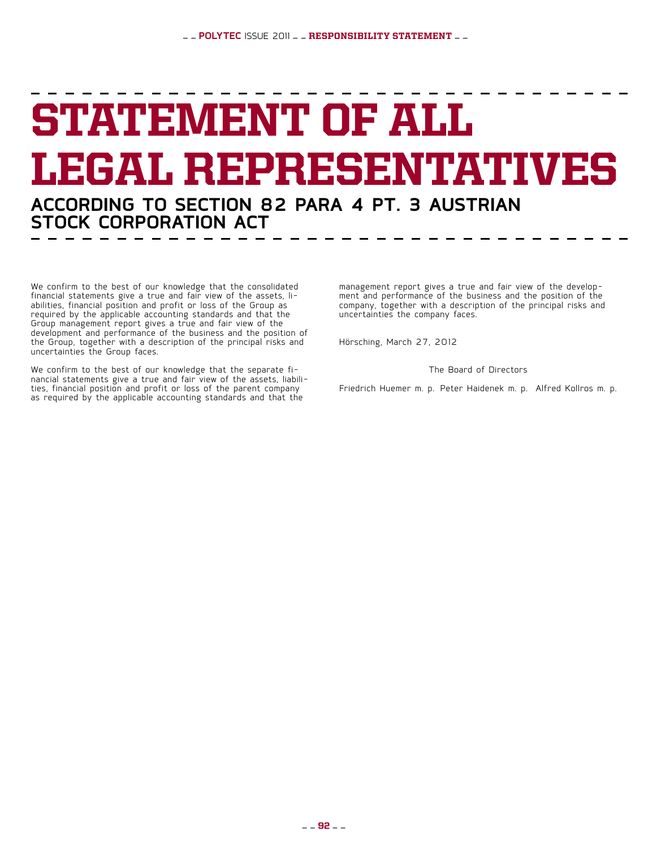## STATEMENT OF ALL Legal Representatives **according to section 82 para 4 pt. 3 Austrian**

We confirm to the best of our knowledge that the consolidated financial statements give a true and fair view of the assets, li- abilities, financial position and profit or loss of the Group as required by the applicable accounting standards and that the Group management report gives a true and fair view of the development and performance of the business and the position of the Group, together with a description of the principal risks and uncertainties the Group faces.

**Stock Corporation Act**

We confirm to the best of our knowledge that the separate fi-<br>nancial statements give a true and fair view of the assets, liabili-<br>ties, financial position and profit or loss of the parent company as required by the applicable accounting standards and that the

management report gives a true and fair view of the develop- ment and performance of the business and the position of the company, together with a description of the principal risks and uncertainties the company faces.

Hörsching, March 27, 2012

The Board of Directors

Friedrich Huemer m. p. Peter Haidenek m. p. Alfred Kollros m. p.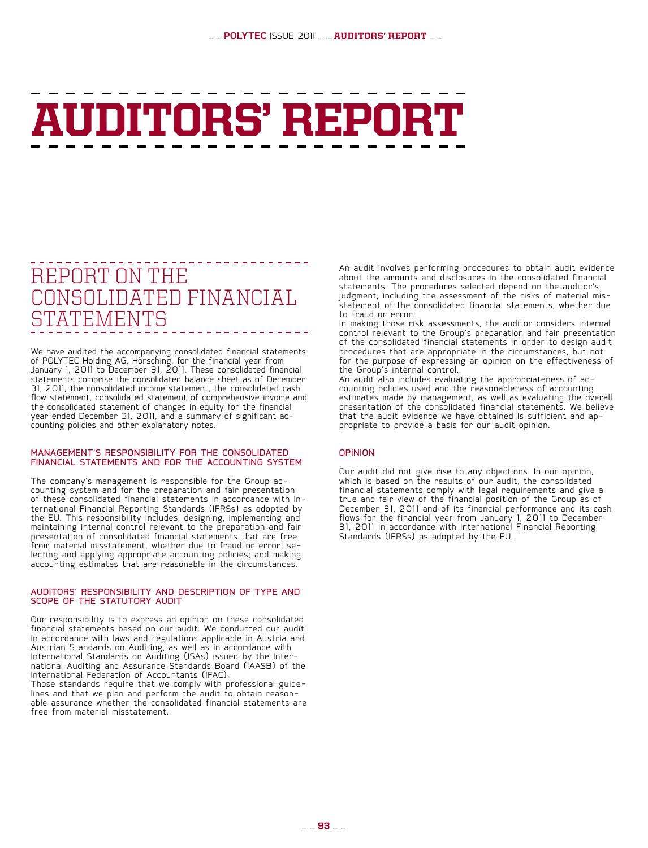# Auditors' Report

### Report on the Consolidated Financial ATEMENTS

We have audited the accompanying consolidated financial statements of POLYTEC Holding AG, Hörsching, for the financial year from January 1, 2011 to December 31, 2011. These consolidated financial statements comprise the consolidated balance sheet as of December 31, 2011, the consolidated income statement, the consolidated cash flow statement, consolidated statement of comprehensive invome and the consolidated statement of changes in equity for the financial year ended December 31, 2011, and a summary of significant ac- counting policies and other explanatory notes.

#### Management's Responsibility for the Consolidated FINANCIAL STATEMENTS AND FOR THE ACCOUNTING SYSTEM

The company's management is responsible for the Group ac-<br>counting system and for the preparation and fair presentation<br>of these consolidated financial statements in accordance with Inof these consolidated financial statements in accordance with In- ternational Financial Reporting Standards (IFRSs) as adopted by the EU. This responsibility includes: designing, implementing and maintaining internal control relevant to the preparation and fair presentation of consolidated financial statements that are free<br>from material misstatement, whether due to fraud or error; selecting and applying appropriate accounting policies; and making accounting estimates that are reasonable in the circumstances.

#### Auditors' Responsibility and Description of Type and SCOPE OF THE STATUTORY AUDIT

Our responsibility is to express an opinion on these consolidated financial statements based on our audit. We conducted our audit in accordance with laws and regulations applicable in Austria and Austrian Standards on Auditing, as well as in accordance with International Standards on Auditing (ISAs) issued by the Inter-<br>national Auditing and Assurance Standards Board (IAASB) of the International Federation of Accountants (IFAC).

Those standards require that we comply with professional guide- lines and that we plan and perform the audit to obtain reason- able assurance whether the consolidated financial statements are free from material misstatement.

An audit involves performing procedures to obtain audit evidence about the amounts and disclosures in the consolidated financial statements. The procedures selected depend on the auditor's judgment, including the assessment of the risks of material mis- statement of the consolidated financial statements, whether due to fraud or error.

In making those risk assessments, the auditor considers internal control relevant to the Group's preparation and fair presentation of the consolidated financial statements in order to design audit procedures that are appropriate in the circumstances, but not for the purpose of expressing an opinion on the effectiveness of the Group's internal control.

An audit also includes evaluating the appropriateness of ac- counting policies used and the reasonableness of accounting estimates made by management, as well as evaluating the overall presentation of the consolidated financial statements. We believe that the audit evidence we have obtained is sufficient and ap- propriate to provide a basis for our audit opinion.

#### **OPINION**

Our audit did not give rise to any objections. In our opinion, which is based on the results of our audit, the consolidated financial statements comply with legal requirements and give a true and fair view of the financial position of the Group as of December 31, 2011 and of its financial performance and its cash flows for the financial year from January 1, 2011 to December 31, 2011 in accordance with International Financial Reporting Standards (IFRSs) as adopted by the EU.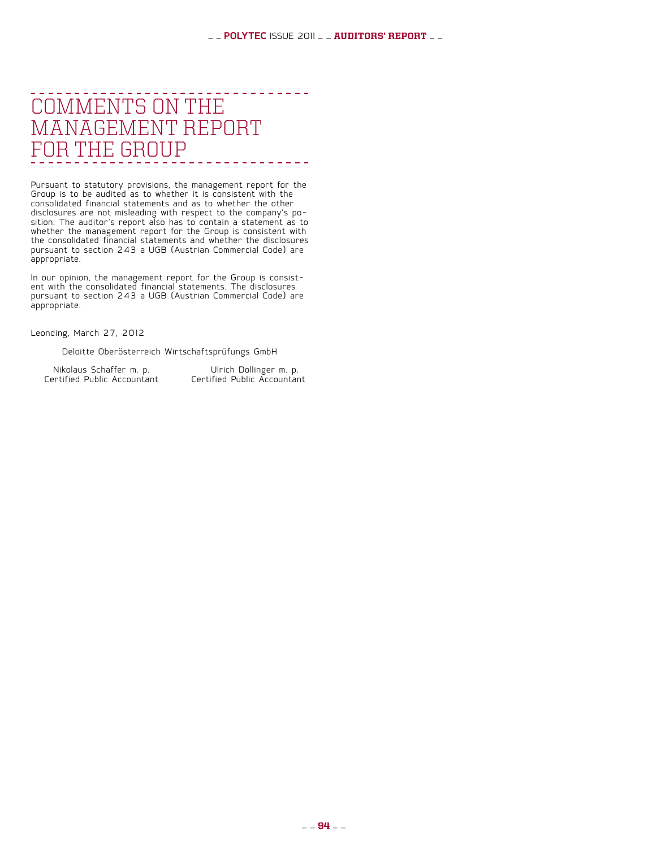#### --------Comments on the Management Report for the Group  $\begin{array}{cccccccccccccc} \bot & \bot & \bot & \bot & \bot & \bot & \bot \end{array}$

Pursuant to statutory provisions, the management report for the Group is to be audited as to whether it is consistent with the consolidated financial statements and as to whether the other disclosures are not misleading with respect to the company's po- sition. The auditor's report also has to contain a statement as to whether the management report for the Group is consistent with the consolidated financial statements and whether the disclosures pursuant to section 243 a UGB (Austrian Commercial Code) are appropriate.

In our opinion, the management report for the Group is consist- ent with the consolidated financial statements. The disclosures pursuant to section 243 a UGB (Austrian Commercial Code) are appropriate.

Leonding, March 27, 2012

Deloitte Oberösterreich Wirtschaftsprüfungs GmbH

Nikolaus Schaffer m. p. Ulrich Dollinger m. p. Certified Public Accountant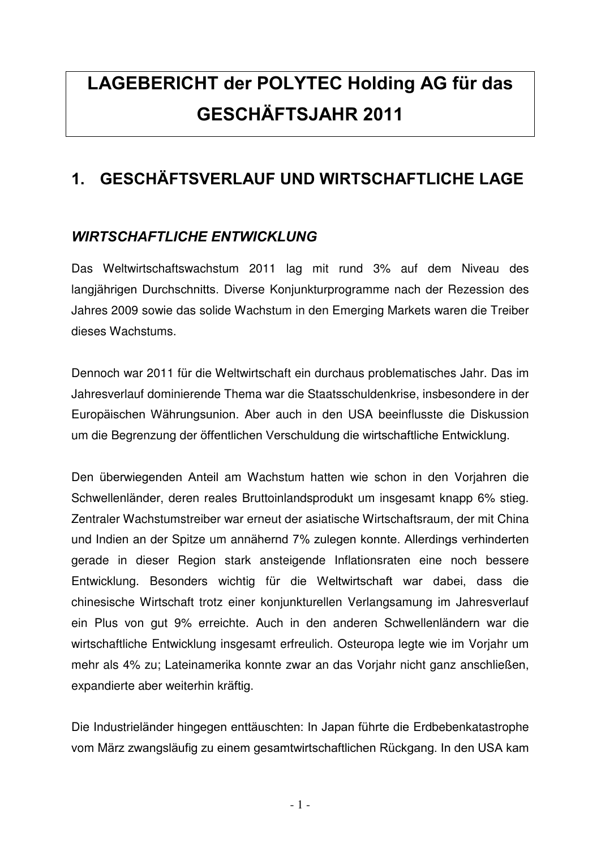## **LAGEBERICHT der POLYTEC Holding AG für das ΓΕΣΧΗ⊗ΦΤΣϑΑΗΡ 2011**

#### **1. GESCHÄFTSVERLAUF UND WIRTSCHAFTLICHE LAGE**

#### **WIRTSCHAFTLICHE ENTWICKLUNG**

Das Weltwirtschaftswachstum 2011 lag mit rund 3% auf dem Niveau des langjährigen Durchschnitts. Diverse Konjunkturprogramme nach der Rezession des Jahres 2009 sowie das solide Wachstum in den Emerging Markets waren die Treiber dieses Wachstums.

Dennoch war 2011 für die Weltwirtschaft ein durchaus problematisches Jahr. Das im Jahresverlauf dominierende Thema war die Staatsschuldenkrise, insbesondere in der Europäischen Währungsunion. Aber auch in den USA beeinflusste die Diskussion um die Begrenzung der öffentlichen Verschuldung die wirtschaftliche Entwicklung.

Den überwiegenden Anteil am Wachstum hatten wie schon in den Vorjahren die Schwellenländer, deren reales Bruttoinlandsprodukt um insgesamt knapp 6% stieg. Zentraler Wachstumstreiber war erneut der asiatische Wirtschaftsraum, der mit China und Indien an der Spitze um annähernd 7% zulegen konnte. Allerdings verhinderten gerade in dieser Region stark ansteigende Inflationsraten eine noch bessere Entwicklung. Besonders wichtig für die Weltwirtschaft war dabei, dass die chinesische Wirtschaft trotz einer konjunkturellen Verlangsamung im Jahresverlauf ein Plus von gut 9% erreichte. Auch in den anderen Schwellenländern war die wirtschaftliche Entwicklung insgesamt erfreulich. Osteuropa legte wie im Vorjahr um mehr als 4% zu; Lateinamerika konnte zwar an das Vorjahr nicht ganz anschließen, expandierte aber weiterhin kräftig.

Die Industrieländer hingegen enttäuschten: In Japan führte die Erdbebenkatastrophe vom März zwangsläufig zu einem gesamtwirtschaftlichen Rückgang. In den USA kam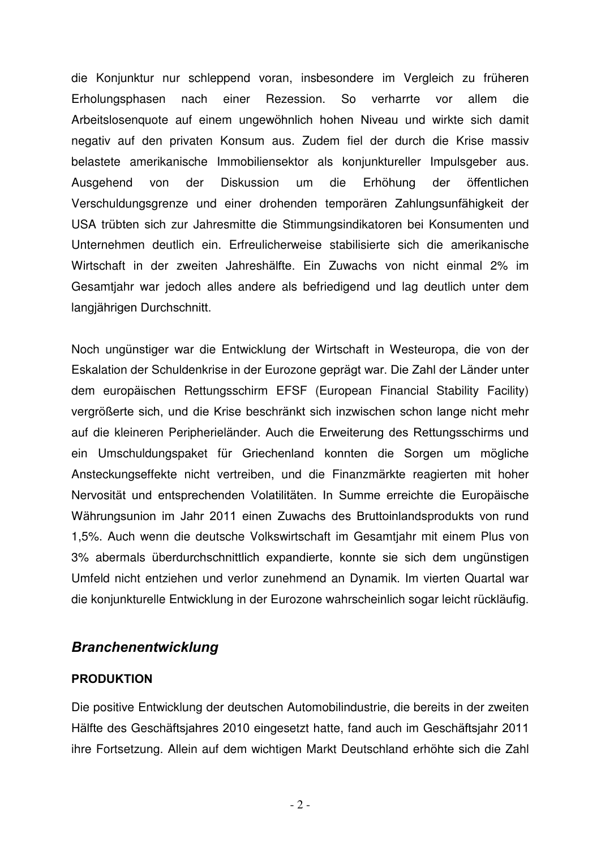die Konjunktur nur schleppend voran, insbesondere im Vergleich zu früheren Erholungsphasen nach einer Rezession. So verharrte vor allem die Arbeitslosenquote auf einem ungewöhnlich hohen Niveau und wirkte sich damit negativ auf den privaten Konsum aus. Zudem fiel der durch die Krise massiv belastete amerikanische Immobiliensektor als konjunktureller Impulsgeber aus. Ausgehend von der Diskussion um die Erhöhung der öffentlichen Verschuldungsgrenze und einer drohenden temporären Zahlungsunfähigkeit der USA trübten sich zur Jahresmitte die Stimmungsindikatoren bei Konsumenten und Unternehmen deutlich ein. Erfreulicherweise stabilisierte sich die amerikanische Wirtschaft in der zweiten Jahreshälfte. Ein Zuwachs von nicht einmal 2% im Gesamtjahr war jedoch alles andere als befriedigend und lag deutlich unter dem langjährigen Durchschnitt.

Noch ungünstiger war die Entwicklung der Wirtschaft in Westeuropa, die von der Eskalation der Schuldenkrise in der Eurozone geprägt war. Die Zahl der Länder unter dem europäischen Rettungsschirm EFSF (European Financial Stability Facility) vergrößerte sich, und die Krise beschränkt sich inzwischen schon lange nicht mehr auf die kleineren Peripherieländer. Auch die Erweiterung des Rettungsschirms und ein Umschuldungspaket für Griechenland konnten die Sorgen um mögliche Ansteckungseffekte nicht vertreiben, und die Finanzmärkte reagierten mit hoher Nervosität und entsprechenden Volatilitäten. In Summe erreichte die Europäische Währungsunion im Jahr 2011 einen Zuwachs des Bruttoinlandsprodukts von rund 1,5%. Auch wenn die deutsche Volkswirtschaft im Gesamtjahr mit einem Plus von 3% abermals überdurchschnittlich expandierte, konnte sie sich dem ungünstigen Umfeld nicht entziehen und verlor zunehmend an Dynamik. Im vierten Quartal war die konjunkturelle Entwicklung in der Eurozone wahrscheinlich sogar leicht rückläufig.

#### **Branchenentwicklung**

#### **PRODUKTION**

Die positive Entwicklung der deutschen Automobilindustrie, die bereits in der zweiten Hälfte des Geschäftsjahres 2010 eingesetzt hatte, fand auch im Geschäftsjahr 2011 ihre Fortsetzung. Allein auf dem wichtigen Markt Deutschland erhöhte sich die Zahl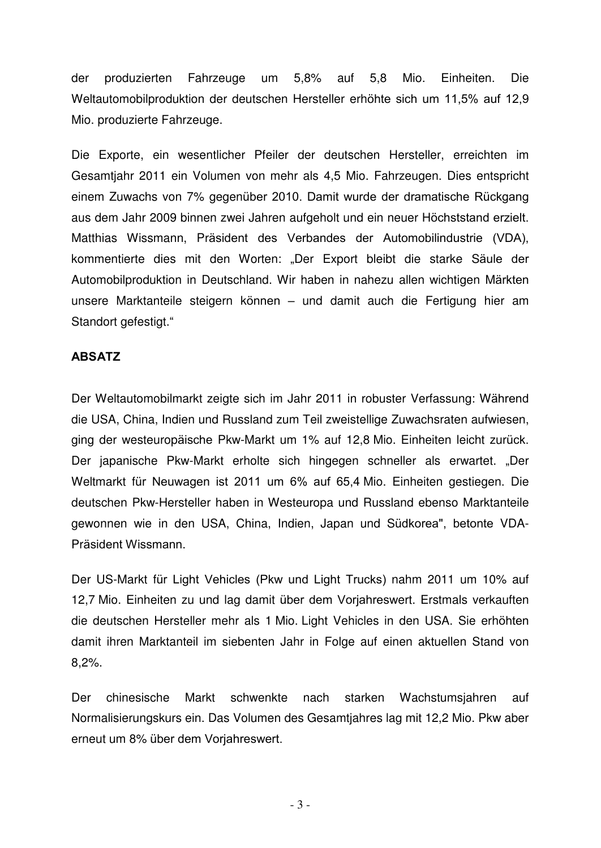der produzierten Fahrzeuge um 5,8% auf 5,8 Mio. Einheiten. Die Weltautomobilproduktion der deutschen Hersteller erhöhte sich um 11,5% auf 12,9 Mio. produzierte Fahrzeuge.

Die Exporte, ein wesentlicher Pfeiler der deutschen Hersteller, erreichten im Gesamtjahr 2011 ein Volumen von mehr als 4,5 Mio. Fahrzeugen. Dies entspricht einem Zuwachs von 7% gegenüber 2010. Damit wurde der dramatische Rückgang aus dem Jahr 2009 binnen zwei Jahren aufgeholt und ein neuer Höchststand erzielt. Matthias Wissmann, Präsident des Verbandes der Automobilindustrie (VDA), kommentierte dies mit den Worten: "Der Export bleibt die starke Säule der Automobilproduktion in Deutschland. Wir haben in nahezu allen wichtigen Märkten unsere Marktanteile steigern können – und damit auch die Fertigung hier am Standort gefestigt."

#### **ΑΒΣΑΤΖ**

Der Weltautomobilmarkt zeigte sich im Jahr 2011 in robuster Verfassung: Während die USA, China, Indien und Russland zum Teil zweistellige Zuwachsraten aufwiesen, ging der westeuropäische Pkw-Markt um 1% auf 12,8 Mio. Einheiten leicht zurück. Der japanische Pkw-Markt erholte sich hingegen schneller als erwartet. "Der Weltmarkt für Neuwagen ist 2011 um 6% auf 65,4 Mio. Einheiten gestiegen. Die deutschen Pkw-Hersteller haben in Westeuropa und Russland ebenso Marktanteile gewonnen wie in den USA, China, Indien, Japan und Südkorea", betonte VDA-Präsident Wissmann.

Der US-Markt für Light Vehicles (Pkw und Light Trucks) nahm 2011 um 10% auf 12,7 Mio. Einheiten zu und lag damit über dem Vorjahreswert. Erstmals verkauften die deutschen Hersteller mehr als 1 Mio. Light Vehicles in den USA. Sie erhöhten damit ihren Marktanteil im siebenten Jahr in Folge auf einen aktuellen Stand von 8,2%.

Der chinesische Markt schwenkte nach starken Wachstumsjahren auf Normalisierungskurs ein. Das Volumen des Gesamtjahres lag mit 12,2 Mio. Pkw aber erneut um 8% über dem Vorjahreswert.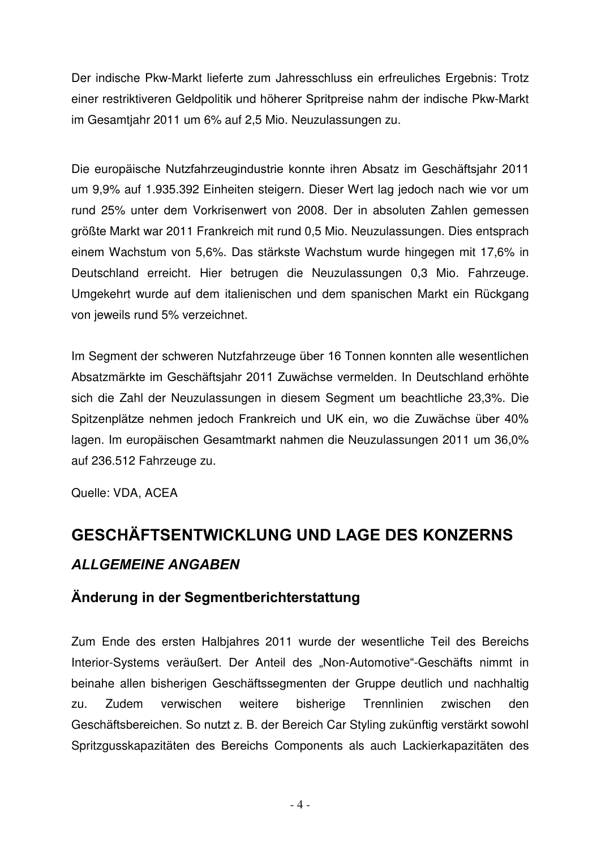Der indische Pkw-Markt lieferte zum Jahresschluss ein erfreuliches Ergebnis: Trotz einer restriktiveren Geldpolitik und höherer Spritpreise nahm der indische Pkw-Markt im Gesamtjahr 2011 um 6% auf 2,5 Mio. Neuzulassungen zu.

Die europäische Nutzfahrzeugindustrie konnte ihren Absatz im Geschäftsjahr 2011 um 9,9% auf 1.935.392 Einheiten steigern. Dieser Wert lag jedoch nach wie vor um rund 25% unter dem Vorkrisenwert von 2008. Der in absoluten Zahlen gemessen größte Markt war 2011 Frankreich mit rund 0,5 Mio. Neuzulassungen. Dies entsprach einem Wachstum von 5,6%. Das stärkste Wachstum wurde hingegen mit 17,6% in Deutschland erreicht. Hier betrugen die Neuzulassungen 0,3 Mio. Fahrzeuge. Umgekehrt wurde auf dem italienischen und dem spanischen Markt ein Rückgang von jeweils rund 5% verzeichnet.

Im Segment der schweren Nutzfahrzeuge über 16 Tonnen konnten alle wesentlichen Absatzmärkte im Geschäftsjahr 2011 Zuwächse vermelden. In Deutschland erhöhte sich die Zahl der Neuzulassungen in diesem Segment um beachtliche 23,3%. Die Spitzenplätze nehmen jedoch Frankreich und UK ein, wo die Zuwächse über 40% lagen. Im europäischen Gesamtmarkt nahmen die Neuzulassungen 2011 um 36,0% auf 236.512 Fahrzeuge zu.

Quelle: VDA, ACEA

## **GESCHÄFTSENTWICKLUNG UND LAGE DES KONZERNS ΑLLGEMEINE ANGABEN**

#### Änderung in der Segmentberichterstattung

Zum Ende des ersten Halbjahres 2011 wurde der wesentliche Teil des Bereichs Interior-Systems veräußert. Der Anteil des "Non-Automotive"-Geschäfts nimmt in beinahe allen bisherigen Geschäftssegmenten der Gruppe deutlich und nachhaltig zu. Zudem verwischen weitere bisherige Trennlinien zwischen den Geschäftsbereichen. So nutzt z. B. der Bereich Car Styling zukünftig verstärkt sowohl Spritzgusskapazitäten des Bereichs Components als auch Lackierkapazitäten des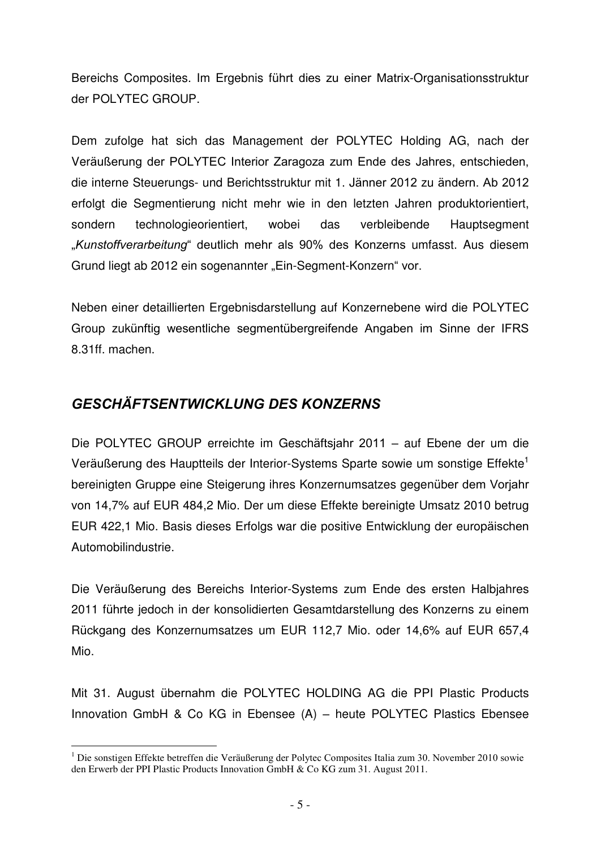Bereichs Composites. Im Ergebnis führt dies zu einer Matrix-Organisationsstruktur der POLYTEC GROUP.

Dem zufolge hat sich das Management der POLYTEC Holding AG, nach der Veräußerung der POLYTEC Interior Zaragoza zum Ende des Jahres, entschieden, die interne Steuerungs- und Berichtsstruktur mit 1. Jänner 2012 zu ändern. Ab 2012 erfolgt die Segmentierung nicht mehr wie in den letzten Jahren produktorientiert, sondern technologieorientiert, wobei das verbleibende Hauptsegment "Kunstoffverarbeitung" deutlich mehr als 90% des Konzerns umfasst. Aus diesem Grund liegt ab 2012 ein sogenannter "Ein-Segment-Konzern" vor.

Neben einer detaillierten Ergebnisdarstellung auf Konzernebene wird die POLYTEC Group zukünftig wesentliche segmentübergreifende Angaben im Sinne der IFRS 8.31ff. machen.

#### **GESCHÄFTSENTWICKLUNG DES KONZERNS**

 $\overline{a}$ 

Die POLYTEC GROUP erreichte im Geschäftsjahr 2011 – auf Ebene der um die Veräußerung des Hauptteils der Interior-Systems Sparte sowie um sonstige Effekte<sup>1</sup> bereinigten Gruppe eine Steigerung ihres Konzernumsatzes gegenüber dem Vorjahr von 14,7% auf EUR 484,2 Mio. Der um diese Effekte bereinigte Umsatz 2010 betrug EUR 422,1 Mio. Basis dieses Erfolgs war die positive Entwicklung der europäischen Automobilindustrie.

Die Veräußerung des Bereichs Interior-Systems zum Ende des ersten Halbjahres 2011 führte jedoch in der konsolidierten Gesamtdarstellung des Konzerns zu einem Rückgang des Konzernumsatzes um EUR 112,7 Mio. oder 14,6% auf EUR 657,4 Mio.

Mit 31. August übernahm die POLYTEC HOLDING AG die PPI Plastic Products Innovation GmbH & Co KG in Ebensee (A) - heute POLYTEC Plastics Ebensee

<sup>&</sup>lt;sup>1</sup> Die sonstigen Effekte betreffen die Veräußerung der Polytec Composites Italia zum 30. November 2010 sowie den Erwerb der PPI Plastic Products Innovation GmbH & Co KG zum 31. August 2011.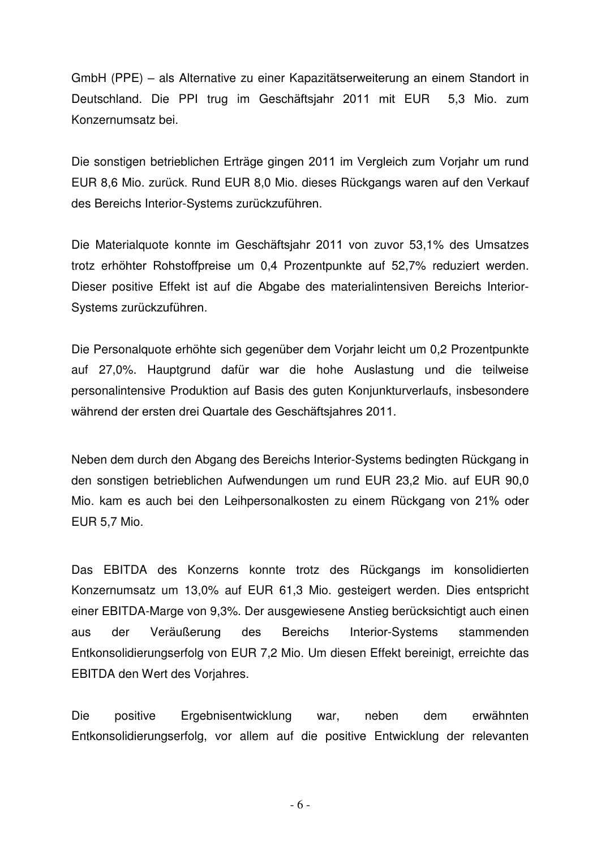GmbH (PPE) – als Alternative zu einer Kapazitätserweiterung an einem Standort in Deutschland. Die PPI trug im Geschäftsjahr 2011 mit EUR 5,3 Mio. zum Konzernumsatz bei.

Die sonstigen betrieblichen Erträge gingen 2011 im Vergleich zum Voriahr um rund EUR 8.6 Mio. zurück. Rund EUR 8.0 Mio. dieses Rückgangs waren auf den Verkauf des Bereichs Interior-Systems zurückzuführen.

Die Materialquote konnte im Geschäftsjahr 2011 von zuvor 53,1% des Umsatzes trotz erhöhter Rohstoffpreise um 0,4 Prozentpunkte auf 52,7% reduziert werden. Dieser positive Effekt ist auf die Abgabe des materialintensiven Bereichs Interior-Systems zurückzuführen.

Die Personalquote erhöhte sich gegenüber dem Vorjahr leicht um 0,2 Prozentpunkte auf 27,0%. Hauptgrund dafür war die hohe Auslastung und die teilweise personalintensive Produktion auf Basis des guten Konjunkturverlaufs, insbesondere während der ersten drei Quartale des Geschäftsjahres 2011.

Neben dem durch den Abgang des Bereichs Interior-Systems bedingten Rückgang in den sonstigen betrieblichen Aufwendungen um rund EUR 23,2 Mio. auf EUR 90,0 Mio. kam es auch bei den Leihpersonalkosten zu einem Rückgang von 21% oder EUR 5,7 Mio.

Das EBITDA des Konzerns konnte trotz des Rückgangs im konsolidierten Konzernumsatz um 13,0% auf EUR 61,3 Mio. gesteigert werden. Dies entspricht einer EBITDA-Marge von 9,3%. Der ausgewiesene Anstieg berücksichtigt auch einen aus der Veräußerung des Bereichs Interior-Systems stammenden Entkonsolidierungserfolg von EUR 7,2 Mio. Um diesen Effekt bereinigt, erreichte das EBITDA den Wert des Vorjahres.

Die positive Ergebnisentwicklung war, neben dem erwähnten Entkonsolidierungserfolg, vor allem auf die positive Entwicklung der relevanten

- 6 -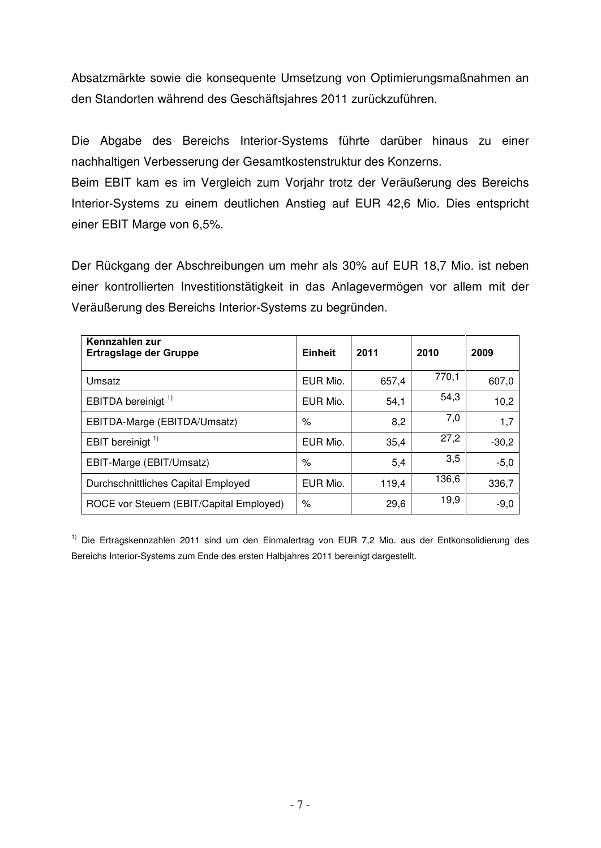Absatzmärkte sowie die konsequente Umsetzung von Optimierungsmaßnahmen an den Standorten während des Geschäftsjahres 2011 zurückzuführen.

Die Abgabe des Bereichs Interior-Systems führte darüber hinaus zu einer nachhaltigen Verbesserung der Gesamtkostenstruktur des Konzerns.

Beim EBIT kam es im Vergleich zum Vorjahr trotz der Veräußerung des Bereichs Interior-Systems zu einem deutlichen Anstieg auf EUR 42,6 Mio. Dies entspricht einer EBIT Marge von 6,5%.

Der Rückgang der Abschreibungen um mehr als 30% auf EUR 18,7 Mio. ist neben einer kontrollierten Investitionstätigkeit in das Anlagevermögen vor allem mit der Veräußerung des Bereichs Interior-Systems zu begründen.

| Kennzahlen zur<br><b>Ertragslage der Gruppe</b> | <b>Einheit</b> | 2011  | 2010  | 2009    |
|-------------------------------------------------|----------------|-------|-------|---------|
| Umsatz                                          | EUR Mio.       | 657,4 | 770,1 | 607,0   |
| EBITDA bereinigt <sup>1)</sup>                  | EUR Mio.       | 54,1  | 54,3  | 10,2    |
| EBITDA-Marge (EBITDA/Umsatz)                    | $\%$           | 8,2   | 7,0   | 1,7     |
| EBIT bereinigt <sup>1)</sup>                    | EUR Mio.       | 35,4  | 27,2  | $-30,2$ |
| EBIT-Marge (EBIT/Umsatz)                        | $\%$           | 5,4   | 3,5   | $-5,0$  |
| Durchschnittliches Capital Employed             | EUR Mio.       | 119,4 | 136,6 | 336,7   |
| ROCE vor Steuern (EBIT/Capital Employed)        | $\%$           | 29,6  | 19,9  | $-9,0$  |

<sup>1)</sup> Die Ertragskennzahlen 2011 sind um den Einmalertrag von EUR 7,2 Mio. aus der Entkonsolidierung des Bereichs Interior-Systems zum Ende des ersten Halbjahres 2011 bereinigt dargestellt.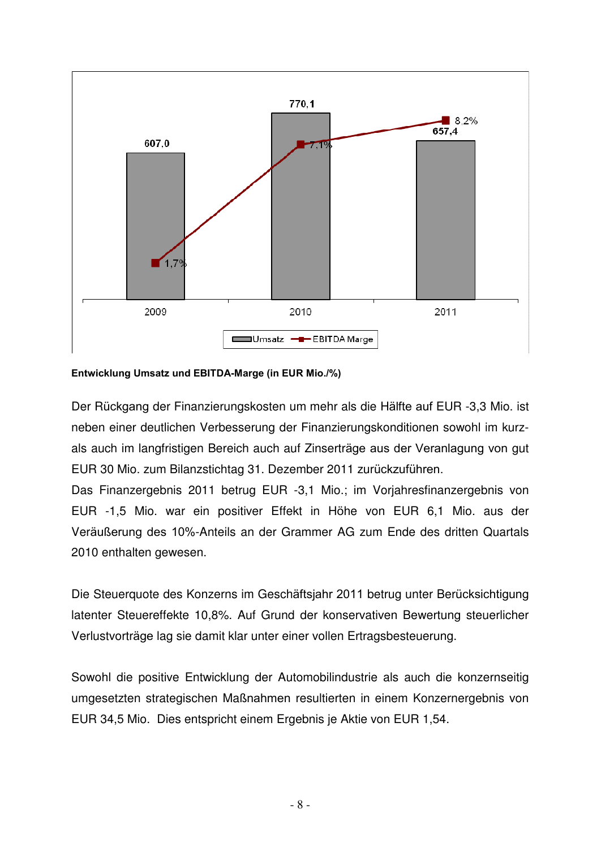

#### **Entwicklung Umsatz und EBITDA-Marge (in EUR Mio./%)**

Der Rückgang der Finanzierungskosten um mehr als die Hälfte auf EUR -3,3 Mio. ist neben einer deutlichen Verbesserung der Finanzierungskonditionen sowohl im kurzals auch im langfristigen Bereich auch auf Zinserträge aus der Veranlagung von gut EUR 30 Mio. zum Bilanzstichtag 31. Dezember 2011 zurückzuführen.

Das Finanzergebnis 2011 betrug EUR -3,1 Mio.; im Vorjahresfinanzergebnis von EUR -1,5 Mio. war ein positiver Effekt in Höhe von EUR 6,1 Mio. aus der Veräußerung des 10%-Anteils an der Grammer AG zum Ende des dritten Quartals 2010 enthalten gewesen.

Die Steuerquote des Konzerns im Geschäftsjahr 2011 betrug unter Berücksichtigung latenter Steuereffekte 10,8%. Auf Grund der konservativen Bewertung steuerlicher Verlustvorträge lag sie damit klar unter einer vollen Ertragsbesteuerung.

Sowohl die positive Entwicklung der Automobilindustrie als auch die konzernseitig umgesetzten strategischen Maßnahmen resultierten in einem Konzernergebnis von EUR 34,5 Mio. Dies entspricht einem Ergebnis je Aktie von EUR 1,54.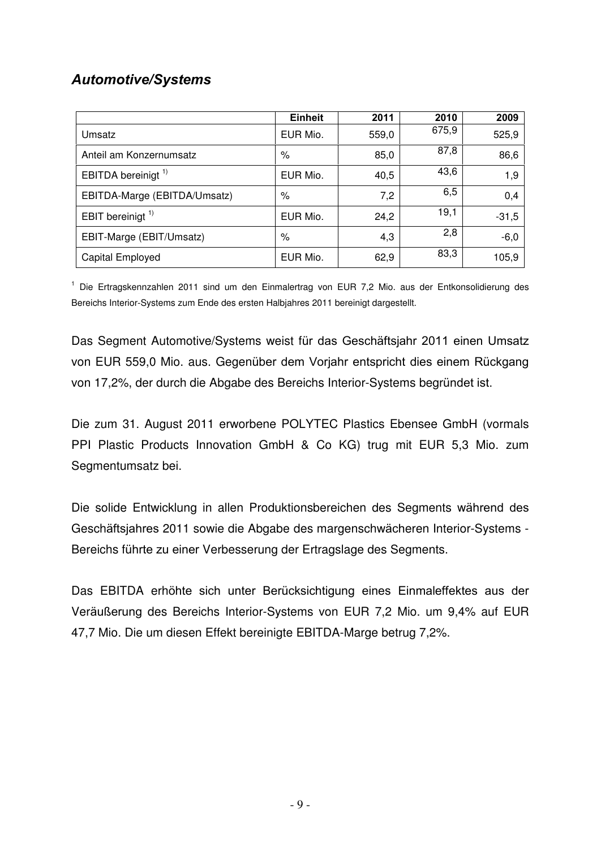#### **Automotive/Systems**

|                                | <b>Einheit</b> | 2011  | 2010  | 2009    |
|--------------------------------|----------------|-------|-------|---------|
| Umsatz                         | EUR Mio.       | 559,0 | 675,9 | 525,9   |
| Anteil am Konzernumsatz        | %              | 85,0  | 87,8  | 86,6    |
| EBITDA bereinigt <sup>1)</sup> | EUR Mio.       | 40,5  | 43,6  | 1,9     |
| EBITDA-Marge (EBITDA/Umsatz)   | %              | 7,2   | 6,5   | 0,4     |
| EBIT bereinigt <sup>1)</sup>   | EUR Mio.       | 24,2  | 19,1  | $-31,5$ |
| EBIT-Marge (EBIT/Umsatz)       | %              | 4,3   | 2,8   | $-6,0$  |
| Capital Employed               | EUR Mio.       | 62,9  | 83,3  | 105,9   |

<sup>1</sup> Die Ertragskennzahlen 2011 sind um den Einmalertrag von EUR 7,2 Mio. aus der Entkonsolidierung des Bereichs Interior-Systems zum Ende des ersten Halbjahres 2011 bereinigt dargestellt.

Das Segment Automotive/Systems weist für das Geschäftsjahr 2011 einen Umsatz von EUR 559,0 Mio. aus. Gegenüber dem Vorjahr entspricht dies einem Rückgang von 17,2%, der durch die Abgabe des Bereichs Interior-Systems begründet ist.

Die zum 31. August 2011 erworbene POLYTEC Plastics Ebensee GmbH (vormals PPI Plastic Products Innovation GmbH & Co KG) trug mit EUR 5,3 Mio. zum Segmentumsatz bei.

Die solide Entwicklung in allen Produktionsbereichen des Segments während des Geschäftsjahres 2011 sowie die Abgabe des margenschwächeren Interior-Systems -Bereichs führte zu einer Verbesserung der Ertragslage des Segments.

Das EBITDA erhöhte sich unter Berücksichtigung eines Einmaleffektes aus der Veräußerung des Bereichs Interior-Systems von EUR 7,2 Mio. um 9,4% auf EUR 47,7 Mio. Die um diesen Effekt bereinigte EBITDA-Marge betrug 7,2%.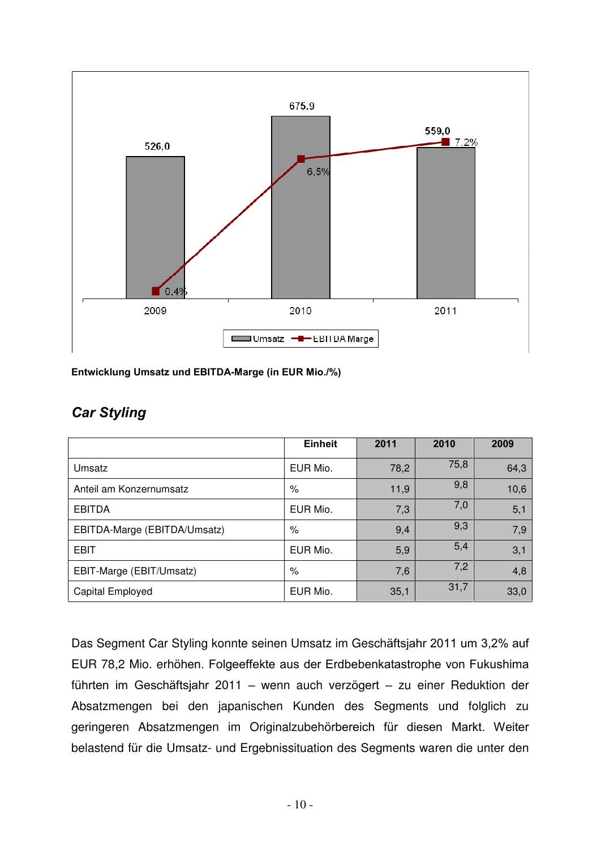

**Entwicklung Umsatz und EBITDA-Marge (in EUR Mio./%)** 

|                              | <b>Einheit</b> | 2011 | 2010 | 2009 |
|------------------------------|----------------|------|------|------|
| Umsatz                       | EUR Mio.       | 78,2 | 75,8 | 64,3 |
| Anteil am Konzernumsatz      | %              | 11,9 | 9,8  | 10,6 |
| <b>EBITDA</b>                | EUR Mio.       | 7,3  | 7,0  | 5,1  |
| EBITDA-Marge (EBITDA/Umsatz) | $\%$           | 9,4  | 9,3  | 7,9  |
| <b>EBIT</b>                  | EUR Mio.       | 5,9  | 5,4  | 3,1  |
| EBIT-Marge (EBIT/Umsatz)     | %              | 7,6  | 7,2  | 4,8  |
| Capital Employed             | EUR Mio.       | 35,1 | 31,7 | 33,0 |

#### **Car Styling**

Das Segment Car Styling konnte seinen Umsatz im Geschäftsjahr 2011 um 3,2% auf EUR 78,2 Mio. erhöhen. Folgeeffekte aus der Erdbebenkatastrophe von Fukushima führten im Geschäftsjahr 2011 – wenn auch verzögert – zu einer Reduktion der Absatzmengen bei den japanischen Kunden des Segments und folglich zu geringeren Absatzmengen im Originalzubehörbereich für diesen Markt. Weiter belastend für die Umsatz- und Ergebnissituation des Segments waren die unter den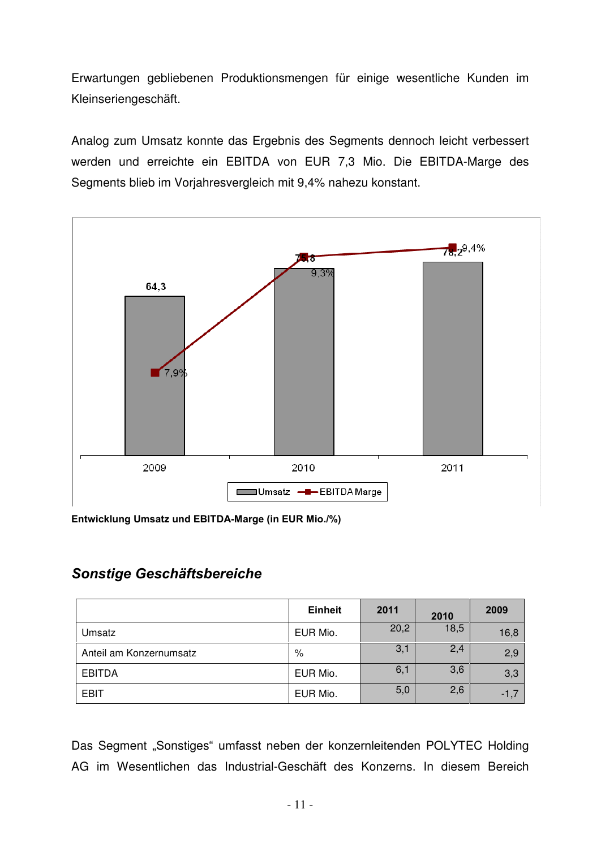Erwartungen gebliebenen Produktionsmengen für einige wesentliche Kunden im Kleinseriengeschäft.

Analog zum Umsatz konnte das Ergebnis des Segments dennoch leicht verbessert werden und erreichte ein EBITDA von EUR 7,3 Mio. Die EBITDA-Marge des Segments blieb im Vorjahresvergleich mit 9,4% nahezu konstant.



**Entwicklung Umsatz und EBITDA-Marge (in EUR Mio./%)** 

#### **Sonstige Geschäftsbereiche**

|                         | <b>Einheit</b> | 2011 | 2010 | 2009   |
|-------------------------|----------------|------|------|--------|
| Umsatz                  | EUR Mio.       | 20,2 | 18,5 | 16,8   |
| Anteil am Konzernumsatz | %              | 3,1  | 2,4  | 2,9    |
| <b>EBITDA</b>           | EUR Mio.       | 6,1  | 3,6  | 3,3    |
| EBIT                    | EUR Mio.       | 5,0  | 2,6  | $-1,7$ |

Das Segment "Sonstiges" umfasst neben der konzernleitenden POLYTEC Holding AG im Wesentlichen das Industrial-Geschäft des Konzerns. In diesem Bereich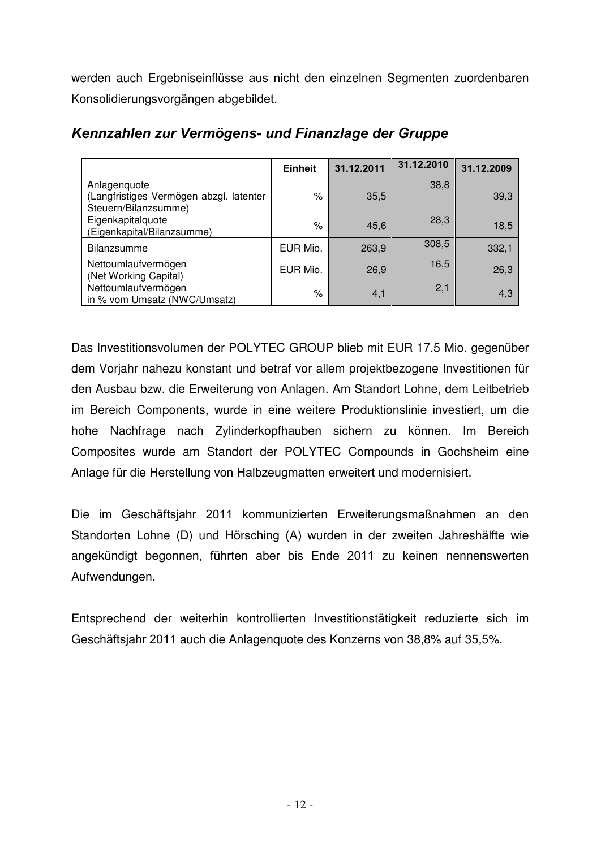werden auch Ergebniseinflüsse aus nicht den einzelnen Segmenten zuordenbaren Konsolidierungsvorgängen abgebildet.

|                                                                 | <b>Einheit</b>     | 31.12.2011 | 31.12.2010 | 31.12.2009 |
|-----------------------------------------------------------------|--------------------|------------|------------|------------|
| Anlagenquote                                                    |                    |            | 38,8       |            |
| (Langfristiges Vermögen abzgl. latenter<br>Steuern/Bilanzsumme) | $\frac{1}{\alpha}$ | 35,5       |            | 39,3       |
| Eigenkapitalquote<br>(Eigenkapital/Bilanzsumme)                 | $\frac{1}{\alpha}$ | 45,6       | 28,3       | 18,5       |
| <b>Bilanzsumme</b>                                              | EUR Mio.           | 263,9      | 308,5      | 332,1      |
| Nettoumlaufvermögen<br>(Net Working Capital)                    | EUR Mio.           | 26,9       | 16,5       | 26,3       |
| Nettoumlaufvermögen<br>in % vom Umsatz (NWC/Umsatz)             | $\%$               | 4,1        | 2,1        | 4,3        |

#### Kennzahlen zur Vermögens- und Finanzlage der Gruppe

Das Investitionsvolumen der POLYTEC GROUP blieb mit EUR 17,5 Mio. gegenüber dem Vorjahr nahezu konstant und betraf vor allem projektbezogene Investitionen für den Ausbau bzw. die Erweiterung von Anlagen. Am Standort Lohne, dem Leitbetrieb im Bereich Components, wurde in eine weitere Produktionslinie investiert, um die hohe Nachfrage nach Zylinderkopfhauben sichern zu können. Im Bereich Composites wurde am Standort der POLYTEC Compounds in Gochsheim eine Anlage für die Herstellung von Halbzeugmatten erweitert und modernisiert.

Die im Geschäftsjahr 2011 kommunizierten Erweiterungsmaßnahmen an den Standorten Lohne (D) und Hörsching (A) wurden in der zweiten Jahreshälfte wie angekündigt begonnen, führten aber bis Ende 2011 zu keinen nennenswerten Aufwendungen.

Entsprechend der weiterhin kontrollierten Investitionstätigkeit reduzierte sich im Geschäftsjahr 2011 auch die Anlagenquote des Konzerns von 38,8% auf 35,5%.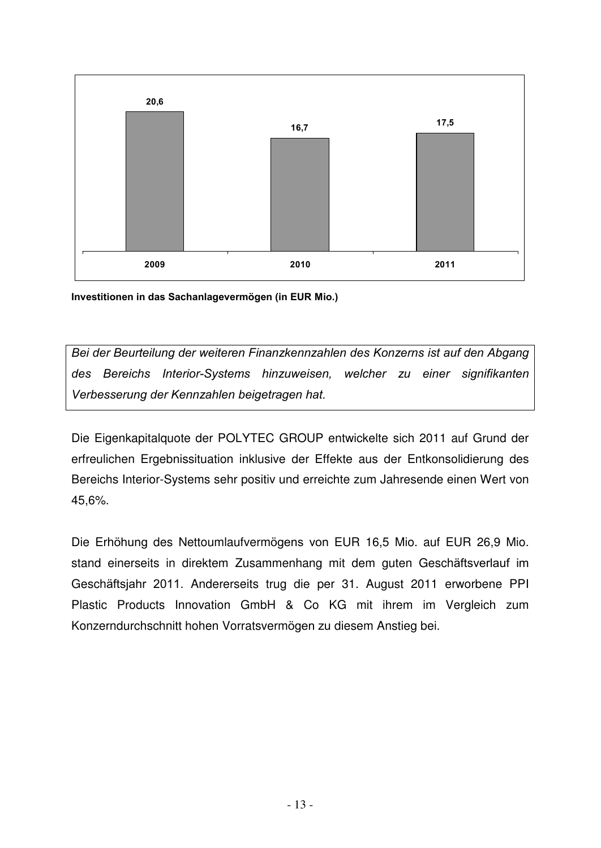

**Investitionen in das Sachanlagevermögen (in EUR Mio.)** 

Bei der Beurteilung der weiteren Finanzkennzahlen des Konzerns ist auf den Abgang des Bereichs Interior-Systems hinzuweisen, welcher zu einer signifikanten Verbesserung der Kennzahlen beigetragen hat.

Die Eigenkapitalquote der POLYTEC GROUP entwickelte sich 2011 auf Grund der erfreulichen Ergebnissituation inklusive der Effekte aus der Entkonsolidierung des Bereichs Interior-Systems sehr positiv und erreichte zum Jahresende einen Wert von 45,6%.

Die Erhöhung des Nettoumlaufvermögens von EUR 16,5 Mio. auf EUR 26,9 Mio. stand einerseits in direktem Zusammenhang mit dem guten Geschäftsverlauf im Geschäftsjahr 2011. Andererseits trug die per 31. August 2011 erworbene PPI Plastic Products Innovation GmbH & Co KG mit ihrem im Vergleich zum Konzerndurchschnitt hohen Vorratsvermögen zu diesem Anstieg bei.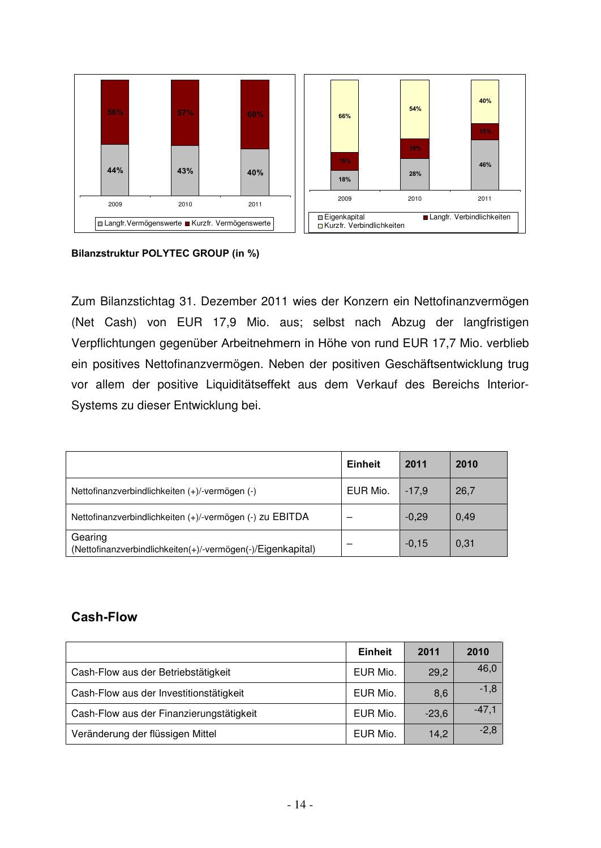

#### **Bilanzstruktur POLYTEC GROUP (in %)**

Zum Bilanzstichtag 31. Dezember 2011 wies der Konzern ein Nettofinanzvermögen (Net Cash) von EUR 17,9 Mio. aus; selbst nach Abzug der langfristigen Verpflichtungen gegenüber Arbeitnehmern in Höhe von rund EUR 17,7 Mio. verblieb ein positives Nettofinanzvermögen. Neben der positiven Geschäftsentwicklung trug vor allem der positive Liquiditätseffekt aus dem Verkauf des Bereichs Interior-Systems zu dieser Entwicklung bei.

|                                                                        | Einheit  | 2011    | 2010 |
|------------------------------------------------------------------------|----------|---------|------|
| Nettofinanzverbindlichkeiten (+)/-vermögen (-)                         | EUR Mio. | $-17.9$ | 26,7 |
| Nettofinanzverbindlichkeiten (+)/-vermögen (-) zu EBITDA               |          | $-0,29$ | 0,49 |
| Gearing<br>(Nettofinanzverbindlichkeiten(+)/-vermögen(-)/Eigenkapital) |          | $-0,15$ | 0,31 |

#### **Cash-Flow**

|                                          | <b>Einheit</b> | 2011    | 2010    |
|------------------------------------------|----------------|---------|---------|
| Cash-Flow aus der Betriebstätigkeit      | EUR Mio.       | 29,2    | 46,0    |
| Cash-Flow aus der Investitionstätigkeit  | EUR Mio.       | 8,6     | $-1,8$  |
| Cash-Flow aus der Finanzierungstätigkeit | EUR Mio.       | $-23,6$ | $-47,1$ |
| Veränderung der flüssigen Mittel         | EUR Mio.       | 14,2    | $-2,8$  |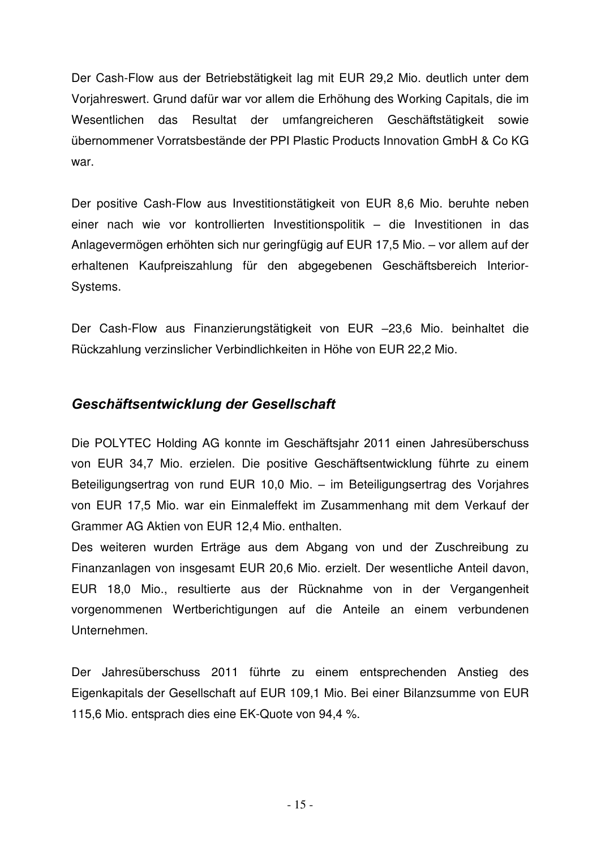Der Cash-Flow aus der Betriebstätigkeit lag mit EUR 29,2 Mio. deutlich unter dem Vorjahreswert. Grund dafür war vor allem die Erhöhung des Working Capitals, die im Wesentlichen das Resultat der umfangreicheren Geschäftstätigkeit sowie übernommener Vorratsbestände der PPI Plastic Products Innovation GmbH & Co KG war.

Der positive Cash-Flow aus Investitionstätigkeit von EUR 8,6 Mio. beruhte neben einer nach wie vor kontrollierten Investitionspolitik - die Investitionen in das Anlagevermögen erhöhten sich nur geringfügig auf EUR 17,5 Mio. – vor allem auf der erhaltenen Kaufpreiszahlung für den abgegebenen Geschäftsbereich Interior-Systems.

Der Cash-Flow aus Finanzierungstätigkeit von EUR -23,6 Mio. beinhaltet die Rückzahlung verzinslicher Verbindlichkeiten in Höhe von EUR 22,2 Mio.

#### **Geschäftsentwicklung der Gesellschaft**

Die POLYTEC Holding AG konnte im Geschäftsjahr 2011 einen Jahresüberschuss von EUR 34,7 Mio. erzielen. Die positive Geschäftsentwicklung führte zu einem Beteiligungsertrag von rund EUR 10,0 Mio. - im Beteiligungsertrag des Vorjahres von EUR 17,5 Mio. war ein Einmaleffekt im Zusammenhang mit dem Verkauf der Grammer AG Aktien von EUR 12,4 Mio. enthalten.

Des weiteren wurden Erträge aus dem Abgang von und der Zuschreibung zu Finanzanlagen von insgesamt EUR 20,6 Mio. erzielt. Der wesentliche Anteil davon, EUR 18,0 Mio., resultierte aus der Rücknahme von in der Vergangenheit vorgenommenen Wertberichtigungen auf die Anteile an einem verbundenen Unternehmen.

Der Jahresüberschuss 2011 führte zu einem entsprechenden Anstieg des Eigenkapitals der Gesellschaft auf EUR 109,1 Mio. Bei einer Bilanzsumme von EUR 115,6 Mio. entsprach dies eine EK-Quote von 94,4 %.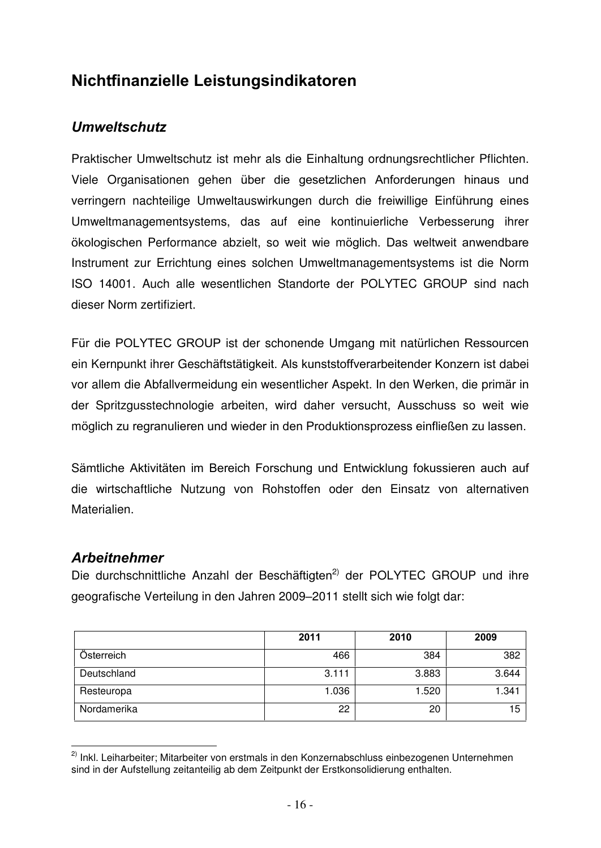#### **Nichtfinanzielle Leistungsindikatoren**

#### **Umweltschutz**

Praktischer Umweltschutz ist mehr als die Einhaltung ordnungsrechtlicher Pflichten. Viele Organisationen gehen über die gesetzlichen Anforderungen hinaus und verringern nachteilige Umweltauswirkungen durch die freiwillige Einführung eines Umweltmanagementsystems, das auf eine kontinuierliche Verbesserung ihrer ökologischen Performance abzielt, so weit wie möglich. Das weltweit anwendbare Instrument zur Errichtung eines solchen Umweltmanagementsystems ist die Norm ISO 14001. Auch alle wesentlichen Standorte der POLYTEC GROUP sind nach dieser Norm zertifiziert.

Für die POLYTEC GROUP ist der schonende Umgang mit natürlichen Ressourcen ein Kernpunkt ihrer Geschäftstätigkeit. Als kunststoffverarbeitender Konzern ist dabei vor allem die Abfallvermeidung ein wesentlicher Aspekt. In den Werken, die primär in der Spritzgusstechnologie arbeiten, wird daher versucht, Ausschuss so weit wie möglich zu regranulieren und wieder in den Produktionsprozess einfließen zu lassen.

Sämtliche Aktivitäten im Bereich Forschung und Entwicklung fokussieren auch auf die wirtschaftliche Nutzung von Rohstoffen oder den Einsatz von alternativen Materialien.

#### **Arbeitnehmer**

Die durchschnittliche Anzahl der Beschäftigten<sup>2)</sup> der POLYTEC GROUP und ihre geografische Verteilung in den Jahren 2009–2011 stellt sich wie folgt dar:

|             | 2011  | 2010  | 2009  |
|-------------|-------|-------|-------|
| Österreich  | 466   | 384   | 382   |
| Deutschland | 3.111 | 3.883 | 3.644 |
| Resteuropa  | 1.036 | 1.520 | 1.341 |
| Nordamerika | 22    | 20    | 15    |

 $\overline{\phantom{a}}$ <sup>2)</sup> Inkl. Leiharbeiter: Mitarbeiter von erstmals in den Konzernabschluss einbezogenen Unternehmen sind in der Aufstellung zeitanteilig ab dem Zeitpunkt der Erstkonsolidierung enthalten.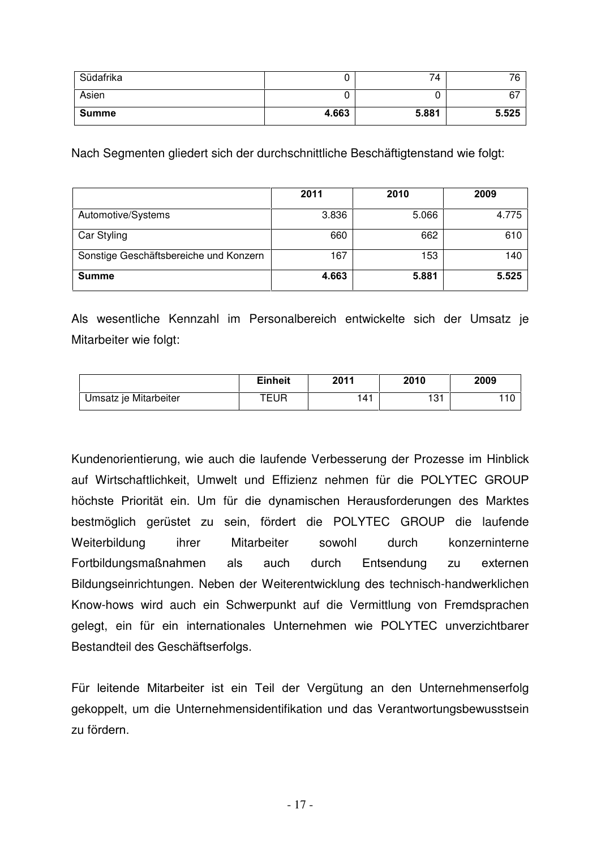| Südafrika    |       | 74    | 76    |
|--------------|-------|-------|-------|
| Asien        |       | ັ     | 67    |
| <b>Summe</b> | 4.663 | 5.881 | 5.525 |

Nach Segmenten gliedert sich der durchschnittliche Beschäftigtenstand wie folgt:

|                                        | 2011  | 2010  | 2009  |
|----------------------------------------|-------|-------|-------|
| Automotive/Systems                     | 3.836 | 5.066 | 4.775 |
| Car Styling                            | 660   | 662   | 610   |
| Sonstige Geschäftsbereiche und Konzern | 167   | 153   | 140   |
| <b>Summe</b>                           | 4.663 | 5.881 | 5.525 |

Als wesentliche Kennzahl im Personalbereich entwickelte sich der Umsatz je Mitarbeiter wie folgt:

|                       | <b>Einheit</b> | 2011 | 2010       | 2009 |
|-----------------------|----------------|------|------------|------|
| Umsatz je Mitarbeiter | TEUR           | 41   | 121<br>ا ب |      |

Kundenorientierung, wie auch die laufende Verbesserung der Prozesse im Hinblick auf Wirtschaftlichkeit, Umwelt und Effizienz nehmen für die POLYTEC GROUP höchste Priorität ein. Um für die dynamischen Herausforderungen des Marktes bestmöglich gerüstet zu sein, fördert die POLYTEC GROUP die laufende Weiterbildung ihrer Mitarbeiter sowohl durch konzerninterne Fortbildungsmaßnahmen als auch durch Entsendung zu externen Bildungseinrichtungen. Neben der Weiterentwicklung des technisch-handwerklichen Know-hows wird auch ein Schwerpunkt auf die Vermittlung von Fremdsprachen gelegt, ein für ein internationales Unternehmen wie POLYTEC unverzichtbarer Bestandteil des Geschäftserfolgs.

Für leitende Mitarbeiter ist ein Teil der Vergütung an den Unternehmenserfolg gekoppelt, um die Unternehmensidentifikation und das Verantwortungsbewusstsein zu fördern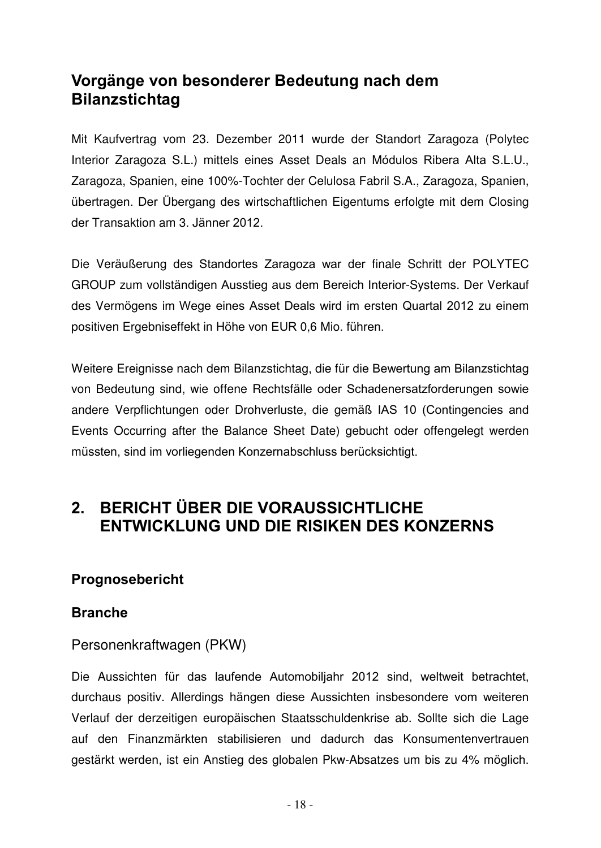#### **Vorgänge von besonderer Bedeutung nach dem Bilanzstichtag**

Mit Kaufvertrag vom 23. Dezember 2011 wurde der Standort Zaragoza (Polytec Interior Zaragoza S.L.) mittels eines Asset Deals an Módulos Ribera Alta S.L.U., Zaragoza, Spanien, eine 100%-Tochter der Celulosa Fabril S.A., Zaragoza, Spanien, übertragen. Der Übergang des wirtschaftlichen Eigentums erfolgte mit dem Closing der Transaktion am 3. Jänner 2012.

Die Veräußerung des Standortes Zaragoza war der finale Schritt der POLYTEC GROUP zum vollständigen Ausstieg aus dem Bereich Interior-Systems. Der Verkauf des Vermögens im Wege eines Asset Deals wird im ersten Quartal 2012 zu einem positiven Ergebniseffekt in Höhe von EUR 0,6 Mio. führen.

Weitere Ereignisse nach dem Bilanzstichtag, die für die Bewertung am Bilanzstichtag von Bedeutung sind, wie offene Rechtsfälle oder Schadenersatzforderungen sowie andere Verpflichtungen oder Drohverluste, die gemäß IAS 10 (Contingencies and Events Occurring after the Balance Sheet Date) gebucht oder offengelegt werden müssten, sind im vorliegenden Konzernabschluss berücksichtigt.

#### **2. ΒΕRICHT ÜBER DIE VORAUSSICHTLICHE ΕΝΤWICKLUNG UND DIE RISIKEN DES KONZERNS**

#### **Prognosebericht**

#### **Branche**

#### Personenkraftwagen (PKW)

Die Aussichten für das laufende Automobiljahr 2012 sind, weltweit betrachtet, durchaus positiv. Allerdings hängen diese Aussichten insbesondere vom weiteren Verlauf der derzeitigen europäischen Staatsschuldenkrise ab. Sollte sich die Lage auf den Finanzmärkten stabilisieren und dadurch das Konsumentenvertrauen gestärkt werden, ist ein Anstieg des globalen Pkw-Absatzes um bis zu 4% möglich.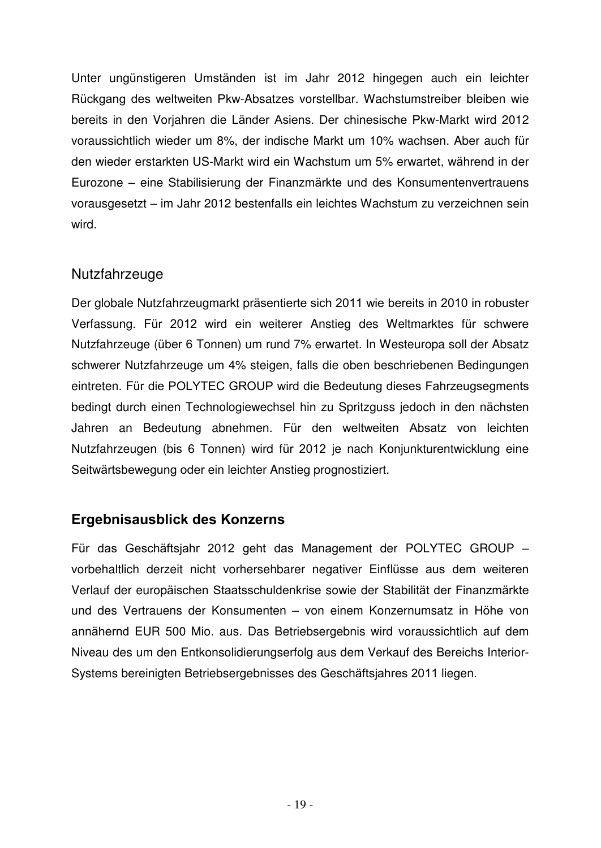Unter ungünstigeren Umständen ist im Jahr 2012 hingegen auch ein leichter Rückgang des weltweiten Pkw-Absatzes vorstellbar. Wachstumstreiber bleiben wie bereits in den Vorjahren die Länder Asiens. Der chinesische Pkw-Markt wird 2012 voraussichtlich wieder um 8%, der indische Markt um 10% wachsen. Aber auch für den wieder erstarkten US-Markt wird ein Wachstum um 5% erwartet, während in der Eurozone – eine Stabilisierung der Finanzmärkte und des Konsumentenvertrauens vorausgesetzt im Jahr 2012 bestenfalls ein leichtes Wachstum zu verzeichnen sein wird.

#### Nutzfahrzeuge

Der globale Nutzfahrzeugmarkt präsentierte sich 2011 wie bereits in 2010 in robuster Verfassung. Für 2012 wird ein weiterer Anstieg des Weltmarktes für schwere Nutzfahrzeuge (über 6 Tonnen) um rund 7% erwartet. In Westeuropa soll der Absatz schwerer Nutzfahrzeuge um 4% steigen, falls die oben beschriebenen Bedingungen eintreten. Für die POLYTEC GROUP wird die Bedeutung dieses Fahrzeugsegments bedingt durch einen Technologiewechsel hin zu Spritzguss jedoch in den nächsten Jahren an Bedeutung abnehmen. Für den weltweiten Absatz von leichten Nutzfahrzeugen (bis 6 Tonnen) wird für 2012 je nach Konjunkturentwicklung eine Seitwärtsbewegung oder ein leichter Anstieg prognostiziert.

#### **Ergebnisausblick des Konzerns**

Für das Geschäftsjahr 2012 geht das Management der POLYTEC GROUP – vorbehaltlich derzeit nicht vorhersehbarer negativer Einflüsse aus dem weiteren Verlauf der europäischen Staatsschuldenkrise sowie der Stabilität der Finanzmärkte und des Vertrauens der Konsumenten - von einem Konzernumsatz in Höhe von annähernd EUR 500 Mio. aus. Das Betriebsergebnis wird voraussichtlich auf dem Niveau des um den Entkonsolidierungserfolg aus dem Verkauf des Bereichs Interior-Systems bereinigten Betriebsergebnisses des Geschäftsjahres 2011 liegen.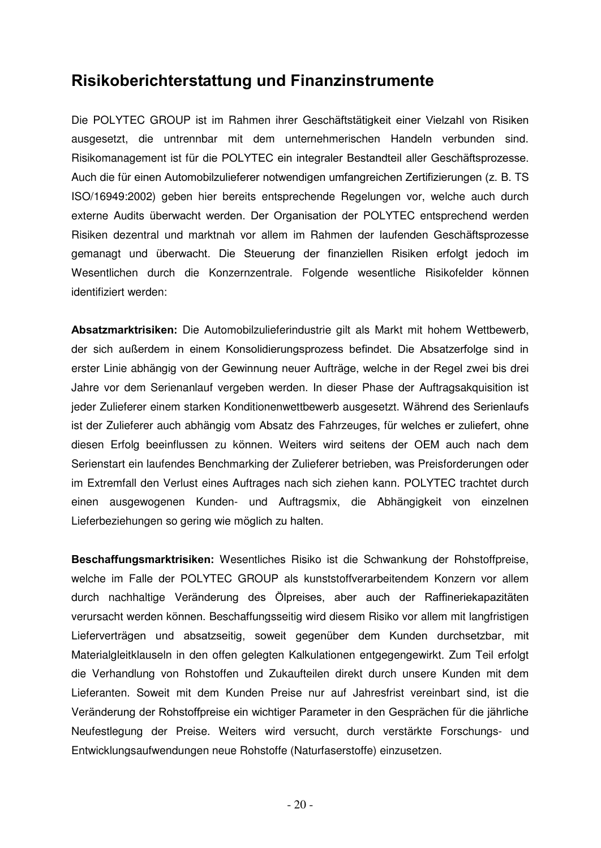#### **Risikoberichterstattung und Finanzinstrumente**

Die POLYTEC GROUP ist im Rahmen ihrer Geschäftstätigkeit einer Vielzahl von Risiken ausgesetzt, die untrennbar mit dem unternehmerischen Handeln verbunden sind. Risikomanagement ist für die POLYTEC ein integraler Bestandteil aller Geschäftsprozesse. Auch die für einen Automobilzulieferer notwendigen umfangreichen Zertifizierungen (z. B. TS ISO/16949:2002) geben hier bereits entsprechende Regelungen vor, welche auch durch externe Audits überwacht werden. Der Organisation der POLYTEC entsprechend werden Risiken dezentral und marktnah vor allem im Rahmen der laufenden Geschäftsprozesse gemanagt und überwacht. Die Steuerung der finanziellen Risiken erfolgt jedoch im Wesentlichen durch die Konzernzentrale. Folgende wesentliche Risikofelder können identifiziert werden:

**Absatzmarktrisiken:** Die Automobilzulieferindustrie gilt als Markt mit hohem Wettbewerb, der sich außerdem in einem Konsolidierungsprozess befindet. Die Absatzerfolge sind in erster Linie abhängig von der Gewinnung neuer Aufträge, welche in der Regel zwei bis drei Jahre vor dem Serienanlauf vergeben werden. In dieser Phase der Auftragsakquisition ist jeder Zulieferer einem starken Konditionenwettbewerb ausgesetzt. Während des Serienlaufs ist der Zulieferer auch abhängig vom Absatz des Fahrzeuges, für welches er zuliefert, ohne diesen Erfolg beeinflussen zu können. Weiters wird seitens der OEM auch nach dem Serienstart ein laufendes Benchmarking der Zulieferer betrieben, was Preisforderungen oder im Extremfall den Verlust eines Auftrages nach sich ziehen kann. POLYTEC trachtet durch einen ausgewogenen Kunden- und Auftragsmix, die Abhängigkeit von einzelnen Lieferbeziehungen so gering wie möglich zu halten.

Beschaffungsmarktrisiken: Wesentliches Risiko ist die Schwankung der Rohstoffpreise, welche im Falle der POLYTEC GROUP als kunststoffverarbeitendem Konzern vor allem durch nachhaltige Veränderung des Ölpreises, aber auch der Raffineriekapazitäten verursacht werden können. Beschaffungsseitig wird diesem Risiko vor allem mit langfristigen Lieferverträgen und absatzseitig, soweit gegenüber dem Kunden durchsetzbar, mit Materialgleitklauseln in den offen gelegten Kalkulationen entgegengewirkt. Zum Teil erfolgt die Verhandlung von Rohstoffen und Zukaufteilen direkt durch unsere Kunden mit dem Lieferanten. Soweit mit dem Kunden Preise nur auf Jahresfrist vereinbart sind, ist die Veränderung der Rohstoffpreise ein wichtiger Parameter in den Gesprächen für die jährliche Neufestlegung der Preise. Weiters wird versucht, durch verstärkte Forschungs- und Entwicklungsaufwendungen neue Rohstoffe (Naturfaserstoffe) einzusetzen.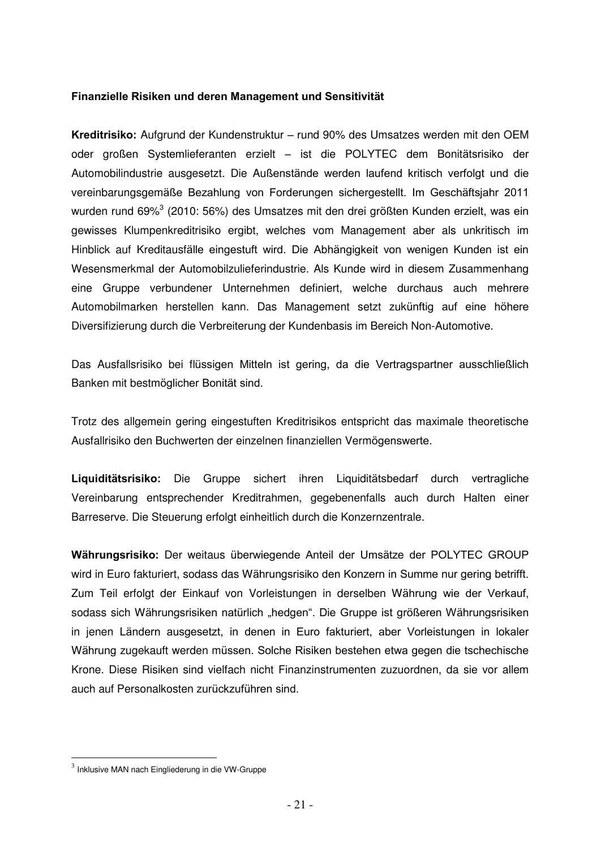#### **Finanzielle Risiken und deren Management und Sensitivität**

Kreditrisiko: Aufgrund der Kundenstruktur - rund 90% des Umsatzes werden mit den OEM oder großen Systemlieferanten erzielt - ist die POLYTEC dem Bonitätsrisiko der Automobilindustrie ausgesetzt. Die Außenstände werden laufend kritisch verfolgt und die vereinbarungsgemäße Bezahlung von Forderungen sichergestellt. Im Geschäftsjahr 2011 wurden rund 69% $^3$  (2010: 56%) des Umsatzes mit den drei größten Kunden erzielt, was ein gewisses Klumpenkreditrisiko ergibt, welches vom Management aber als unkritisch im Hinblick auf Kreditausfälle eingestuft wird. Die Abhängigkeit von wenigen Kunden ist ein Wesensmerkmal der Automobilzulieferindustrie. Als Kunde wird in diesem Zusammenhang eine Gruppe verbundener Unternehmen definiert, welche durchaus auch mehrere Automobilmarken herstellen kann. Das Management setzt zukünftig auf eine höhere Diversifizierung durch die Verbreiterung der Kundenbasis im Bereich Non-Automotive.

Das Ausfallsrisiko bei flüssigen Mitteln ist gering, da die Vertragspartner ausschließlich Banken mit bestmöglicher Bonität sind.

Trotz des allgemein gering eingestuften Kreditrisikos entspricht das maximale theoretische Ausfallrisiko den Buchwerten der einzelnen finanziellen Vermögenswerte.

**Liquiditätsrisiko:** Die Gruppe sichert ihren Liquiditätsbedarf durch vertragliche Vereinbarung entsprechender Kreditrahmen, gegebenenfalls auch durch Halten einer Barreserve. Die Steuerung erfolgt einheitlich durch die Konzernzentrale.

Währungsrisiko: Der weitaus überwiegende Anteil der Umsätze der POLYTEC GROUP wird in Euro fakturiert, sodass das Währungsrisiko den Konzern in Summe nur gering betrifft. Zum Teil erfolgt der Einkauf von Vorleistungen in derselben Währung wie der Verkauf, sodass sich Währungsrisiken natürlich "hedgen". Die Gruppe ist größeren Währungsrisiken in jenen Ländern ausgesetzt, in denen in Euro fakturiert, aber Vorleistungen in lokaler Währung zugekauft werden müssen. Solche Risiken bestehen etwa gegen die tschechische Krone. Diese Risiken sind vielfach nicht Finanzinstrumenten zuzuordnen, da sie vor allem auch auf Personalkosten zurückzuführen sind.

 3 Inklusive MAN nach Eingliederung in die VW-Gruppe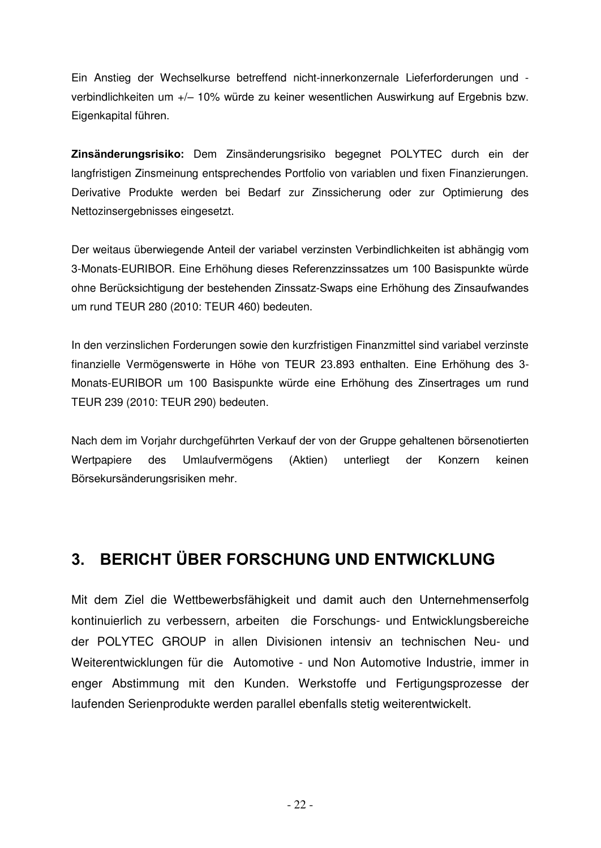Ein Anstieg der Wechselkurse betreffend nicht-innerkonzernale Lieferforderungen und verbindlichkeiten um +/- 10% würde zu keiner wesentlichen Auswirkung auf Ergebnis bzw. Eigenkapital führen.

Zinsänderungsrisiko: Dem Zinsänderungsrisiko begegnet POLYTEC durch ein der langfristigen Zinsmeinung entsprechendes Portfolio von variablen und fixen Finanzierungen. Derivative Produkte werden bei Bedarf zur Zinssicherung oder zur Optimierung des Nettozinsergebnisses eingesetzt.

Der weitaus überwiegende Anteil der variabel verzinsten Verbindlichkeiten ist abhängig vom 3-Monats-EURIBOR. Eine Erhöhung dieses Referenzzinssatzes um 100 Basispunkte würde ohne Berücksichtigung der bestehenden Zinssatz-Swaps eine Erhöhung des Zinsaufwandes um rund TEUR 280 (2010: TEUR 460) bedeuten.

In den verzinslichen Forderungen sowie den kurzfristigen Finanzmittel sind variabel verzinste finanzielle Vermögenswerte in Höhe von TEUR 23.893 enthalten. Eine Erhöhung des 3-Monats-EURIBOR um 100 Basispunkte würde eine Erhöhung des Zinsertrages um rund TEUR 239 (2010: TEUR 290) bedeuten.

Nach dem im Vorjahr durchgeführten Verkauf der von der Gruppe gehaltenen börsenotierten Wertpapiere des Umlaufvermögens (Aktien) unterliegt der Konzern keinen Börsekursänderungsrisiken mehr.

#### **3. BERICHT ÜBER FORSCHUNG UND ENTWICKLUNG**

Mit dem Ziel die Wettbewerbsfähigkeit und damit auch den Unternehmenserfolg kontinuierlich zu verbessern, arbeiten die Forschungs- und Entwicklungsbereiche der POLYTEC GROUP in allen Divisionen intensiv an technischen Neu- und Weiterentwicklungen für die Automotive - und Non Automotive Industrie, immer in enger Abstimmung mit den Kunden. Werkstoffe und Fertigungsprozesse der laufenden Serienprodukte werden parallel ebenfalls stetig weiterentwickelt.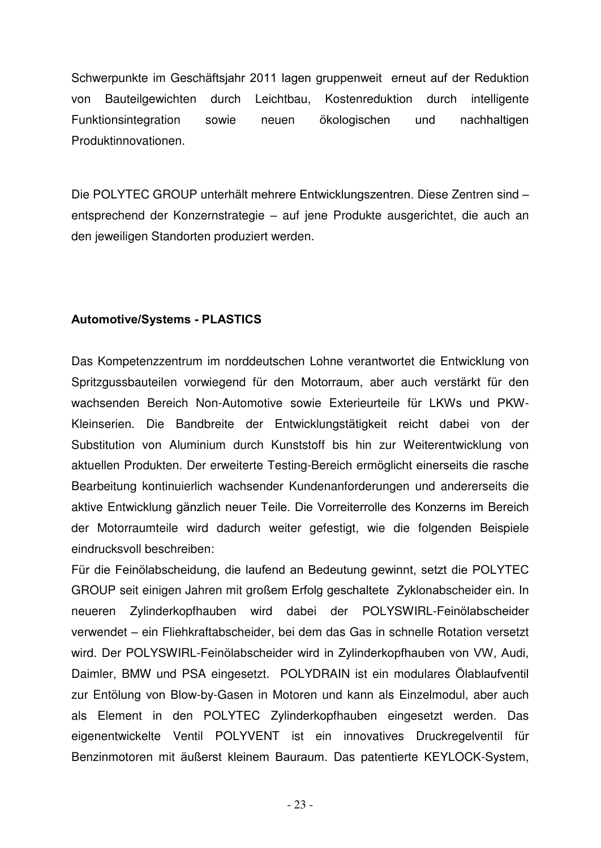Schwerpunkte im Geschäftsjahr 2011 lagen gruppenweit erneut auf der Reduktion von Bauteilgewichten durch Leichtbau, Kostenreduktion durch intelligente Funktionsintegration sowie neuen ökologischen und nachhaltigen Produktinnovationen.

Die POLYTEC GROUP unterhält mehrere Entwicklungszentren. Diese Zentren sind entsprechend der Konzernstrategie – auf jene Produkte ausgerichtet, die auch an den jeweiligen Standorten produziert werden.

#### **Automotive/Systems - PLASTICS**

Das Kompetenzzentrum im norddeutschen Lohne verantwortet die Entwicklung von Spritzgussbauteilen vorwiegend für den Motorraum, aber auch verstärkt für den wachsenden Bereich Non-Automotive sowie Exterieurteile für LKWs und PKW-Kleinserien. Die Bandbreite der Entwicklungstätigkeit reicht dabei von der Substitution von Aluminium durch Kunststoff bis hin zur Weiterentwicklung von aktuellen Produkten. Der erweiterte Testing-Bereich ermöglicht einerseits die rasche Bearbeitung kontinuierlich wachsender Kundenanforderungen und andererseits die aktive Entwicklung gänzlich neuer Teile. Die Vorreiterrolle des Konzerns im Bereich der Motorraumteile wird dadurch weiter gefestigt, wie die folgenden Beispiele eindrucksvoll beschreiben:

Für die Feinölabscheidung, die laufend an Bedeutung gewinnt, setzt die POLYTEC GROUP seit einigen Jahren mit großem Erfolg geschaltete Zyklonabscheider ein. In neueren Zylinderkopfhauben wird dabei der POLYSWIRL-Feinölabscheider verwendet ein Fliehkraftabscheider, bei dem das Gas in schnelle Rotation versetzt wird. Der POLYSWIRL-Feinölabscheider wird in Zylinderkopfhauben von VW, Audi, Daimler, BMW und PSA eingesetzt. POLYDRAIN ist ein modulares Ölablaufventil zur Entölung von Blow-by-Gasen in Motoren und kann als Einzelmodul, aber auch als Element in den POLYTEC Zylinderkopfhauben eingesetzt werden. Das eigenentwickelte Ventil POLYVENT ist ein innovatives Druckregelventil für Benzinmotoren mit äußerst kleinem Bauraum. Das patentierte KEYLOCK-System,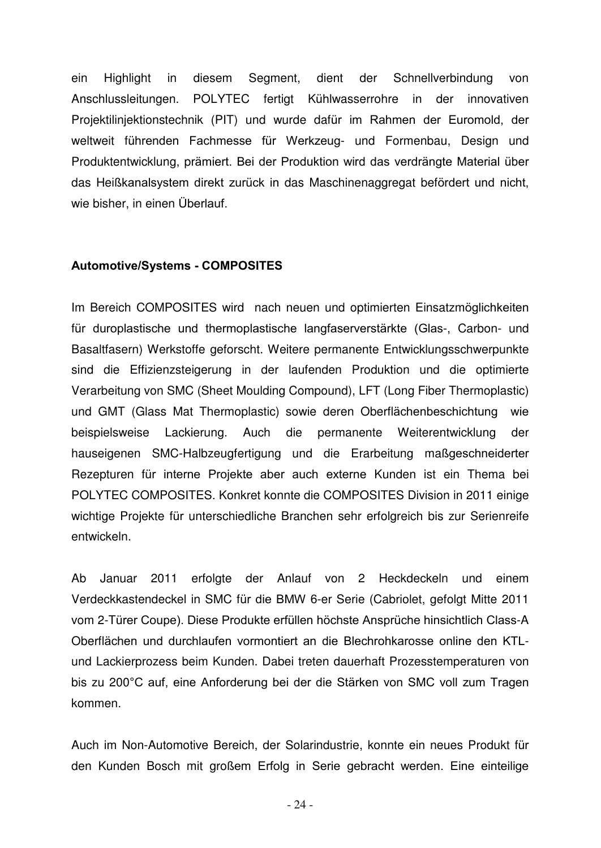ein Highlight in diesem Segment, dient der Schnellverbindung von Anschlussleitungen. POLYTEC fertigt Kühlwasserrohre in der innovativen Projektilinjektionstechnik (PIT) und wurde dafür im Rahmen der Euromold, der weltweit führenden Fachmesse für Werkzeug- und Formenbau, Design und Produktentwicklung, prämiert. Bei der Produktion wird das verdrängte Material über das Heißkanalsystem direkt zurück in das Maschinenaggregat befördert und nicht, wie bisher, in einen Überlauf.

#### **Automotive/Systems - COMPOSITES**

Im Bereich COMPOSITES wird nach neuen und optimierten Einsatzmöglichkeiten für duroplastische und thermoplastische langfaserverstärkte (Glas-, Carbon- und Basaltfasern) Werkstoffe geforscht. Weitere permanente Entwicklungsschwerpunkte sind die Effizienzsteigerung in der laufenden Produktion und die optimierte Verarbeitung von SMC (Sheet Moulding Compound), LFT (Long Fiber Thermoplastic) und GMT (Glass Mat Thermoplastic) sowie deren Oberflächenbeschichtung wie beispielsweise Lackierung. Auch die permanente Weiterentwicklung der hauseigenen SMC-Halbzeugfertigung und die Erarbeitung maßgeschneiderter Rezepturen für interne Projekte aber auch externe Kunden ist ein Thema bei POLYTEC COMPOSITES. Konkret konnte die COMPOSITES Division in 2011 einige wichtige Projekte für unterschiedliche Branchen sehr erfolgreich bis zur Serienreife entwickeln.

Ab Januar 2011 erfolgte der Anlauf von 2 Heckdeckeln und einem Verdeckkastendeckel in SMC für die BMW 6-er Serie (Cabriolet, gefolgt Mitte 2011 vom 2-Türer Coupe). Diese Produkte erfüllen höchste Ansprüche hinsichtlich Class-A Oberflächen und durchlaufen vormontiert an die Blechrohkarosse online den KTLund Lackierprozess beim Kunden. Dabei treten dauerhaft Prozesstemperaturen von bis zu 200°C auf, eine Anforderung bei der die Stärken von SMC voll zum Tragen kommen.

Auch im Non-Automotive Bereich, der Solarindustrie, konnte ein neues Produkt für den Kunden Bosch mit großem Erfolg in Serie gebracht werden. Eine einteilige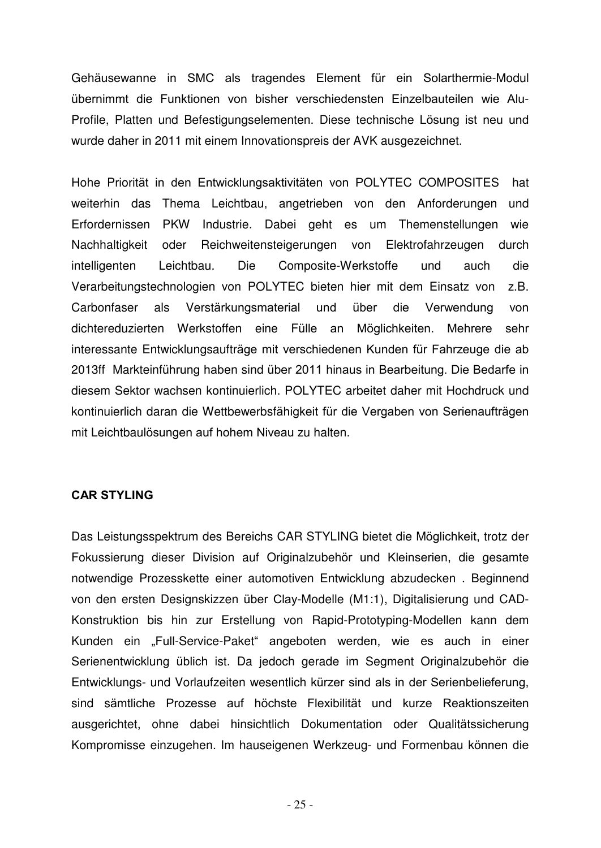Gehäusewanne in SMC als tragendes Element für ein Solarthermie-Modul übernimmt die Funktionen von bisher verschiedensten Einzelbauteilen wie Alu-Profile, Platten und Befestigungselementen. Diese technische Lösung ist neu und wurde daher in 2011 mit einem Innovationspreis der AVK ausgezeichnet.

Hohe Priorität in den Entwicklungsaktivitäten von POLYTEC COMPOSITES hat weiterhin das Thema Leichtbau, angetrieben von den Anforderungen und Erfordernissen PKW Industrie. Dabei geht es um Themenstellungen wie Nachhaltigkeit oder Reichweitensteigerungen von Elektrofahrzeugen durch intelligenten Leichtbau. Die Composite-Werkstoffe und auch die Verarbeitungstechnologien von POLYTEC bieten hier mit dem Einsatz von z.B. Carbonfaser als Verstärkungsmaterial und über die Verwendung von dichtereduzierten Werkstoffen eine Fülle an Möglichkeiten. Mehrere sehr interessante Entwicklungsaufträge mit verschiedenen Kunden für Fahrzeuge die ab 2013ff Markteinführung haben sind über 2011 hinaus in Bearbeitung. Die Bedarfe in diesem Sektor wachsen kontinuierlich. POLYTEC arbeitet daher mit Hochdruck und kontinuierlich daran die Wettbewerbsfähigkeit für die Vergaben von Serienaufträgen mit Leichtbaulösungen auf hohem Niveau zu halten.

#### **CAR STYLING**

Das Leistungsspektrum des Bereichs CAR STYLING bietet die Möglichkeit, trotz der Fokussierung dieser Division auf Originalzubehör und Kleinserien, die gesamte notwendige Prozesskette einer automotiven Entwicklung abzudecken . Beginnend von den ersten Designskizzen über Clay-Modelle (M1:1), Digitalisierung und CAD-Konstruktion bis hin zur Erstellung von Rapid-Prototyping-Modellen kann dem Kunden ein "Full-Service-Paket" angeboten werden, wie es auch in einer Serienentwicklung üblich ist. Da jedoch gerade im Segment Originalzubehör die Entwicklungs- und Vorlaufzeiten wesentlich kürzer sind als in der Serienbelieferung, sind sämtliche Prozesse auf höchste Flexibilität und kurze Reaktionszeiten ausgerichtet, ohne dabei hinsichtlich Dokumentation oder Qualitätssicherung Kompromisse einzugehen. Im hauseigenen Werkzeug- und Formenbau können die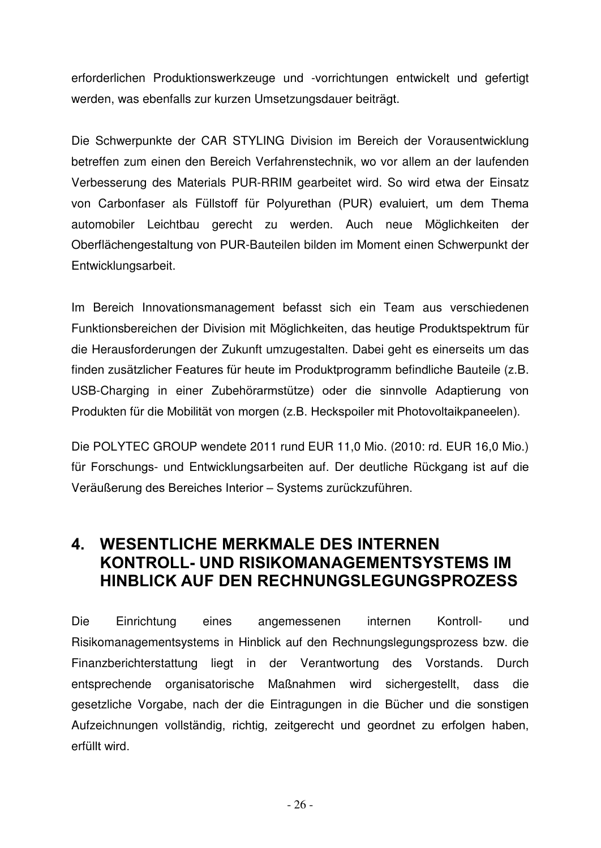erforderlichen Produktionswerkzeuge und -vorrichtungen entwickelt und gefertigt werden, was ebenfalls zur kurzen Umsetzungsdauer beiträgt.

Die Schwerpunkte der CAR STYLING Division im Bereich der Vorausentwicklung betreffen zum einen den Bereich Verfahrenstechnik, wo vor allem an der laufenden Verbesserung des Materials PUR-RRIM gearbeitet wird. So wird etwa der Einsatz von Carbonfaser als Füllstoff für Polyurethan (PUR) evaluiert, um dem Thema automobiler Leichtbau gerecht zu werden. Auch neue Möglichkeiten der Oberflächengestaltung von PUR-Bauteilen bilden im Moment einen Schwerpunkt der Entwicklungsarbeit.

Im Bereich Innovationsmanagement befasst sich ein Team aus verschiedenen Funktionsbereichen der Division mit Möglichkeiten, das heutige Produktspektrum für die Herausforderungen der Zukunft umzugestalten. Dabei geht es einerseits um das finden zusätzlicher Features für heute im Produktprogramm befindliche Bauteile (z.B. USB-Charging in einer Zubehörarmstütze) oder die sinnvolle Adaptierung von Produkten für die Mobilität von morgen (z.B. Heckspoiler mit Photovoltaikpaneelen).

Die POLYTEC GROUP wendete 2011 rund EUR 11,0 Mio. (2010: rd. EUR 16,0 Mio.) für Forschungs- und Entwicklungsarbeiten auf. Der deutliche Rückgang ist auf die Veräußerung des Bereiches Interior - Systems zurückzuführen.

#### **4. WESENTLICHE MERKMALE DES INTERNEN KONTROLL- UND RISIKOMANAGEMENTSYSTEMS IM ΗΙΝΒLICK AUF DEN RECHNUNGSLEGUNGSPROZESS**

Die Einrichtung eines angemessenen internen Kontroll- und Risikomanagementsystems in Hinblick auf den Rechnungslegungsprozess bzw. die Finanzberichterstattung liegt in der Verantwortung des Vorstands. Durch entsprechende organisatorische Maßnahmen wird sichergestellt, dass die gesetzliche Vorgabe, nach der die Eintragungen in die Bücher und die sonstigen Aufzeichnungen vollständig, richtig, zeitgerecht und geordnet zu erfolgen haben, erfüllt wird.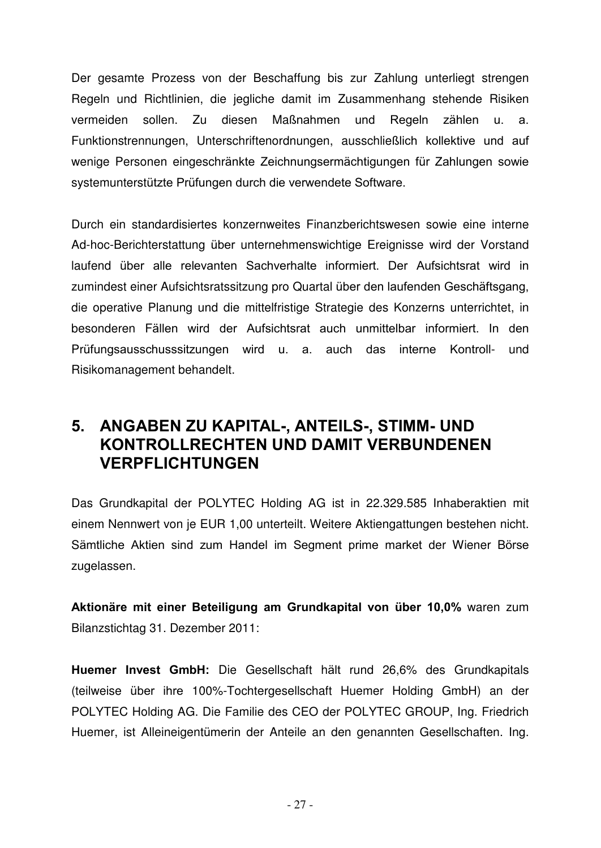Der gesamte Prozess von der Beschaffung bis zur Zahlung unterliegt strengen Regeln und Richtlinien, die jegliche damit im Zusammenhang stehende Risiken vermeiden sollen. Zu diesen Maßnahmen und Regeln zählen u. a. Funktionstrennungen, Unterschriftenordnungen, ausschließlich kollektive und auf wenige Personen eingeschränkte Zeichnungsermächtigungen für Zahlungen sowie systemunterstützte Prüfungen durch die verwendete Software.

Durch ein standardisiertes konzernweites Finanzberichtswesen sowie eine interne Ad-hoc-Berichterstattung über unternehmenswichtige Ereignisse wird der Vorstand laufend über alle relevanten Sachverhalte informiert. Der Aufsichtsrat wird in zumindest einer Aufsichtsratssitzung pro Quartal über den laufenden Geschäftsgang, die operative Planung und die mittelfristige Strategie des Konzerns unterrichtet, in besonderen Fällen wird der Aufsichtsrat auch unmittelbar informiert. In den Prüfungsausschusssitzungen wird u. a. auch das interne Kontroll- und Risikomanagement behandelt.

#### **5. ANGABEN ZU KAPITAL-, ANTEILS-, STIMM- UND ΚΟΝΤROLLRECHTEN UND DAMIT VERBUNDENEN VERPFLICHTUNGEN**

Das Grundkapital der POLYTEC Holding AG ist in 22.329.585 Inhaberaktien mit einem Nennwert von je EUR 1,00 unterteilt. Weitere Aktiengattungen bestehen nicht. Sämtliche Aktien sind zum Handel im Segment prime market der Wiener Börse zugelassen.

**Aktionäre mit einer Beteiligung am Grundkapital von über 10,0% waren zum** Bilanzstichtag 31. Dezember 2011:

Huemer Invest GmbH: Die Gesellschaft hält rund 26,6% des Grundkapitals (teilweise über ihre 100%-Tochtergesellschaft Huemer Holding GmbH) an der POLYTEC Holding AG. Die Familie des CEO der POLYTEC GROUP, Ing. Friedrich Huemer, ist Alleineigentümerin der Anteile an den genannten Gesellschaften. Ing.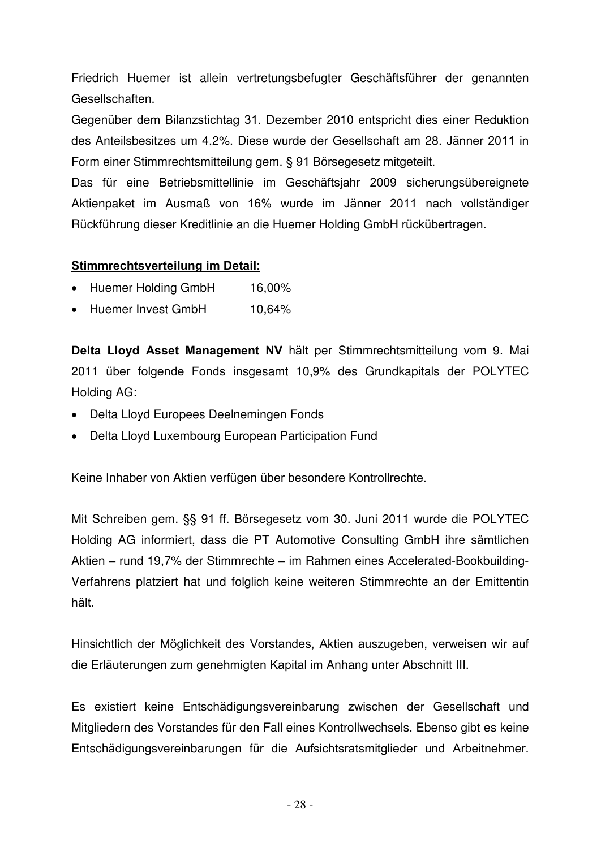Friedrich Huemer ist allein vertretungsbefugter Geschäftsführer der genannten Gesellschaften.

Gegenüber dem Bilanzstichtag 31. Dezember 2010 entspricht dies einer Reduktion des Anteilsbesitzes um 4,2%. Diese wurde der Gesellschaft am 28. Jänner 2011 in Form einer Stimmrechtsmitteilung gem. § 91 Börsegesetz mitgeteilt.

Das für eine Betriebsmittellinie im Geschäftsjahr 2009 sicherungsübereignete Aktienpaket im Ausmaß von 16% wurde im Jänner 2011 nach vollständiger Rückführung dieser Kreditlinie an die Huemer Holding GmbH rückübertragen.

#### **Stimmrechtsverteilung im Detail:**

- Huemer Holding GmbH 16,00%
- Huemer Invest GmbH 10,64%

**Delta Lloyd Asset Management NV hält per Stimmrechtsmitteilung vom 9. Mai** 2011 über folgende Fonds insgesamt 10,9% des Grundkapitals der POLYTEC Holding AG:

- ! Delta Lloyd Europees Deelnemingen Fonds
- Delta Lloyd Luxembourg European Participation Fund

Keine Inhaber von Aktien verfügen über besondere Kontrollrechte.

Mit Schreiben gem. §§ 91 ff. Börsegesetz vom 30. Juni 2011 wurde die POLYTEC Holding AG informiert, dass die PT Automotive Consulting GmbH ihre sämtlichen Aktien – rund 19,7% der Stimmrechte – im Rahmen eines Accelerated-Bookbuilding-Verfahrens platziert hat und folglich keine weiteren Stimmrechte an der Emittentin hält.

Hinsichtlich der Möglichkeit des Vorstandes, Aktien auszugeben, verweisen wir auf die Erläuterungen zum genehmigten Kapital im Anhang unter Abschnitt III.

Es existiert keine Entschädigungsvereinbarung zwischen der Gesellschaft und Mitgliedern des Vorstandes für den Fall eines Kontrollwechsels. Ebenso gibt es keine Entschädigungsvereinbarungen für die Aufsichtsratsmitglieder und Arbeitnehmer.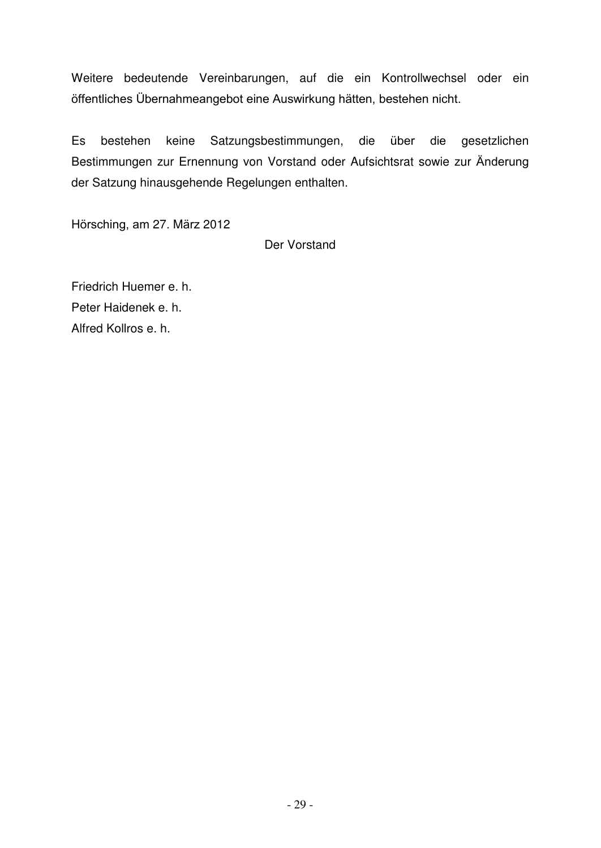Weitere bedeutende Vereinbarungen, auf die ein Kontrollwechsel oder ein öffentliches Übernahmeangebot eine Auswirkung hätten, bestehen nicht.

Es bestehen keine Satzungsbestimmungen, die über die gesetzlichen Bestimmungen zur Ernennung von Vorstand oder Aufsichtsrat sowie zur Änderung der Satzung hinausgehende Regelungen enthalten.

Hörsching, am 27. März 2012

Der Vorstand

Friedrich Huemer e. h. Peter Haidenek e. h. Alfred Kollros e. h.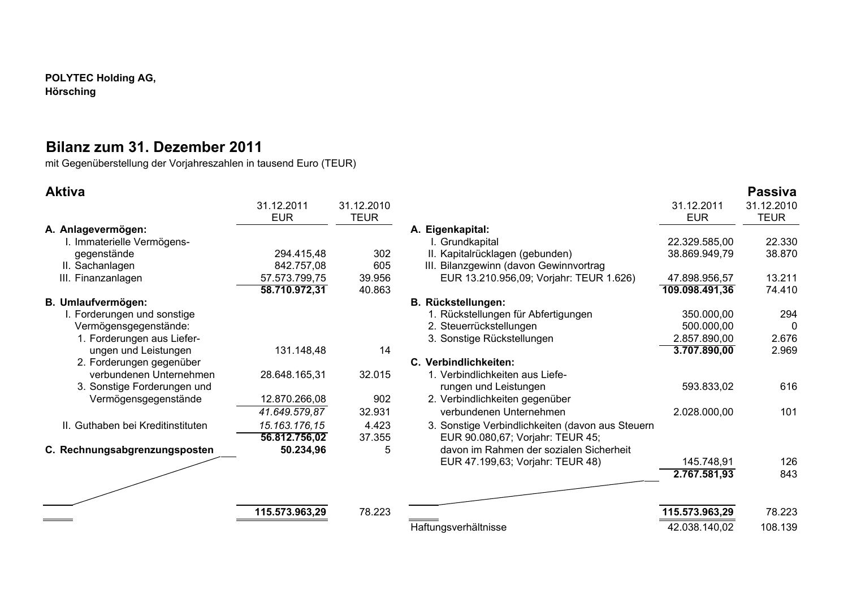**POLYTEC Holding AG, Hörsching** 

#### **Bilanz zum 31. Dezember 2011**

mit Gegenüberstellung der Vorjahreszahlen in tausend Euro (TEUR)

| <b>Aktiva</b>                     |                |             |                                                  |                | <b>Passiva</b> |
|-----------------------------------|----------------|-------------|--------------------------------------------------|----------------|----------------|
|                                   | 31.12.2011     | 31.12.2010  |                                                  | 31.12.2011     | 31.12.2010     |
|                                   | <b>EUR</b>     | <b>TEUR</b> |                                                  | <b>EUR</b>     | <b>TEUR</b>    |
| A. Anlagevermögen:                |                |             | A. Eigenkapital:                                 |                |                |
| I. Immaterielle Vermögens-        |                |             | I. Grundkapital                                  | 22.329.585,00  | 22.330         |
| gegenstände                       | 294.415,48     | 302         | II. Kapitalrücklagen (gebunden)                  | 38.869.949,79  | 38.870         |
| II. Sachanlagen                   | 842.757,08     | 605         | III. Bilanzgewinn (davon Gewinnvortrag           |                |                |
| III. Finanzanlagen                | 57.573.799,75  | 39.956      | EUR 13.210.956,09; Vorjahr: TEUR 1.626)          | 47.898.956,57  | 13.211         |
|                                   | 58.710.972,31  | 40.863      |                                                  | 109.098.491,36 | 74.410         |
| B. Umlaufvermögen:                |                |             | <b>B. Rückstellungen:</b>                        |                |                |
| I. Forderungen und sonstige       |                |             | 1. Rückstellungen für Abfertigungen              | 350.000,00     | 294            |
| Vermögensgegenstände:             |                |             | 2. Steuerrückstellungen                          | 500.000,00     | 0              |
| 1. Forderungen aus Liefer-        |                |             | 3. Sonstige Rückstellungen                       | 2.857.890,00   | 2.676          |
| ungen und Leistungen              | 131.148,48     | 14          |                                                  | 3.707.890,00   | 2.969          |
| 2. Forderungen gegenüber          |                |             | C. Verbindlichkeiten:                            |                |                |
| verbundenen Unternehmen           | 28.648.165,31  | 32.015      | 1. Verbindlichkeiten aus Liefe-                  |                |                |
| 3. Sonstige Forderungen und       |                |             | rungen und Leistungen                            | 593.833,02     | 616            |
| Vermögensgegenstände              | 12.870.266,08  | 902         | 2. Verbindlichkeiten gegenüber                   |                |                |
|                                   | 41.649.579,87  | 32.931      | verbundenen Unternehmen                          | 2.028.000,00   | 101            |
| II. Guthaben bei Kreditinstituten | 15.163.176,15  | 4.423       | 3. Sonstige Verbindlichkeiten (davon aus Steuern |                |                |
|                                   | 56.812.756,02  | 37.355      | EUR 90.080,67; Vorjahr: TEUR 45;                 |                |                |
| C. Rechnungsabgrenzungsposten     | 50.234,96      | 5           | davon im Rahmen der sozialen Sicherheit          |                |                |
|                                   |                |             | EUR 47.199,63; Vorjahr: TEUR 48)                 | 145.748,91     | 126            |
|                                   |                |             |                                                  | 2.767.581,93   | 843            |
|                                   |                |             |                                                  |                |                |
|                                   | 115.573.963,29 | 78.223      |                                                  | 115.573.963,29 | 78.223         |
|                                   |                |             | Haftungsverhältnisse                             | 42.038.140,02  | 108.139        |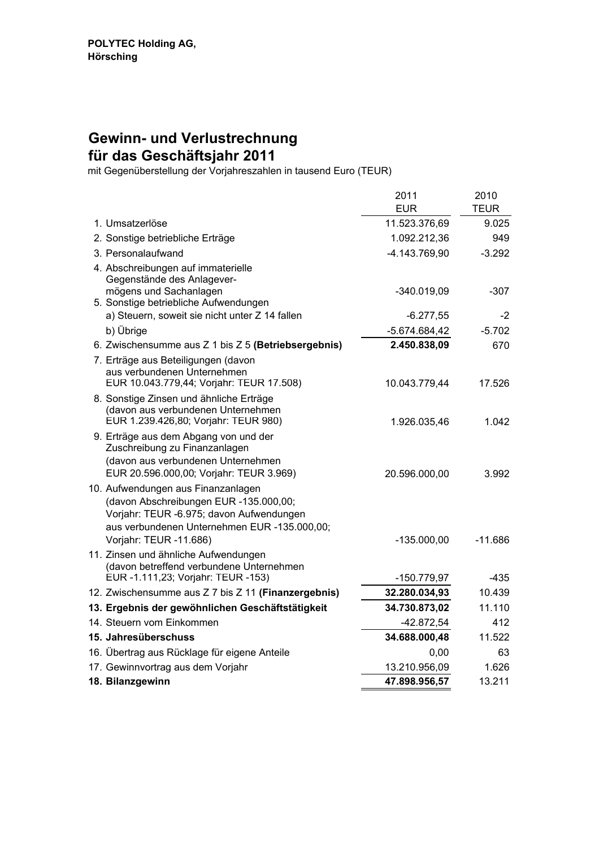#### **Gewinn- und Verlustrechnung für das Geschäftsjahr 2011**

mit Gegenüberstellung der Vorjahreszahlen in tausend Euro (TEUR)

|                                                                                    | 2011            | 2010        |
|------------------------------------------------------------------------------------|-----------------|-------------|
|                                                                                    | <b>EUR</b>      | <b>TEUR</b> |
| 1. Umsatzerlöse                                                                    | 11.523.376,69   | 9.025       |
| 2. Sonstige betriebliche Erträge                                                   | 1.092.212,36    | 949         |
| 3. Personalaufwand                                                                 | -4.143.769,90   | $-3.292$    |
| 4. Abschreibungen auf immaterielle                                                 |                 |             |
| Gegenstände des Anlagever-                                                         |                 |             |
| mögens und Sachanlagen<br>5. Sonstige betriebliche Aufwendungen                    | $-340.019,09$   | $-307$      |
| a) Steuern, soweit sie nicht unter Z 14 fallen                                     | $-6.277,55$     | -2          |
| b) Übrige                                                                          | $-5.674.684,42$ | $-5.702$    |
| 6. Zwischensumme aus Z 1 bis Z 5 (Betriebsergebnis)                                | 2.450.838,09    | 670         |
| 7. Erträge aus Beteiligungen (davon                                                |                 |             |
| aus verbundenen Unternehmen                                                        |                 |             |
| EUR 10.043.779,44; Vorjahr: TEUR 17.508)                                           | 10.043.779,44   | 17.526      |
| 8. Sonstige Zinsen und ähnliche Erträge<br>(davon aus verbundenen Unternehmen      |                 |             |
| EUR 1.239.426,80; Vorjahr: TEUR 980)                                               | 1.926.035,46    | 1.042       |
| 9. Erträge aus dem Abgang von und der                                              |                 |             |
| Zuschreibung zu Finanzanlagen                                                      |                 |             |
| (davon aus verbundenen Unternehmen                                                 |                 |             |
| EUR 20.596.000,00; Vorjahr: TEUR 3.969)                                            | 20.596.000,00   | 3.992       |
| 10. Aufwendungen aus Finanzanlagen                                                 |                 |             |
| (davon Abschreibungen EUR -135.000,00;<br>Vorjahr: TEUR -6.975; davon Aufwendungen |                 |             |
| aus verbundenen Unternehmen EUR -135.000,00;                                       |                 |             |
| Vorjahr: TEUR -11.686)                                                             | $-135.000,00$   | -11.686     |
| 11. Zinsen und ähnliche Aufwendungen                                               |                 |             |
| (davon betreffend verbundene Unternehmen                                           |                 |             |
| EUR -1.111,23; Vorjahr: TEUR -153)                                                 | -150.779,97     | -435        |
| 12. Zwischensumme aus Z 7 bis Z 11 (Finanzergebnis)                                | 32.280.034,93   | 10.439      |
| 13. Ergebnis der gewöhnlichen Geschäftstätigkeit                                   | 34.730.873,02   | 11.110      |
| 14. Steuern vom Einkommen                                                          | $-42.872,54$    | 412         |
| 15. Jahresüberschuss                                                               | 34.688.000,48   | 11.522      |
| 16. Übertrag aus Rücklage für eigene Anteile                                       | 0,00            | 63          |
| 17. Gewinnvortrag aus dem Vorjahr                                                  | 13.210.956,09   | 1.626       |
| 18. Bilanzgewinn                                                                   | 47.898.956,57   | 13.211      |
|                                                                                    |                 |             |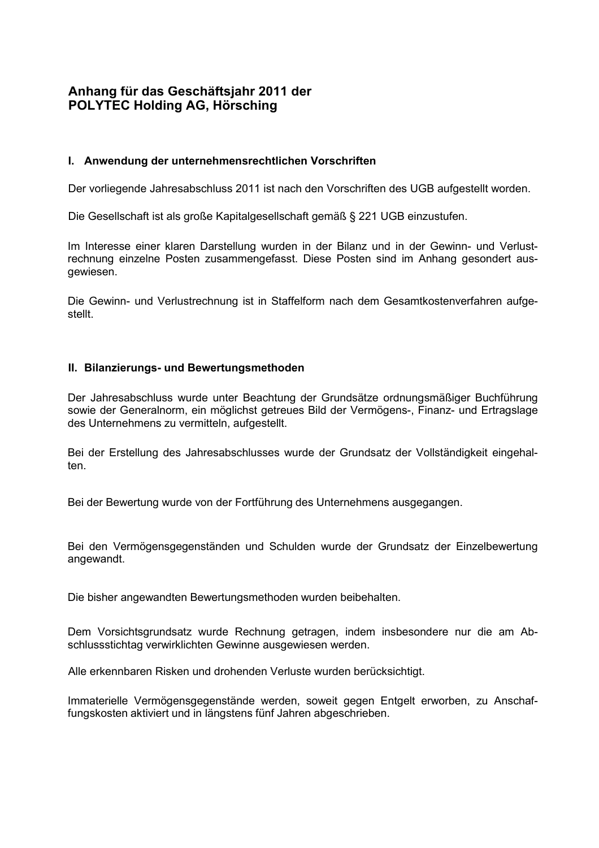# **Anhang für das Geschäftsjahr 2011 der POLYTEC Holding AG, Hörsching**

## **I. Anwendung der unternehmensrechtlichen Vorschriften**

Der vorliegende Jahresabschluss 2011 ist nach den Vorschriften des UGB aufgestellt worden.

Die Gesellschaft ist als große Kapitalgesellschaft gemäß § 221 UGB einzustufen.

Im Interesse einer klaren Darstellung wurden in der Bilanz und in der Gewinn- und Verlustrechnung einzelne Posten zusammengefasst. Diese Posten sind im Anhang gesondert ausgewiesen.

Die Gewinn- und Verlustrechnung ist in Staffelform nach dem Gesamtkostenverfahren aufgestellt.

## **II. Bilanzierungs- und Bewertungsmethoden**

Der Jahresabschluss wurde unter Beachtung der Grundsätze ordnungsmäßiger Buchführung sowie der Generalnorm, ein möglichst getreues Bild der Vermögens-, Finanz- und Ertragslage des Unternehmens zu vermitteln, aufgestellt.

Bei der Erstellung des Jahresabschlusses wurde der Grundsatz der Vollständigkeit eingehalten.

Bei der Bewertung wurde von der Fortführung des Unternehmens ausgegangen.

Bei den Vermögensgegenständen und Schulden wurde der Grundsatz der Einzelbewertung angewandt.

Die bisher angewandten Bewertungsmethoden wurden beibehalten.

Dem Vorsichtsgrundsatz wurde Rechnung getragen, indem insbesondere nur die am Abschlussstichtag verwirklichten Gewinne ausgewiesen werden.

Alle erkennbaren Risken und drohenden Verluste wurden berücksichtigt.

Immaterielle Vermögensgegenstände werden, soweit gegen Entgelt erworben, zu Anschaffungskosten aktiviert und in längstens fünf Jahren abgeschrieben.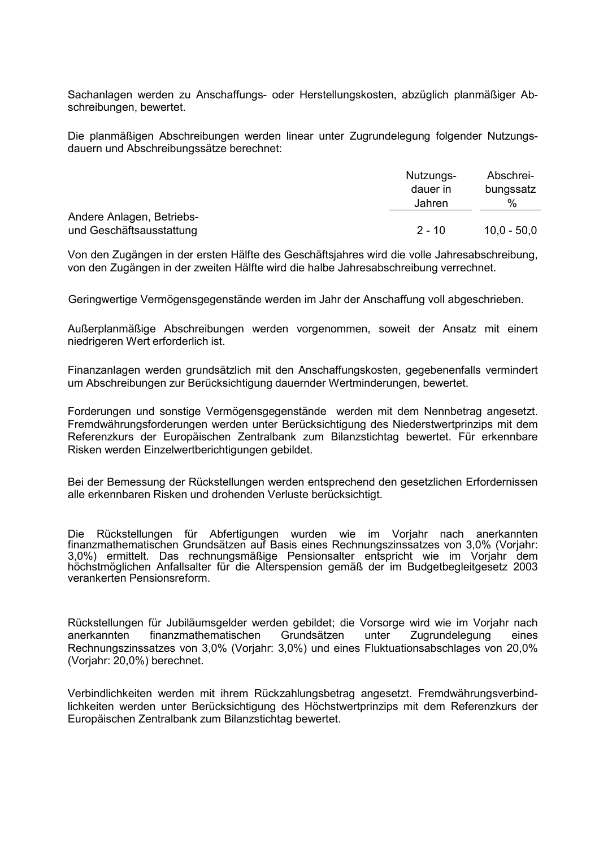Sachanlagen werden zu Anschaffungs- oder Herstellungskosten, abzüglich planmäßiger Abschreibungen, bewertet.

Die planmäßigen Abschreibungen werden linear unter Zugrundelegung folgender Nutzungsdauern und Abschreibungssätze berechnet:

|                           | Nutzungs-<br>dauer in<br>Jahren | Abschrei-<br>bungssatz<br>% |
|---------------------------|---------------------------------|-----------------------------|
| Andere Anlagen, Betriebs- |                                 |                             |
| und Geschäftsausstattung  | $2 - 10$                        | 10.0 - 50.0                 |

Von den Zugängen in der ersten Hälfte des Geschäftsjahres wird die volle Jahresabschreibung, von den Zugängen in der zweiten Hälfte wird die halbe Jahresabschreibung verrechnet.

Geringwertige Vermögensgegenstände werden im Jahr der Anschaffung voll abgeschrieben.

Außerplanmäßige Abschreibungen werden vorgenommen, soweit der Ansatz mit einem niedrigeren Wert erforderlich ist.

Finanzanlagen werden grundsätzlich mit den Anschaffungskosten, gegebenenfalls vermindert um Abschreibungen zur Berücksichtigung dauernder Wertminderungen, bewertet.

Forderungen und sonstige Vermögensgegenstände werden mit dem Nennbetrag angesetzt. Fremdwährungsforderungen werden unter Berücksichtigung des Niederstwertprinzips mit dem Referenzkurs der Europäischen Zentralbank zum Bilanzstichtag bewertet. Für erkennbare Risken werden Einzelwertberichtigungen gebildet.

Bei der Bemessung der Rückstellungen werden entsprechend den gesetzlichen Erfordernissen alle erkennbaren Risken und drohenden Verluste berücksichtigt.

Die Rückstellungen für Abfertigungen wurden wie im Vorjahr nach anerkannten Die Rückstellungen für Abfertigungen wurden wie im Vorjahr nach anerkannten finanzmathematischen Grundsätzen auf Basis eines Rechnungszinssatzes von 3,0% (Vorjahr:<br>0.0% einestitelt Peer werkennenn 20 metalsen Peeringsthen enterprisht view in Veright Pensionseintrittsalters von 60 Jahren bei Frauen und 65 Jahren bei Männern ermittelt. höchstmöglichen Anfallsalter für die Alterspension gemäß der im Budgetbegleitgesetz 2003 3,0%) ermittelt. Das rechnungsmäßige Pensionsalter entspricht wie im Vorjahr dem verankerten Pensionsreform.

Rückstellungen für Jubiläumsgelder werden gebildet; die Vorsorge wird wie im Vorjahr nach anerkannten finanzmathematischen Grundsätzen unter Zugrundelegung eines Rechnungszinssatzes von 3,0% (Vorjahr: 3,0%) und eines Fluktuationsabschlages von 20,0% (Vorjahr: 20,0%) berechnet.

Verbindlichkeiten werden mit ihrem Rückzahlungsbetrag angesetzt. Fremdwährungsverbindlichkeiten werden unter Berücksichtigung des Höchstwertprinzips mit dem Referenzkurs der Europäischen Zentralbank zum Bilanzstichtag bewertet.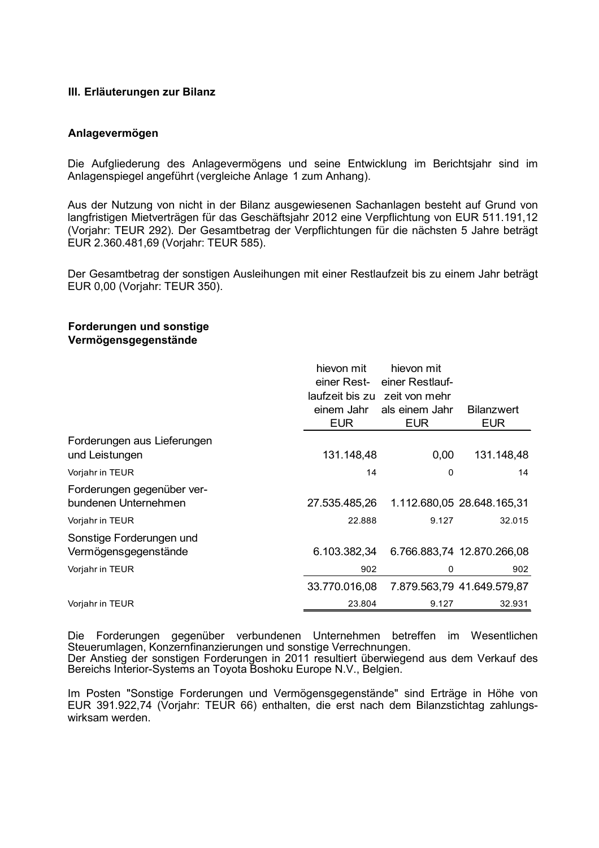#### **III. Erläuterungen zur Bilanz**

#### **Anlagevermögen**

Die Aufgliederung des Anlagevermögens und seine Entwicklung im Berichtsjahr sind im Anlagenspiegel angeführt (vergleiche Anlage 1 zum Anhang).

Aus der Nutzung von nicht in der Bilanz ausgewiesenen Sachanlagen besteht auf Grund von langfristigen Mietverträgen für das Geschäftsjahr 2012 eine Verpflichtung von EUR 511.191,12 (Vorjahr: TEUR 292). Der Gesamtbetrag der Verpflichtungen für die nächsten 5 Jahre beträgt EUR 2.360.481,69 (Vorjahr: TEUR 585).

Der Gesamtbetrag der sonstigen Ausleihungen mit einer Restlaufzeit bis zu einem Jahr beträgt EUR 0,00 (Vorjahr: TEUR 350).

#### **Forderungen und sonstige Vermögensgegenstände**

|                                                    | hievon mit<br>einer Rest- | hievon mit<br>einer Restlauf- |                                 |
|----------------------------------------------------|---------------------------|-------------------------------|---------------------------------|
|                                                    |                           | laufzeit bis zu zeit von mehr |                                 |
|                                                    | einem Jahr<br><b>EUR</b>  | als einem Jahr<br><b>EUR</b>  | <b>Bilanzwert</b><br><b>EUR</b> |
| Forderungen aus Lieferungen                        |                           |                               |                                 |
| und Leistungen                                     | 131.148,48                | 0,00                          | 131.148,48                      |
| Vorjahr in TEUR                                    | 14                        | 0                             | 14                              |
| Forderungen gegenüber ver-<br>bundenen Unternehmen | 27.535.485,26             |                               | 1.112.680,05 28.648.165,31      |
| Vorjahr in TEUR                                    | 22.888                    | 9.127                         | 32.015                          |
| Sonstige Forderungen und                           |                           |                               |                                 |
| Vermögensgegenstände                               | 6.103.382,34              |                               | 6.766.883,74 12.870.266,08      |
| Vorjahr in TEUR                                    | 902                       | 0                             | 902                             |
|                                                    | 33.770.016,08             |                               | 7.879.563,79 41.649.579,87      |
| Vorjahr in TEUR                                    | 23.804                    | 9.127                         | 32.931                          |

Die Forderungen gegenüber verbundenen Unternehmen betreffen im Wesentlichen Steuerumlagen, Konzernfinanzierungen und sonstige Verrechnungen. Der Anstieg der sonstigen Forderungen in 2011 resultiert überwiegend aus dem Verkauf des Bereichs Interior-Systems an Toyota Boshoku Europe N.V., Belgien.

Im Posten "Sonstige Forderungen und Vermögensgegenstände" sind Erträge in Höhe von EUR 391.922,74 (Vorjahr: TEUR 66) enthalten, die erst nach dem Bilanzstichtag zahlungswirksam werden.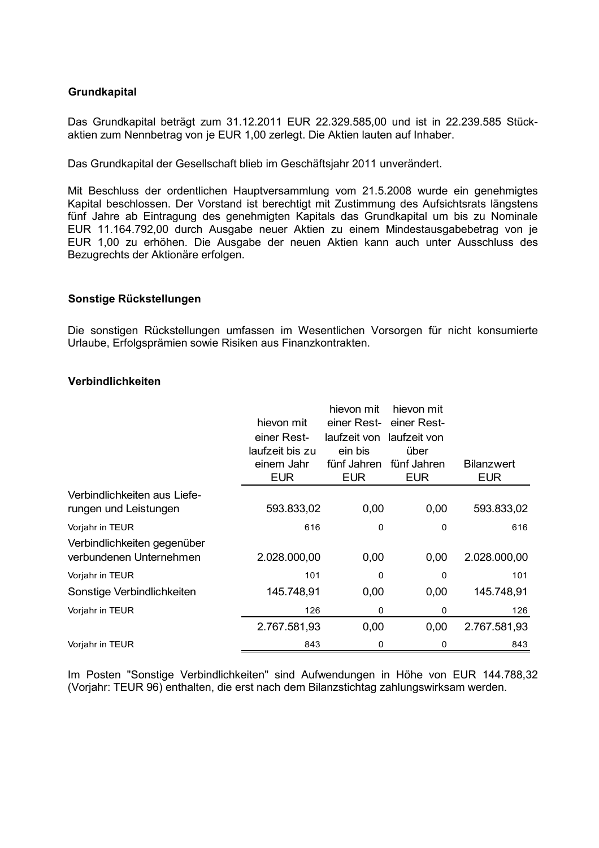# **Grundkapital**

Das Grundkapital beträgt zum 31.12.2011 EUR 22.329.585,00 und ist in 22.239.585 Stückaktien zum Nennbetrag von je EUR 1,00 zerlegt. Die Aktien lauten auf Inhaber.

Das Grundkapital der Gesellschaft blieb im Geschäftsjahr 2011 unverändert.

Mit Beschluss der ordentlichen Hauptversammlung vom 21.5.2008 wurde ein genehmigtes Kapital beschlossen. Der Vorstand ist berechtigt mit Zustimmung des Aufsichtsrats längstens fünf Jahre ab Eintragung des genehmigten Kapitals das Grundkapital um bis zu Nominale EUR 11.164.792,00 durch Ausgabe neuer Aktien zu einem Mindestausgabebetrag von je EUR 1,00 zu erhöhen. Die Ausgabe der neuen Aktien kann auch unter Ausschluss des Bezugrechts der Aktionäre erfolgen.

#### **Sonstige Rückstellungen**

Die sonstigen Rückstellungen umfassen im Wesentlichen Vorsorgen für nicht konsumierte Urlaube, Erfolgsprämien sowie Risiken aus Finanzkontrakten.

#### **Verbindlichkeiten**

|                                                        | hievon mit<br>einer Rest-<br>laufzeit bis zu<br>einem Jahr<br><b>EUR</b> | hievon mit<br>einer Rest-<br>laufzeit von<br>ein bis<br>fünf Jahren<br><b>EUR</b> | hievon mit<br>einer Rest-<br>laufzeit von<br>über<br>fünf Jahren<br><b>EUR</b> | <b>Bilanzwert</b><br><b>EUR</b> |
|--------------------------------------------------------|--------------------------------------------------------------------------|-----------------------------------------------------------------------------------|--------------------------------------------------------------------------------|---------------------------------|
| Verbindlichkeiten aus Liefe-<br>rungen und Leistungen  | 593.833,02                                                               | 0,00                                                                              | 0,00                                                                           | 593.833,02                      |
| Vorjahr in TEUR                                        | 616                                                                      | 0                                                                                 | 0                                                                              | 616                             |
| Verbindlichkeiten gegenüber<br>verbundenen Unternehmen | 2.028.000,00                                                             | 0,00                                                                              | 0,00                                                                           | 2.028.000,00                    |
| Vorjahr in TEUR                                        | 101                                                                      | 0                                                                                 | 0                                                                              | 101                             |
| Sonstige Verbindlichkeiten                             | 145.748,91                                                               | 0,00                                                                              | 0,00                                                                           | 145.748,91                      |
| Vorjahr in TEUR                                        | 126                                                                      | 0                                                                                 | 0                                                                              | 126                             |
|                                                        | 2.767.581,93                                                             | 0,00                                                                              | 0,00                                                                           | 2.767.581,93                    |
| Vorjahr in TEUR                                        | 843                                                                      | 0                                                                                 | 0                                                                              | 843                             |

Im Posten "Sonstige Verbindlichkeiten" sind Aufwendungen in Höhe von EUR 144.788,32 (Vorjahr: TEUR 96) enthalten, die erst nach dem Bilanzstichtag zahlungswirksam werden.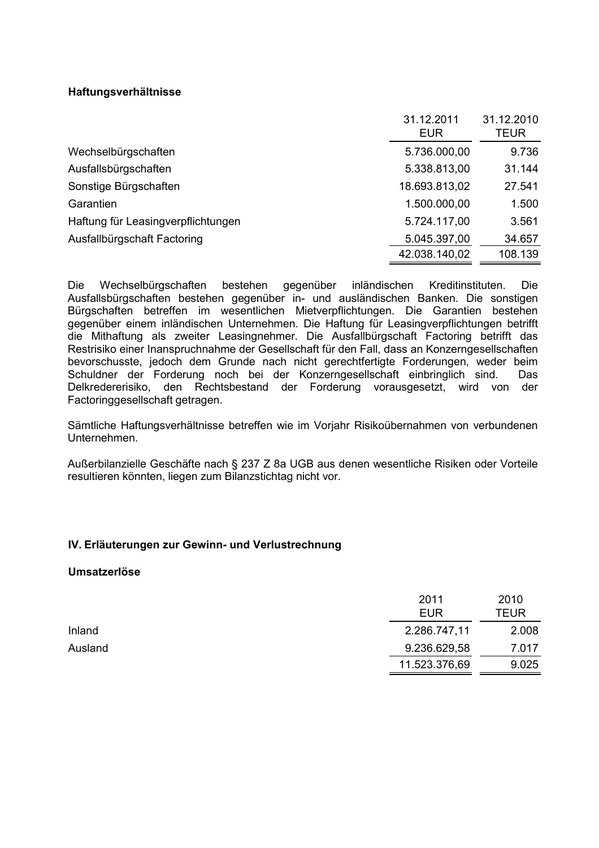# **Haftungsverhältnisse**

|                                    | 31.12.2011<br>EUR | 31.12.2010<br>TEUR |
|------------------------------------|-------------------|--------------------|
| Wechselbürgschaften                | 5.736.000,00      | 9.736              |
| Ausfallsbürgschaften               | 5.338.813,00      | 31.144             |
| Sonstige Bürgschaften              | 18.693.813,02     | 27.541             |
| Garantien                          | 1.500.000,00      | 1.500              |
| Haftung für Leasingverpflichtungen | 5.724.117,00      | 3.561              |
| Ausfallbürgschaft Factoring        | 5.045.397,00      | 34.657             |
|                                    | 42.038.140,02     | 108.139            |

Die Wechselbürgschaften bestehen gegenüber inländischen Kreditinstituten. Die Ausfallsbürgschaften bestehen gegenüber in- und ausländischen Banken. Die sonstigen Bürgschaften betreffen im wesentlichen Mietverpflichtungen. Die Garantien bestehen gegenüber einem inländischen Unternehmen. Die Haftung für Leasingverpflichtungen betrifft die Mithaftung als zweiter Leasingnehmer. Die Ausfallbürgschaft Factoring betrifft das Restrisiko einer Inanspruchnahme der Gesellschaft für den Fall, dass an Konzerngesellschaften bevorschusste, jedoch dem Grunde nach nicht gerechtfertigte Forderungen, weder beim Schuldner der Forderung noch bei der Konzerngesellschaft einbringlich sind. Das Delkredererisiko, den Rechtsbestand der Forderung vorausgesetzt, wird von der Factoringgesellschaft getragen.

Sämtliche Haftungsverhältnisse betreffen wie im Vorjahr Risikoübernahmen von verbundenen Unternehmen.

Außerbilanzielle Geschäfte nach § 237 Z 8a UGB aus denen wesentliche Risiken oder Vorteile resultieren könnten, liegen zum Bilanzstichtag nicht vor.

## **IV. Erläuterungen zur Gewinn- und Verlustrechnung**

#### **Umsatzerlöse**

|         | 2011          | 2010        |
|---------|---------------|-------------|
|         | <b>EUR</b>    | <b>TEUR</b> |
| Inland  | 2.286.747,11  | 2.008       |
| Ausland | 9.236.629,58  | 7.017       |
|         | 11.523.376,69 | 9.025       |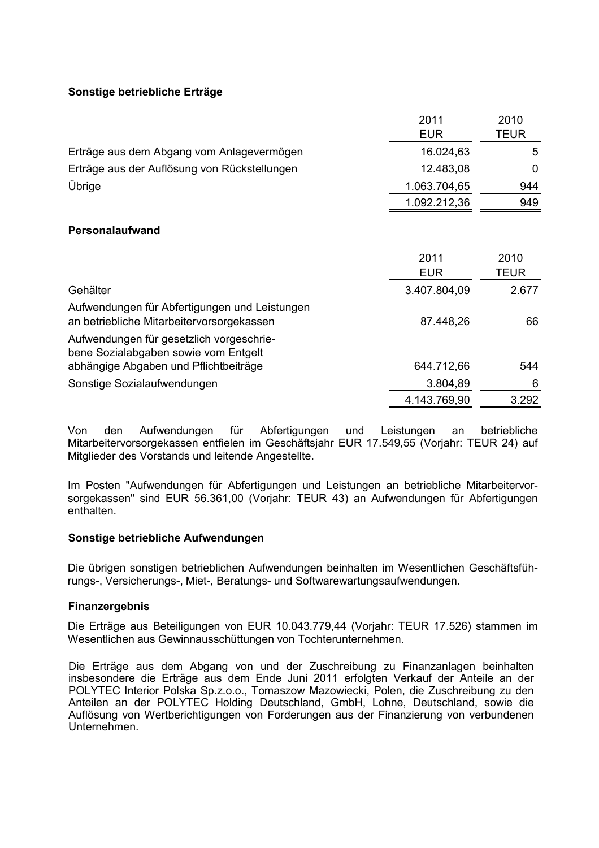# **Sonstige betriebliche Erträge**

|                                                                                            | 2011               | 2010         |
|--------------------------------------------------------------------------------------------|--------------------|--------------|
|                                                                                            | <b>EUR</b>         | TEUR         |
| Erträge aus dem Abgang vom Anlagevermögen                                                  | 16.024,63          | 5            |
| Erträge aus der Auflösung von Rückstellungen                                               | 12.483,08          | 0            |
| Übrige                                                                                     | 1.063.704,65       | 944          |
|                                                                                            | 1.092.212,36       | 949          |
| Personalaufwand                                                                            |                    |              |
|                                                                                            | 2011<br><b>EUR</b> | 2010<br>TEUR |
| Gehälter                                                                                   | 3.407.804,09       | 2.677        |
| Aufwendungen für Abfertigungen und Leistungen<br>an betriebliche Mitarbeitervorsorgekassen | 87.448,26          | 66           |
| Aufwendungen für gesetzlich vorgeschrie-<br>bene Sozialabgaben sowie vom Entgelt           |                    |              |
| abhängige Abgaben und Pflichtbeiträge                                                      | 644.712,66         | 544          |
| Sonstige Sozialaufwendungen                                                                | 3.804,89           | 6            |
|                                                                                            | 4.143.769,90       | 3.292        |

Von den Aufwendungen für Abfertigungen und Leistungen an betriebliche Mitarbeitervorsorgekassen entfielen im Geschäftsjahr EUR 17.549,55 (Vorjahr: TEUR 24) auf Mitglieder des Vorstands und leitende Angestellte.

Im Posten "Aufwendungen für Abfertigungen und Leistungen an betriebliche Mitarbeitervorsorgekassen" sind EUR 56.361,00 (Vorjahr: TEUR 43) an Aufwendungen für Abfertigungen enthalten.

## **Sonstige betriebliche Aufwendungen**

Die übrigen sonstigen betrieblichen Aufwendungen beinhalten im Wesentlichen Geschäftsführungs-, Versicherungs-, Miet-, Beratungs- und Softwarewartungsaufwendungen.

## **Finanzergebnis**

Die Erträge aus Beteiligungen von EUR 10.043.779,44 (Vorjahr: TEUR 17.526) stammen im Wesentlichen aus Gewinnausschüttungen von Tochterunternehmen.

Die Erträge aus dem Abgang von und der Zuschreibung zu Finanzanlagen beinhalten insbesondere die Erträge aus dem Ende Juni 2011 erfolgten Verkauf der Anteile an der POLYTEC Interior Polska Sp.z.o.o., Tomaszow Mazowiecki, Polen, die Zuschreibung zu den Anteilen an der POLYTEC Holding Deutschland, GmbH, Lohne, Deutschland, sowie die Auflösung von Wertberichtigungen von Forderungen aus der Finanzierung von verbundenen Unternehmen.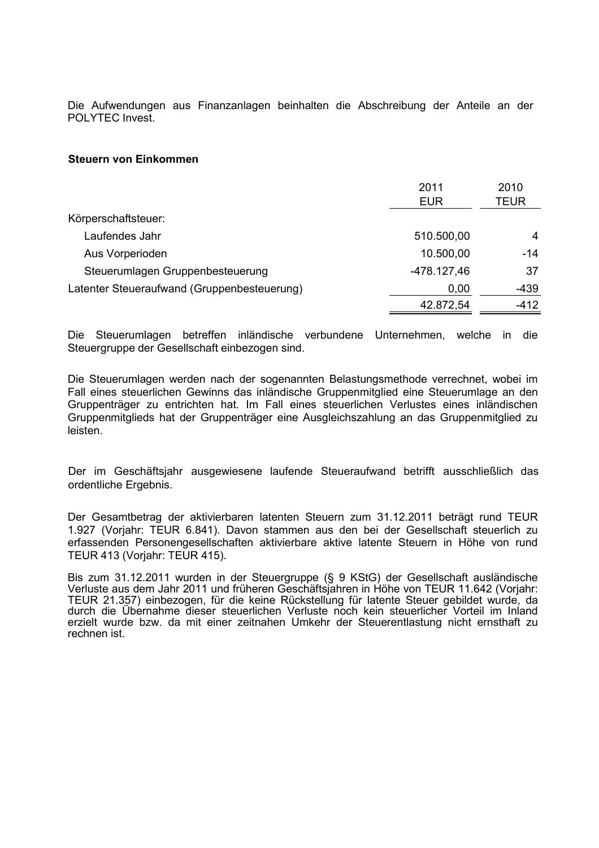Die Aufwendungen aus Finanzanlagen beinhalten die Abschreibung der Anteile an der POLYTEC Invest.

#### **Steuern von Einkommen**

|                                             | 2011<br><b>EUR</b> | 2010<br>TEUR |
|---------------------------------------------|--------------------|--------------|
| Körperschaftsteuer:                         |                    |              |
| Laufendes Jahr                              | 510.500,00         | 4            |
| Aus Vorperioden                             | 10.500,00          | -14          |
| Steuerumlagen Gruppenbesteuerung            | -478.127,46        | 37           |
| Latenter Steueraufwand (Gruppenbesteuerung) | 0,00               | $-439$       |
|                                             | 42.872,54          | $-412$       |

Die Steuerumlagen betreffen inländische verbundene Unternehmen, welche in die Steuergruppe der Gesellschaft einbezogen sind.

Die Steuerumlagen werden nach der sogenannten Belastungsmethode verrechnet, wobei im Fall eines steuerlichen Gewinns das inländische Gruppenmitglied eine Steuerumlage an den Gruppenträger zu entrichten hat. Im Fall eines steuerlichen Verlustes eines inländischen Gruppenmitglieds hat der Gruppenträger eine Ausgleichszahlung an das Gruppenmitglied zu leisten.

Der im Geschäftsjahr ausgewiesene laufende Steueraufwand betrifft ausschließlich das ordentliche Ergebnis.

Der Gesamtbetrag der aktivierbaren latenten Steuern zum 31.12.2011 beträgt rund TEUR 1.927 (Vorjahr: TEUR 6.841). Davon stammen aus den bei der Gesellschaft steuerlich zu erfassenden Personengesellschaften aktivierbare aktive latente Steuern in Höhe von rund TEUR 413 (Vorjahr: TEUR 415).

Bis zum 31.12.2011 wurden in der Steuergruppe (§ 9 KStG) der Gesellschaft ausländische Verluste aus dem Jahr 2011 und früheren Geschäftsjahren in Höhe von TEUR 11.642 (Vorjahr: TEUR 21.357) einbezogen, für die keine Rückstellung für latente Steuer gebildet wurde, da durch die Übernahme dieser steuerlichen Verluste noch kein steuerlicher Vorteil im Inland erzielt wurde bzw. da mit einer zeitnahen Umkehr der Steuerentlastung nicht ernsthaft zu rechnen ist.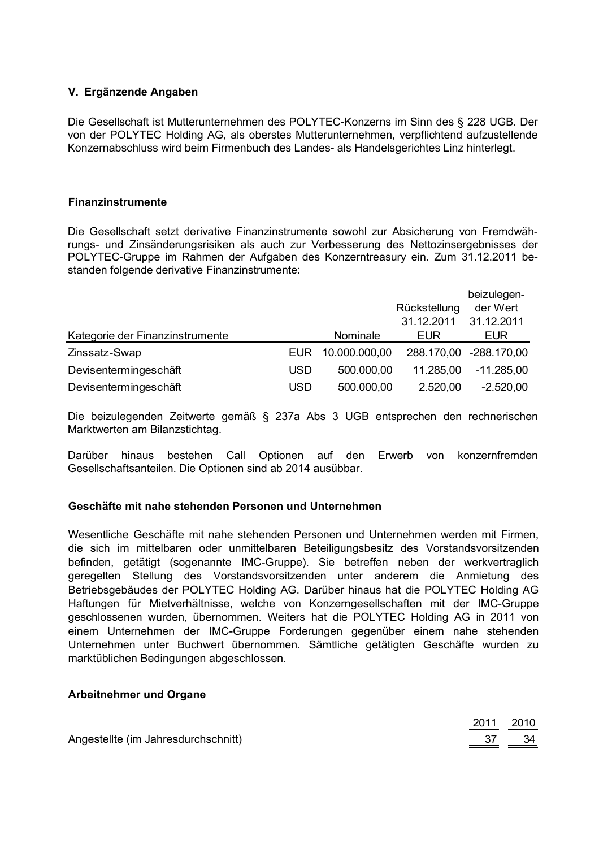# **V. Ergänzende Angaben**

Die Gesellschaft ist Mutterunternehmen des POLYTEC-Konzerns im Sinn des § 228 UGB. Der von der POLYTEC Holding AG, als oberstes Mutterunternehmen, verpflichtend aufzustellende Konzernabschluss wird beim Firmenbuch des Landes- als Handelsgerichtes Linz hinterlegt.

#### **Finanzinstrumente**

Die Gesellschaft setzt derivative Finanzinstrumente sowohl zur Absicherung von Fremdwährungs- und Zinsänderungsrisiken als auch zur Verbesserung des Nettozinsergebnisses der POLYTEC-Gruppe im Rahmen der Aufgaben des Konzerntreasury ein. Zum 31.12.2011 bestanden folgende derivative Finanzinstrumente:

|                                 |            |               |              | beizulegen-            |
|---------------------------------|------------|---------------|--------------|------------------------|
|                                 |            |               | Rückstellung | der Wert               |
|                                 |            |               | 31.12.2011   | 31.12.2011             |
| Kategorie der Finanzinstrumente |            | Nominale      | EUR          | EUR                    |
| Zinssatz-Swap                   | <b>EUR</b> | 10.000.000,00 |              | 288.170,00 -288.170,00 |
| Devisentermingeschäft           | <b>USD</b> | 500.000,00    | 11.285,00    | $-11.285,00$           |
| Devisentermingeschäft           | USD        | 500.000,00    | 2.520,00     | $-2.520,00$            |

Die beizulegenden Zeitwerte gemäß § 237a Abs 3 UGB entsprechen den rechnerischen Marktwerten am Bilanzstichtag.

Darüber hinaus bestehen Call Optionen auf den Erwerb von konzernfremden Gesellschaftsanteilen. Die Optionen sind ab 2014 ausübbar.

## **Geschäfte mit nahe stehenden Personen und Unternehmen**

Wesentliche Geschäfte mit nahe stehenden Personen und Unternehmen werden mit Firmen, die sich im mittelbaren oder unmittelbaren Beteiligungsbesitz des Vorstandsvorsitzenden befinden, getätigt (sogenannte IMC-Gruppe). Sie betreffen neben der werkvertraglich geregelten Stellung des Vorstandsvorsitzenden unter anderem die Anmietung des Betriebsgebäudes der POLYTEC Holding AG. Darüber hinaus hat die POLYTEC Holding AG Haftungen für Mietverhältnisse, welche von Konzerngesellschaften mit der IMC-Gruppe geschlossenen wurden, übernommen. Weiters hat die POLYTEC Holding AG in 2011 von einem Unternehmen der IMC-Gruppe Forderungen gegenüber einem nahe stehenden Unternehmen unter Buchwert übernommen. Sämtliche getätigten Geschäfte wurden zu marktüblichen Bedingungen abgeschlossen.

#### **Arbeitnehmer und Organe**

|                                     | 2011 2010 |       |
|-------------------------------------|-----------|-------|
| Angestellte (im Jahresdurchschnitt) |           | 37 34 |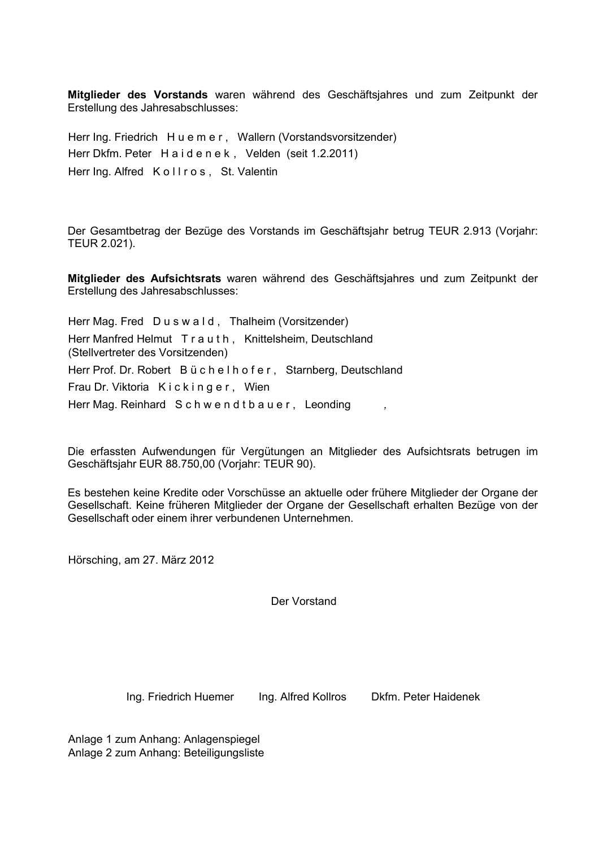**Mitglieder des Vorstands** waren während des Geschäftsjahres und zum Zeitpunkt der Erstellung des Jahresabschlusses:

Herr Ing. Friedrich H u e m e r, Wallern (Vorstandsvorsitzender) Herr Dkfm. Peter H a i d e n e k , Velden (seit 1.2.2011) Herr Ing. Alfred Kollros, St. Valentin

Der Gesamtbetrag der Bezüge des Vorstands im Geschäftsjahr betrug TEUR 2.913 (Vorjahr: TEUR 2.021).

**Mitglieder des Aufsichtsrats** waren während des Geschäftsjahres und zum Zeitpunkt der Erstellung des Jahresabschlusses:

Herr Mag. Fred Duswald, Thalheim (Vorsitzender) Herr Manfred Helmut T r a u t h , Knittelsheim, Deutschland (Stellvertreter des Vorsitzenden) Herr Prof. Dr. Robert B üchelh ofer, Starnberg, Deutschland Frau Dr. Viktoria Kickinger, Wien Herr Mag. Reinhard S c h w e n d t b a u e r , Leonding *,*

Die erfassten Aufwendungen für Vergütungen an Mitglieder des Aufsichtsrats betrugen im Geschäftsjahr EUR 88.750,00 (Vorjahr: TEUR 90).

Es bestehen keine Kredite oder Vorschüsse an aktuelle oder frühere Mitglieder der Organe der Gesellschaft. Keine früheren Mitglieder der Organe der Gesellschaft erhalten Bezüge von der Gesellschaft oder einem ihrer verbundenen Unternehmen.

Hörsching, am 27. März 2012

Der Vorstand

Ing. Friedrich Huemer Ing. Alfred Kollros Dkfm. Peter Haidenek

Anlage 1 zum Anhang: Anlagenspiegel Anlage 2 zum Anhang: Beteiligungsliste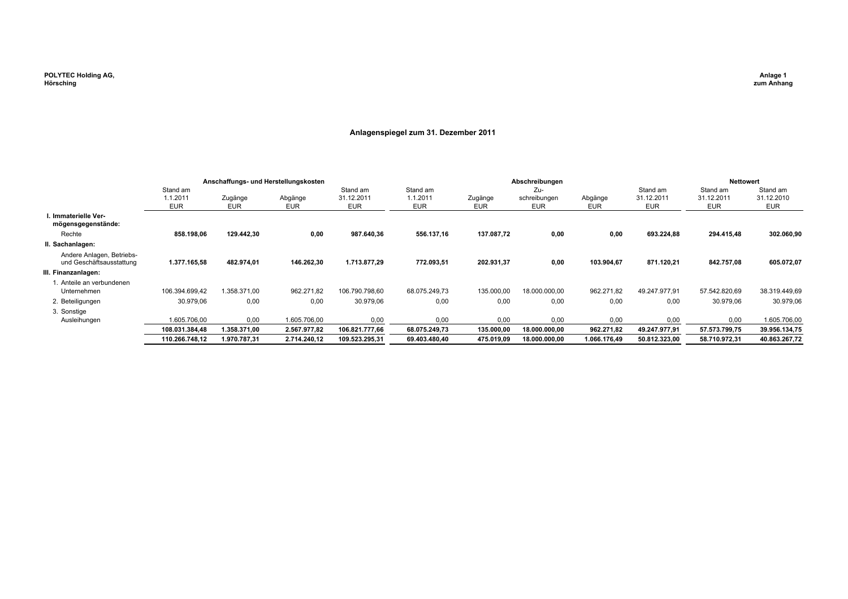#### **Anlagenspiegel zum 31. Dezember 2011**

|                                                       | Anschaffungs- und Herstellungskosten |                |                |                                      |                                    | Abschreibungen        |                                   |                       |                                      | <b>Nettowert</b>                     |                                      |
|-------------------------------------------------------|--------------------------------------|----------------|----------------|--------------------------------------|------------------------------------|-----------------------|-----------------------------------|-----------------------|--------------------------------------|--------------------------------------|--------------------------------------|
|                                                       | Stand am<br>1.1.2011<br><b>EUR</b>   | Zugänge<br>EUR | Abgänge<br>EUR | Stand am<br>31.12.2011<br><b>EUR</b> | Stand am<br>1.1.2011<br><b>EUR</b> | Zugänge<br><b>EUR</b> | Zu-<br>schreibungen<br><b>EUR</b> | Abgänge<br><b>EUR</b> | Stand am<br>31.12.2011<br><b>EUR</b> | Stand am<br>31.12.2011<br><b>EUR</b> | Stand am<br>31.12.2010<br><b>EUR</b> |
| I. Immaterielle Ver-<br>mögensgegenstände:            |                                      |                |                |                                      |                                    |                       |                                   |                       |                                      |                                      |                                      |
| Rechte                                                | 858.198,06                           | 129.442,30     | 0,00           | 987.640,36                           | 556.137,16                         | 137.087,72            | 0,00                              | 0,00                  | 693.224,88                           | 294.415,48                           | 302.060,90                           |
| II. Sachanlagen:                                      |                                      |                |                |                                      |                                    |                       |                                   |                       |                                      |                                      |                                      |
| Andere Anlagen, Betriebs-<br>und Geschäftsausstattung | 1.377.165,58                         | 482.974,01     | 146.262,30     | 1.713.877,29                         | 772.093,51                         | 202.931,37            | 0,00                              | 103.904,67            | 871.120,21                           | 842.757,08                           | 605.072,07                           |
| III. Finanzanlagen:                                   |                                      |                |                |                                      |                                    |                       |                                   |                       |                                      |                                      |                                      |
| 1. Anteile an verbundenen<br>Unternehmen              | 106.394.699.42                       | 1.358.371.00   | 962.271,82     | 106.790.798,60                       | 68.075.249.73                      | 135.000,00            | 18.000.000.00                     | 962.271,82            | 49.247.977,91                        | 57.542.820,69                        | 38.319.449,69                        |
| 2. Beteiligungen                                      | 30.979.06                            | 0,00           | 0,00           | 30.979,06                            | 0,00                               | 0,00                  | 0,00                              | 0,00                  | 0,00                                 | 30.979,06                            | 30.979,06                            |
| 3. Sonstige                                           |                                      |                |                |                                      |                                    |                       |                                   |                       |                                      |                                      |                                      |
| Ausleihungen                                          | 1.605.706.00                         | 0,00           | 1.605.706.00   | 0,00                                 | 0,00                               | 0,00                  | 0.00                              | 0,00                  | 0,00                                 | 0,00                                 | 1.605.706,00                         |
|                                                       | 108.031.384,48                       | 1.358.371,00   | 2.567.977,82   | 106.821.777,66                       | 68.075.249,73                      | 135.000,00            | 18.000.000,00                     | 962.271,82            | 49.247.977,91                        | 57.573.799,75                        | 39.956.134,75                        |
|                                                       | 110.266.748.12                       | 1.970.787.31   | 2.714.240,12   | 109.523.295,31                       | 69.403.480.40                      | 475.019.09            | 18.000.000.00                     | 1.066.176,49          | 50.812.323.00                        | 58.710.972,31                        | 40.863.267,72                        |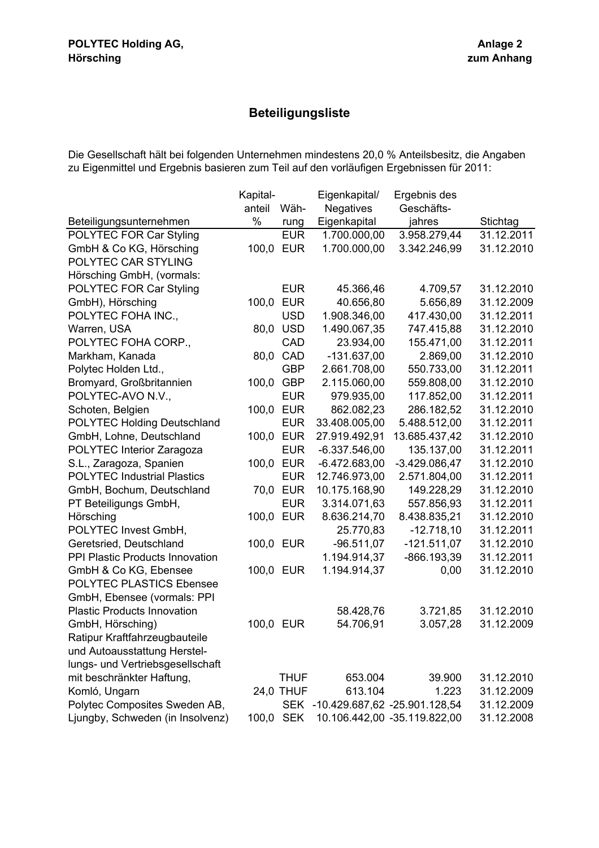# **Beteiligungsliste**

Die Gesellschaft hält bei folgenden Unternehmen mindestens 20,0 % Anteilsbesitz, die Angaben zu Eigenmittel und Ergebnis basieren zum Teil auf den vorläufigen Ergebnissen für 2011:

|                                    | Kapital- |                  | Eigenkapital/    | Ergebnis des                  |            |
|------------------------------------|----------|------------------|------------------|-------------------------------|------------|
|                                    | anteil   | Wäh-             | <b>Negatives</b> | Geschäfts-                    |            |
| Beteiligungsunternehmen            | %        | rung             | Eigenkapital     | jahres                        | Stichtag   |
| POLYTEC FOR Car Styling            |          | <b>EUR</b>       | 1.700.000,00     | 3.958.279,44                  | 31.12.2011 |
| GmbH & Co KG, Hörsching            |          | 100,0 EUR        | 1.700.000,00     | 3.342.246,99                  | 31.12.2010 |
| POLYTEC CAR STYLING                |          |                  |                  |                               |            |
| Hörsching GmbH, (vormals:          |          |                  |                  |                               |            |
| POLYTEC FOR Car Styling            |          | <b>EUR</b>       | 45.366,46        | 4.709,57                      | 31.12.2010 |
| GmbH), Hörsching                   | 100,0    | <b>EUR</b>       | 40.656,80        | 5.656,89                      | 31.12.2009 |
| POLYTEC FOHA INC.,                 |          | <b>USD</b>       | 1.908.346,00     | 417.430,00                    | 31.12.2011 |
| Warren, USA                        |          | 80,0 USD         | 1.490.067,35     | 747.415,88                    | 31.12.2010 |
| POLYTEC FOHA CORP.,                |          | CAD              | 23.934,00        | 155.471,00                    | 31.12.2011 |
| Markham, Kanada                    | 80,0     | CAD              | $-131.637,00$    | 2.869,00                      | 31.12.2010 |
| Polytec Holden Ltd.,               |          | <b>GBP</b>       | 2.661.708,00     | 550.733,00                    | 31.12.2011 |
| Bromyard, Großbritannien           | 100,0    | <b>GBP</b>       | 2.115.060,00     | 559.808,00                    | 31.12.2010 |
| POLYTEC-AVO N.V.,                  |          | <b>EUR</b>       | 979.935,00       | 117.852,00                    | 31.12.2011 |
| Schoten, Belgien                   |          | 100,0 EUR        | 862.082,23       | 286.182,52                    | 31.12.2010 |
| <b>POLYTEC Holding Deutschland</b> |          | <b>EUR</b>       | 33.408.005,00    | 5.488.512,00                  | 31.12.2011 |
| GmbH, Lohne, Deutschland           |          | 100,0 EUR        | 27.919.492,91    | 13.685.437,42                 | 31.12.2010 |
| POLYTEC Interior Zaragoza          |          | <b>EUR</b>       | $-6.337.546,00$  | 135.137,00                    | 31.12.2011 |
| S.L., Zaragoza, Spanien            |          | 100,0 EUR        | $-6.472.683,00$  | $-3.429.086,47$               | 31.12.2010 |
| <b>POLYTEC Industrial Plastics</b> |          | <b>EUR</b>       | 12.746.973,00    | 2.571.804,00                  | 31.12.2011 |
| GmbH, Bochum, Deutschland          |          | 70,0 EUR         | 10.175.168,90    | 149.228,29                    | 31.12.2010 |
| PT Beteiligungs GmbH,              |          | <b>EUR</b>       | 3.314.071,63     | 557.856,93                    | 31.12.2011 |
| Hörsching                          |          | 100,0 EUR        | 8.636.214,70     | 8.438.835,21                  | 31.12.2010 |
| POLYTEC Invest GmbH,               |          |                  | 25.770,83        | $-12.718,10$                  | 31.12.2011 |
| Geretsried, Deutschland            |          | 100,0 EUR        | $-96.511,07$     | $-121.511,07$                 | 31.12.2010 |
| PPI Plastic Products Innovation    |          |                  | 1.194.914,37     | -866.193,39                   | 31.12.2011 |
| GmbH & Co KG, Ebensee              |          | 100,0 EUR        | 1.194.914,37     | 0,00                          | 31.12.2010 |
| <b>POLYTEC PLASTICS Ebensee</b>    |          |                  |                  |                               |            |
| GmbH, Ebensee (vormals: PPI        |          |                  |                  |                               |            |
| <b>Plastic Products Innovation</b> |          |                  | 58.428,76        | 3.721,85                      | 31.12.2010 |
| GmbH, Hörsching)                   |          | 100,0 EUR        | 54.706,91        | 3.057,28                      | 31.12.2009 |
| Ratipur Kraftfahrzeugbauteile      |          |                  |                  |                               |            |
| und Autoausstattung Herstel-       |          |                  |                  |                               |            |
| lungs- und Vertriebsgesellschaft   |          |                  |                  |                               |            |
| mit beschränkter Haftung,          |          | <b>THUF</b>      | 653.004          | 39.900                        | 31.12.2010 |
| Komló, Ungarn                      |          | <b>24,0 THUF</b> | 613.104          | 1.223                         | 31.12.2009 |
| Polytec Composites Sweden AB,      |          | <b>SEK</b>       |                  | -10.429.687,62 -25.901.128,54 | 31.12.2009 |
| Ljungby, Schweden (in Insolvenz)   | 100,0    | <b>SEK</b>       |                  | 10.106.442,00 -35.119.822,00  | 31.12.2008 |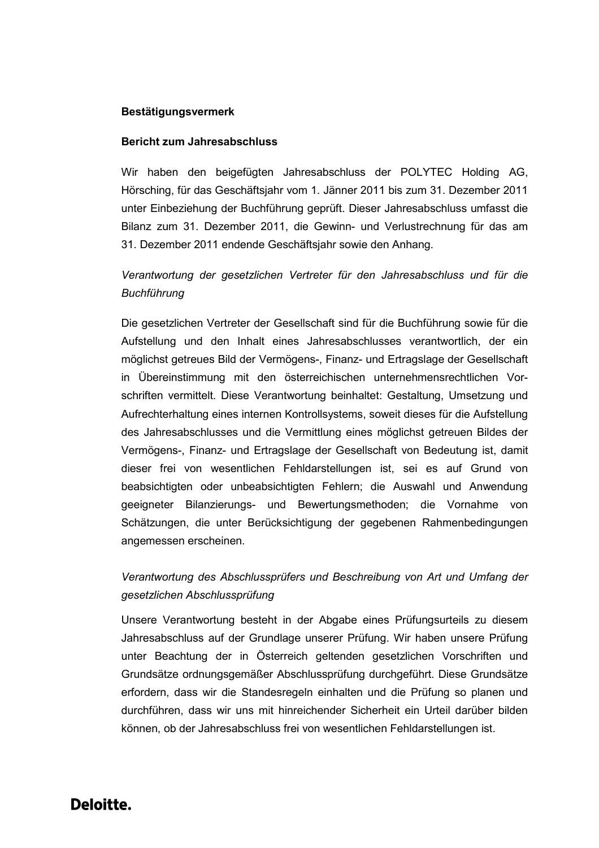## **Bestätigungsvermerk**

#### **Bericht zum Jahresabschluss**

Wir haben den beigefügten Jahresabschluss der POLYTEC Holding AG, Hörsching, für das Geschäftsjahr vom 1. Jänner 2011 bis zum 31. Dezember 2011 unter Einbeziehung der Buchführung geprüft. Dieser Jahresabschluss umfasst die Bilanz zum 31. Dezember 2011, die Gewinn- und Verlustrechnung für das am 31. Dezember 2011 endende Geschäftsjahr sowie den Anhang.

# *Verantwortung der gesetzlichen Vertreter für den Jahresabschluss und für die Buchführung*

Die gesetzlichen Vertreter der Gesellschaft sind für die Buchführung sowie für die Aufstellung und den Inhalt eines Jahresabschlusses verantwortlich, der ein möglichst getreues Bild der Vermögens-, Finanz- und Ertragslage der Gesellschaft in Übereinstimmung mit den österreichischen unternehmensrechtlichen Vorschriften vermittelt. Diese Verantwortung beinhaltet: Gestaltung, Umsetzung und Aufrechterhaltung eines internen Kontrollsystems, soweit dieses für die Aufstellung des Jahresabschlusses und die Vermittlung eines möglichst getreuen Bildes der Vermögens-, Finanz- und Ertragslage der Gesellschaft von Bedeutung ist, damit dieser frei von wesentlichen Fehldarstellungen ist, sei es auf Grund von beabsichtigten oder unbeabsichtigten Fehlern; die Auswahl und Anwendung geeigneter Bilanzierungs- und Bewertungsmethoden; die Vornahme von Schätzungen, die unter Berücksichtigung der gegebenen Rahmenbedingungen angemessen erscheinen.

# *Verantwortung des Abschlussprüfers und Beschreibung von Art und Umfang der gesetzlichen Abschlussprüfung*

Unsere Verantwortung besteht in der Abgabe eines Prüfungsurteils zu diesem Jahresabschluss auf der Grundlage unserer Prüfung. Wir haben unsere Prüfung unter Beachtung der in Österreich geltenden gesetzlichen Vorschriften und Grundsätze ordnungsgemäßer Abschlussprüfung durchgeführt. Diese Grundsätze erfordern, dass wir die Standesregeln einhalten und die Prüfung so planen und durchführen, dass wir uns mit hinreichender Sicherheit ein Urteil darüber bilden können, ob der Jahresabschluss frei von wesentlichen Fehldarstellungen ist.

# Deloitte.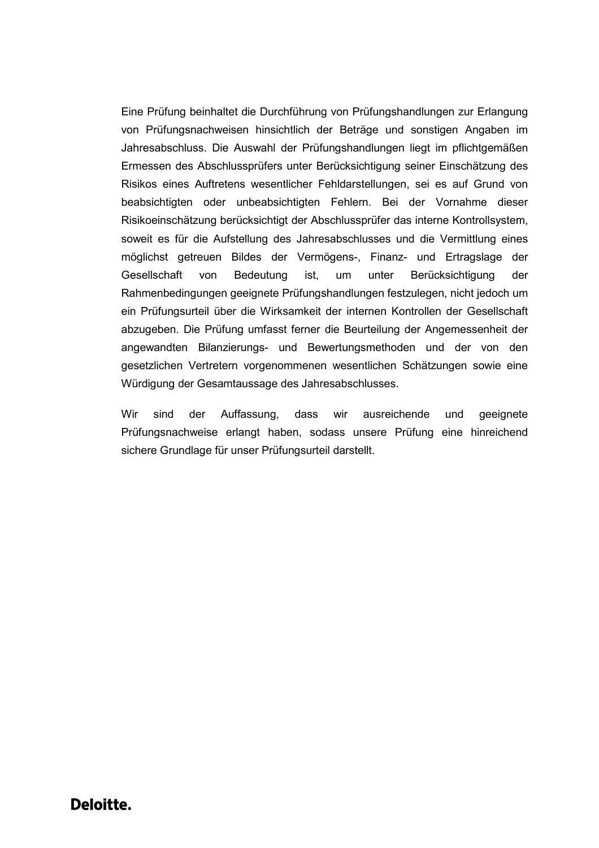Eine Prüfung beinhaltet die Durchführung von Prüfungshandlungen zur Erlangung von Prüfungsnachweisen hinsichtlich der Beträge und sonstigen Angaben im Jahresabschluss. Die Auswahl der Prüfungshandlungen liegt im pflichtgemäßen Ermessen des Abschlussprüfers unter Berücksichtigung seiner Einschätzung des Risikos eines Auftretens wesentlicher Fehldarstellungen, sei es auf Grund von beabsichtigten oder unbeabsichtigten Fehlern. Bei der Vornahme dieser Risikoeinschätzung berücksichtigt der Abschlussprüfer das interne Kontrollsystem, soweit es für die Aufstellung des Jahresabschlusses und die Vermittlung eines möglichst getreuen Bildes der Vermögens-, Finanz- und Ertragslage der Gesellschaft von Bedeutung ist, um unter Berücksichtigung der Rahmenbedingungen geeignete Prüfungshandlungen festzulegen, nicht jedoch um ein Prüfungsurteil über die Wirksamkeit der internen Kontrollen der Gesellschaft abzugeben. Die Prüfung umfasst ferner die Beurteilung der Angemessenheit der angewandten Bilanzierungs- und Bewertungsmethoden und der von den gesetzlichen Vertretern vorgenommenen wesentlichen Schätzungen sowie eine Würdigung der Gesamtaussage des Jahresabschlusses.

Wir sind der Auffassung, dass wir ausreichende und geeignete Prüfungsnachweise erlangt haben, sodass unsere Prüfung eine hinreichend sichere Grundlage für unser Prüfungsurteil darstellt.